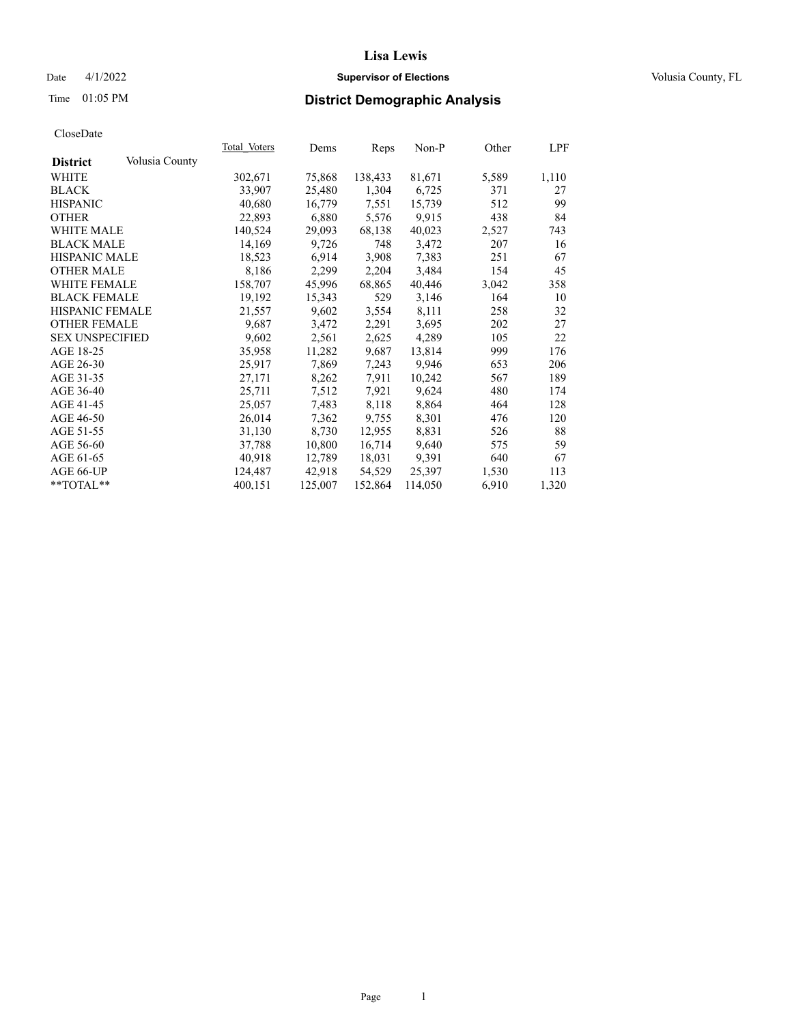## Date 4/1/2022 **Supervisor of Elections Supervisor of Elections** Volusia County, FL

## Time 01:05 PM **District Demographic Analysis**

|                        |                | Total Voters | Dems    | Reps    | Non-P   | Other | LPF   |
|------------------------|----------------|--------------|---------|---------|---------|-------|-------|
| <b>District</b>        | Volusia County |              |         |         |         |       |       |
| WHITE                  |                | 302,671      | 75,868  | 138,433 | 81,671  | 5,589 | 1,110 |
| <b>BLACK</b>           |                | 33,907       | 25,480  | 1,304   | 6,725   | 371   | 27    |
| <b>HISPANIC</b>        |                | 40,680       | 16,779  | 7,551   | 15,739  | 512   | 99    |
| <b>OTHER</b>           |                | 22,893       | 6,880   | 5,576   | 9,915   | 438   | 84    |
| WHITE MALE             |                | 140,524      | 29,093  | 68,138  | 40,023  | 2,527 | 743   |
| <b>BLACK MALE</b>      |                | 14,169       | 9,726   | 748     | 3,472   | 207   | 16    |
| <b>HISPANIC MALE</b>   |                | 18,523       | 6,914   | 3,908   | 7,383   | 251   | 67    |
| <b>OTHER MALE</b>      |                | 8,186        | 2,299   | 2,204   | 3,484   | 154   | 45    |
| <b>WHITE FEMALE</b>    |                | 158,707      | 45,996  | 68,865  | 40,446  | 3,042 | 358   |
| <b>BLACK FEMALE</b>    |                | 19,192       | 15,343  | 529     | 3,146   | 164   | 10    |
| <b>HISPANIC FEMALE</b> |                | 21,557       | 9,602   | 3,554   | 8,111   | 258   | 32    |
| <b>OTHER FEMALE</b>    |                | 9,687        | 3,472   | 2,291   | 3,695   | 202   | 27    |
| <b>SEX UNSPECIFIED</b> |                | 9,602        | 2,561   | 2,625   | 4,289   | 105   | 22    |
| AGE 18-25              |                | 35,958       | 11,282  | 9,687   | 13,814  | 999   | 176   |
| AGE 26-30              |                | 25,917       | 7,869   | 7,243   | 9,946   | 653   | 206   |
| AGE 31-35              |                | 27,171       | 8,262   | 7,911   | 10,242  | 567   | 189   |
| AGE 36-40              |                | 25,711       | 7,512   | 7,921   | 9,624   | 480   | 174   |
| AGE 41-45              |                | 25,057       | 7,483   | 8,118   | 8,864   | 464   | 128   |
| AGE 46-50              |                | 26,014       | 7,362   | 9,755   | 8,301   | 476   | 120   |
| AGE 51-55              |                | 31,130       | 8,730   | 12,955  | 8,831   | 526   | 88    |
| AGE 56-60              |                | 37,788       | 10,800  | 16,714  | 9,640   | 575   | 59    |
| AGE 61-65              |                | 40,918       | 12,789  | 18,031  | 9,391   | 640   | 67    |
| AGE 66-UP              |                | 124,487      | 42,918  | 54,529  | 25,397  | 1,530 | 113   |
| $*$ TOTAL $*$          |                | 400,151      | 125,007 | 152,864 | 114,050 | 6,910 | 1,320 |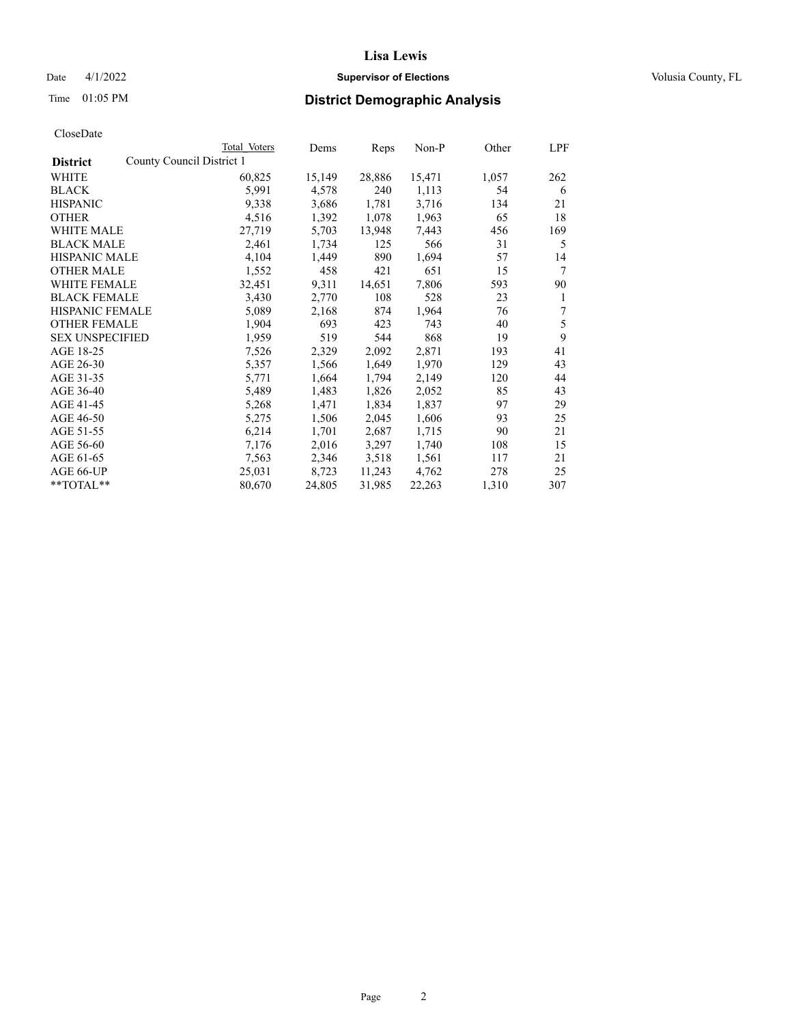## Date 4/1/2022 **Supervisor of Elections Supervisor of Elections** Volusia County, FL

## Time 01:05 PM **District Demographic Analysis**

|                        |                           | Total Voters | Dems   | Reps   | Non-P  | Other | LPF |
|------------------------|---------------------------|--------------|--------|--------|--------|-------|-----|
| <b>District</b>        | County Council District 1 |              |        |        |        |       |     |
| WHITE                  |                           | 60,825       | 15,149 | 28,886 | 15,471 | 1,057 | 262 |
| <b>BLACK</b>           |                           | 5,991        | 4,578  | 240    | 1,113  | 54    | 6   |
| <b>HISPANIC</b>        |                           | 9,338        | 3,686  | 1,781  | 3,716  | 134   | 21  |
| <b>OTHER</b>           |                           | 4,516        | 1,392  | 1,078  | 1,963  | 65    | 18  |
| WHITE MALE             |                           | 27,719       | 5,703  | 13,948 | 7,443  | 456   | 169 |
| <b>BLACK MALE</b>      |                           | 2,461        | 1,734  | 125    | 566    | 31    | 5   |
| <b>HISPANIC MALE</b>   |                           | 4,104        | 1,449  | 890    | 1,694  | 57    | 14  |
| <b>OTHER MALE</b>      |                           | 1,552        | 458    | 421    | 651    | 15    | 7   |
| <b>WHITE FEMALE</b>    |                           | 32,451       | 9,311  | 14,651 | 7,806  | 593   | 90  |
| <b>BLACK FEMALE</b>    |                           | 3,430        | 2,770  | 108    | 528    | 23    | 1   |
| <b>HISPANIC FEMALE</b> |                           | 5,089        | 2,168  | 874    | 1,964  | 76    | 7   |
| <b>OTHER FEMALE</b>    |                           | 1,904        | 693    | 423    | 743    | 40    | 5   |
| <b>SEX UNSPECIFIED</b> |                           | 1,959        | 519    | 544    | 868    | 19    | 9   |
| AGE 18-25              |                           | 7,526        | 2,329  | 2,092  | 2,871  | 193   | 41  |
| AGE 26-30              |                           | 5,357        | 1,566  | 1,649  | 1,970  | 129   | 43  |
| AGE 31-35              |                           | 5,771        | 1,664  | 1,794  | 2,149  | 120   | 44  |
| AGE 36-40              |                           | 5,489        | 1,483  | 1,826  | 2,052  | 85    | 43  |
| AGE 41-45              |                           | 5,268        | 1,471  | 1,834  | 1,837  | 97    | 29  |
| AGE 46-50              |                           | 5,275        | 1,506  | 2,045  | 1,606  | 93    | 25  |
| AGE 51-55              |                           | 6,214        | 1,701  | 2,687  | 1,715  | 90    | 21  |
| AGE 56-60              |                           | 7,176        | 2,016  | 3,297  | 1,740  | 108   | 15  |
| AGE 61-65              |                           | 7,563        | 2,346  | 3,518  | 1,561  | 117   | 21  |
| AGE 66-UP              |                           | 25,031       | 8,723  | 11,243 | 4,762  | 278   | 25  |
| $*$ $TOTAL**$          |                           | 80,670       | 24,805 | 31,985 | 22,263 | 1,310 | 307 |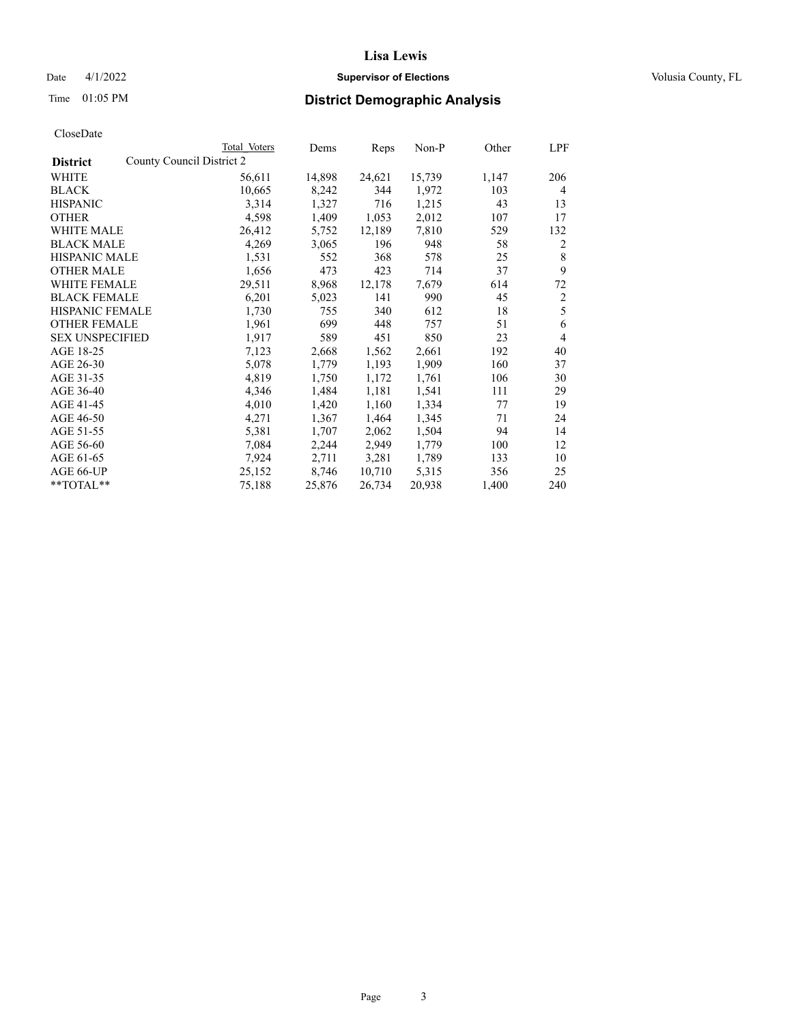## Date 4/1/2022 **Supervisor of Elections Supervisor of Elections** Volusia County, FL

| CloseDate |
|-----------|
|-----------|

|                        | Total Voters              | Dems   | Reps   | Non-P  | Other | LPF            |
|------------------------|---------------------------|--------|--------|--------|-------|----------------|
| <b>District</b>        | County Council District 2 |        |        |        |       |                |
| WHITE                  | 56,611                    | 14,898 | 24,621 | 15,739 | 1,147 | 206            |
| BLACK                  | 10,665                    | 8,242  | 344    | 1,972  | 103   | 4              |
| <b>HISPANIC</b>        | 3,314                     | 1,327  | 716    | 1,215  | 43    | 13             |
| <b>OTHER</b>           | 4,598                     | 1,409  | 1,053  | 2,012  | 107   | 17             |
| WHITE MALE             | 26,412                    | 5,752  | 12,189 | 7,810  | 529   | 132            |
| <b>BLACK MALE</b>      | 4,269                     | 3,065  | 196    | 948    | 58    | 2              |
| <b>HISPANIC MALE</b>   | 1,531                     | 552    | 368    | 578    | 25    | 8              |
| <b>OTHER MALE</b>      | 1,656                     | 473    | 423    | 714    | 37    | 9              |
| <b>WHITE FEMALE</b>    | 29,511                    | 8,968  | 12,178 | 7,679  | 614   | 72             |
| <b>BLACK FEMALE</b>    | 6,201                     | 5,023  | 141    | 990    | 45    | 2              |
| HISPANIC FEMALE        | 1,730                     | 755    | 340    | 612    | 18    | 5              |
| <b>OTHER FEMALE</b>    | 1,961                     | 699    | 448    | 757    | 51    | 6              |
| <b>SEX UNSPECIFIED</b> | 1,917                     | 589    | 451    | 850    | 23    | $\overline{4}$ |
| AGE 18-25              | 7,123                     | 2,668  | 1,562  | 2,661  | 192   | 40             |
| AGE 26-30              | 5,078                     | 1,779  | 1,193  | 1,909  | 160   | 37             |
| AGE 31-35              | 4,819                     | 1,750  | 1,172  | 1,761  | 106   | 30             |
| AGE 36-40              | 4,346                     | 1,484  | 1,181  | 1,541  | 111   | 29             |
| AGE 41-45              | 4,010                     | 1,420  | 1,160  | 1,334  | 77    | 19             |
| AGE 46-50              | 4,271                     | 1,367  | 1,464  | 1,345  | 71    | 24             |
| AGE 51-55              | 5,381                     | 1,707  | 2,062  | 1,504  | 94    | 14             |
| AGE 56-60              | 7,084                     | 2,244  | 2,949  | 1,779  | 100   | 12             |
| AGE 61-65              | 7,924                     | 2,711  | 3,281  | 1,789  | 133   | 10             |
| AGE 66-UP              | 25,152                    | 8,746  | 10,710 | 5,315  | 356   | 25             |
| $*$ $TOTAL**$          | 75,188                    | 25,876 | 26,734 | 20,938 | 1,400 | 240            |
|                        |                           |        |        |        |       |                |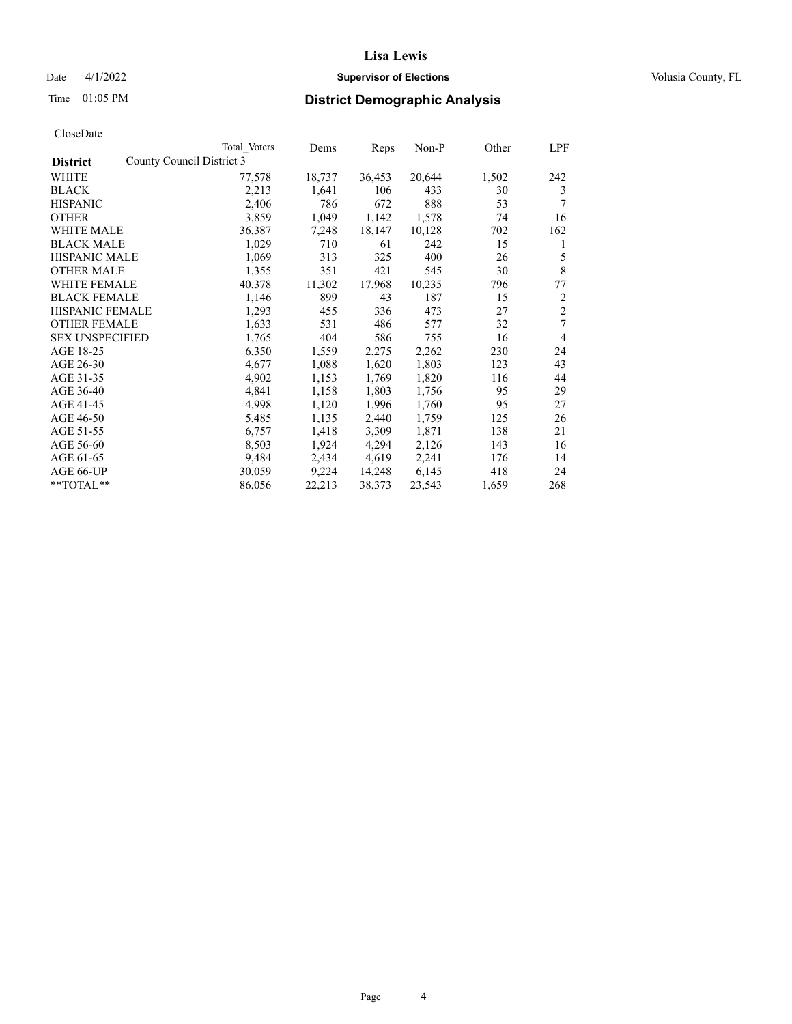## Date 4/1/2022 **Supervisor of Elections Supervisor of Elections** Volusia County, FL

| CloseDate |
|-----------|
|-----------|

|                        | Total Voters              | Dems   | Reps   | Non-P  | Other | LPF            |
|------------------------|---------------------------|--------|--------|--------|-------|----------------|
| <b>District</b>        | County Council District 3 |        |        |        |       |                |
| WHITE                  | 77,578                    | 18,737 | 36,453 | 20,644 | 1,502 | 242            |
| <b>BLACK</b>           | 2,213                     | 1,641  | 106    | 433    | 30    | 3              |
| <b>HISPANIC</b>        | 2,406                     | 786    | 672    | 888    | 53    | 7              |
| <b>OTHER</b>           | 3,859                     | 1,049  | 1,142  | 1,578  | 74    | 16             |
| <b>WHITE MALE</b>      | 36,387                    | 7,248  | 18,147 | 10,128 | 702   | 162            |
| <b>BLACK MALE</b>      | 1,029                     | 710    | 61     | 242    | 15    | 1              |
| <b>HISPANIC MALE</b>   | 1,069                     | 313    | 325    | 400    | 26    | 5              |
| <b>OTHER MALE</b>      | 1,355                     | 351    | 421    | 545    | 30    | $\,8\,$        |
| WHITE FEMALE           | 40,378                    | 11,302 | 17,968 | 10,235 | 796   | 77             |
| <b>BLACK FEMALE</b>    | 1,146                     | 899    | 43     | 187    | 15    | 2              |
| HISPANIC FEMALE        | 1,293                     | 455    | 336    | 473    | 27    | $\overline{c}$ |
| <b>OTHER FEMALE</b>    | 1,633                     | 531    | 486    | 577    | 32    | 7              |
| <b>SEX UNSPECIFIED</b> | 1,765                     | 404    | 586    | 755    | 16    | $\overline{4}$ |
| AGE 18-25              | 6,350                     | 1,559  | 2,275  | 2,262  | 230   | 24             |
| AGE 26-30              | 4,677                     | 1,088  | 1,620  | 1,803  | 123   | 43             |
| AGE 31-35              | 4,902                     | 1,153  | 1,769  | 1,820  | 116   | 44             |
| AGE 36-40              | 4,841                     | 1,158  | 1,803  | 1,756  | 95    | 29             |
| AGE 41-45              | 4,998                     | 1,120  | 1,996  | 1,760  | 95    | 27             |
| AGE 46-50              | 5,485                     | 1,135  | 2,440  | 1,759  | 125   | 26             |
| AGE 51-55              | 6,757                     | 1,418  | 3,309  | 1,871  | 138   | 21             |
| AGE 56-60              | 8,503                     | 1,924  | 4,294  | 2,126  | 143   | 16             |
| AGE 61-65              | 9,484                     | 2,434  | 4,619  | 2,241  | 176   | 14             |
| AGE 66-UP              | 30,059                    | 9,224  | 14,248 | 6,145  | 418   | 24             |
| **TOTAL**              | 86,056                    | 22,213 | 38,373 | 23,543 | 1,659 | 268            |
|                        |                           |        |        |        |       |                |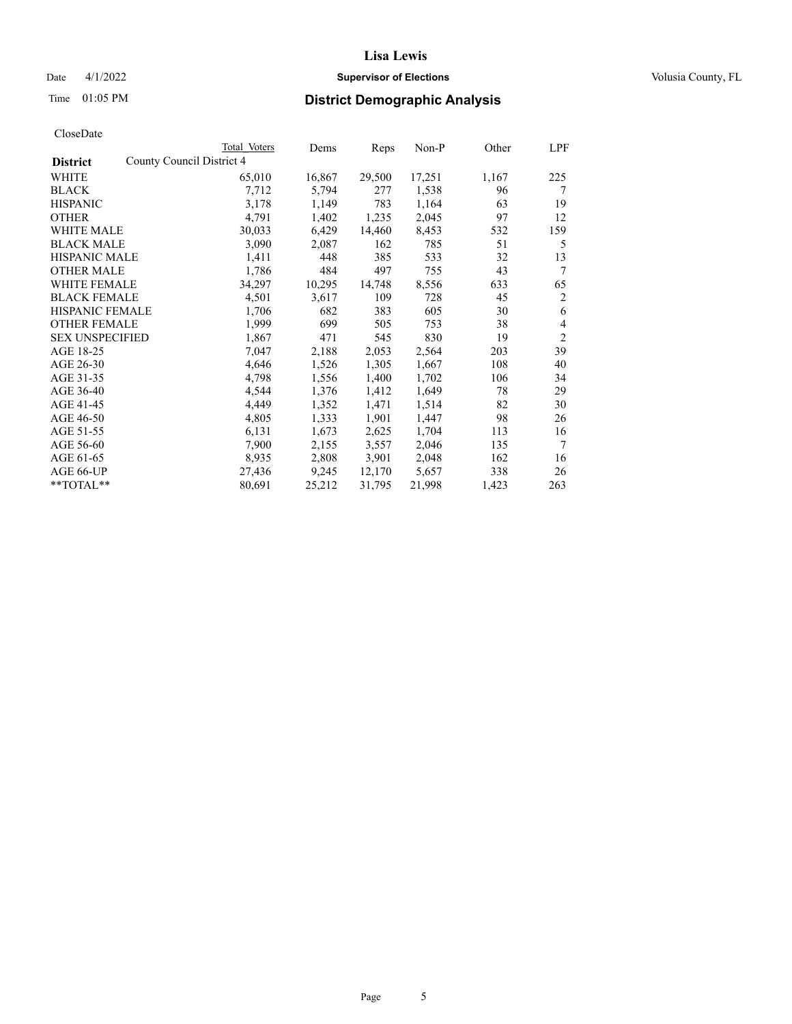## Date 4/1/2022 **Supervisor of Elections Supervisor of Elections** Volusia County, FL

| CloseDate |
|-----------|
|-----------|

|                                              | Total Voters | Dems   | Reps   | Non-P  | Other | LPF            |
|----------------------------------------------|--------------|--------|--------|--------|-------|----------------|
| County Council District 4<br><b>District</b> |              |        |        |        |       |                |
| WHITE                                        | 65,010       | 16,867 | 29,500 | 17,251 | 1,167 | 225            |
| <b>BLACK</b>                                 | 7,712        | 5,794  | 277    | 1,538  | 96    | 7              |
| <b>HISPANIC</b>                              | 3,178        | 1,149  | 783    | 1,164  | 63    | 19             |
| <b>OTHER</b>                                 | 4,791        | 1,402  | 1,235  | 2,045  | 97    | 12             |
| <b>WHITE MALE</b>                            | 30,033       | 6,429  | 14,460 | 8,453  | 532   | 159            |
| <b>BLACK MALE</b>                            | 3,090        | 2,087  | 162    | 785    | 51    | 5              |
| <b>HISPANIC MALE</b>                         | 1,411        | 448    | 385    | 533    | 32    | 13             |
| <b>OTHER MALE</b>                            | 1,786        | 484    | 497    | 755    | 43    | 7              |
| <b>WHITE FEMALE</b>                          | 34,297       | 10,295 | 14,748 | 8,556  | 633   | 65             |
| <b>BLACK FEMALE</b>                          | 4,501        | 3,617  | 109    | 728    | 45    | 2              |
| HISPANIC FEMALE                              | 1,706        | 682    | 383    | 605    | 30    | 6              |
| <b>OTHER FEMALE</b>                          | 1,999        | 699    | 505    | 753    | 38    | 4              |
| <b>SEX UNSPECIFIED</b>                       | 1,867        | 471    | 545    | 830    | 19    | $\overline{2}$ |
| AGE 18-25                                    | 7,047        | 2,188  | 2,053  | 2,564  | 203   | 39             |
| AGE 26-30                                    | 4,646        | 1,526  | 1,305  | 1,667  | 108   | 40             |
| AGE 31-35                                    | 4,798        | 1,556  | 1,400  | 1,702  | 106   | 34             |
| AGE 36-40                                    | 4,544        | 1,376  | 1,412  | 1,649  | 78    | 29             |
| AGE 41-45                                    | 4,449        | 1,352  | 1,471  | 1,514  | 82    | 30             |
| AGE 46-50                                    | 4,805        | 1,333  | 1,901  | 1,447  | 98    | 26             |
| AGE 51-55                                    | 6,131        | 1,673  | 2,625  | 1,704  | 113   | 16             |
| AGE 56-60                                    | 7,900        | 2,155  | 3,557  | 2,046  | 135   | 7              |
| AGE 61-65                                    | 8,935        | 2,808  | 3,901  | 2,048  | 162   | 16             |
| AGE 66-UP                                    | 27,436       | 9,245  | 12,170 | 5,657  | 338   | 26             |
| **TOTAL**                                    | 80,691       | 25,212 | 31,795 | 21,998 | 1,423 | 263            |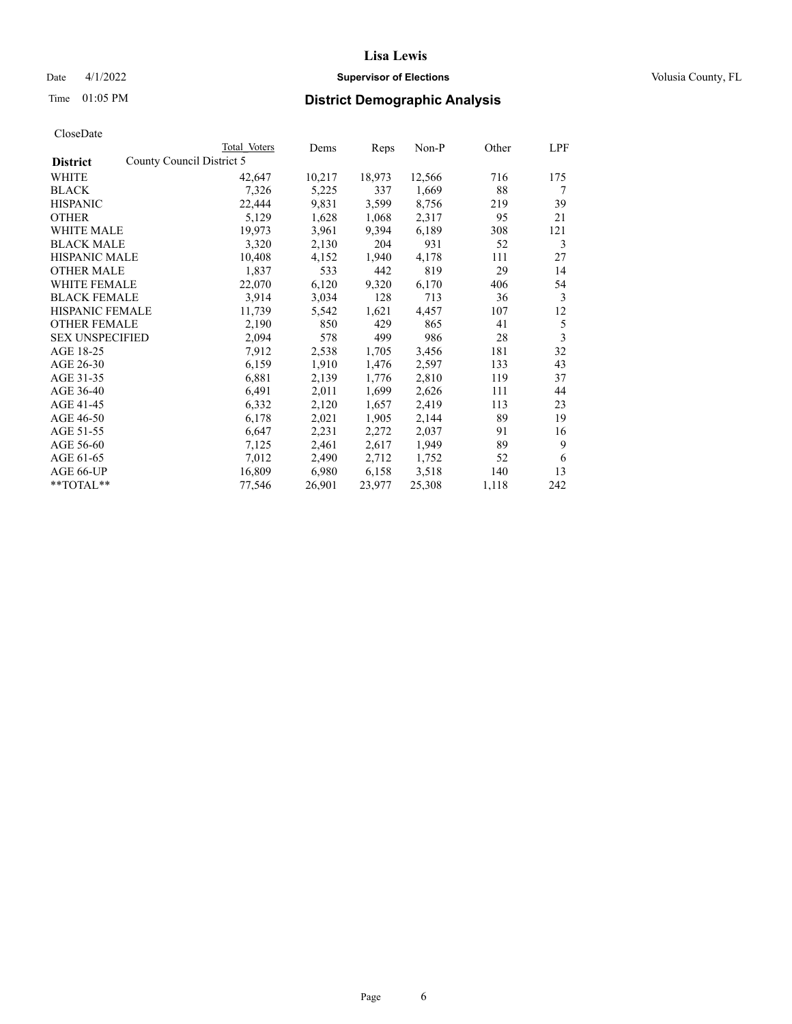## Date 4/1/2022 **Supervisor of Elections Supervisor of Elections** Volusia County, FL

|                                              | Total Voters | Dems   | Reps   | Non-P  | Other | LPF |
|----------------------------------------------|--------------|--------|--------|--------|-------|-----|
| County Council District 5<br><b>District</b> |              |        |        |        |       |     |
| WHITE                                        | 42,647       | 10,217 | 18,973 | 12,566 | 716   | 175 |
| <b>BLACK</b>                                 | 7,326        | 5,225  | 337    | 1,669  | 88    | 7   |
| <b>HISPANIC</b>                              | 22,444       | 9,831  | 3,599  | 8,756  | 219   | 39  |
| <b>OTHER</b>                                 | 5,129        | 1,628  | 1,068  | 2,317  | 95    | 21  |
| WHITE MALE                                   | 19,973       | 3,961  | 9,394  | 6,189  | 308   | 121 |
| <b>BLACK MALE</b>                            | 3,320        | 2,130  | 204    | 931    | 52    | 3   |
| <b>HISPANIC MALE</b>                         | 10,408       | 4,152  | 1,940  | 4,178  | 111   | 27  |
| <b>OTHER MALE</b>                            | 1,837        | 533    | 442    | 819    | 29    | 14  |
| WHITE FEMALE                                 | 22,070       | 6,120  | 9,320  | 6,170  | 406   | 54  |
| <b>BLACK FEMALE</b>                          | 3,914        | 3,034  | 128    | 713    | 36    | 3   |
| <b>HISPANIC FEMALE</b>                       | 11,739       | 5,542  | 1,621  | 4,457  | 107   | 12  |
| <b>OTHER FEMALE</b>                          | 2,190        | 850    | 429    | 865    | 41    | 5   |
| <b>SEX UNSPECIFIED</b>                       | 2,094        | 578    | 499    | 986    | 28    | 3   |
| AGE 18-25                                    | 7,912        | 2,538  | 1,705  | 3,456  | 181   | 32  |
| AGE 26-30                                    | 6,159        | 1,910  | 1,476  | 2,597  | 133   | 43  |
| AGE 31-35                                    | 6,881        | 2,139  | 1,776  | 2,810  | 119   | 37  |
| AGE 36-40                                    | 6,491        | 2,011  | 1,699  | 2,626  | 111   | 44  |
| AGE 41-45                                    | 6,332        | 2,120  | 1,657  | 2,419  | 113   | 23  |
| AGE 46-50                                    | 6,178        | 2,021  | 1,905  | 2,144  | 89    | 19  |
| AGE 51-55                                    | 6,647        | 2,231  | 2,272  | 2,037  | 91    | 16  |
| AGE 56-60                                    | 7,125        | 2,461  | 2,617  | 1,949  | 89    | 9   |
| AGE 61-65                                    | 7,012        | 2,490  | 2,712  | 1,752  | 52    | 6   |
| AGE 66-UP                                    | 16,809       | 6,980  | 6,158  | 3,518  | 140   | 13  |
| **TOTAL**                                    | 77,546       | 26,901 | 23,977 | 25,308 | 1,118 | 242 |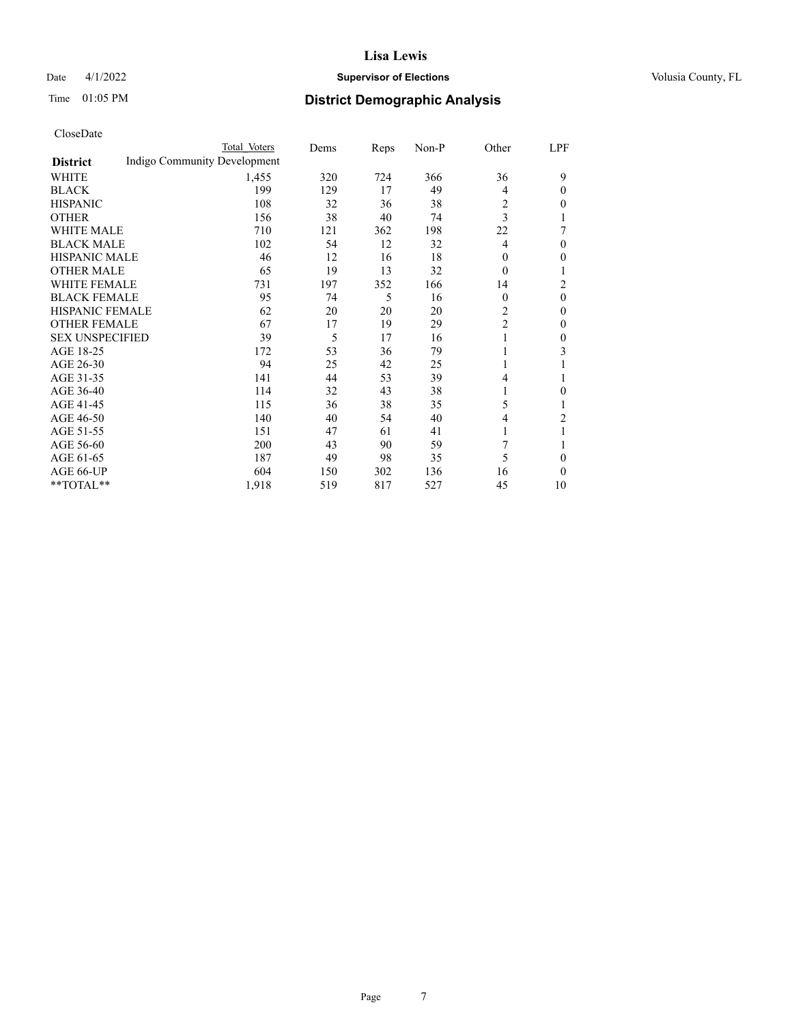### Date 4/1/2022 **Supervisor of Elections Supervisor of Elections** Volusia County, FL

## Time 01:05 PM **District Demographic Analysis**

|                        | Total Voters                 | Dems | Reps | Non-P | Other          | LPF            |
|------------------------|------------------------------|------|------|-------|----------------|----------------|
| <b>District</b>        | Indigo Community Development |      |      |       |                |                |
| WHITE                  | 1,455                        | 320  | 724  | 366   | 36             | 9              |
| <b>BLACK</b>           | 199                          | 129  | 17   | 49    | 4              | 0              |
| <b>HISPANIC</b>        | 108                          | 32   | 36   | 38    | 2              | 0              |
| <b>OTHER</b>           | 156                          | 38   | 40   | 74    | 3              |                |
| <b>WHITE MALE</b>      | 710                          | 121  | 362  | 198   | 22             | 7              |
| <b>BLACK MALE</b>      | 102                          | 54   | 12   | 32    | $\overline{4}$ | 0              |
| <b>HISPANIC MALE</b>   | 46                           | 12   | 16   | 18    | $\theta$       | 0              |
| <b>OTHER MALE</b>      | 65                           | 19   | 13   | 32    | $\theta$       |                |
| <b>WHITE FEMALE</b>    | 731                          | 197  | 352  | 166   | 14             | $\overline{c}$ |
| <b>BLACK FEMALE</b>    | 95                           | 74   | 5    | 16    | $\theta$       | 0              |
| HISPANIC FEMALE        | 62                           | 20   | 20   | 20    | 2              | 0              |
| <b>OTHER FEMALE</b>    | 67                           | 17   | 19   | 29    | $\overline{c}$ | 0              |
| <b>SEX UNSPECIFIED</b> | 39                           | 5    | 17   | 16    | 1              | 0              |
| AGE 18-25              | 172                          | 53   | 36   | 79    | 1              | 3              |
| AGE 26-30              | 94                           | 25   | 42   | 25    | 1              |                |
| AGE 31-35              | 141                          | 44   | 53   | 39    | $\overline{4}$ |                |
| AGE 36-40              | 114                          | 32   | 43   | 38    | 1              | 0              |
| AGE 41-45              | 115                          | 36   | 38   | 35    | 5              |                |
| AGE 46-50              | 140                          | 40   | 54   | 40    | 4              | $\overline{c}$ |
| AGE 51-55              | 151                          | 47   | 61   | 41    | 1              | 1              |
| AGE 56-60              | 200                          | 43   | 90   | 59    | 7              |                |
| AGE 61-65              | 187                          | 49   | 98   | 35    | 5              | 0              |
| AGE 66-UP              | 604                          | 150  | 302  | 136   | 16             | $\Omega$       |
| **TOTAL**              | 1,918                        | 519  | 817  | 527   | 45             | 10             |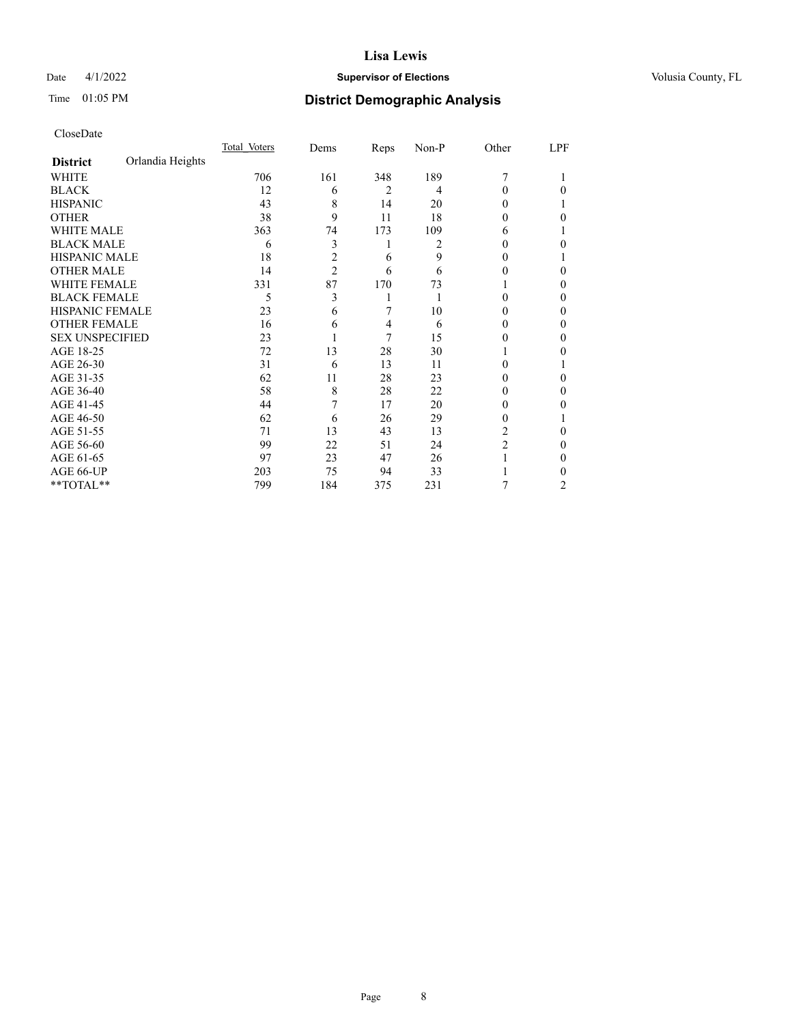## Date 4/1/2022 **Supervisor of Elections Supervisor of Elections** Volusia County, FL

## Time 01:05 PM **District Demographic Analysis**

|                        |                  | Total Voters | Dems | Reps | Non-P | Other | LPF |
|------------------------|------------------|--------------|------|------|-------|-------|-----|
| <b>District</b>        | Orlandia Heights |              |      |      |       |       |     |
| WHITE                  |                  | 706          | 161  | 348  | 189   | 7     |     |
| <b>BLACK</b>           |                  | 12           | 6    | 2    | 4     | 0     | 0   |
| <b>HISPANIC</b>        |                  | 43           | 8    | 14   | 20    | 0     |     |
| <b>OTHER</b>           |                  | 38           | 9    | 11   | 18    | 0     | 0   |
| WHITE MALE             |                  | 363          | 74   | 173  | 109   | 6     |     |
| <b>BLACK MALE</b>      |                  | 6            | 3    | 1    | 2     | 0     | 0   |
| <b>HISPANIC MALE</b>   |                  | 18           | 2    | 6    | 9     | 0     |     |
| <b>OTHER MALE</b>      |                  | 14           | 2    | 6    | 6     | 0     | 0   |
| <b>WHITE FEMALE</b>    |                  | 331          | 87   | 170  | 73    |       | 0   |
| <b>BLACK FEMALE</b>    |                  | 5            | 3    |      |       | 0     | 0   |
| HISPANIC FEMALE        |                  | 23           | 6    | 7    | 10    | 0     | 0   |
| <b>OTHER FEMALE</b>    |                  | 16           | 6    | 4    | 6     | 0     | 0   |
| <b>SEX UNSPECIFIED</b> |                  | 23           |      | 7    | 15    | 0     | 0   |
| AGE 18-25              |                  | 72           | 13   | 28   | 30    |       | 0   |
| AGE 26-30              |                  | 31           | 6    | 13   | 11    | 0     |     |
| AGE 31-35              |                  | 62           | 11   | 28   | 23    | 0     | 0   |
| AGE 36-40              |                  | 58           | 8    | 28   | 22    | 0     | 0   |
| AGE 41-45              |                  | 44           |      | 17   | 20    | 0     | 0   |
| AGE 46-50              |                  | 62           | 6    | 26   | 29    | 0     |     |
| AGE 51-55              |                  | 71           | 13   | 43   | 13    | 2     | 0   |
| AGE 56-60              |                  | 99           | 22   | 51   | 24    | 2     | 0   |
| AGE 61-65              |                  | 97           | 23   | 47   | 26    |       | 0   |
| AGE 66-UP              |                  | 203          | 75   | 94   | 33    |       | 0   |
| **TOTAL**              |                  | 799          | 184  | 375  | 231   | 7     | 2   |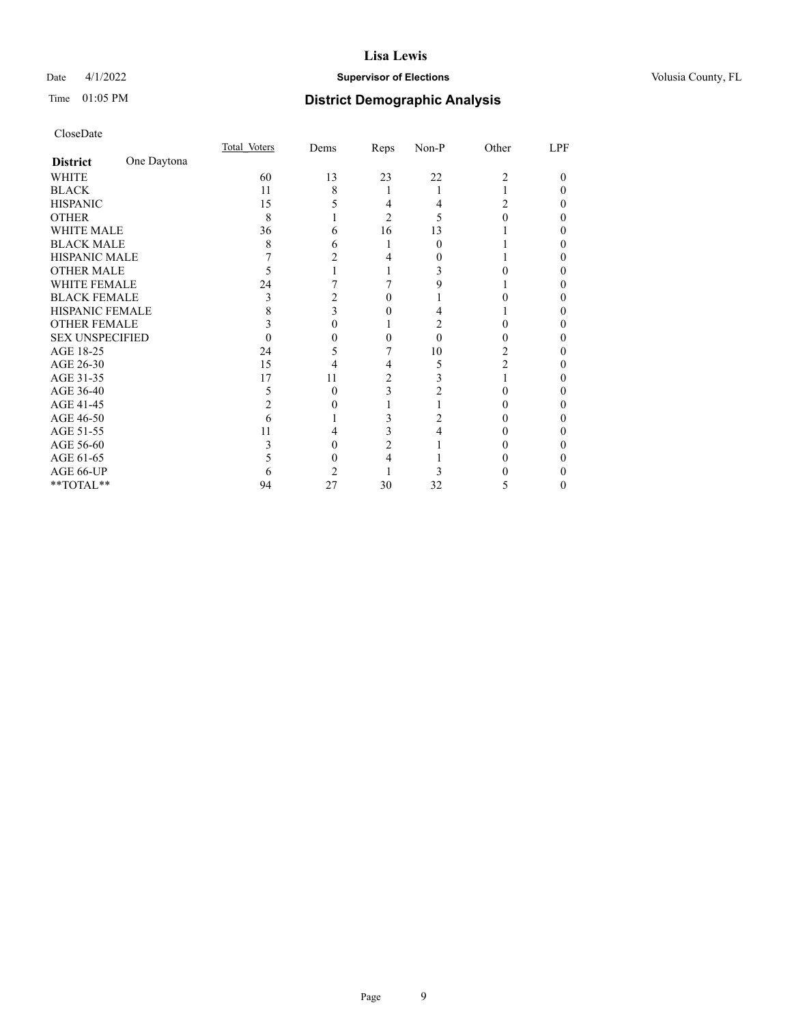## Date 4/1/2022 **Supervisor of Elections Supervisor of Elections** Volusia County, FL

## Time 01:05 PM **District Demographic Analysis**

|                        |             | Total Voters | Dems | <b>Reps</b>    | Non-P | Other | LPF |
|------------------------|-------------|--------------|------|----------------|-------|-------|-----|
| <b>District</b>        | One Daytona |              |      |                |       |       |     |
| WHITE                  |             | 60           | 13   | 23             | 22    | 2     | 0   |
| <b>BLACK</b>           |             | 11           | 8    |                |       |       |     |
| <b>HISPANIC</b>        |             | 15           |      | 4              | 4     | 2     |     |
| <b>OTHER</b>           |             | 8            |      | $\overline{2}$ | 5     |       |     |
| WHITE MALE             |             | 36           | 6    | 16             | 13    |       |     |
| <b>BLACK MALE</b>      |             | 8            |      |                | 0     |       |     |
| <b>HISPANIC MALE</b>   |             |              |      |                |       |       |     |
| <b>OTHER MALE</b>      |             |              |      |                |       |       | 0   |
| <b>WHITE FEMALE</b>    |             | 24           |      |                |       |       |     |
| <b>BLACK FEMALE</b>    |             | 3            |      | $\theta$       |       |       |     |
| <b>HISPANIC FEMALE</b> |             |              |      |                |       |       |     |
| <b>OTHER FEMALE</b>    |             |              |      |                |       |       |     |
| <b>SEX UNSPECIFIED</b> |             |              |      |                | 0     |       |     |
| AGE 18-25              |             | 24           |      |                | 10    |       |     |
| AGE 26-30              |             | 15           | 4    | 4              | 5     | 2     | 0   |
| AGE 31-35              |             | 17           | 11   | 2              |       |       |     |
| AGE 36-40              |             | 5            | 0    | 3              |       |       |     |
| AGE 41-45              |             |              |      |                |       |       |     |
| AGE 46-50              |             | 6            |      |                |       |       |     |
| AGE 51-55              |             | 11           |      | 3              |       |       |     |
| AGE 56-60              |             |              |      | 2              |       |       |     |
| AGE 61-65              |             |              |      | 4              |       |       | 0   |
| AGE 66-UP              |             |              |      |                |       |       |     |
| **TOTAL**              |             | 94           | 27   | 30             | 32    | 5     | 0   |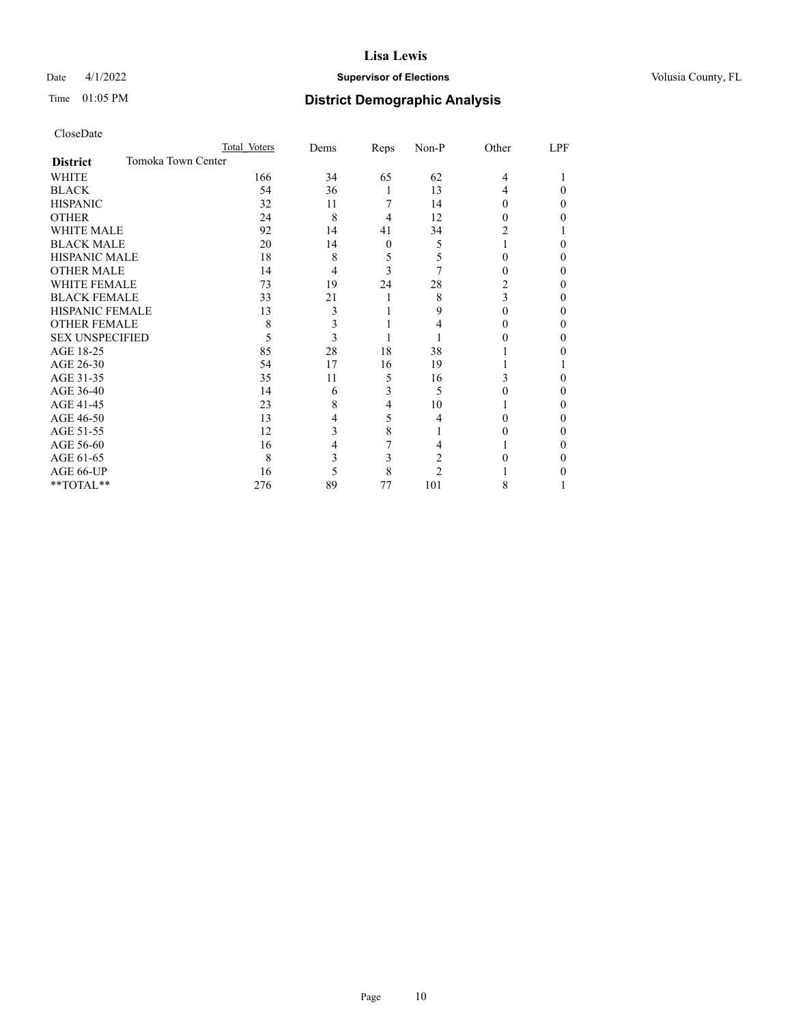## Date 4/1/2022 **Supervisor of Elections Supervisor of Elections** Volusia County, FL

| CloseDate |
|-----------|
|-----------|

|                                       | Total Voters | Dems | Reps | Non-P          | Other  | LPF |
|---------------------------------------|--------------|------|------|----------------|--------|-----|
| Tomoka Town Center<br><b>District</b> |              |      |      |                |        |     |
| <b>WHITE</b>                          | 166          | 34   | 65   | 62             | 4      |     |
| <b>BLACK</b>                          | 54           | 36   | 1    | 13             | 4      | 0   |
| <b>HISPANIC</b>                       | 32           | 11   |      | 14             | 0      | 0   |
| <b>OTHER</b>                          | 24           | 8    | 4    | 12             | $_{0}$ | 0   |
| <b>WHITE MALE</b>                     | 92           | 14   | 41   | 34             |        |     |
| <b>BLACK MALE</b>                     | 20           | 14   | 0    | 5              |        | 0   |
| <b>HISPANIC MALE</b>                  | 18           | 8    | 5    | 5              | 0      | 0   |
| <b>OTHER MALE</b>                     | 14           | 4    | 3    | 7              | $_{0}$ | 0   |
| <b>WHITE FEMALE</b>                   | 73           | 19   | 24   | 28             | 2      | 0   |
| <b>BLACK FEMALE</b>                   | 33           | 21   |      | 8              | 3      | 0   |
| <b>HISPANIC FEMALE</b>                | 13           | 3    |      | 9              | 0      | 0   |
| <b>OTHER FEMALE</b>                   | 8            | 3    |      | 4              | $_{0}$ | 0   |
| <b>SEX UNSPECIFIED</b>                | 5            | 3    |      |                |        | 0   |
| AGE 18-25                             | 85           | 28   | 18   | 38             |        |     |
| AGE 26-30                             | 54           | 17   | 16   | 19             |        |     |
| AGE 31-35                             | 35           | 11   | 5    | 16             | 3      |     |
| AGE 36-40                             | 14           | 6    | 3    | 5              |        | 0   |
| AGE 41-45                             | 23           | 8    | 4    | 10             |        | 0   |
| AGE 46-50                             | 13           | 4    | 5    | 4              |        | 0   |
| AGE 51-55                             | 12           | 3    | 8    |                |        | 0   |
| AGE 56-60                             | 16           | 4    | 7    | 4              |        | 0   |
| AGE 61-65                             | 8            | 3    | 3    | 2              |        | 0   |
| AGE 66-UP                             | 16           | 5    | 8    | $\mathfrak{D}$ |        |     |
| **TOTAL**                             | 276          | 89   | 77   | 101            | 8      |     |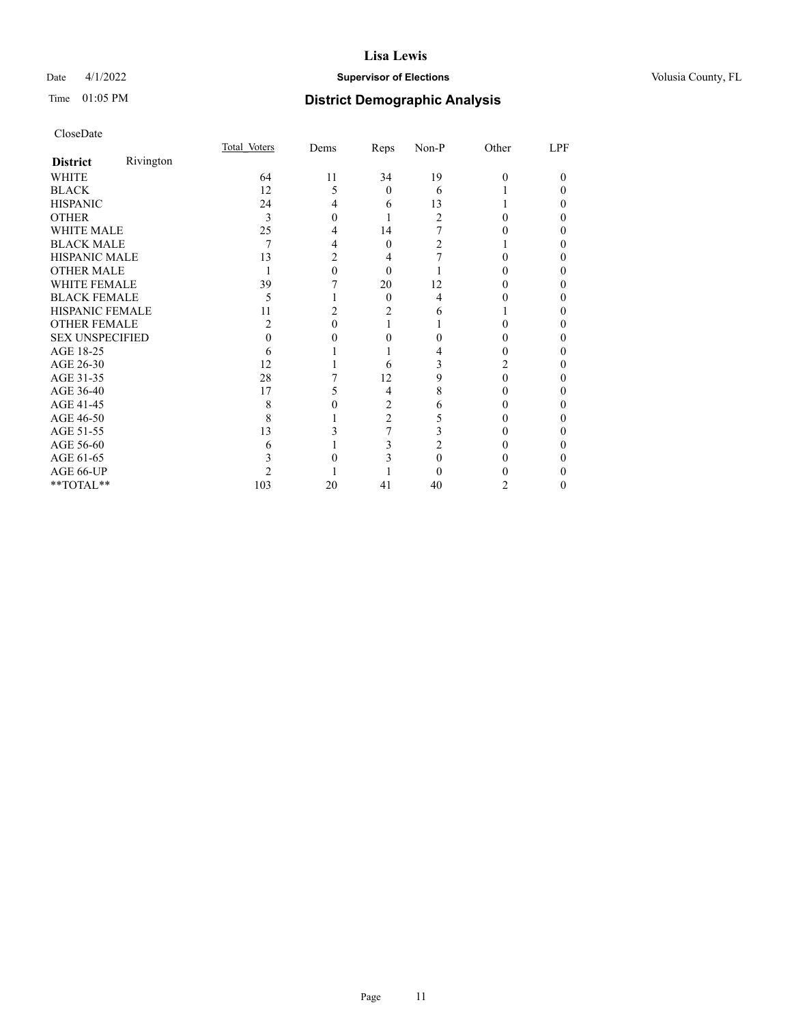## Date 4/1/2022 **Supervisor of Elections Supervisor of Elections** Volusia County, FL

# Time 01:05 PM **District Demographic Analysis**

|                        |           | Total Voters   | Dems | <b>Reps</b>    | Non-P          | Other | LPF |
|------------------------|-----------|----------------|------|----------------|----------------|-------|-----|
| <b>District</b>        | Rivington |                |      |                |                |       |     |
| WHITE                  |           | 64             | 11   | 34             | 19             | 0     | 0   |
| <b>BLACK</b>           |           | 12             | 5    | $\Omega$       | 6              |       |     |
| <b>HISPANIC</b>        |           | 24             | 4    | 6              | 13             |       |     |
| <b>OTHER</b>           |           | 3              |      |                | $\mathfrak{D}$ |       |     |
| WHITE MALE             |           | 25             |      | 14             |                |       | 0   |
| <b>BLACK MALE</b>      |           | 7              |      | $\theta$       |                |       |     |
| <b>HISPANIC MALE</b>   |           | 13             |      | 4              |                |       |     |
| <b>OTHER MALE</b>      |           |                |      | $\Omega$       |                |       | 0   |
| <b>WHITE FEMALE</b>    |           | 39             |      | 20             | 12             |       |     |
| <b>BLACK FEMALE</b>    |           | 5              |      | $\Omega$       | 4              |       | 0   |
| HISPANIC FEMALE        |           | 11             |      |                | 6              |       |     |
| <b>OTHER FEMALE</b>    |           | $\mathfrak{D}$ |      |                |                |       |     |
| <b>SEX UNSPECIFIED</b> |           |                |      |                |                |       |     |
| AGE 18-25              |           | 6              |      |                |                |       |     |
| AGE 26-30              |           | 12             |      | 6              |                |       |     |
| AGE 31-35              |           | 28             |      | 12             | 9              |       |     |
| AGE 36-40              |           | 17             |      | 4              | 8              |       | 0   |
| AGE 41-45              |           | 8              |      | 2              | 6              |       |     |
| AGE 46-50              |           | 8              |      | $\overline{c}$ | 5              |       | 0   |
| AGE 51-55              |           | 13             |      |                |                |       |     |
| AGE 56-60              |           | 6              |      |                |                |       |     |
| AGE 61-65              |           |                |      |                |                |       |     |
| AGE 66-UP              |           |                |      |                |                |       |     |
| **TOTAL**              |           | 103            | 20   | 41             | 40             | 2     | 0   |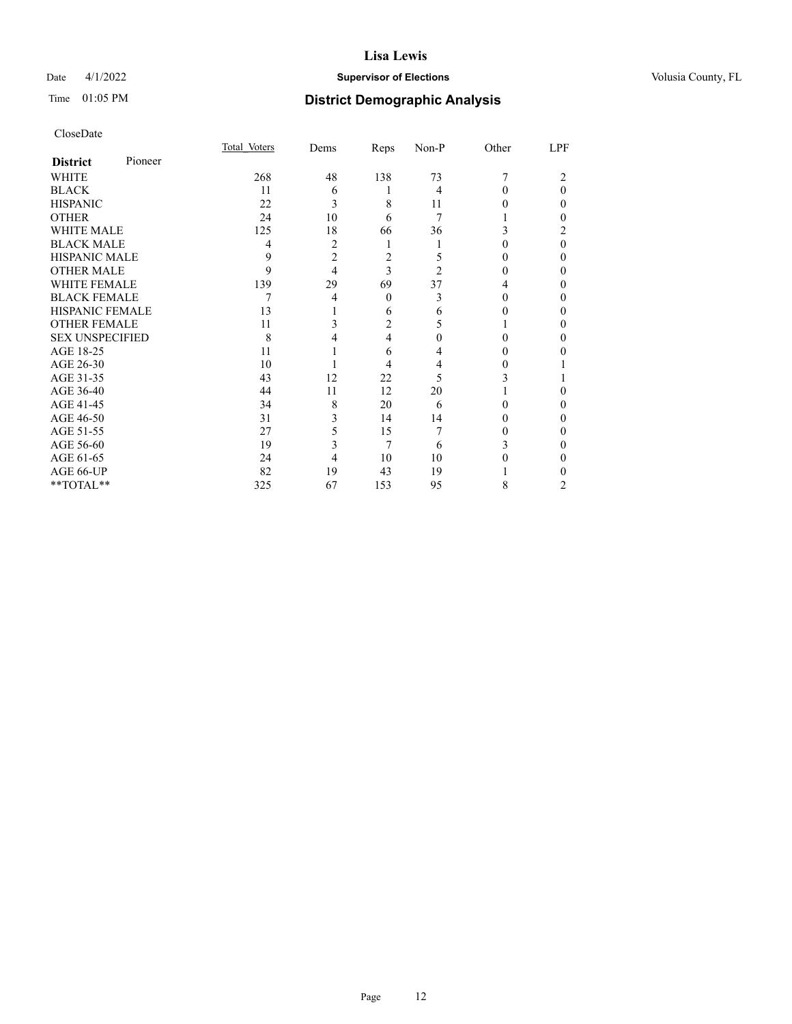## Date 4/1/2022 **Supervisor of Elections Supervisor of Elections** Volusia County, FL

| CloseDate |
|-----------|
|-----------|

|                        |         | Total Voters | Dems           | Reps     | Non-P          | Other | LPF |
|------------------------|---------|--------------|----------------|----------|----------------|-------|-----|
| <b>District</b>        | Pioneer |              |                |          |                |       |     |
| <b>WHITE</b>           |         | 268          | 48             | 138      | 73             |       | 2   |
| <b>BLACK</b>           |         | 11           | 6              |          | 4              | 0     | 0   |
| <b>HISPANIC</b>        |         | 22           | 3              | 8        | 11             |       | 0   |
| <b>OTHER</b>           |         | 24           | 10             | 6        | 7              |       | 0   |
| <b>WHITE MALE</b>      |         | 125          | 18             | 66       | 36             |       |     |
| <b>BLACK MALE</b>      |         | 4            | $\overline{2}$ |          |                | 0     | 0   |
| <b>HISPANIC MALE</b>   |         | 9            | $\overline{c}$ | 2        | 5              | 0     | 0   |
| <b>OTHER MALE</b>      |         | 9            | 4              | 3        | $\overline{c}$ | 0     | 0   |
| <b>WHITE FEMALE</b>    |         | 139          | 29             | 69       | 37             |       | 0   |
| <b>BLACK FEMALE</b>    |         | 7            | 4              | $\theta$ | 3              | 0     | 0   |
| <b>HISPANIC FEMALE</b> |         | 13           |                | 6        | 6              |       | 0   |
| <b>OTHER FEMALE</b>    |         | 11           | 3              | 2        | 5              |       | 0   |
| <b>SEX UNSPECIFIED</b> |         | 8            | 4              | 4        | 0              |       | 0   |
| AGE 18-25              |         | 11           |                | 6        | 4              |       |     |
| AGE 26-30              |         | 10           |                | 4        | 4              | 0     |     |
| AGE 31-35              |         | 43           | 12             | 22       | 5              |       |     |
| AGE 36-40              |         | 44           | 11             | 12       | 20             |       | 0   |
| AGE 41-45              |         | 34           | 8              | 20       | 6              |       | 0   |
| AGE 46-50              |         | 31           | 3              | 14       | 14             | 0     | 0   |
| AGE 51-55              |         | 27           | 5              | 15       |                |       | 0   |
| AGE 56-60              |         | 19           | 3              | 7        | 6              | 3     | 0   |
| AGE 61-65              |         | 24           | 4              | 10       | 10             |       | 0   |
| AGE 66-UP              |         | 82           | 19             | 43       | 19             |       |     |
| **TOTAL**              |         | 325          | 67             | 153      | 95             | 8     | 2   |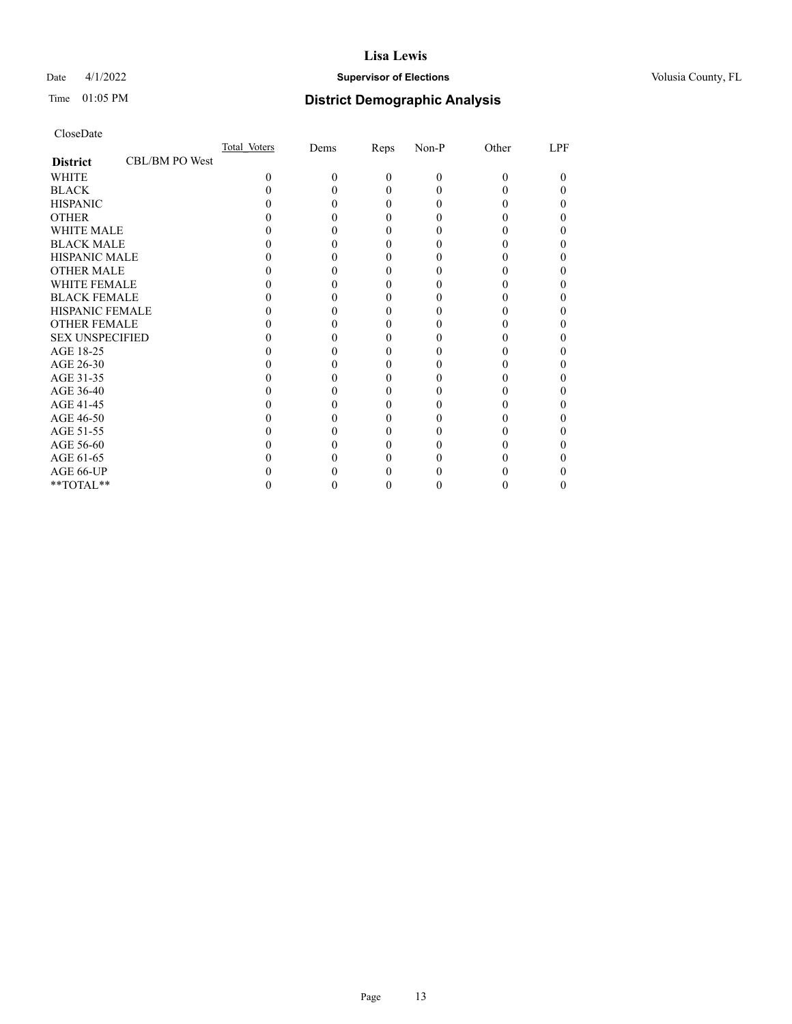## Date 4/1/2022 **Supervisor of Elections Supervisor of Elections** Volusia County, FL

# Time 01:05 PM **District Demographic Analysis**

|                        |                | Total Voters | Dems | Reps     | Non-P | Other | LPF |
|------------------------|----------------|--------------|------|----------|-------|-------|-----|
| <b>District</b>        | CBL/BM PO West |              |      |          |       |       |     |
| <b>WHITE</b>           |                | $\Omega$     | 0    | $\theta$ | 0     | 0     |     |
| <b>BLACK</b>           |                |              |      | 0        |       |       |     |
| <b>HISPANIC</b>        |                |              |      | $_{0}$   |       |       |     |
| <b>OTHER</b>           |                |              |      |          |       |       |     |
| <b>WHITE MALE</b>      |                |              |      |          |       |       |     |
| <b>BLACK MALE</b>      |                |              |      |          |       |       |     |
| <b>HISPANIC MALE</b>   |                |              |      |          |       |       |     |
| <b>OTHER MALE</b>      |                |              |      |          |       |       |     |
| <b>WHITE FEMALE</b>    |                |              |      |          |       |       |     |
| <b>BLACK FEMALE</b>    |                |              |      | 0        |       |       |     |
| <b>HISPANIC FEMALE</b> |                |              |      |          |       |       |     |
| <b>OTHER FEMALE</b>    |                |              |      |          |       |       |     |
| <b>SEX UNSPECIFIED</b> |                |              |      |          |       |       |     |
| AGE 18-25              |                |              |      |          |       |       |     |
| AGE 26-30              |                |              |      |          |       |       |     |
| AGE 31-35              |                |              |      |          |       |       |     |
| AGE 36-40              |                |              |      | 0        |       |       |     |
| AGE 41-45              |                |              |      |          |       |       |     |
| AGE 46-50              |                |              |      |          |       |       |     |
| AGE 51-55              |                |              |      |          |       |       |     |
| AGE 56-60              |                |              |      |          |       |       |     |
| AGE 61-65              |                |              |      |          |       |       |     |
| AGE 66-UP              |                |              |      |          |       |       |     |
| **TOTAL**              |                |              |      | 0        |       |       |     |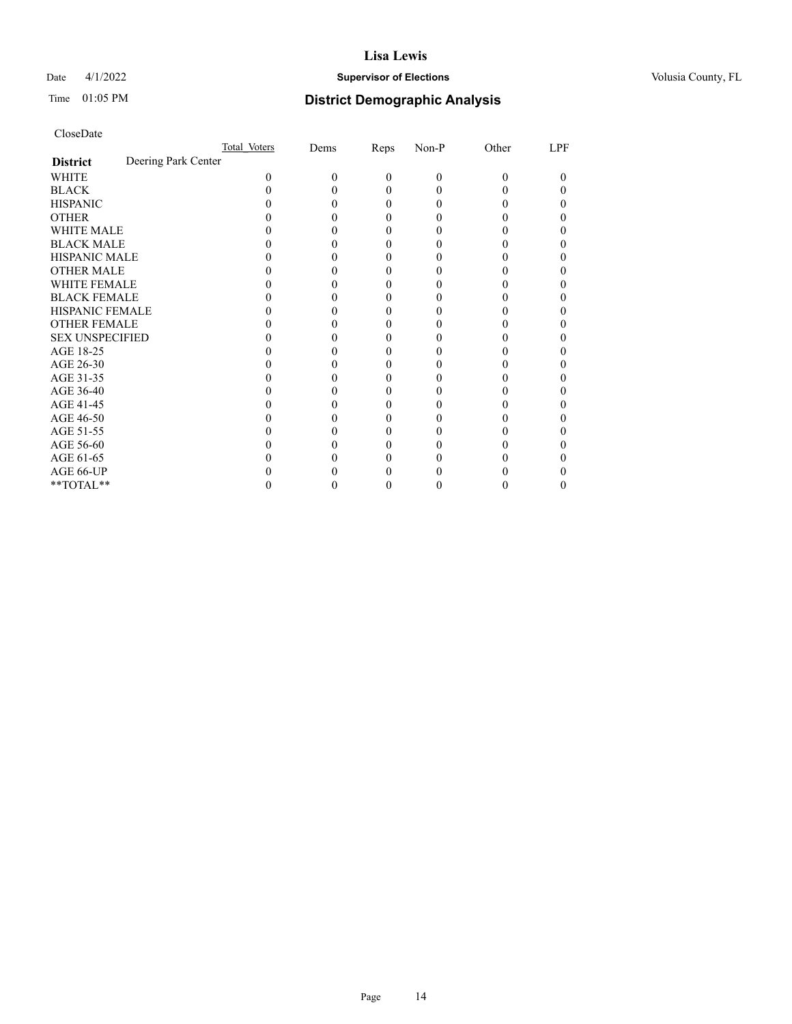## Date 4/1/2022 **Supervisor of Elections Supervisor of Elections** Volusia County, FL

# Time 01:05 PM **District Demographic Analysis**

|                        | Total Voters        |          | Dems | Reps     | Non-P    | Other    | LPF |
|------------------------|---------------------|----------|------|----------|----------|----------|-----|
| <b>District</b>        | Deering Park Center |          |      |          |          |          |     |
| <b>WHITE</b>           |                     | $\Omega$ | 0    | $\theta$ | $\theta$ | $\Omega$ | 0   |
| <b>BLACK</b>           |                     |          |      | 0        | 0        |          |     |
| <b>HISPANIC</b>        |                     |          |      | $_{0}$   |          |          |     |
| <b>OTHER</b>           |                     |          |      |          |          |          |     |
| <b>WHITE MALE</b>      |                     |          |      |          |          |          |     |
| <b>BLACK MALE</b>      |                     |          |      |          |          |          |     |
| <b>HISPANIC MALE</b>   |                     |          |      |          |          |          |     |
| <b>OTHER MALE</b>      |                     |          |      |          |          |          | 0   |
| <b>WHITE FEMALE</b>    |                     |          |      |          |          |          |     |
| <b>BLACK FEMALE</b>    |                     |          |      | 0        |          |          |     |
| HISPANIC FEMALE        |                     |          |      |          |          |          |     |
| <b>OTHER FEMALE</b>    |                     |          |      |          |          |          |     |
| <b>SEX UNSPECIFIED</b> |                     |          |      |          |          |          |     |
| AGE 18-25              |                     |          |      |          |          |          |     |
| AGE 26-30              |                     |          |      |          |          |          | 0   |
| AGE 31-35              |                     |          |      |          |          |          |     |
| AGE 36-40              |                     |          |      | $_{0}$   |          |          | 0   |
| AGE 41-45              |                     |          |      |          |          |          |     |
| AGE 46-50              |                     |          |      |          |          |          |     |
| AGE 51-55              |                     |          |      |          |          |          |     |
| AGE 56-60              |                     |          |      |          |          |          |     |
| AGE 61-65              |                     |          |      |          |          |          | 0   |
| AGE 66-UP              |                     |          |      |          |          |          |     |
| **TOTAL**              |                     |          |      | 0        | 0        | 0        | 0   |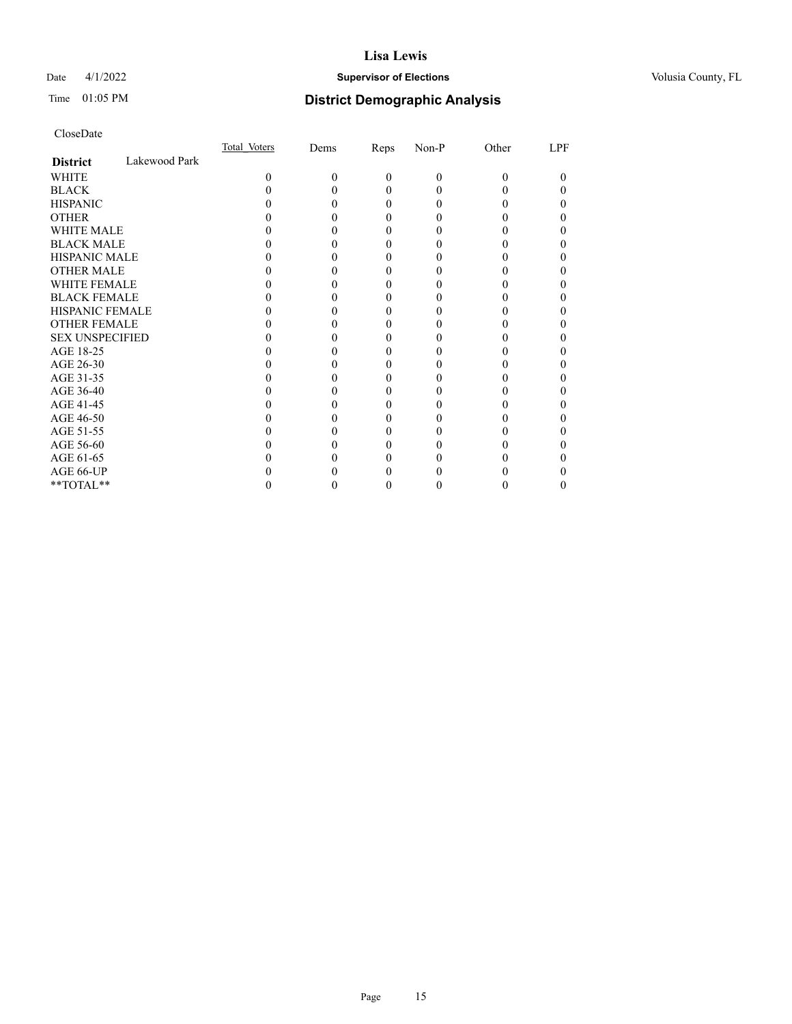## Date 4/1/2022 **Supervisor of Elections Supervisor of Elections** Volusia County, FL

# Time 01:05 PM **District Demographic Analysis**

|                        |               | Total Voters | Dems | Reps     | Non-P    | Other | LPF |
|------------------------|---------------|--------------|------|----------|----------|-------|-----|
| <b>District</b>        | Lakewood Park |              |      |          |          |       |     |
| WHITE                  |               | $\Omega$     | 0    | $\theta$ | $\Omega$ | 0     | 0   |
| <b>BLACK</b>           |               |              |      | 0        |          |       |     |
| <b>HISPANIC</b>        |               |              |      | 0        |          |       |     |
| <b>OTHER</b>           |               |              |      |          |          |       |     |
| <b>WHITE MALE</b>      |               |              |      |          |          |       |     |
| <b>BLACK MALE</b>      |               |              |      |          |          |       |     |
| <b>HISPANIC MALE</b>   |               |              |      |          |          |       |     |
| <b>OTHER MALE</b>      |               |              |      |          |          |       |     |
| <b>WHITE FEMALE</b>    |               |              |      |          |          |       |     |
| <b>BLACK FEMALE</b>    |               |              |      |          |          |       |     |
| <b>HISPANIC FEMALE</b> |               |              |      |          |          |       |     |
| <b>OTHER FEMALE</b>    |               |              |      |          |          |       |     |
| <b>SEX UNSPECIFIED</b> |               |              |      |          |          |       |     |
| AGE 18-25              |               |              |      |          |          |       |     |
| AGE 26-30              |               |              |      |          |          |       |     |
| AGE 31-35              |               |              |      |          |          |       |     |
| AGE 36-40              |               |              |      |          |          |       |     |
| AGE 41-45              |               |              |      |          |          |       |     |
| AGE 46-50              |               |              |      |          |          |       |     |
| AGE 51-55              |               |              |      |          |          |       |     |
| AGE 56-60              |               |              |      |          |          |       |     |
| AGE 61-65              |               |              |      |          |          |       |     |
| AGE 66-UP              |               |              |      |          |          |       |     |
| **TOTAL**              |               |              |      | 0        |          |       |     |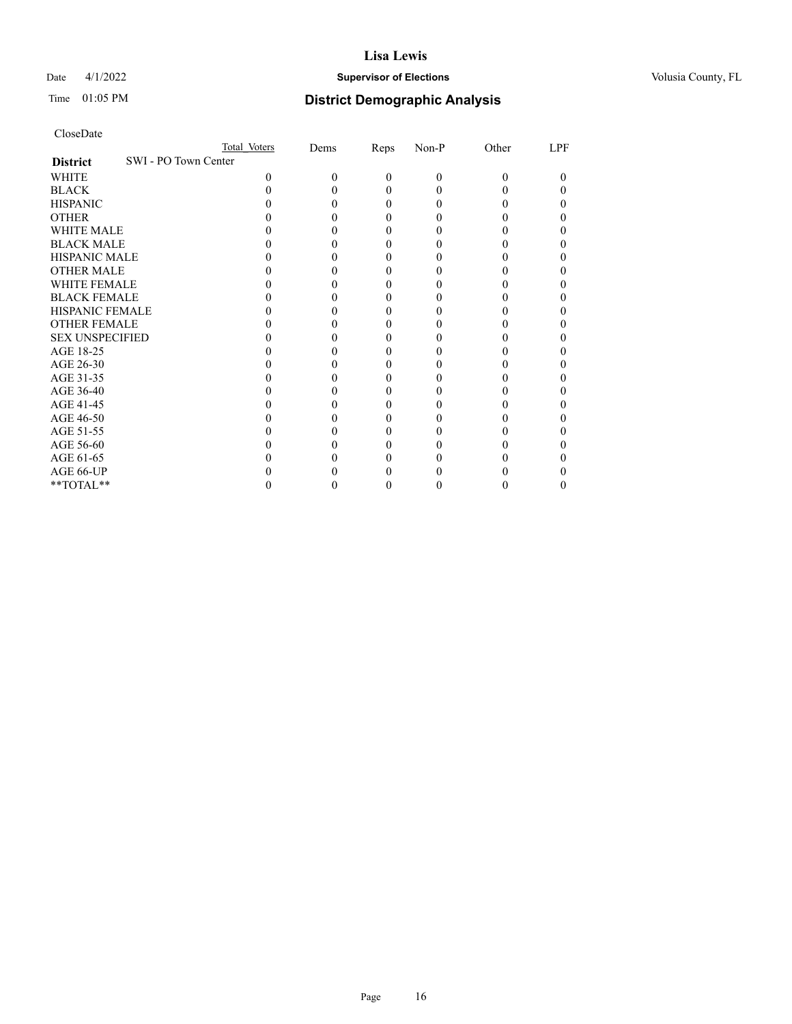## Date 4/1/2022 **Supervisor of Elections Supervisor of Elections** Volusia County, FL

| CloseDate |
|-----------|
|-----------|

|                                         | Total Voters | Dems | Reps     | Non-P    | Other | LPF |
|-----------------------------------------|--------------|------|----------|----------|-------|-----|
| SWI - PO Town Center<br><b>District</b> |              |      |          |          |       |     |
| <b>WHITE</b>                            | 0            | 0    | $\theta$ | $\theta$ | 0     | 0   |
| <b>BLACK</b>                            |              |      | 0        | 0        |       |     |
| <b>HISPANIC</b>                         |              |      | 0        | $\theta$ |       |     |
| <b>OTHER</b>                            |              |      |          |          |       |     |
| WHITE MALE                              |              |      |          |          |       |     |
| <b>BLACK MALE</b>                       |              |      |          |          |       |     |
| <b>HISPANIC MALE</b>                    |              |      |          |          |       |     |
| <b>OTHER MALE</b>                       |              |      |          |          |       |     |
| WHITE FEMALE                            |              |      |          |          |       |     |
| <b>BLACK FEMALE</b>                     |              |      |          | 0        |       |     |
| <b>HISPANIC FEMALE</b>                  |              |      |          |          |       |     |
| <b>OTHER FEMALE</b>                     |              |      |          |          |       |     |
| <b>SEX UNSPECIFIED</b>                  |              |      |          |          |       |     |
| AGE 18-25                               |              |      |          |          |       |     |
| AGE 26-30                               |              |      |          |          |       |     |
| AGE 31-35                               |              |      |          |          |       |     |
| AGE 36-40                               |              |      |          |          |       |     |
| AGE 41-45                               |              |      |          |          |       |     |
| AGE 46-50                               |              |      |          |          |       |     |
| AGE 51-55                               |              |      |          |          |       |     |
| AGE 56-60                               |              |      |          |          |       |     |
| AGE 61-65                               |              |      |          |          |       |     |
| AGE 66-UP                               |              |      |          |          |       |     |
| **TOTAL**                               |              |      | 0        | 0        |       | 0   |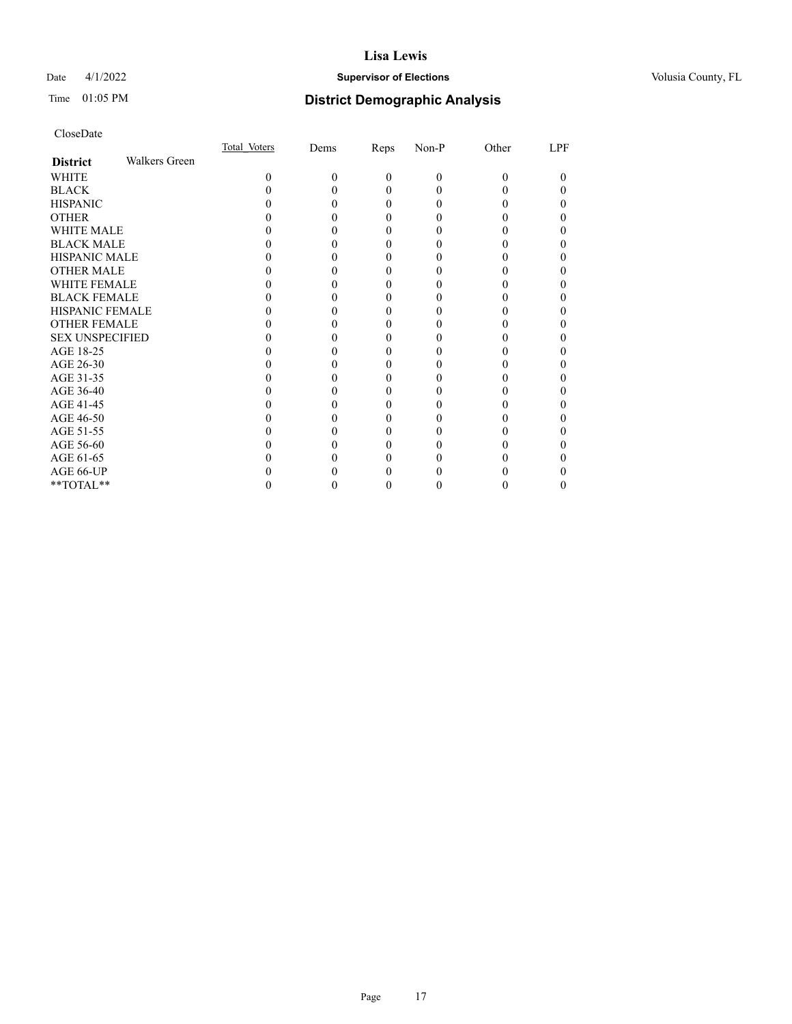## Date 4/1/2022 **Supervisor of Elections Supervisor of Elections** Volusia County, FL

# Time 01:05 PM **District Demographic Analysis**

|                        |                      | Total Voters | Dems | <b>Reps</b> | Non-P    | Other | LPF |
|------------------------|----------------------|--------------|------|-------------|----------|-------|-----|
| <b>District</b>        | <b>Walkers Green</b> |              |      |             |          |       |     |
| WHITE                  |                      | 0            | 0    | 0           | $\Omega$ | 0     | 0   |
| <b>BLACK</b>           |                      |              |      |             |          |       |     |
| <b>HISPANIC</b>        |                      |              |      | 0           |          |       |     |
| <b>OTHER</b>           |                      |              |      |             |          |       |     |
| WHITE MALE             |                      |              |      |             |          |       |     |
| <b>BLACK MALE</b>      |                      |              |      |             |          |       |     |
| <b>HISPANIC MALE</b>   |                      |              |      |             |          |       |     |
| <b>OTHER MALE</b>      |                      |              |      |             |          |       |     |
| <b>WHITE FEMALE</b>    |                      |              |      |             |          |       |     |
| <b>BLACK FEMALE</b>    |                      |              |      |             |          |       |     |
| <b>HISPANIC FEMALE</b> |                      |              |      |             |          |       |     |
| <b>OTHER FEMALE</b>    |                      |              |      |             |          |       |     |
| <b>SEX UNSPECIFIED</b> |                      |              |      |             |          |       |     |
| AGE 18-25              |                      |              |      |             |          |       |     |
| AGE 26-30              |                      |              |      |             |          |       |     |
| AGE 31-35              |                      |              |      |             |          |       |     |
| AGE 36-40              |                      |              |      |             |          |       |     |
| AGE 41-45              |                      |              |      |             |          |       |     |
| AGE 46-50              |                      |              |      |             |          |       |     |
| AGE 51-55              |                      |              |      |             |          |       |     |
| AGE 56-60              |                      |              |      |             |          |       |     |
| AGE 61-65              |                      |              |      |             |          |       |     |
| AGE 66-UP              |                      |              |      |             |          |       |     |
| **TOTAL**              |                      |              |      | 0           |          |       | 0   |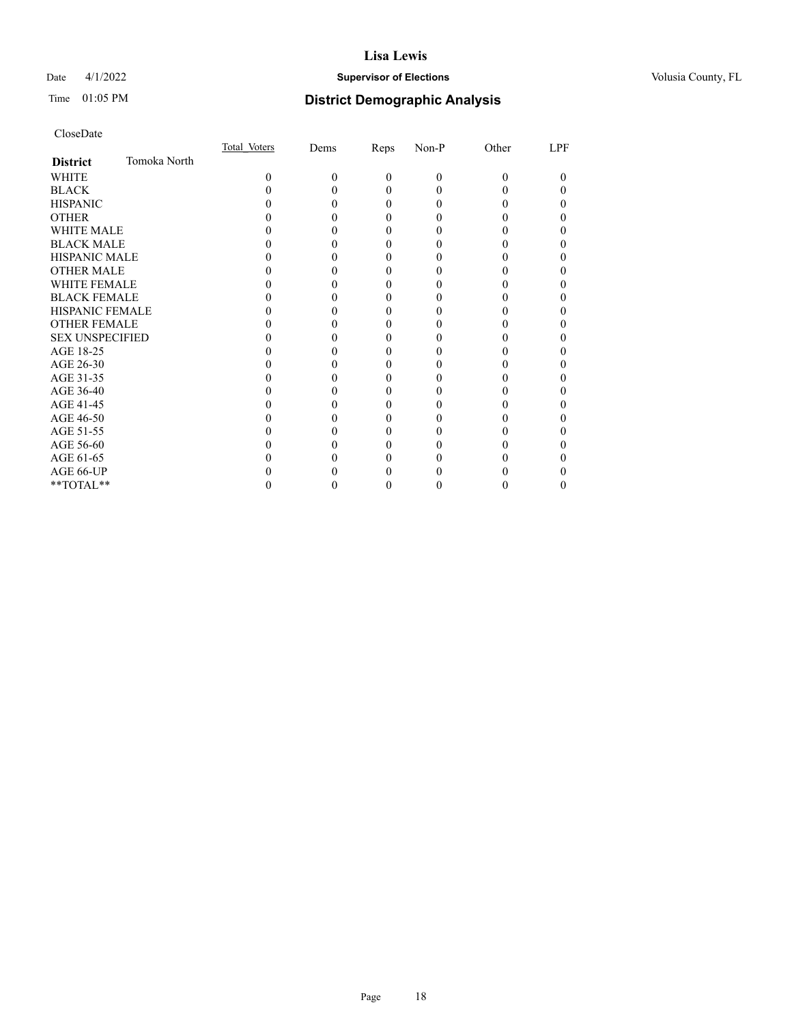## Date 4/1/2022 **Supervisor of Elections Supervisor of Elections** Volusia County, FL

# Time 01:05 PM **District Demographic Analysis**

|                        |              | Total Voters | Dems | Reps     | Non-P    | Other | LPF |
|------------------------|--------------|--------------|------|----------|----------|-------|-----|
| <b>District</b>        | Tomoka North |              |      |          |          |       |     |
| WHITE                  |              | 0            | 0    | $\Omega$ | $\Omega$ | 0     | 0   |
| <b>BLACK</b>           |              |              |      | 0        |          |       |     |
| <b>HISPANIC</b>        |              |              |      | 0        |          |       |     |
| <b>OTHER</b>           |              |              |      |          |          |       |     |
| WHITE MALE             |              |              |      |          |          |       |     |
| <b>BLACK MALE</b>      |              |              |      |          |          |       |     |
| <b>HISPANIC MALE</b>   |              |              |      |          |          |       |     |
| <b>OTHER MALE</b>      |              |              |      |          |          |       |     |
| <b>WHITE FEMALE</b>    |              |              |      |          |          |       |     |
| <b>BLACK FEMALE</b>    |              |              |      |          |          |       |     |
| <b>HISPANIC FEMALE</b> |              |              |      |          |          |       |     |
| <b>OTHER FEMALE</b>    |              |              |      |          |          |       |     |
| <b>SEX UNSPECIFIED</b> |              |              |      |          |          |       |     |
| AGE 18-25              |              |              |      |          |          |       |     |
| AGE 26-30              |              |              |      |          |          |       |     |
| AGE 31-35              |              |              |      |          |          |       |     |
| AGE 36-40              |              |              |      | 0        |          |       |     |
| AGE 41-45              |              |              |      |          |          |       |     |
| AGE 46-50              |              |              |      |          |          |       |     |
| AGE 51-55              |              |              |      |          |          |       |     |
| AGE 56-60              |              |              |      |          |          |       |     |
| AGE 61-65              |              |              |      |          |          |       |     |
| AGE 66-UP              |              |              |      |          |          |       |     |
| **TOTAL**              |              |              |      | 0        |          |       | 0   |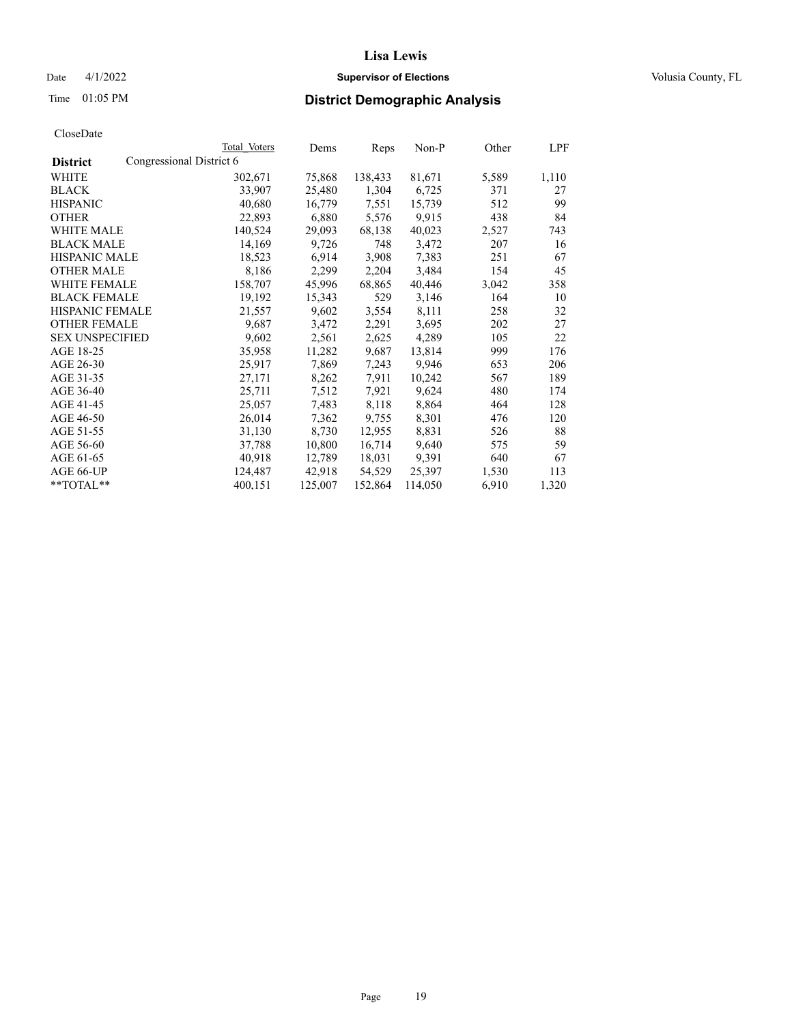Date 4/1/2022 **Supervisor of Elections Supervisor of Elections** Volusia County, FL

| CloseDate |
|-----------|
|-----------|

|                                             | Total Voters | Dems    | Reps    | Non-P   | Other | LPF   |
|---------------------------------------------|--------------|---------|---------|---------|-------|-------|
| Congressional District 6<br><b>District</b> |              |         |         |         |       |       |
| WHITE                                       | 302,671      | 75,868  | 138,433 | 81,671  | 5,589 | 1,110 |
| <b>BLACK</b>                                | 33,907       | 25,480  | 1,304   | 6,725   | 371   | 27    |
| <b>HISPANIC</b>                             | 40,680       | 16,779  | 7,551   | 15,739  | 512   | 99    |
| <b>OTHER</b>                                | 22,893       | 6,880   | 5,576   | 9,915   | 438   | 84    |
| WHITE MALE                                  | 140,524      | 29,093  | 68,138  | 40,023  | 2,527 | 743   |
| <b>BLACK MALE</b>                           | 14,169       | 9,726   | 748     | 3,472   | 207   | 16    |
| <b>HISPANIC MALE</b>                        | 18,523       | 6,914   | 3,908   | 7,383   | 251   | 67    |
| <b>OTHER MALE</b>                           | 8,186        | 2,299   | 2,204   | 3,484   | 154   | 45    |
| WHITE FEMALE                                | 158,707      | 45,996  | 68,865  | 40,446  | 3,042 | 358   |
| <b>BLACK FEMALE</b>                         | 19,192       | 15,343  | 529     | 3,146   | 164   | 10    |
| <b>HISPANIC FEMALE</b>                      | 21,557       | 9,602   | 3,554   | 8,111   | 258   | 32    |
| <b>OTHER FEMALE</b>                         | 9,687        | 3,472   | 2,291   | 3,695   | 202   | 27    |
| <b>SEX UNSPECIFIED</b>                      | 9,602        | 2,561   | 2,625   | 4,289   | 105   | 22    |
| AGE 18-25                                   | 35,958       | 11,282  | 9,687   | 13,814  | 999   | 176   |
| AGE 26-30                                   | 25,917       | 7,869   | 7,243   | 9,946   | 653   | 206   |
| AGE 31-35                                   | 27,171       | 8,262   | 7,911   | 10,242  | 567   | 189   |
| AGE 36-40                                   | 25,711       | 7,512   | 7,921   | 9,624   | 480   | 174   |
| AGE 41-45                                   | 25,057       | 7,483   | 8,118   | 8,864   | 464   | 128   |
| AGE 46-50                                   | 26,014       | 7,362   | 9,755   | 8,301   | 476   | 120   |
| AGE 51-55                                   | 31,130       | 8,730   | 12,955  | 8,831   | 526   | 88    |
| AGE 56-60                                   | 37,788       | 10,800  | 16,714  | 9,640   | 575   | 59    |
| AGE 61-65                                   | 40,918       | 12,789  | 18,031  | 9,391   | 640   | 67    |
| AGE 66-UP                                   | 124,487      | 42,918  | 54,529  | 25,397  | 1,530 | 113   |
| $*$ $TOTAL**$                               | 400,151      | 125,007 | 152,864 | 114,050 | 6,910 | 1,320 |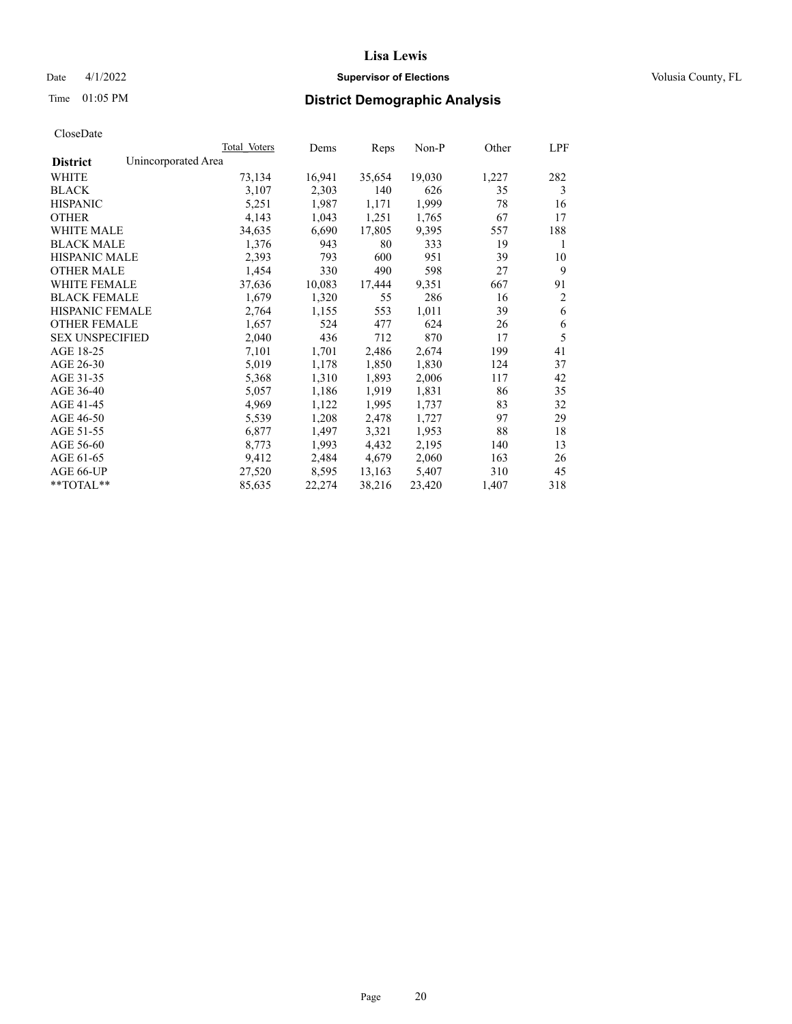## Date 4/1/2022 **Supervisor of Elections Supervisor of Elections** Volusia County, FL

# Time 01:05 PM **District Demographic Analysis**

|                        | Total Voters        | Dems   | Reps   | Non-P  | Other | LPF            |
|------------------------|---------------------|--------|--------|--------|-------|----------------|
| <b>District</b>        | Unincorporated Area |        |        |        |       |                |
| WHITE                  | 73,134              | 16,941 | 35,654 | 19,030 | 1,227 | 282            |
| <b>BLACK</b>           | 3,107               | 2,303  | 140    | 626    | 35    | 3              |
| <b>HISPANIC</b>        | 5,251               | 1,987  | 1,171  | 1,999  | 78    | 16             |
| <b>OTHER</b>           | 4,143               | 1,043  | 1,251  | 1,765  | 67    | 17             |
| WHITE MALE             | 34,635              | 6,690  | 17,805 | 9,395  | 557   | 188            |
| <b>BLACK MALE</b>      | 1,376               | 943    | 80     | 333    | 19    | 1              |
| <b>HISPANIC MALE</b>   | 2,393               | 793    | 600    | 951    | 39    | 10             |
| <b>OTHER MALE</b>      | 1,454               | 330    | 490    | 598    | 27    | 9              |
| WHITE FEMALE           | 37,636              | 10,083 | 17,444 | 9,351  | 667   | 91             |
| <b>BLACK FEMALE</b>    | 1,679               | 1,320  | 55     | 286    | 16    | $\overline{2}$ |
| <b>HISPANIC FEMALE</b> | 2,764               | 1,155  | 553    | 1,011  | 39    | 6              |
| <b>OTHER FEMALE</b>    | 1,657               | 524    | 477    | 624    | 26    | 6              |
| <b>SEX UNSPECIFIED</b> | 2,040               | 436    | 712    | 870    | 17    | 5              |
| AGE 18-25              | 7,101               | 1,701  | 2,486  | 2,674  | 199   | 41             |
| AGE 26-30              | 5,019               | 1,178  | 1,850  | 1,830  | 124   | 37             |
| AGE 31-35              | 5,368               | 1,310  | 1,893  | 2,006  | 117   | 42             |
| AGE 36-40              | 5,057               | 1,186  | 1,919  | 1,831  | 86    | 35             |
| AGE 41-45              | 4,969               | 1,122  | 1,995  | 1,737  | 83    | 32             |
| AGE 46-50              | 5,539               | 1,208  | 2,478  | 1,727  | 97    | 29             |
| AGE 51-55              | 6,877               | 1,497  | 3,321  | 1,953  | 88    | 18             |
| AGE 56-60              | 8,773               | 1,993  | 4,432  | 2,195  | 140   | 13             |
| AGE 61-65              | 9,412               | 2,484  | 4,679  | 2,060  | 163   | 26             |
| AGE 66-UP              | 27,520              | 8,595  | 13,163 | 5,407  | 310   | 45             |
| $*$ $TOTAL**$          | 85,635              | 22,274 | 38,216 | 23,420 | 1,407 | 318            |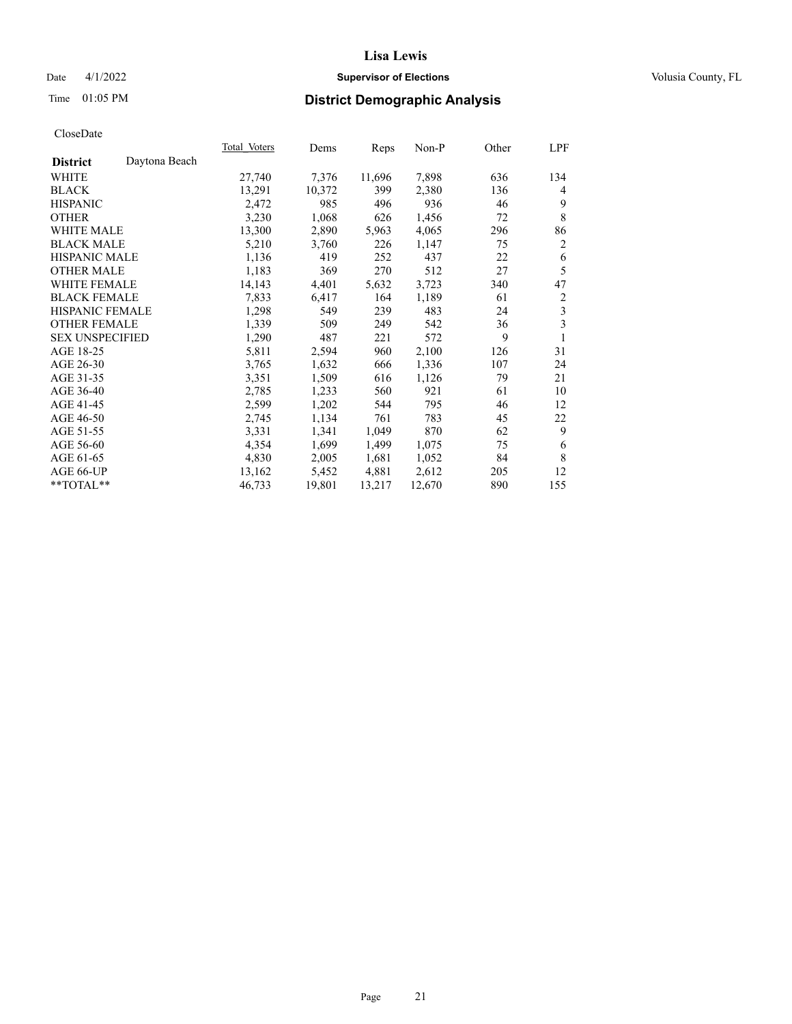## Date 4/1/2022 **Supervisor of Elections Supervisor of Elections** Volusia County, FL

# Time 01:05 PM **District Demographic Analysis**

| Total Voters | Dems   | Reps   | Non-P  | Other | LPF            |
|--------------|--------|--------|--------|-------|----------------|
|              |        |        |        |       |                |
| 27,740       | 7,376  | 11,696 | 7,898  | 636   | 134            |
| 13,291       | 10,372 | 399    | 2,380  | 136   | 4              |
| 2,472        | 985    | 496    | 936    | 46    | 9              |
| 3,230        | 1,068  | 626    | 1,456  | 72    | 8              |
| 13,300       | 2,890  | 5,963  | 4,065  | 296   | 86             |
| 5,210        | 3,760  | 226    | 1,147  | 75    | $\overline{2}$ |
| 1,136        | 419    | 252    | 437    | 22    | 6              |
| 1,183        | 369    | 270    | 512    | 27    | 5              |
| 14,143       | 4,401  | 5,632  | 3,723  | 340   | 47             |
| 7,833        | 6,417  | 164    | 1,189  | 61    | 2              |
| 1,298        | 549    | 239    | 483    | 24    | 3              |
| 1,339        | 509    | 249    | 542    | 36    | 3              |
| 1,290        | 487    | 221    | 572    | 9     | 1              |
| 5,811        | 2,594  | 960    | 2,100  | 126   | 31             |
| 3,765        | 1,632  | 666    | 1,336  | 107   | 24             |
| 3,351        | 1,509  | 616    | 1,126  | 79    | 21             |
| 2,785        | 1,233  | 560    | 921    | 61    | 10             |
| 2,599        | 1,202  | 544    | 795    | 46    | 12             |
| 2,745        | 1,134  | 761    | 783    | 45    | 22             |
| 3,331        | 1,341  | 1,049  | 870    | 62    | 9              |
| 4,354        | 1,699  | 1,499  | 1,075  | 75    | 6              |
| 4,830        | 2,005  | 1,681  | 1,052  | 84    | 8              |
| 13,162       | 5,452  | 4,881  | 2,612  | 205   | 12             |
| 46,733       | 19,801 | 13,217 | 12,670 | 890   | 155            |
|              |        |        |        |       |                |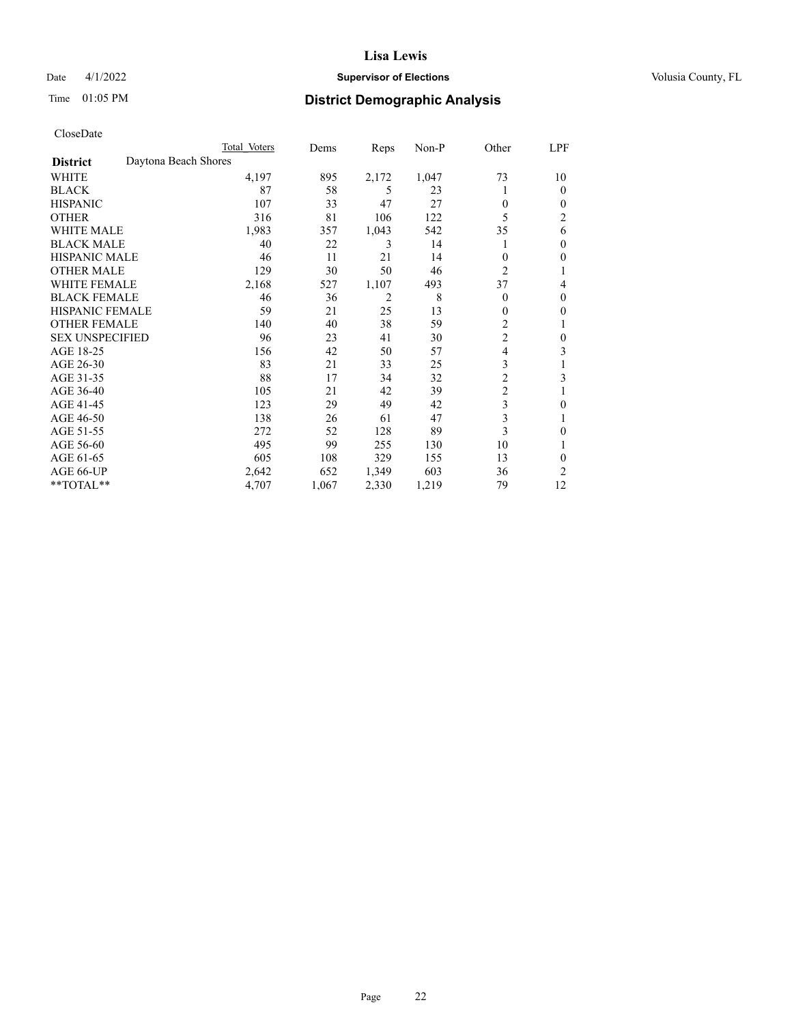## Date 4/1/2022 **Supervisor of Elections Supervisor of Elections** Volusia County, FL

# Time 01:05 PM **District Demographic Analysis**

|                        | Total Voters         |       | Dems  | Reps           | Non-P | Other          | LPF            |
|------------------------|----------------------|-------|-------|----------------|-------|----------------|----------------|
| <b>District</b>        | Daytona Beach Shores |       |       |                |       |                |                |
| WHITE                  |                      | 4,197 | 895   | 2,172          | 1,047 | 73             | 10             |
| <b>BLACK</b>           |                      | 87    | 58    | 5              | 23    |                | 0              |
| <b>HISPANIC</b>        |                      | 107   | 33    | 47             | 27    | $\theta$       | $_{0}$         |
| <b>OTHER</b>           |                      | 316   | 81    | 106            | 122   | 5              | $\overline{c}$ |
| WHITE MALE             |                      | 1,983 | 357   | 1,043          | 542   | 35             | 6              |
| <b>BLACK MALE</b>      |                      | 40    | 22    | 3              | 14    |                | 0              |
| <b>HISPANIC MALE</b>   |                      | 46    | 11    | 21             | 14    | $\theta$       | 0              |
| <b>OTHER MALE</b>      |                      | 129   | 30    | 50             | 46    | $\overline{2}$ | 1              |
| <b>WHITE FEMALE</b>    |                      | 2,168 | 527   | 1,107          | 493   | 37             | 4              |
| <b>BLACK FEMALE</b>    |                      | 46    | 36    | $\overline{2}$ | 8     | $\Omega$       | 0              |
| <b>HISPANIC FEMALE</b> |                      | 59    | 21    | 25             | 13    | $\theta$       | 0              |
| <b>OTHER FEMALE</b>    |                      | 140   | 40    | 38             | 59    | 2              |                |
| <b>SEX UNSPECIFIED</b> |                      | 96    | 23    | 41             | 30    | $\overline{c}$ | 0              |
| AGE 18-25              |                      | 156   | 42    | 50             | 57    | 4              | 3              |
| AGE 26-30              |                      | 83    | 21    | 33             | 25    | 3              |                |
| AGE 31-35              |                      | 88    | 17    | 34             | 32    | $\overline{c}$ | 3              |
| AGE 36-40              |                      | 105   | 21    | 42             | 39    | $\overline{c}$ |                |
| AGE 41-45              |                      | 123   | 29    | 49             | 42    | $\mathfrak{Z}$ | 0              |
| AGE 46-50              |                      | 138   | 26    | 61             | 47    | 3              |                |
| AGE 51-55              |                      | 272   | 52    | 128            | 89    | 3              | 0              |
| AGE 56-60              |                      | 495   | 99    | 255            | 130   | 10             |                |
| AGE 61-65              |                      | 605   | 108   | 329            | 155   | 13             | 0              |
| AGE 66-UP              |                      | 2,642 | 652   | 1,349          | 603   | 36             | 2              |
| **TOTAL**              |                      | 4,707 | 1,067 | 2,330          | 1,219 | 79             | 12             |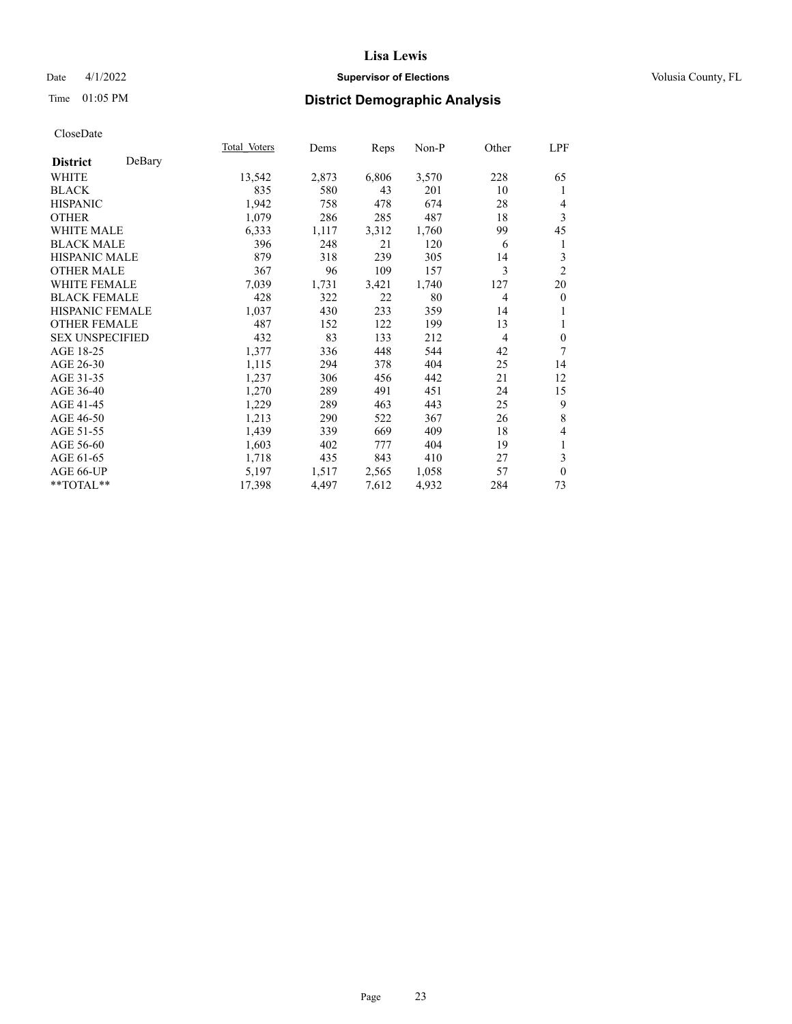## Date 4/1/2022 **Supervisor of Elections Supervisor of Elections** Volusia County, FL

## Time 01:05 PM **District Demographic Analysis**

|                        |        | Total Voters | Dems  | Reps  | Non-P | Other          | LPF            |
|------------------------|--------|--------------|-------|-------|-------|----------------|----------------|
| <b>District</b>        | DeBary |              |       |       |       |                |                |
| WHITE                  |        | 13,542       | 2,873 | 6,806 | 3,570 | 228            | 65             |
| <b>BLACK</b>           |        | 835          | 580   | 43    | 201   | 10             | 1              |
| <b>HISPANIC</b>        |        | 1,942        | 758   | 478   | 674   | 28             | 4              |
| <b>OTHER</b>           |        | 1,079        | 286   | 285   | 487   | 18             | 3              |
| WHITE MALE             |        | 6,333        | 1,117 | 3,312 | 1,760 | 99             | 45             |
| <b>BLACK MALE</b>      |        | 396          | 248   | 21    | 120   | 6              | 1              |
| <b>HISPANIC MALE</b>   |        | 879          | 318   | 239   | 305   | 14             | 3              |
| <b>OTHER MALE</b>      |        | 367          | 96    | 109   | 157   | 3              | $\overline{2}$ |
| WHITE FEMALE           |        | 7,039        | 1,731 | 3,421 | 1,740 | 127            | 20             |
| <b>BLACK FEMALE</b>    |        | 428          | 322   | 22    | 80    | $\overline{4}$ | $\overline{0}$ |
| <b>HISPANIC FEMALE</b> |        | 1,037        | 430   | 233   | 359   | 14             | 1              |
| <b>OTHER FEMALE</b>    |        | 487          | 152   | 122   | 199   | 13             | 1              |
| <b>SEX UNSPECIFIED</b> |        | 432          | 83    | 133   | 212   | 4              | $\mathbf{0}$   |
| AGE 18-25              |        | 1,377        | 336   | 448   | 544   | 42             | 7              |
| AGE 26-30              |        | 1,115        | 294   | 378   | 404   | 25             | 14             |
| AGE 31-35              |        | 1,237        | 306   | 456   | 442   | 21             | 12             |
| AGE 36-40              |        | 1,270        | 289   | 491   | 451   | 24             | 15             |
| AGE 41-45              |        | 1,229        | 289   | 463   | 443   | 25             | 9              |
| AGE 46-50              |        | 1,213        | 290   | 522   | 367   | 26             | 8              |
| AGE 51-55              |        | 1,439        | 339   | 669   | 409   | 18             | 4              |
| AGE 56-60              |        | 1,603        | 402   | 777   | 404   | 19             | 1              |
| AGE 61-65              |        | 1,718        | 435   | 843   | 410   | 27             | 3              |
| AGE 66-UP              |        | 5,197        | 1,517 | 2,565 | 1,058 | 57             | $\mathbf{0}$   |
| **TOTAL**              |        | 17,398       | 4,497 | 7,612 | 4,932 | 284            | 73             |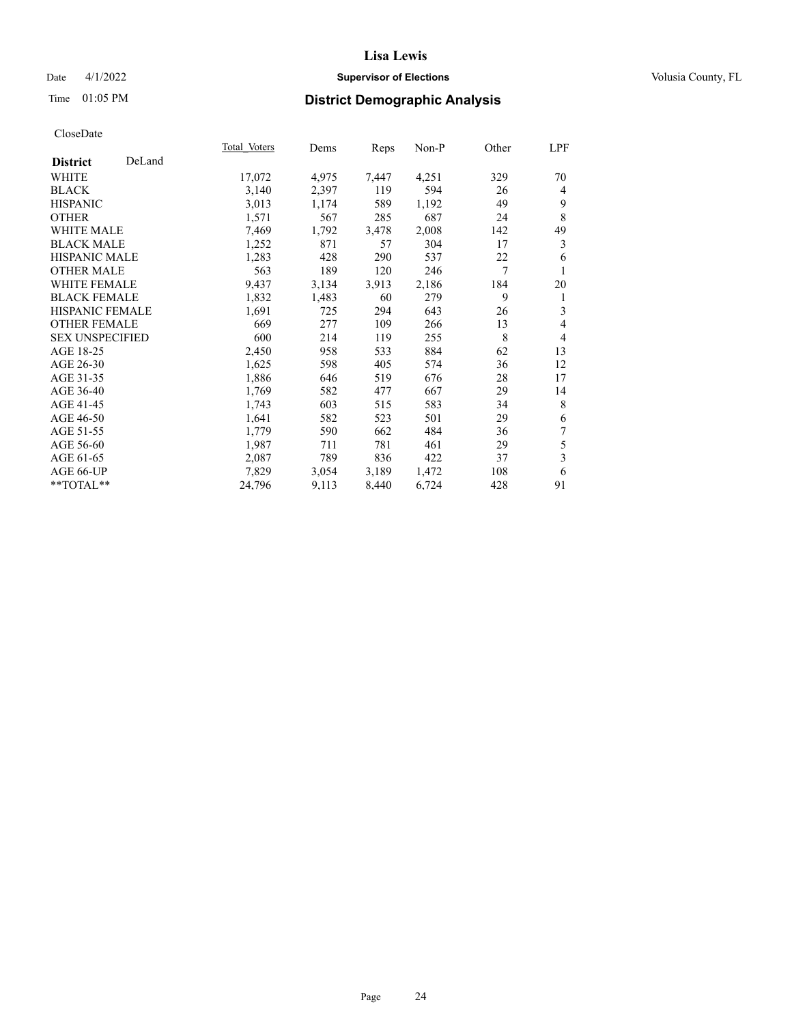## Date 4/1/2022 **Supervisor of Elections Supervisor of Elections** Volusia County, FL

## Time 01:05 PM **District Demographic Analysis**

|                        |        | Total Voters | Dems  | Reps  | Non-P | Other | LPF            |
|------------------------|--------|--------------|-------|-------|-------|-------|----------------|
| <b>District</b>        | DeLand |              |       |       |       |       |                |
| WHITE                  |        | 17,072       | 4,975 | 7,447 | 4,251 | 329   | 70             |
| <b>BLACK</b>           |        | 3,140        | 2,397 | 119   | 594   | 26    | 4              |
| <b>HISPANIC</b>        |        | 3,013        | 1,174 | 589   | 1,192 | 49    | 9              |
| <b>OTHER</b>           |        | 1,571        | 567   | 285   | 687   | 24    | 8              |
| <b>WHITE MALE</b>      |        | 7,469        | 1,792 | 3,478 | 2,008 | 142   | 49             |
| <b>BLACK MALE</b>      |        | 1,252        | 871   | 57    | 304   | 17    | 3              |
| <b>HISPANIC MALE</b>   |        | 1,283        | 428   | 290   | 537   | 22    | 6              |
| <b>OTHER MALE</b>      |        | 563          | 189   | 120   | 246   | 7     | 1              |
| <b>WHITE FEMALE</b>    |        | 9,437        | 3,134 | 3,913 | 2,186 | 184   | 20             |
| <b>BLACK FEMALE</b>    |        | 1,832        | 1,483 | 60    | 279   | 9     | 1              |
| <b>HISPANIC FEMALE</b> |        | 1,691        | 725   | 294   | 643   | 26    | 3              |
| <b>OTHER FEMALE</b>    |        | 669          | 277   | 109   | 266   | 13    | 4              |
| <b>SEX UNSPECIFIED</b> |        | 600          | 214   | 119   | 255   | 8     | $\overline{4}$ |
| AGE 18-25              |        | 2,450        | 958   | 533   | 884   | 62    | 13             |
| AGE 26-30              |        | 1,625        | 598   | 405   | 574   | 36    | 12             |
| AGE 31-35              |        | 1,886        | 646   | 519   | 676   | 28    | 17             |
| AGE 36-40              |        | 1,769        | 582   | 477   | 667   | 29    | 14             |
| AGE 41-45              |        | 1,743        | 603   | 515   | 583   | 34    | 8              |
| AGE 46-50              |        | 1,641        | 582   | 523   | 501   | 29    | 6              |
| AGE 51-55              |        | 1,779        | 590   | 662   | 484   | 36    | 7              |
| AGE 56-60              |        | 1,987        | 711   | 781   | 461   | 29    | 5              |
| AGE 61-65              |        | 2,087        | 789   | 836   | 422   | 37    | 3              |
| AGE 66-UP              |        | 7,829        | 3,054 | 3,189 | 1,472 | 108   | 6              |
| **TOTAL**              |        | 24,796       | 9,113 | 8,440 | 6,724 | 428   | 91             |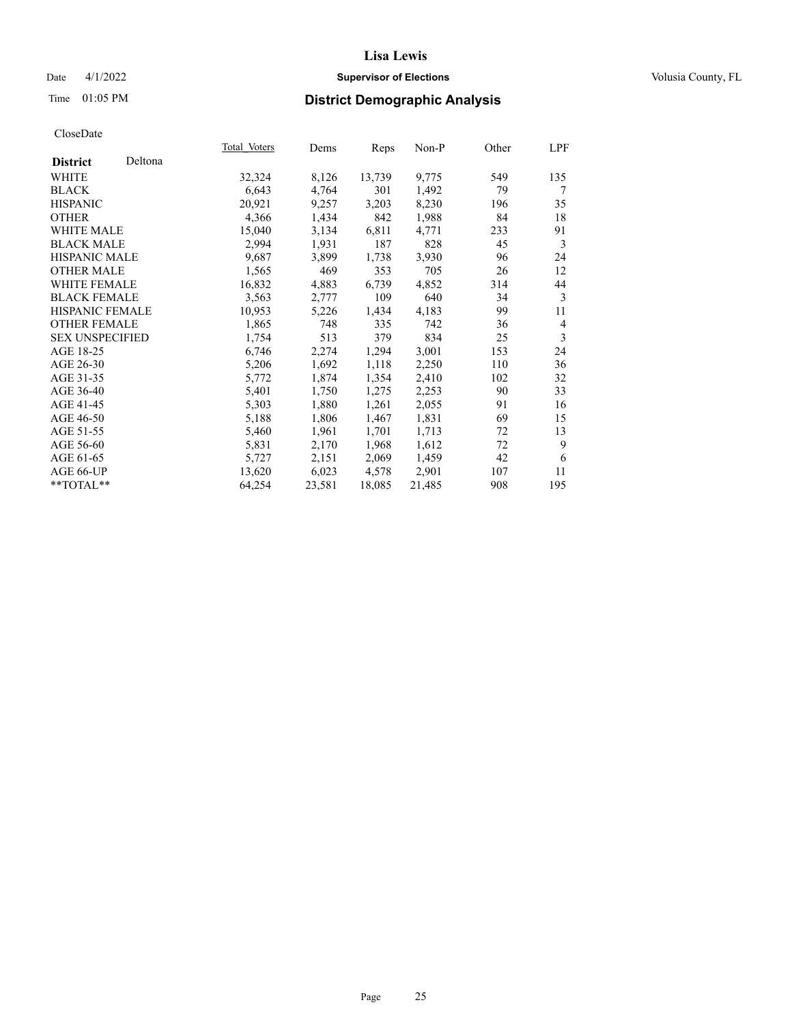## Date 4/1/2022 **Supervisor of Elections Supervisor of Elections** Volusia County, FL

| CloseDate |
|-----------|
|-----------|

|                        |         | Total Voters | Dems   | Reps   | Non-P  | Other | LPF            |
|------------------------|---------|--------------|--------|--------|--------|-------|----------------|
| <b>District</b>        | Deltona |              |        |        |        |       |                |
| WHITE                  |         | 32,324       | 8,126  | 13,739 | 9,775  | 549   | 135            |
| <b>BLACK</b>           |         | 6,643        | 4,764  | 301    | 1,492  | 79    | 7              |
| <b>HISPANIC</b>        |         | 20,921       | 9,257  | 3,203  | 8,230  | 196   | 35             |
| <b>OTHER</b>           |         | 4,366        | 1,434  | 842    | 1,988  | 84    | 18             |
| <b>WHITE MALE</b>      |         | 15,040       | 3,134  | 6,811  | 4,771  | 233   | 91             |
| <b>BLACK MALE</b>      |         | 2,994        | 1,931  | 187    | 828    | 45    | 3              |
| <b>HISPANIC MALE</b>   |         | 9,687        | 3,899  | 1,738  | 3,930  | 96    | 24             |
| <b>OTHER MALE</b>      |         | 1,565        | 469    | 353    | 705    | 26    | 12             |
| <b>WHITE FEMALE</b>    |         | 16,832       | 4,883  | 6,739  | 4,852  | 314   | 44             |
| <b>BLACK FEMALE</b>    |         | 3,563        | 2,777  | 109    | 640    | 34    | 3              |
| <b>HISPANIC FEMALE</b> |         | 10,953       | 5,226  | 1,434  | 4,183  | 99    | 11             |
| <b>OTHER FEMALE</b>    |         | 1,865        | 748    | 335    | 742    | 36    | $\overline{4}$ |
| <b>SEX UNSPECIFIED</b> |         | 1,754        | 513    | 379    | 834    | 25    | 3              |
| AGE 18-25              |         | 6,746        | 2,274  | 1,294  | 3,001  | 153   | 24             |
| AGE 26-30              |         | 5,206        | 1,692  | 1,118  | 2,250  | 110   | 36             |
| AGE 31-35              |         | 5,772        | 1,874  | 1,354  | 2,410  | 102   | 32             |
| AGE 36-40              |         | 5,401        | 1,750  | 1,275  | 2,253  | 90    | 33             |
| AGE 41-45              |         | 5,303        | 1,880  | 1,261  | 2,055  | 91    | 16             |
| AGE 46-50              |         | 5,188        | 1,806  | 1,467  | 1,831  | 69    | 15             |
| AGE 51-55              |         | 5,460        | 1,961  | 1,701  | 1,713  | 72    | 13             |
| AGE 56-60              |         | 5,831        | 2,170  | 1,968  | 1,612  | 72    | 9              |
| AGE 61-65              |         | 5,727        | 2,151  | 2,069  | 1,459  | 42    | 6              |
| AGE 66-UP              |         | 13,620       | 6,023  | 4,578  | 2,901  | 107   | 11             |
| **TOTAL**              |         | 64,254       | 23,581 | 18,085 | 21,485 | 908   | 195            |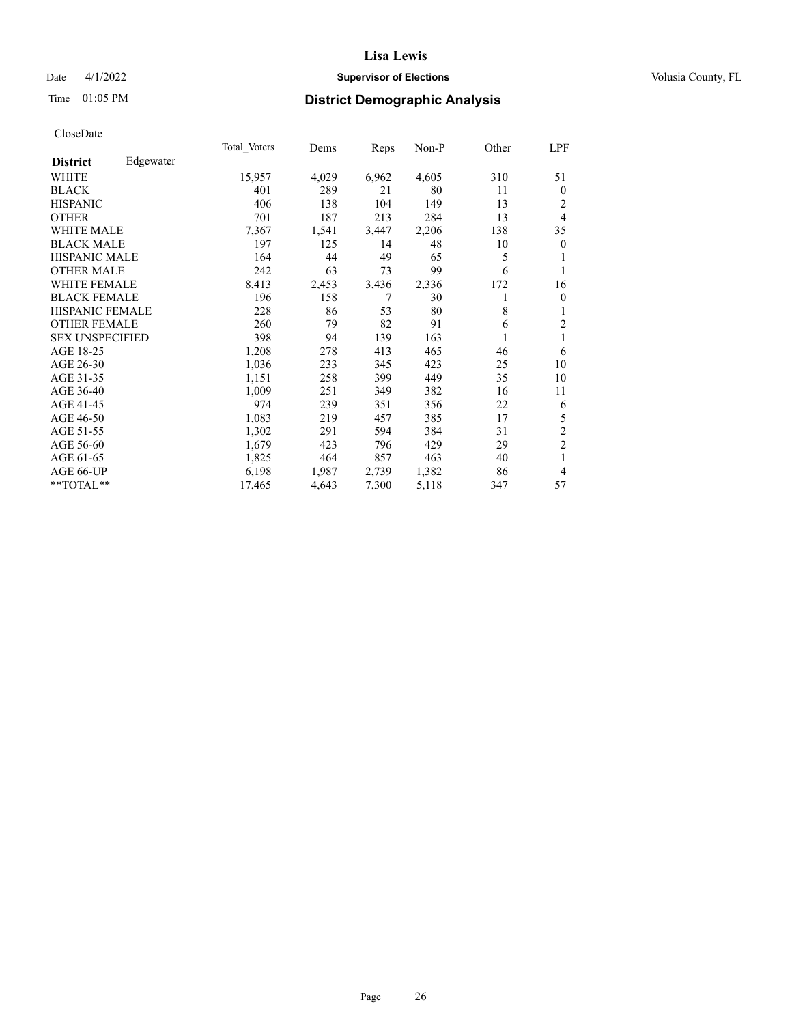## Date 4/1/2022 **Supervisor of Elections Supervisor of Elections** Volusia County, FL

# Time 01:05 PM **District Demographic Analysis**

|                              | Total Voters | Dems  | Reps  | Non-P | Other | LPF              |
|------------------------------|--------------|-------|-------|-------|-------|------------------|
| Edgewater<br><b>District</b> |              |       |       |       |       |                  |
| WHITE                        | 15,957       | 4,029 | 6,962 | 4,605 | 310   | 51               |
| <b>BLACK</b>                 | 401          | 289   | 21    | 80    | 11    | $\boldsymbol{0}$ |
| <b>HISPANIC</b>              | 406          | 138   | 104   | 149   | 13    | 2                |
| <b>OTHER</b>                 | 701          | 187   | 213   | 284   | 13    | $\overline{4}$   |
| WHITE MALE                   | 7,367        | 1,541 | 3,447 | 2,206 | 138   | 35               |
| <b>BLACK MALE</b>            | 197          | 125   | 14    | 48    | 10    | $\mathbf{0}$     |
| HISPANIC MALE                | 164          | 44    | 49    | 65    | 5     | 1                |
| <b>OTHER MALE</b>            | 242          | 63    | 73    | 99    | 6     |                  |
| <b>WHITE FEMALE</b>          | 8,413        | 2,453 | 3,436 | 2,336 | 172   | 16               |
| <b>BLACK FEMALE</b>          | 196          | 158   | 7     | 30    |       | $\mathbf{0}$     |
| HISPANIC FEMALE              | 228          | 86    | 53    | 80    | 8     | 1                |
| <b>OTHER FEMALE</b>          | 260          | 79    | 82    | 91    | 6     | $\overline{c}$   |
| <b>SEX UNSPECIFIED</b>       | 398          | 94    | 139   | 163   |       | 1                |
| AGE 18-25                    | 1,208        | 278   | 413   | 465   | 46    | 6                |
| AGE 26-30                    | 1,036        | 233   | 345   | 423   | 25    | 10               |
| AGE 31-35                    | 1,151        | 258   | 399   | 449   | 35    | 10               |
| AGE 36-40                    | 1,009        | 251   | 349   | 382   | 16    | 11               |
| AGE 41-45                    | 974          | 239   | 351   | 356   | 22    | 6                |
| AGE 46-50                    | 1,083        | 219   | 457   | 385   | 17    | 5                |
| AGE 51-55                    | 1,302        | 291   | 594   | 384   | 31    | $\overline{c}$   |
| AGE 56-60                    | 1,679        | 423   | 796   | 429   | 29    | $\overline{2}$   |
| AGE 61-65                    | 1,825        | 464   | 857   | 463   | 40    | 1                |
| AGE 66-UP                    | 6,198        | 1,987 | 2,739 | 1,382 | 86    | $\overline{4}$   |
| **TOTAL**                    | 17,465       | 4,643 | 7,300 | 5,118 | 347   | 57               |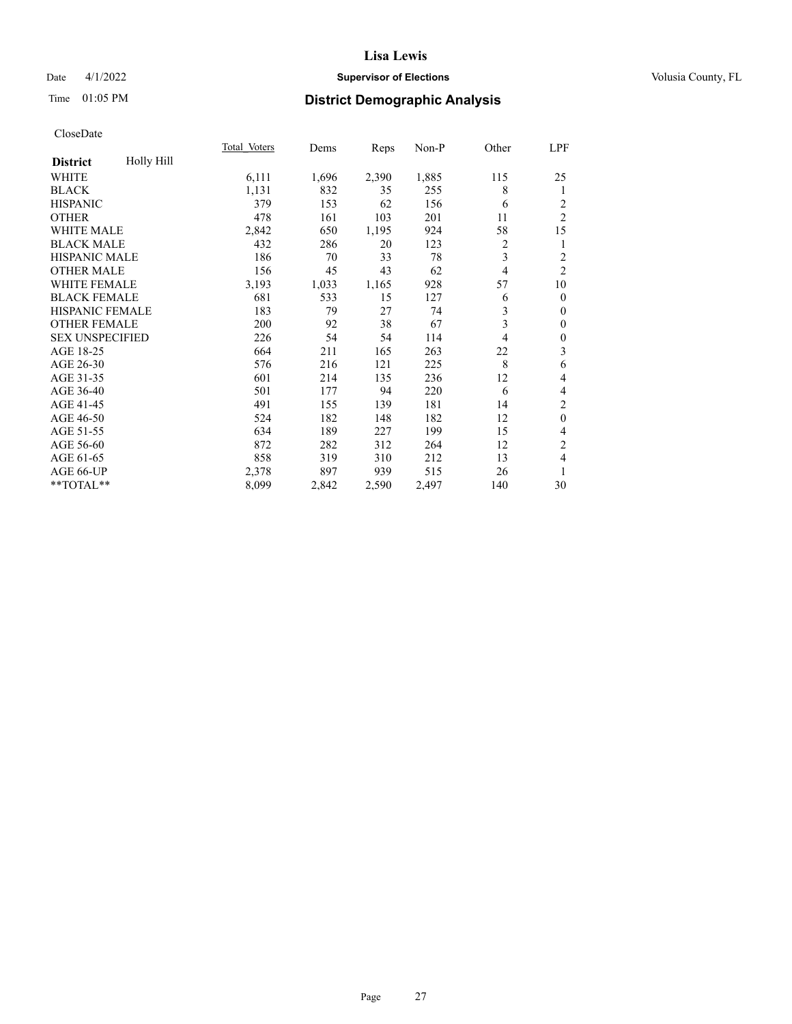## Date 4/1/2022 **Supervisor of Elections Supervisor of Elections** Volusia County, FL

# Time 01:05 PM **District Demographic Analysis**

|                        |            | Total Voters | Dems  | Reps  | Non-P | Other          | LPF              |
|------------------------|------------|--------------|-------|-------|-------|----------------|------------------|
| <b>District</b>        | Holly Hill |              |       |       |       |                |                  |
| WHITE                  |            | 6,111        | 1,696 | 2,390 | 1,885 | 115            | 25               |
| <b>BLACK</b>           |            | 1,131        | 832   | 35    | 255   | 8              | 1                |
| <b>HISPANIC</b>        |            | 379          | 153   | 62    | 156   | 6              | 2                |
| <b>OTHER</b>           |            | 478          | 161   | 103   | 201   | 11             | $\overline{c}$   |
| WHITE MALE             |            | 2,842        | 650   | 1,195 | 924   | 58             | 15               |
| <b>BLACK MALE</b>      |            | 432          | 286   | 20    | 123   | 2              | 1                |
| HISPANIC MALE          |            | 186          | 70    | 33    | 78    | 3              | $\overline{c}$   |
| <b>OTHER MALE</b>      |            | 156          | 45    | 43    | 62    | $\overline{4}$ | $\overline{2}$   |
| WHITE FEMALE           |            | 3,193        | 1,033 | 1,165 | 928   | 57             | 10               |
| <b>BLACK FEMALE</b>    |            | 681          | 533   | 15    | 127   | 6              | $\mathbf{0}$     |
| <b>HISPANIC FEMALE</b> |            | 183          | 79    | 27    | 74    | 3              | $\mathbf{0}$     |
| <b>OTHER FEMALE</b>    |            | 200          | 92    | 38    | 67    | 3              | $\mathbf{0}$     |
| <b>SEX UNSPECIFIED</b> |            | 226          | 54    | 54    | 114   | 4              | $\boldsymbol{0}$ |
| AGE 18-25              |            | 664          | 211   | 165   | 263   | 22             | 3                |
| AGE 26-30              |            | 576          | 216   | 121   | 225   | 8              | 6                |
| AGE 31-35              |            | 601          | 214   | 135   | 236   | 12             | 4                |
| AGE 36-40              |            | 501          | 177   | 94    | 220   | 6              | 4                |
| AGE 41-45              |            | 491          | 155   | 139   | 181   | 14             | $\overline{c}$   |
| AGE 46-50              |            | 524          | 182   | 148   | 182   | 12             | $\mathbf{0}$     |
| AGE 51-55              |            | 634          | 189   | 227   | 199   | 15             | 4                |
| AGE 56-60              |            | 872          | 282   | 312   | 264   | 12             | $\overline{2}$   |
| AGE 61-65              |            | 858          | 319   | 310   | 212   | 13             | 4                |
| AGE 66-UP              |            | 2,378        | 897   | 939   | 515   | 26             | 1                |
| **TOTAL**              |            | 8,099        | 2,842 | 2,590 | 2,497 | 140            | 30               |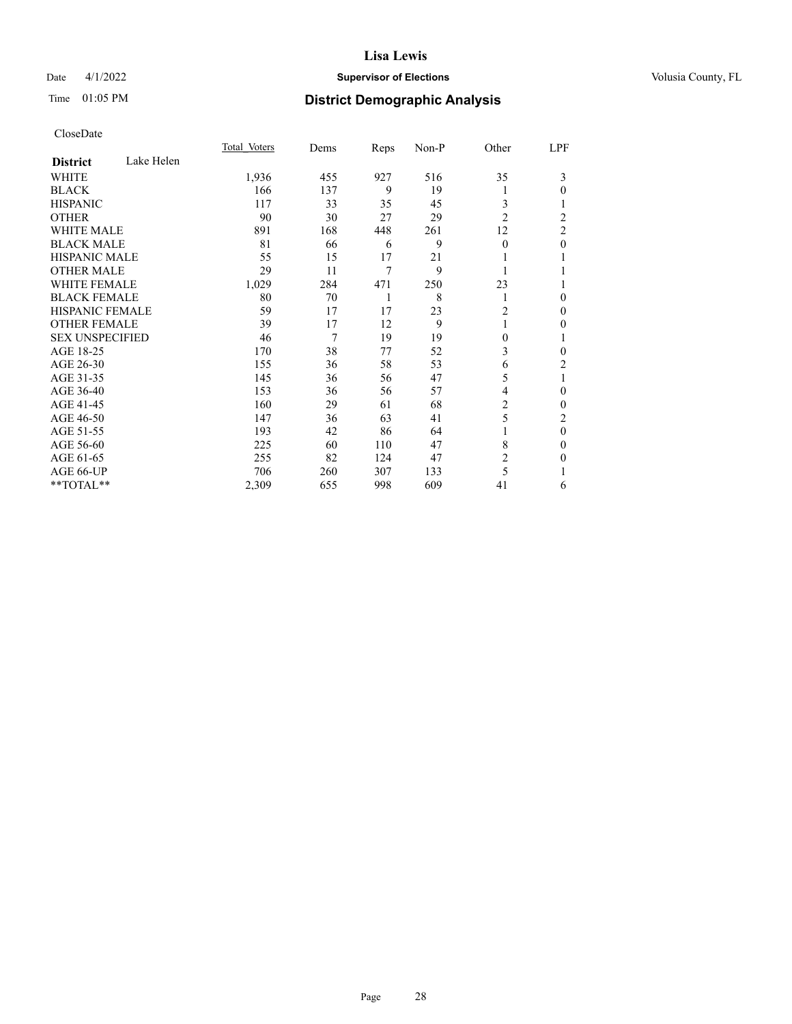## Date 4/1/2022 **Supervisor of Elections Supervisor of Elections** Volusia County, FL

## Time 01:05 PM **District Demographic Analysis**

|                        |            | Total Voters | Dems | Reps | Non-P | Other          | LPF            |
|------------------------|------------|--------------|------|------|-------|----------------|----------------|
| <b>District</b>        | Lake Helen |              |      |      |       |                |                |
| WHITE                  |            | 1,936        | 455  | 927  | 516   | 35             | 3              |
| <b>BLACK</b>           |            | 166          | 137  | 9    | 19    | l              | 0              |
| <b>HISPANIC</b>        |            | 117          | 33   | 35   | 45    | 3              |                |
| <b>OTHER</b>           |            | 90           | 30   | 27   | 29    | $\overline{2}$ | $\overline{c}$ |
| <b>WHITE MALE</b>      |            | 891          | 168  | 448  | 261   | 12             | 2              |
| <b>BLACK MALE</b>      |            | 81           | 66   | 6    | 9     | $\Omega$       | 0              |
| <b>HISPANIC MALE</b>   |            | 55           | 15   | 17   | 21    |                |                |
| <b>OTHER MALE</b>      |            | 29           | 11   | 7    | 9     | 1              |                |
| <b>WHITE FEMALE</b>    |            | 1,029        | 284  | 471  | 250   | 23             |                |
| <b>BLACK FEMALE</b>    |            | 80           | 70   | 1    | 8     | 1              | 0              |
| <b>HISPANIC FEMALE</b> |            | 59           | 17   | 17   | 23    | 2              | 0              |
| <b>OTHER FEMALE</b>    |            | 39           | 17   | 12   | 9     | 1              | 0              |
| <b>SEX UNSPECIFIED</b> |            | 46           | 7    | 19   | 19    | 0              |                |
| AGE 18-25              |            | 170          | 38   | 77   | 52    | 3              | 0              |
| AGE 26-30              |            | 155          | 36   | 58   | 53    | 6              | 2              |
| AGE 31-35              |            | 145          | 36   | 56   | 47    | 5              | 1              |
| AGE 36-40              |            | 153          | 36   | 56   | 57    | 4              | 0              |
| AGE 41-45              |            | 160          | 29   | 61   | 68    | 2              | 0              |
| AGE 46-50              |            | 147          | 36   | 63   | 41    | 5              | 2              |
| AGE 51-55              |            | 193          | 42   | 86   | 64    |                | 0              |
| AGE 56-60              |            | 225          | 60   | 110  | 47    | 8              | 0              |
| AGE 61-65              |            | 255          | 82   | 124  | 47    | 2              | 0              |
| AGE 66-UP              |            | 706          | 260  | 307  | 133   | 5              |                |
| **TOTAL**              |            | 2,309        | 655  | 998  | 609   | 41             | 6              |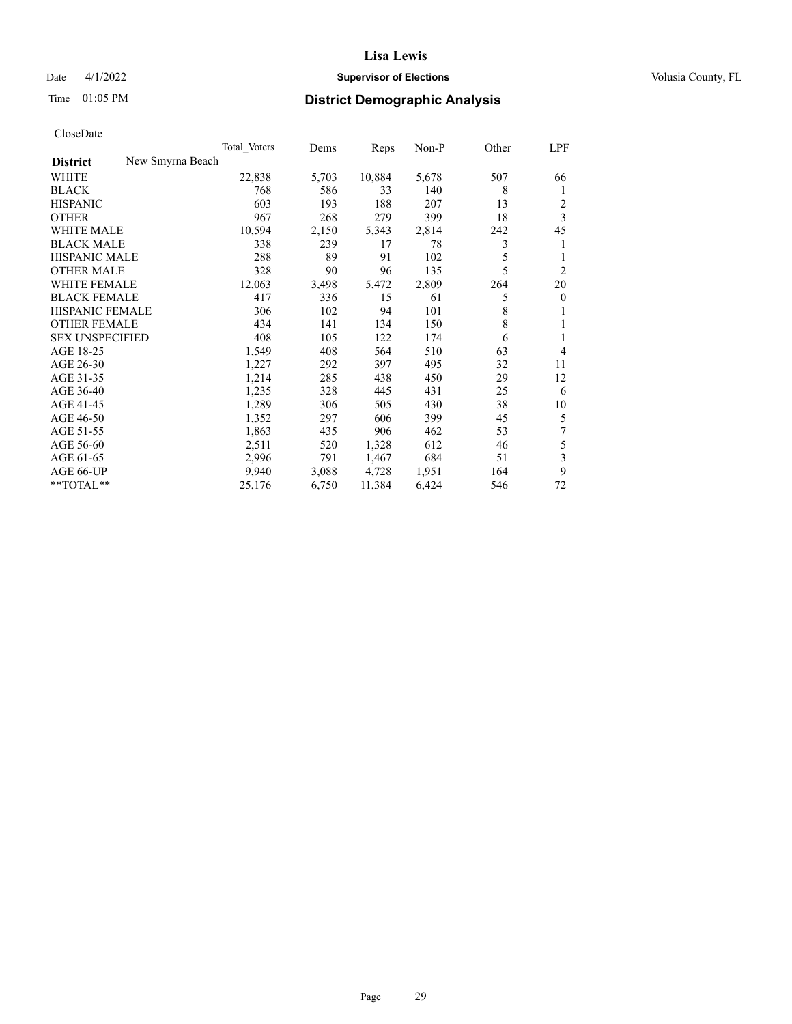## Date 4/1/2022 **Supervisor of Elections Supervisor of Elections** Volusia County, FL

|                                     | Total Voters | Dems  | Reps   | Non-P | Other | LPF                     |
|-------------------------------------|--------------|-------|--------|-------|-------|-------------------------|
| New Smyrna Beach<br><b>District</b> |              |       |        |       |       |                         |
| WHITE                               | 22,838       | 5,703 | 10,884 | 5,678 | 507   | 66                      |
| <b>BLACK</b>                        | 768          | 586   | 33     | 140   | 8     | 1                       |
| <b>HISPANIC</b>                     | 603          | 193   | 188    | 207   | 13    | 2                       |
| <b>OTHER</b>                        | 967          | 268   | 279    | 399   | 18    | $\overline{\mathbf{3}}$ |
| <b>WHITE MALE</b>                   | 10,594       | 2,150 | 5,343  | 2,814 | 242   | 45                      |
| <b>BLACK MALE</b>                   | 338          | 239   | 17     | 78    | 3     | 1                       |
| <b>HISPANIC MALE</b>                | 288          | 89    | 91     | 102   | 5     | 1                       |
| <b>OTHER MALE</b>                   | 328          | 90    | 96     | 135   | 5     | $\overline{2}$          |
| <b>WHITE FEMALE</b>                 | 12,063       | 3,498 | 5,472  | 2,809 | 264   | 20                      |
| <b>BLACK FEMALE</b>                 | 417          | 336   | 15     | 61    | 5     | $\mathbf{0}$            |
| <b>HISPANIC FEMALE</b>              | 306          | 102   | 94     | 101   | 8     | 1                       |
| <b>OTHER FEMALE</b>                 | 434          | 141   | 134    | 150   | 8     | 1                       |
| <b>SEX UNSPECIFIED</b>              | 408          | 105   | 122    | 174   | 6     | 1                       |
| AGE 18-25                           | 1,549        | 408   | 564    | 510   | 63    | 4                       |
| AGE 26-30                           | 1,227        | 292   | 397    | 495   | 32    | 11                      |
| AGE 31-35                           | 1,214        | 285   | 438    | 450   | 29    | 12                      |
| AGE 36-40                           | 1,235        | 328   | 445    | 431   | 25    | 6                       |
| AGE 41-45                           | 1,289        | 306   | 505    | 430   | 38    | 10                      |
| AGE 46-50                           | 1,352        | 297   | 606    | 399   | 45    | 5                       |
| AGE 51-55                           | 1,863        | 435   | 906    | 462   | 53    | 7                       |
| AGE 56-60                           | 2,511        | 520   | 1,328  | 612   | 46    | 5                       |
| AGE 61-65                           | 2,996        | 791   | 1,467  | 684   | 51    | 3                       |
| AGE 66-UP                           | 9,940        | 3,088 | 4,728  | 1,951 | 164   | 9                       |
| **TOTAL**                           | 25,176       | 6,750 | 11,384 | 6,424 | 546   | 72                      |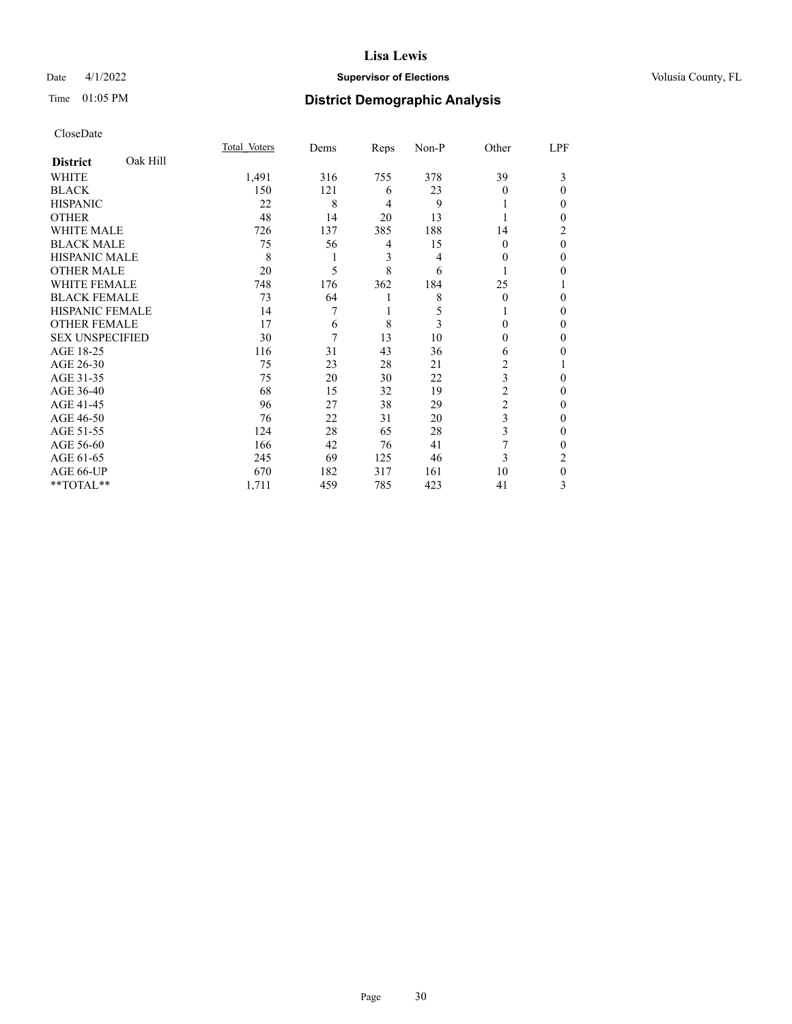## Date 4/1/2022 **Supervisor of Elections Supervisor of Elections** Volusia County, FL

# Time 01:05 PM **District Demographic Analysis**

|                        |          | Total Voters | Dems | Reps           | Non-P | Other          | LPF      |
|------------------------|----------|--------------|------|----------------|-------|----------------|----------|
| <b>District</b>        | Oak Hill |              |      |                |       |                |          |
| WHITE                  |          | 1,491        | 316  | 755            | 378   | 39             | 3        |
| <b>BLACK</b>           |          | 150          | 121  | 6              | 23    | $\Omega$       | 0        |
| <b>HISPANIC</b>        |          | 22           | 8    | $\overline{4}$ | 9     |                | 0        |
| <b>OTHER</b>           |          | 48           | 14   | 20             | 13    |                | 0        |
| WHITE MALE             |          | 726          | 137  | 385            | 188   | 14             | 2        |
| <b>BLACK MALE</b>      |          | 75           | 56   | 4              | 15    | $\Omega$       | $\theta$ |
| <b>HISPANIC MALE</b>   |          | 8            | 1    | 3              | 4     | $\Omega$       | 0        |
| <b>OTHER MALE</b>      |          | 20           | 5    | 8              | 6     |                | 0        |
| <b>WHITE FEMALE</b>    |          | 748          | 176  | 362            | 184   | 25             |          |
| <b>BLACK FEMALE</b>    |          | 73           | 64   | 1              | 8     | $\Omega$       | 0        |
| <b>HISPANIC FEMALE</b> |          | 14           | 7    | 1              | 5     |                | 0        |
| <b>OTHER FEMALE</b>    |          | 17           | 6    | 8              | 3     | 0              | 0        |
| <b>SEX UNSPECIFIED</b> |          | 30           | 7    | 13             | 10    | 0              | 0        |
| AGE 18-25              |          | 116          | 31   | 43             | 36    | 6              | 0        |
| AGE 26-30              |          | 75           | 23   | 28             | 21    | 2              |          |
| AGE 31-35              |          | 75           | 20   | 30             | 22    | 3              | 0        |
| AGE 36-40              |          | 68           | 15   | 32             | 19    | 2              | 0        |
| AGE 41-45              |          | 96           | 27   | 38             | 29    | $\overline{c}$ | 0        |
| AGE 46-50              |          | 76           | 22   | 31             | 20    | 3              | 0        |
| AGE 51-55              |          | 124          | 28   | 65             | 28    | 3              | 0        |
| AGE 56-60              |          | 166          | 42   | 76             | 41    |                | 0        |
| AGE 61-65              |          | 245          | 69   | 125            | 46    | 3              | 2        |
| AGE 66-UP              |          | 670          | 182  | 317            | 161   | 10             | 0        |
| **TOTAL**              |          | 1,711        | 459  | 785            | 423   | 41             | 3        |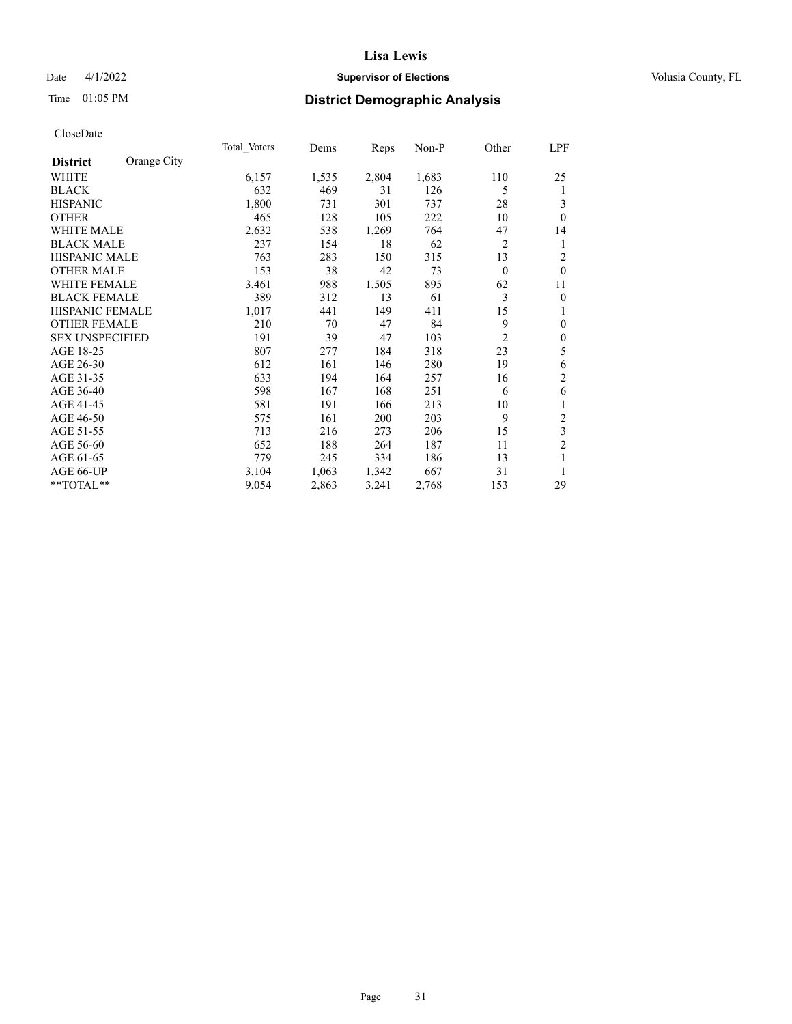## Date 4/1/2022 **Supervisor of Elections Supervisor of Elections** Volusia County, FL

# Time 01:05 PM **District Demographic Analysis**

|                        |             | Total Voters | Dems  | Reps  | Non-P | Other          | LPF              |
|------------------------|-------------|--------------|-------|-------|-------|----------------|------------------|
| <b>District</b>        | Orange City |              |       |       |       |                |                  |
| WHITE                  |             | 6,157        | 1,535 | 2,804 | 1,683 | 110            | 25               |
| <b>BLACK</b>           |             | 632          | 469   | 31    | 126   | 5              | 1                |
| <b>HISPANIC</b>        |             | 1,800        | 731   | 301   | 737   | 28             | 3                |
| <b>OTHER</b>           |             | 465          | 128   | 105   | 222   | 10             | $\theta$         |
| WHITE MALE             |             | 2,632        | 538   | 1,269 | 764   | 47             | 14               |
| <b>BLACK MALE</b>      |             | 237          | 154   | 18    | 62    | $\overline{2}$ | 1                |
| <b>HISPANIC MALE</b>   |             | 763          | 283   | 150   | 315   | 13             | $\overline{c}$   |
| <b>OTHER MALE</b>      |             | 153          | 38    | 42    | 73    | $\theta$       | $\theta$         |
| <b>WHITE FEMALE</b>    |             | 3,461        | 988   | 1,505 | 895   | 62             | 11               |
| <b>BLACK FEMALE</b>    |             | 389          | 312   | 13    | 61    | 3              | $\boldsymbol{0}$ |
| <b>HISPANIC FEMALE</b> |             | 1,017        | 441   | 149   | 411   | 15             | 1                |
| <b>OTHER FEMALE</b>    |             | 210          | 70    | 47    | 84    | 9              | $\mathbf{0}$     |
| <b>SEX UNSPECIFIED</b> |             | 191          | 39    | 47    | 103   | $\overline{2}$ | $\boldsymbol{0}$ |
| AGE 18-25              |             | 807          | 277   | 184   | 318   | 23             | 5                |
| AGE 26-30              |             | 612          | 161   | 146   | 280   | 19             | 6                |
| AGE 31-35              |             | 633          | 194   | 164   | 257   | 16             | $\overline{c}$   |
| AGE 36-40              |             | 598          | 167   | 168   | 251   | 6              | 6                |
| AGE 41-45              |             | 581          | 191   | 166   | 213   | 10             | 1                |
| AGE 46-50              |             | 575          | 161   | 200   | 203   | 9              | 2                |
| AGE 51-55              |             | 713          | 216   | 273   | 206   | 15             | 3                |
| AGE 56-60              |             | 652          | 188   | 264   | 187   | 11             | $\overline{2}$   |
| AGE 61-65              |             | 779          | 245   | 334   | 186   | 13             | 1                |
| AGE 66-UP              |             | 3,104        | 1,063 | 1,342 | 667   | 31             | 1                |
| **TOTAL**              |             | 9,054        | 2,863 | 3,241 | 2,768 | 153            | 29               |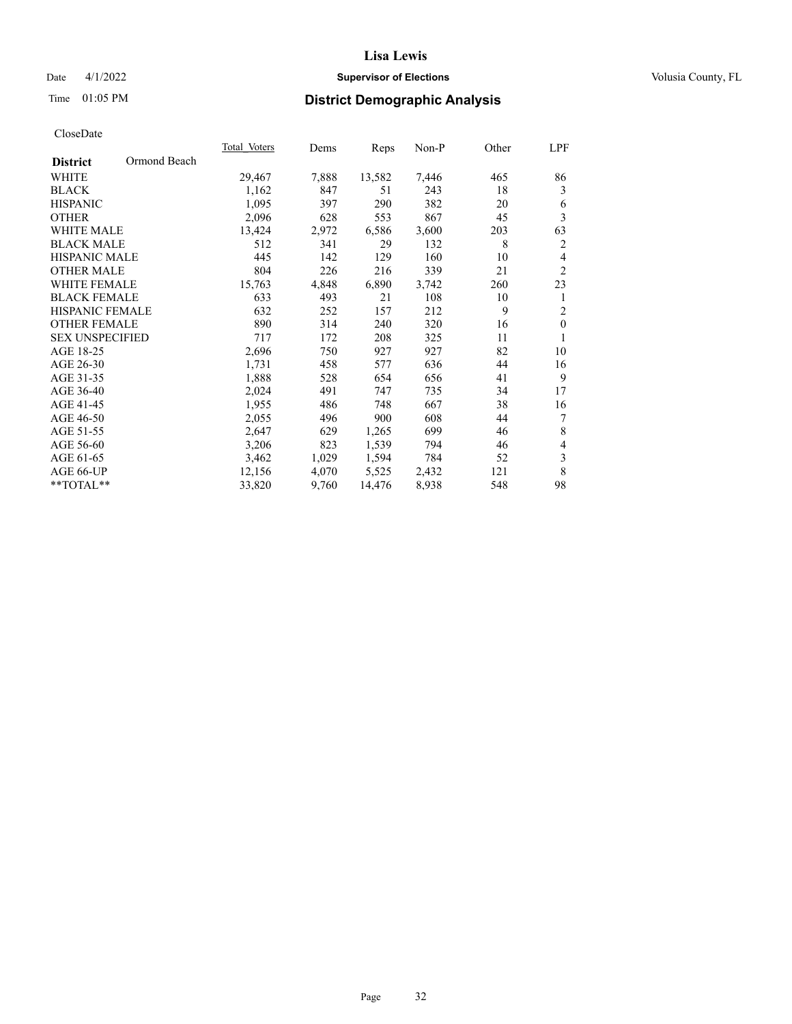## Date 4/1/2022 **Supervisor of Elections Supervisor of Elections** Volusia County, FL

# Time 01:05 PM **District Demographic Analysis**

|                                 | Total Voters | Dems  | Reps   | Non-P | Other | LPF            |
|---------------------------------|--------------|-------|--------|-------|-------|----------------|
| Ormond Beach<br><b>District</b> |              |       |        |       |       |                |
| WHITE                           | 29,467       | 7,888 | 13,582 | 7,446 | 465   | 86             |
| <b>BLACK</b>                    | 1,162        | 847   | 51     | 243   | 18    | 3              |
| <b>HISPANIC</b>                 | 1,095        | 397   | 290    | 382   | 20    | 6              |
| <b>OTHER</b>                    | 2,096        | 628   | 553    | 867   | 45    | 3              |
| <b>WHITE MALE</b>               | 13,424       | 2,972 | 6,586  | 3,600 | 203   | 63             |
| <b>BLACK MALE</b>               | 512          | 341   | 29     | 132   | 8     | 2              |
| <b>HISPANIC MALE</b>            | 445          | 142   | 129    | 160   | 10    | 4              |
| <b>OTHER MALE</b>               | 804          | 226   | 216    | 339   | 21    | $\overline{2}$ |
| <b>WHITE FEMALE</b>             | 15,763       | 4,848 | 6,890  | 3,742 | 260   | 23             |
| <b>BLACK FEMALE</b>             | 633          | 493   | 21     | 108   | 10    | 1              |
| HISPANIC FEMALE                 | 632          | 252   | 157    | 212   | 9     | $\overline{2}$ |
| <b>OTHER FEMALE</b>             | 890          | 314   | 240    | 320   | 16    | $\mathbf{0}$   |
| <b>SEX UNSPECIFIED</b>          | 717          | 172   | 208    | 325   | 11    | 1              |
| AGE 18-25                       | 2,696        | 750   | 927    | 927   | 82    | 10             |
| AGE 26-30                       | 1,731        | 458   | 577    | 636   | 44    | 16             |
| AGE 31-35                       | 1,888        | 528   | 654    | 656   | 41    | 9              |
| AGE 36-40                       | 2,024        | 491   | 747    | 735   | 34    | 17             |
| AGE 41-45                       | 1,955        | 486   | 748    | 667   | 38    | 16             |
| AGE 46-50                       | 2,055        | 496   | 900    | 608   | 44    | 7              |
| AGE 51-55                       | 2,647        | 629   | 1,265  | 699   | 46    | 8              |
| AGE 56-60                       | 3,206        | 823   | 1,539  | 794   | 46    | $\overline{4}$ |
| AGE 61-65                       | 3,462        | 1,029 | 1,594  | 784   | 52    | $\sqrt{3}$     |
| AGE 66-UP                       | 12,156       | 4,070 | 5,525  | 2,432 | 121   | $\,$ 8 $\,$    |
| **TOTAL**                       | 33,820       | 9,760 | 14,476 | 8,938 | 548   | 98             |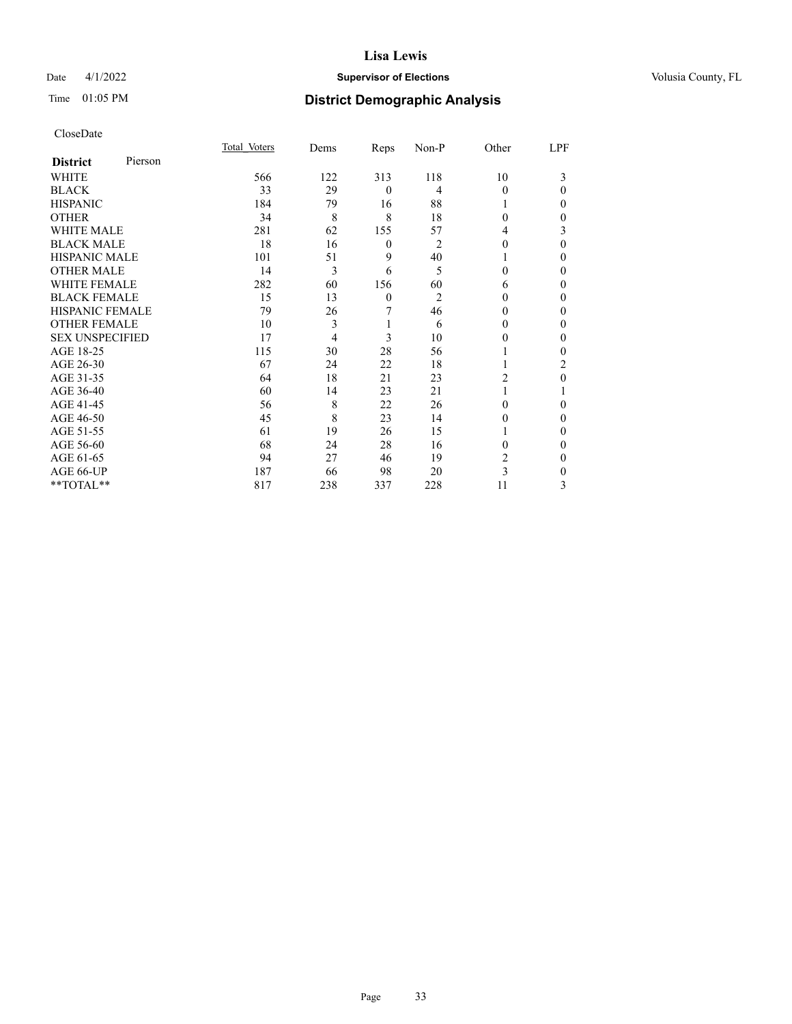## Date 4/1/2022 **Supervisor of Elections Supervisor of Elections** Volusia County, FL

| CloseDate |
|-----------|
|-----------|

|                        |         | Total Voters | Dems | Reps             | Non-P          | Other    | LPF          |
|------------------------|---------|--------------|------|------------------|----------------|----------|--------------|
| <b>District</b>        | Pierson |              |      |                  |                |          |              |
| WHITE                  |         | 566          | 122  | 313              | 118            | 10       | 3            |
| <b>BLACK</b>           |         | 33           | 29   | $\mathbf{0}$     | 4              | $\theta$ | $\theta$     |
| <b>HISPANIC</b>        |         | 184          | 79   | 16               | 88             |          | 0            |
| <b>OTHER</b>           |         | 34           | 8    | 8                | 18             | $\Omega$ | 0            |
| <b>WHITE MALE</b>      |         | 281          | 62   | 155              | 57             | 4        | 3            |
| <b>BLACK MALE</b>      |         | 18           | 16   | $\boldsymbol{0}$ | $\overline{2}$ | $\Omega$ | $\Omega$     |
| <b>HISPANIC MALE</b>   |         | 101          | 51   | 9                | 40             |          | 0            |
| <b>OTHER MALE</b>      |         | 14           | 3    | 6                | 5              | $\theta$ | 0            |
| <b>WHITE FEMALE</b>    |         | 282          | 60   | 156              | 60             | 6        | 0            |
| <b>BLACK FEMALE</b>    |         | 15           | 13   | $\mathbf{0}$     | $\overline{2}$ | $\Omega$ | 0            |
| HISPANIC FEMALE        |         | 79           | 26   | 7                | 46             | $\Omega$ | 0            |
| <b>OTHER FEMALE</b>    |         | 10           | 3    | 1                | 6              | 0        | 0            |
| <b>SEX UNSPECIFIED</b> |         | 17           | 4    | 3                | 10             | $\Omega$ | 0            |
| AGE 18-25              |         | 115          | 30   | 28               | 56             |          | 0            |
| AGE 26-30              |         | 67           | 24   | 22               | 18             |          | 2            |
| AGE 31-35              |         | 64           | 18   | 21               | 23             | 2        | 0            |
| AGE 36-40              |         | 60           | 14   | 23               | 21             |          |              |
| AGE 41-45              |         | 56           | 8    | 22               | 26             | $\Omega$ | 0            |
| AGE 46-50              |         | 45           | 8    | 23               | 14             | 0        | 0            |
| AGE 51-55              |         | 61           | 19   | 26               | 15             |          | $\mathbf{0}$ |
| AGE 56-60              |         | 68           | 24   | 28               | 16             | 0        | 0            |
| AGE 61-65              |         | 94           | 27   | 46               | 19             | 2        | $\Omega$     |
| AGE 66-UP              |         | 187          | 66   | 98               | 20             | 3        | 0            |
| **TOTAL**              |         | 817          | 238  | 337              | 228            | 11       | 3            |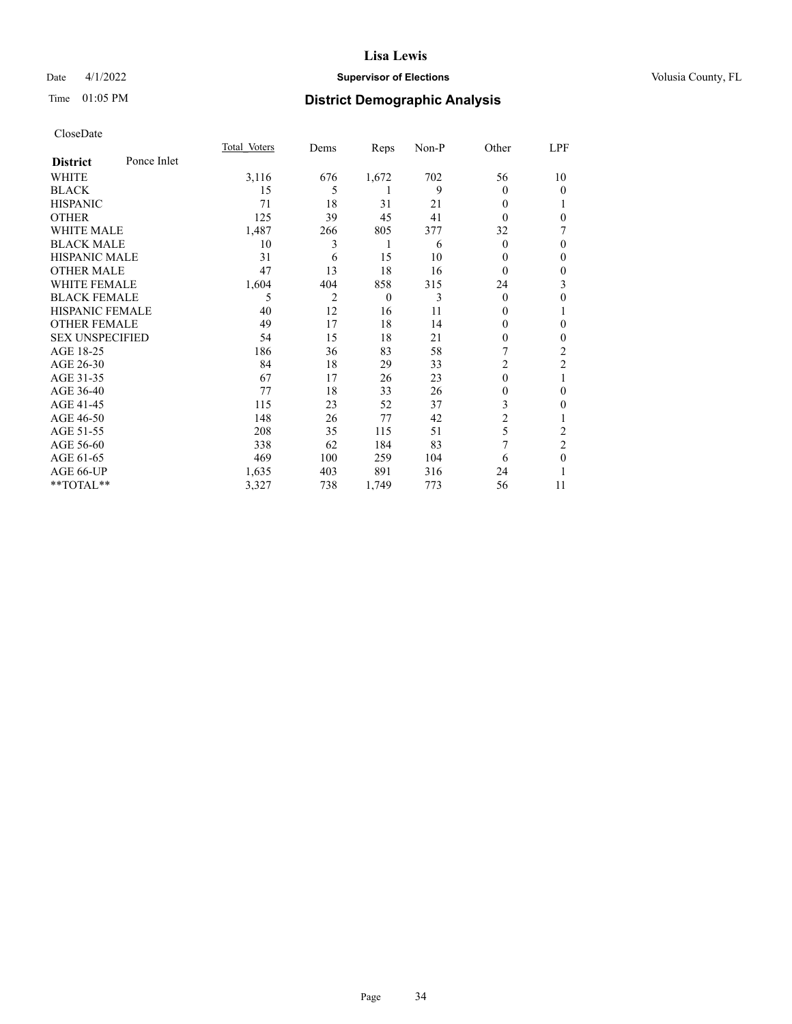## Date 4/1/2022 **Supervisor of Elections Supervisor of Elections** Volusia County, FL

## Time 01:05 PM **District Demographic Analysis**

|                        |             | Total Voters | Dems | Reps     | Non-P | Other    | LPF            |
|------------------------|-------------|--------------|------|----------|-------|----------|----------------|
| <b>District</b>        | Ponce Inlet |              |      |          |       |          |                |
| WHITE                  |             | 3,116        | 676  | 1,672    | 702   | 56       | 10             |
| <b>BLACK</b>           |             | 15           | 5    | 1        | 9     | 0        | 0              |
| <b>HISPANIC</b>        |             | 71           | 18   | 31       | 21    | 0        |                |
| <b>OTHER</b>           |             | 125          | 39   | 45       | 41    | 0        | 0              |
| <b>WHITE MALE</b>      |             | 1,487        | 266  | 805      | 377   | 32       | 7              |
| <b>BLACK MALE</b>      |             | 10           | 3    | 1        | 6     | 0        | 0              |
| <b>HISPANIC MALE</b>   |             | 31           | 6    | 15       | 10    | 0        | $\theta$       |
| <b>OTHER MALE</b>      |             | 47           | 13   | 18       | 16    | $\theta$ | $\mathbf{0}$   |
| <b>WHITE FEMALE</b>    |             | 1,604        | 404  | 858      | 315   | 24       | 3              |
| <b>BLACK FEMALE</b>    |             | 5            | 2    | $\theta$ | 3     | $\Omega$ | 0              |
| <b>HISPANIC FEMALE</b> |             | 40           | 12   | 16       | 11    | 0        |                |
| <b>OTHER FEMALE</b>    |             | 49           | 17   | 18       | 14    | 0        | $\Omega$       |
| <b>SEX UNSPECIFIED</b> |             | 54           | 15   | 18       | 21    | 0        | 0              |
| AGE 18-25              |             | 186          | 36   | 83       | 58    |          | $\overline{2}$ |
| AGE 26-30              |             | 84           | 18   | 29       | 33    | 2        | $\mathfrak{2}$ |
| AGE 31-35              |             | 67           | 17   | 26       | 23    | $\theta$ | 1              |
| AGE 36-40              |             | 77           | 18   | 33       | 26    | 0        | $\mathbf{0}$   |
| AGE 41-45              |             | 115          | 23   | 52       | 37    | 3        | 0              |
| AGE 46-50              |             | 148          | 26   | 77       | 42    | 2        |                |
| AGE 51-55              |             | 208          | 35   | 115      | 51    | 5        | 2              |
| AGE 56-60              |             | 338          | 62   | 184      | 83    | 7        | $\overline{2}$ |
| AGE 61-65              |             | 469          | 100  | 259      | 104   | 6        | $\theta$       |
| AGE 66-UP              |             | 1,635        | 403  | 891      | 316   | 24       |                |
| **TOTAL**              |             | 3,327        | 738  | 1,749    | 773   | 56       | 11             |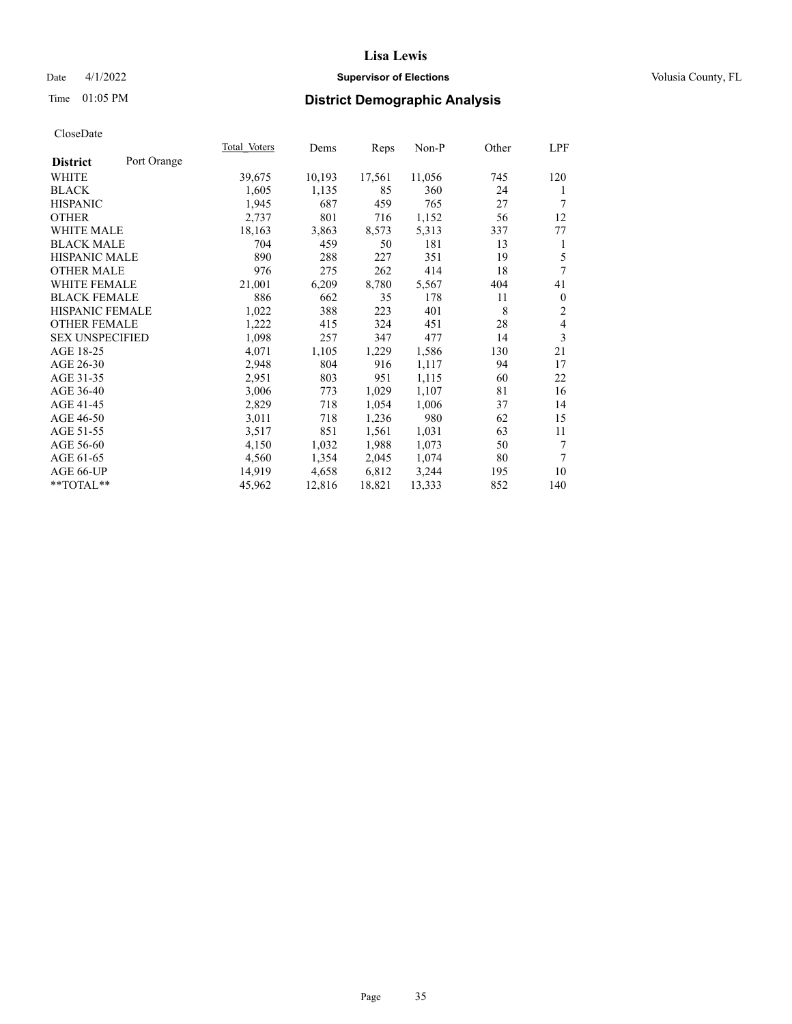## Date 4/1/2022 **Supervisor of Elections Supervisor of Elections** Volusia County, FL

# Time 01:05 PM **District Demographic Analysis**

|                        |             | Total Voters | Dems   | Reps   | $Non-P$ | Other | LPF          |
|------------------------|-------------|--------------|--------|--------|---------|-------|--------------|
| <b>District</b>        | Port Orange |              |        |        |         |       |              |
| WHITE                  |             | 39,675       | 10,193 | 17,561 | 11,056  | 745   | 120          |
| <b>BLACK</b>           |             | 1,605        | 1,135  | 85     | 360     | 24    | 1            |
| <b>HISPANIC</b>        |             | 1,945        | 687    | 459    | 765     | 27    | 7            |
| <b>OTHER</b>           |             | 2,737        | 801    | 716    | 1,152   | 56    | 12           |
| WHITE MALE             |             | 18,163       | 3,863  | 8,573  | 5,313   | 337   | 77           |
| <b>BLACK MALE</b>      |             | 704          | 459    | 50     | 181     | 13    | 1            |
| <b>HISPANIC MALE</b>   |             | 890          | 288    | 227    | 351     | 19    | 5            |
| <b>OTHER MALE</b>      |             | 976          | 275    | 262    | 414     | 18    | 7            |
| <b>WHITE FEMALE</b>    |             | 21,001       | 6,209  | 8,780  | 5,567   | 404   | 41           |
| <b>BLACK FEMALE</b>    |             | 886          | 662    | 35     | 178     | 11    | $\mathbf{0}$ |
| <b>HISPANIC FEMALE</b> |             | 1,022        | 388    | 223    | 401     | 8     | 2            |
| <b>OTHER FEMALE</b>    |             | 1,222        | 415    | 324    | 451     | 28    | 4            |
| <b>SEX UNSPECIFIED</b> |             | 1,098        | 257    | 347    | 477     | 14    | 3            |
| AGE 18-25              |             | 4,071        | 1,105  | 1,229  | 1,586   | 130   | 21           |
| AGE 26-30              |             | 2,948        | 804    | 916    | 1,117   | 94    | 17           |
| AGE 31-35              |             | 2,951        | 803    | 951    | 1,115   | 60    | 22           |
| AGE 36-40              |             | 3,006        | 773    | 1,029  | 1,107   | 81    | 16           |
| AGE 41-45              |             | 2,829        | 718    | 1,054  | 1,006   | 37    | 14           |
| AGE 46-50              |             | 3,011        | 718    | 1,236  | 980     | 62    | 15           |
| AGE 51-55              |             | 3,517        | 851    | 1,561  | 1,031   | 63    | 11           |
| AGE 56-60              |             | 4,150        | 1,032  | 1,988  | 1,073   | 50    | 7            |
| AGE 61-65              |             | 4,560        | 1,354  | 2,045  | 1,074   | 80    | 7            |
| AGE 66-UP              |             | 14,919       | 4,658  | 6,812  | 3,244   | 195   | 10           |
| $*$ TOTAL $*$          |             | 45,962       | 12,816 | 18,821 | 13,333  | 852   | 140          |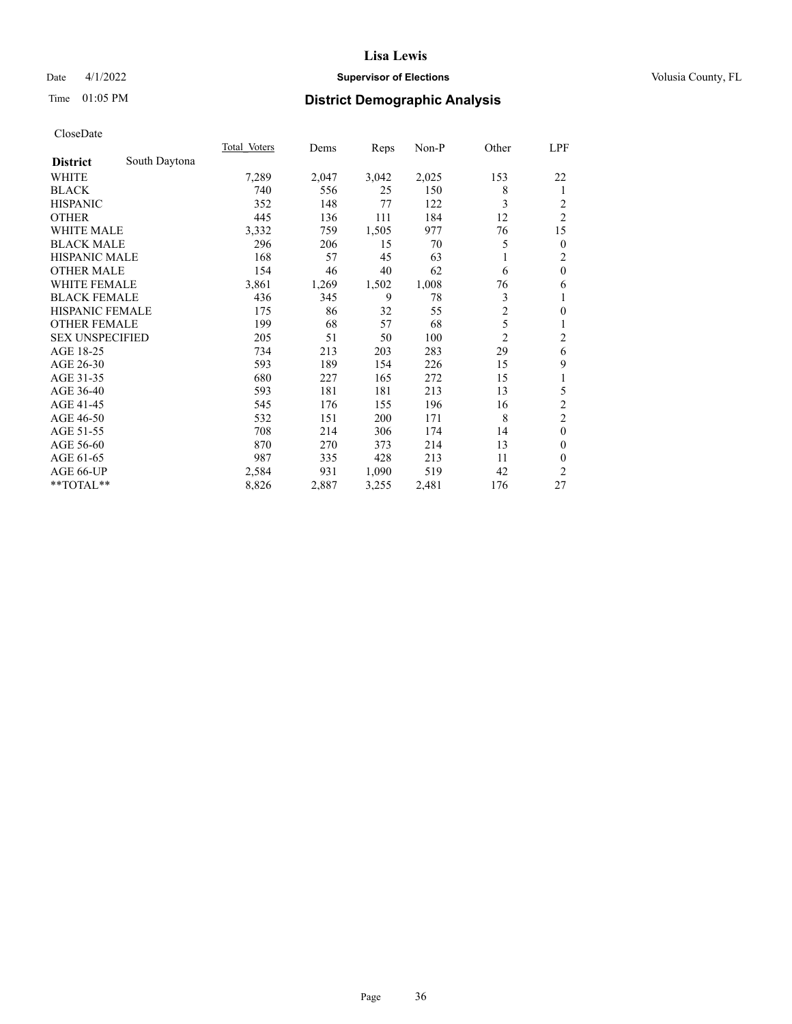## Date 4/1/2022 **Supervisor of Elections Supervisor of Elections** Volusia County, FL

# Time 01:05 PM **District Demographic Analysis**

|                                  | Total Voters | Dems  | Reps  | Non-P | Other          | LPF              |
|----------------------------------|--------------|-------|-------|-------|----------------|------------------|
| South Daytona<br><b>District</b> |              |       |       |       |                |                  |
| WHITE                            | 7,289        | 2,047 | 3,042 | 2,025 | 153            | 22               |
| <b>BLACK</b>                     | 740          | 556   | 25    | 150   | 8              | 1                |
| <b>HISPANIC</b>                  | 352          | 148   | 77    | 122   | 3              | 2                |
| <b>OTHER</b>                     | 445          | 136   | 111   | 184   | 12             | $\overline{c}$   |
| <b>WHITE MALE</b>                | 3,332        | 759   | 1,505 | 977   | 76             | 15               |
| <b>BLACK MALE</b>                | 296          | 206   | 15    | 70    | 5              | $\boldsymbol{0}$ |
| <b>HISPANIC MALE</b>             | 168          | 57    | 45    | 63    |                | $\overline{c}$   |
| <b>OTHER MALE</b>                | 154          | 46    | 40    | 62    | 6              | $\mathbf{0}$     |
| <b>WHITE FEMALE</b>              | 3,861        | 1,269 | 1,502 | 1,008 | 76             | 6                |
| <b>BLACK FEMALE</b>              | 436          | 345   | 9     | 78    | 3              | 1                |
| <b>HISPANIC FEMALE</b>           | 175          | 86    | 32    | 55    | $\overline{2}$ | $\boldsymbol{0}$ |
| <b>OTHER FEMALE</b>              | 199          | 68    | 57    | 68    | 5              | 1                |
| <b>SEX UNSPECIFIED</b>           | 205          | 51    | 50    | 100   | $\overline{2}$ | 2                |
| AGE 18-25                        | 734          | 213   | 203   | 283   | 29             | 6                |
| AGE 26-30                        | 593          | 189   | 154   | 226   | 15             | 9                |
| AGE 31-35                        | 680          | 227   | 165   | 272   | 15             | 1                |
| AGE 36-40                        | 593          | 181   | 181   | 213   | 13             | 5                |
| AGE 41-45                        | 545          | 176   | 155   | 196   | 16             | $\sqrt{2}$       |
| AGE 46-50                        | 532          | 151   | 200   | 171   | 8              | $\overline{2}$   |
| AGE 51-55                        | 708          | 214   | 306   | 174   | 14             | $\mathbf{0}$     |
| AGE 56-60                        | 870          | 270   | 373   | 214   | 13             | $\mathbf{0}$     |
| AGE 61-65                        | 987          | 335   | 428   | 213   | 11             | $\mathbf{0}$     |
| AGE 66-UP                        | 2,584        | 931   | 1,090 | 519   | 42             | $\overline{2}$   |
| **TOTAL**                        | 8,826        | 2,887 | 3,255 | 2,481 | 176            | 27               |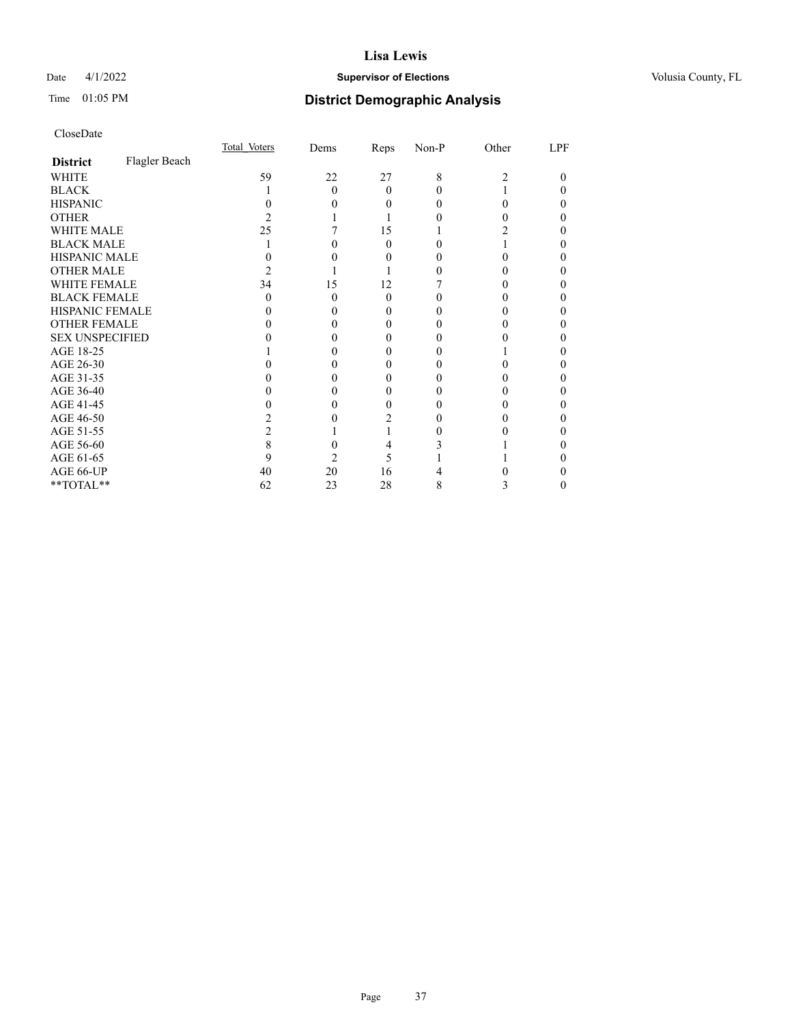## Date 4/1/2022 **Supervisor of Elections Supervisor of Elections** Volusia County, FL

# Time 01:05 PM **District Demographic Analysis**

|                        |               | Total Voters | Dems | Reps     | Non-P    | Other | LPF |
|------------------------|---------------|--------------|------|----------|----------|-------|-----|
| <b>District</b>        | Flagler Beach |              |      |          |          |       |     |
| WHITE                  |               | 59           | 22   | 27       | 8        | 2     | 0   |
| <b>BLACK</b>           |               |              | 0    | $\Omega$ | 0        |       |     |
| <b>HISPANIC</b>        |               |              |      | 0        | $\theta$ |       |     |
| <b>OTHER</b>           |               |              |      |          |          |       |     |
| WHITE MALE             |               | 25           |      | 15       |          |       |     |
| <b>BLACK MALE</b>      |               |              |      | 0        |          |       |     |
| <b>HISPANIC MALE</b>   |               |              |      |          |          |       |     |
| <b>OTHER MALE</b>      |               |              |      |          |          |       | 0   |
| <b>WHITE FEMALE</b>    |               | 34           | 15   | 12       |          |       |     |
| <b>BLACK FEMALE</b>    |               | $\mathbf{0}$ | 0    | $\Omega$ |          |       |     |
| <b>HISPANIC FEMALE</b> |               |              |      |          |          |       |     |
| <b>OTHER FEMALE</b>    |               |              |      | 0        | 0        |       |     |
| <b>SEX UNSPECIFIED</b> |               |              |      |          |          |       |     |
| AGE 18-25              |               |              |      |          |          |       |     |
| AGE 26-30              |               |              |      |          |          |       |     |
| AGE 31-35              |               |              |      |          |          |       |     |
| AGE 36-40              |               |              |      | $\theta$ |          |       |     |
| AGE 41-45              |               |              |      | 0        |          |       |     |
| AGE 46-50              |               |              |      |          | 0        |       |     |
| AGE 51-55              |               |              |      |          |          |       |     |
| AGE 56-60              |               |              |      |          |          |       |     |
| AGE 61-65              |               |              |      | 5        |          |       |     |
| AGE 66-UP              |               | 40           | 20   | 16       |          |       |     |
| **TOTAL**              |               | 62           | 23   | 28       | 8        | 3     | 0   |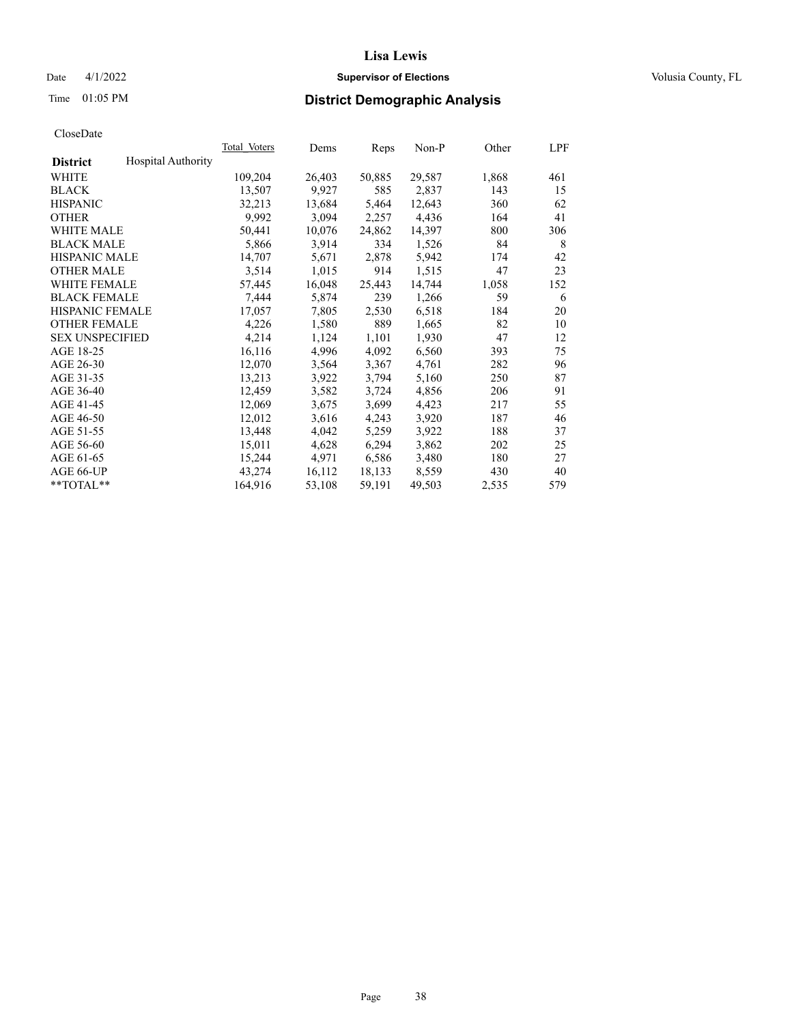## Date 4/1/2022 **Supervisor of Elections Supervisor of Elections** Volusia County, FL

## Time 01:05 PM **District Demographic Analysis**

|                        |                           | Total Voters | Dems   | Reps   | Non-P  | Other | LPF |
|------------------------|---------------------------|--------------|--------|--------|--------|-------|-----|
| <b>District</b>        | <b>Hospital Authority</b> |              |        |        |        |       |     |
| WHITE                  |                           | 109,204      | 26,403 | 50,885 | 29,587 | 1,868 | 461 |
| <b>BLACK</b>           |                           | 13,507       | 9,927  | 585    | 2,837  | 143   | 15  |
| <b>HISPANIC</b>        |                           | 32,213       | 13,684 | 5,464  | 12,643 | 360   | 62  |
| <b>OTHER</b>           |                           | 9,992        | 3,094  | 2,257  | 4,436  | 164   | 41  |
| WHITE MALE             |                           | 50,441       | 10,076 | 24,862 | 14,397 | 800   | 306 |
| <b>BLACK MALE</b>      |                           | 5,866        | 3,914  | 334    | 1,526  | 84    | 8   |
| <b>HISPANIC MALE</b>   |                           | 14,707       | 5,671  | 2,878  | 5,942  | 174   | 42  |
| <b>OTHER MALE</b>      |                           | 3,514        | 1,015  | 914    | 1,515  | 47    | 23  |
| <b>WHITE FEMALE</b>    |                           | 57,445       | 16,048 | 25,443 | 14,744 | 1,058 | 152 |
| <b>BLACK FEMALE</b>    |                           | 7,444        | 5,874  | 239    | 1,266  | 59    | 6   |
| <b>HISPANIC FEMALE</b> |                           | 17,057       | 7,805  | 2,530  | 6,518  | 184   | 20  |
| <b>OTHER FEMALE</b>    |                           | 4,226        | 1,580  | 889    | 1,665  | 82    | 10  |
| <b>SEX UNSPECIFIED</b> |                           | 4,214        | 1,124  | 1,101  | 1,930  | 47    | 12  |
| AGE 18-25              |                           | 16,116       | 4,996  | 4,092  | 6,560  | 393   | 75  |
| AGE 26-30              |                           | 12,070       | 3,564  | 3,367  | 4,761  | 282   | 96  |
| AGE 31-35              |                           | 13,213       | 3,922  | 3,794  | 5,160  | 250   | 87  |
| AGE 36-40              |                           | 12,459       | 3,582  | 3,724  | 4,856  | 206   | 91  |
| AGE 41-45              |                           | 12,069       | 3,675  | 3,699  | 4,423  | 217   | 55  |
| AGE 46-50              |                           | 12,012       | 3,616  | 4,243  | 3,920  | 187   | 46  |
| AGE 51-55              |                           | 13,448       | 4,042  | 5,259  | 3,922  | 188   | 37  |
| AGE 56-60              |                           | 15,011       | 4,628  | 6,294  | 3,862  | 202   | 25  |
| AGE 61-65              |                           | 15,244       | 4,971  | 6,586  | 3,480  | 180   | 27  |
| AGE 66-UP              |                           | 43,274       | 16,112 | 18,133 | 8,559  | 430   | 40  |
| $*$ $TOTAL**$          |                           | 164,916      | 53,108 | 59,191 | 49,503 | 2,535 | 579 |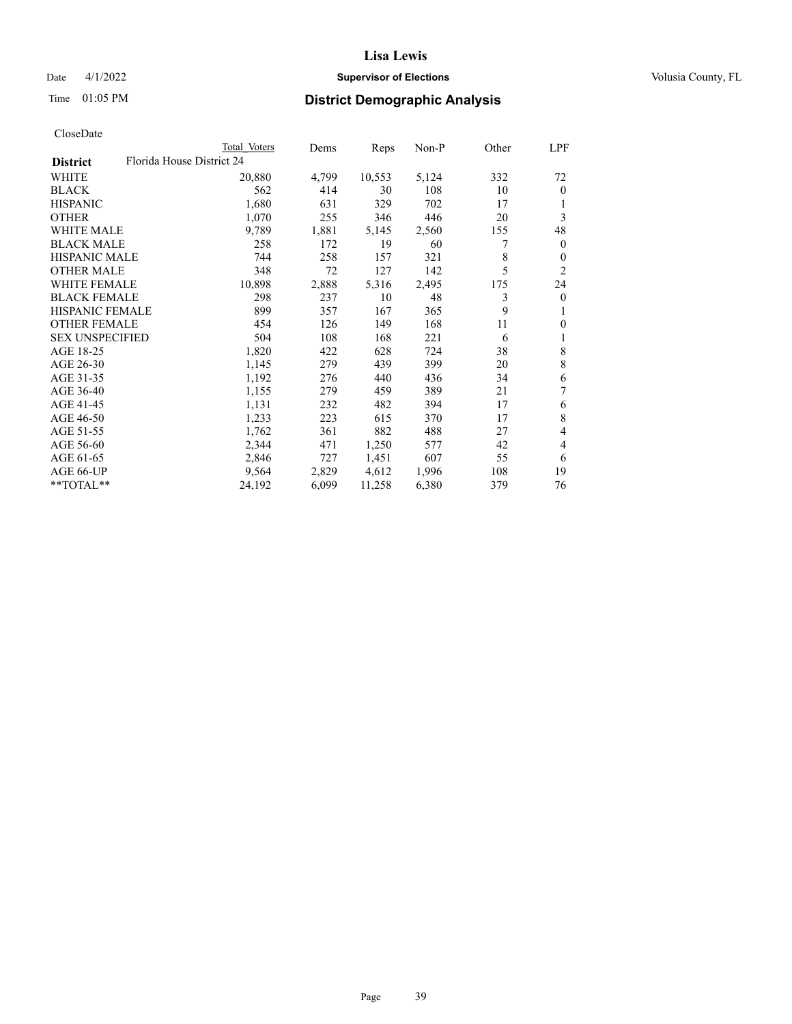## Date 4/1/2022 **Supervisor of Elections Supervisor of Elections** Volusia County, FL

| CloseDate |
|-----------|
|-----------|

|                        |                           | Total Voters | Dems  | Reps   | $Non-P$ | Other | LPF          |
|------------------------|---------------------------|--------------|-------|--------|---------|-------|--------------|
| <b>District</b>        | Florida House District 24 |              |       |        |         |       |              |
| WHITE                  |                           | 20,880       | 4,799 | 10,553 | 5,124   | 332   | 72           |
| <b>BLACK</b>           |                           | 562          | 414   | 30     | 108     | 10    | $\mathbf{0}$ |
| <b>HISPANIC</b>        |                           | 1,680        | 631   | 329    | 702     | 17    | 1            |
| <b>OTHER</b>           |                           | 1,070        | 255   | 346    | 446     | 20    | 3            |
| <b>WHITE MALE</b>      |                           | 9,789        | 1,881 | 5,145  | 2,560   | 155   | 48           |
| <b>BLACK MALE</b>      |                           | 258          | 172   | 19     | 60      | 7     | $\mathbf{0}$ |
| <b>HISPANIC MALE</b>   |                           | 744          | 258   | 157    | 321     | 8     | $\mathbf{0}$ |
| <b>OTHER MALE</b>      |                           | 348          | 72    | 127    | 142     | 5     | 2            |
| <b>WHITE FEMALE</b>    |                           | 10,898       | 2,888 | 5,316  | 2,495   | 175   | 24           |
| <b>BLACK FEMALE</b>    |                           | 298          | 237   | 10     | 48      | 3     | $\theta$     |
| HISPANIC FEMALE        |                           | 899          | 357   | 167    | 365     | 9     | 1            |
| <b>OTHER FEMALE</b>    |                           | 454          | 126   | 149    | 168     | 11    | $\mathbf{0}$ |
| <b>SEX UNSPECIFIED</b> |                           | 504          | 108   | 168    | 221     | 6     | 1            |
| AGE 18-25              |                           | 1,820        | 422   | 628    | 724     | 38    | 8            |
| AGE 26-30              |                           | 1,145        | 279   | 439    | 399     | 20    | 8            |
| AGE 31-35              |                           | 1,192        | 276   | 440    | 436     | 34    | 6            |
| AGE 36-40              |                           | 1,155        | 279   | 459    | 389     | 21    | 7            |
| AGE 41-45              |                           | 1,131        | 232   | 482    | 394     | 17    | 6            |
| AGE 46-50              |                           | 1,233        | 223   | 615    | 370     | 17    | 8            |
| AGE 51-55              |                           | 1,762        | 361   | 882    | 488     | 27    | 4            |
| AGE 56-60              |                           | 2,344        | 471   | 1,250  | 577     | 42    | 4            |
| AGE 61-65              |                           | 2,846        | 727   | 1,451  | 607     | 55    | 6            |
| AGE 66-UP              |                           | 9,564        | 2,829 | 4,612  | 1,996   | 108   | 19           |
| **TOTAL**              |                           | 24,192       | 6,099 | 11,258 | 6,380   | 379   | 76           |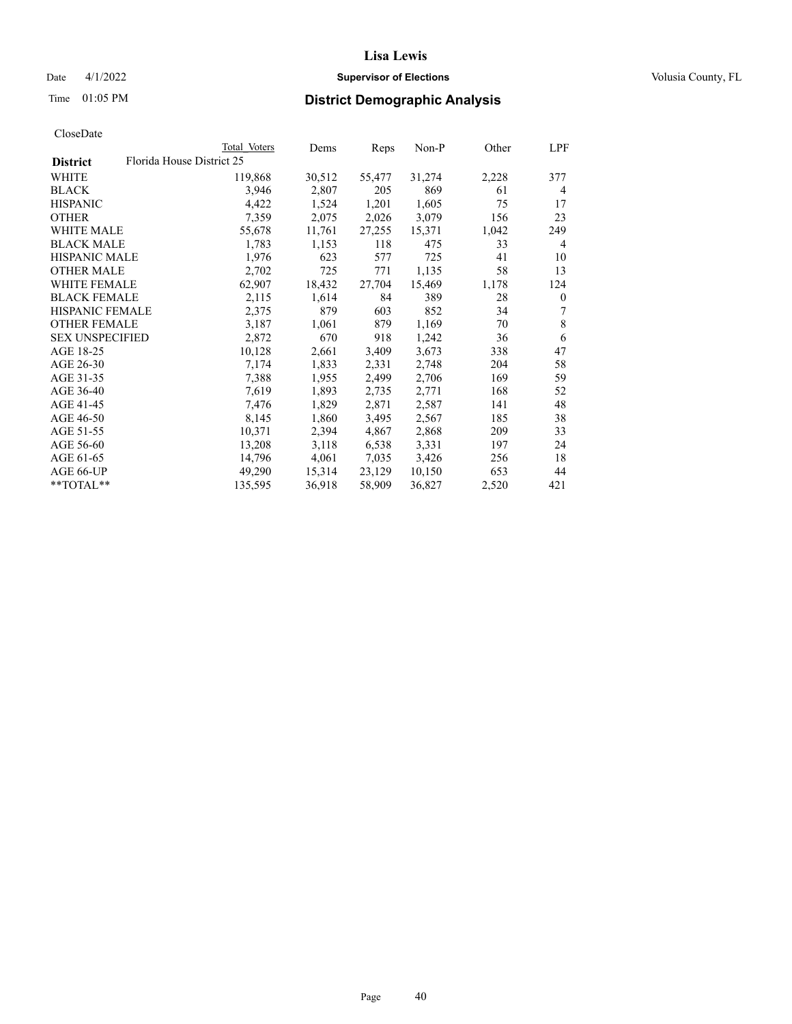## Date 4/1/2022 **Supervisor of Elections Supervisor of Elections** Volusia County, FL

| CloseDate |
|-----------|
|-----------|

|                                              | Total Voters | Dems   | Reps   | Non-P  | Other | LPF              |
|----------------------------------------------|--------------|--------|--------|--------|-------|------------------|
| Florida House District 25<br><b>District</b> |              |        |        |        |       |                  |
| WHITE                                        | 119,868      | 30,512 | 55,477 | 31,274 | 2,228 | 377              |
| <b>BLACK</b>                                 | 3,946        | 2,807  | 205    | 869    | 61    | 4                |
| <b>HISPANIC</b>                              | 4,422        | 1,524  | 1,201  | 1,605  | 75    | 17               |
| <b>OTHER</b>                                 | 7,359        | 2,075  | 2,026  | 3,079  | 156   | 23               |
| <b>WHITE MALE</b>                            | 55,678       | 11,761 | 27,255 | 15,371 | 1,042 | 249              |
| <b>BLACK MALE</b>                            | 1,783        | 1,153  | 118    | 475    | 33    | 4                |
| <b>HISPANIC MALE</b>                         | 1,976        | 623    | 577    | 725    | 41    | 10               |
| <b>OTHER MALE</b>                            | 2,702        | 725    | 771    | 1,135  | 58    | 13               |
| <b>WHITE FEMALE</b>                          | 62,907       | 18,432 | 27,704 | 15,469 | 1,178 | 124              |
| <b>BLACK FEMALE</b>                          | 2,115        | 1,614  | 84     | 389    | 28    | $\boldsymbol{0}$ |
| HISPANIC FEMALE                              | 2,375        | 879    | 603    | 852    | 34    | 7                |
| <b>OTHER FEMALE</b>                          | 3,187        | 1,061  | 879    | 1,169  | 70    | $\,$ 8 $\,$      |
| <b>SEX UNSPECIFIED</b>                       | 2,872        | 670    | 918    | 1,242  | 36    | 6                |
| AGE 18-25                                    | 10,128       | 2,661  | 3,409  | 3,673  | 338   | 47               |
| AGE 26-30                                    | 7,174        | 1,833  | 2,331  | 2,748  | 204   | 58               |
| AGE 31-35                                    | 7,388        | 1,955  | 2,499  | 2,706  | 169   | 59               |
| AGE 36-40                                    | 7,619        | 1,893  | 2,735  | 2,771  | 168   | 52               |
| AGE 41-45                                    | 7,476        | 1,829  | 2,871  | 2,587  | 141   | 48               |
| AGE 46-50                                    | 8,145        | 1,860  | 3,495  | 2,567  | 185   | 38               |
| AGE 51-55                                    | 10,371       | 2,394  | 4,867  | 2,868  | 209   | 33               |
| AGE 56-60                                    | 13,208       | 3,118  | 6,538  | 3,331  | 197   | 24               |
| AGE 61-65                                    | 14,796       | 4,061  | 7,035  | 3,426  | 256   | 18               |
| AGE 66-UP                                    | 49,290       | 15,314 | 23,129 | 10,150 | 653   | 44               |
| **TOTAL**                                    | 135,595      | 36,918 | 58,909 | 36,827 | 2,520 | 421              |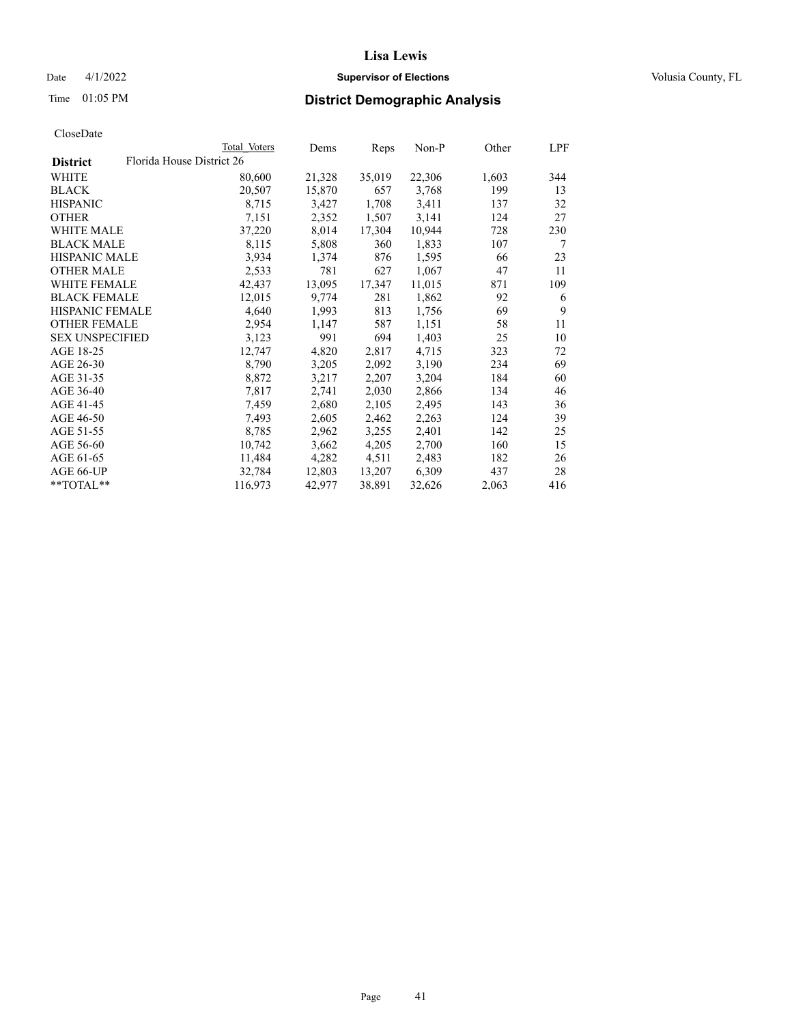## Date 4/1/2022 **Supervisor of Elections Supervisor of Elections** Volusia County, FL

| CloseDate |
|-----------|
|-----------|

|                        |                           | Total Voters | Dems   | Reps   | Non-P  | Other | LPF |
|------------------------|---------------------------|--------------|--------|--------|--------|-------|-----|
| <b>District</b>        | Florida House District 26 |              |        |        |        |       |     |
| WHITE                  |                           | 80,600       | 21,328 | 35,019 | 22,306 | 1,603 | 344 |
| <b>BLACK</b>           |                           | 20,507       | 15,870 | 657    | 3,768  | 199   | 13  |
| <b>HISPANIC</b>        |                           | 8,715        | 3,427  | 1,708  | 3,411  | 137   | 32  |
| <b>OTHER</b>           |                           | 7,151        | 2,352  | 1,507  | 3,141  | 124   | 27  |
| WHITE MALE             |                           | 37,220       | 8,014  | 17,304 | 10,944 | 728   | 230 |
| <b>BLACK MALE</b>      |                           | 8,115        | 5,808  | 360    | 1,833  | 107   | 7   |
| <b>HISPANIC MALE</b>   |                           | 3,934        | 1,374  | 876    | 1,595  | 66    | 23  |
| <b>OTHER MALE</b>      |                           | 2,533        | 781    | 627    | 1,067  | 47    | 11  |
| <b>WHITE FEMALE</b>    |                           | 42,437       | 13,095 | 17,347 | 11,015 | 871   | 109 |
| <b>BLACK FEMALE</b>    |                           | 12,015       | 9,774  | 281    | 1,862  | 92    | 6   |
| <b>HISPANIC FEMALE</b> |                           | 4,640        | 1,993  | 813    | 1,756  | 69    | 9   |
| <b>OTHER FEMALE</b>    |                           | 2,954        | 1,147  | 587    | 1,151  | 58    | 11  |
| <b>SEX UNSPECIFIED</b> |                           | 3,123        | 991    | 694    | 1,403  | 25    | 10  |
| AGE 18-25              |                           | 12,747       | 4,820  | 2,817  | 4,715  | 323   | 72  |
| AGE 26-30              |                           | 8,790        | 3,205  | 2,092  | 3,190  | 234   | 69  |
| AGE 31-35              |                           | 8,872        | 3,217  | 2,207  | 3,204  | 184   | 60  |
| AGE 36-40              |                           | 7,817        | 2,741  | 2,030  | 2,866  | 134   | 46  |
| AGE 41-45              |                           | 7,459        | 2,680  | 2,105  | 2,495  | 143   | 36  |
| AGE 46-50              |                           | 7,493        | 2,605  | 2,462  | 2,263  | 124   | 39  |
| AGE 51-55              |                           | 8,785        | 2,962  | 3,255  | 2,401  | 142   | 25  |
| AGE 56-60              |                           | 10,742       | 3,662  | 4,205  | 2,700  | 160   | 15  |
| AGE 61-65              |                           | 11,484       | 4,282  | 4,511  | 2,483  | 182   | 26  |
| AGE 66-UP              |                           | 32,784       | 12,803 | 13,207 | 6,309  | 437   | 28  |
| **TOTAL**              |                           | 116,973      | 42,977 | 38,891 | 32,626 | 2,063 | 416 |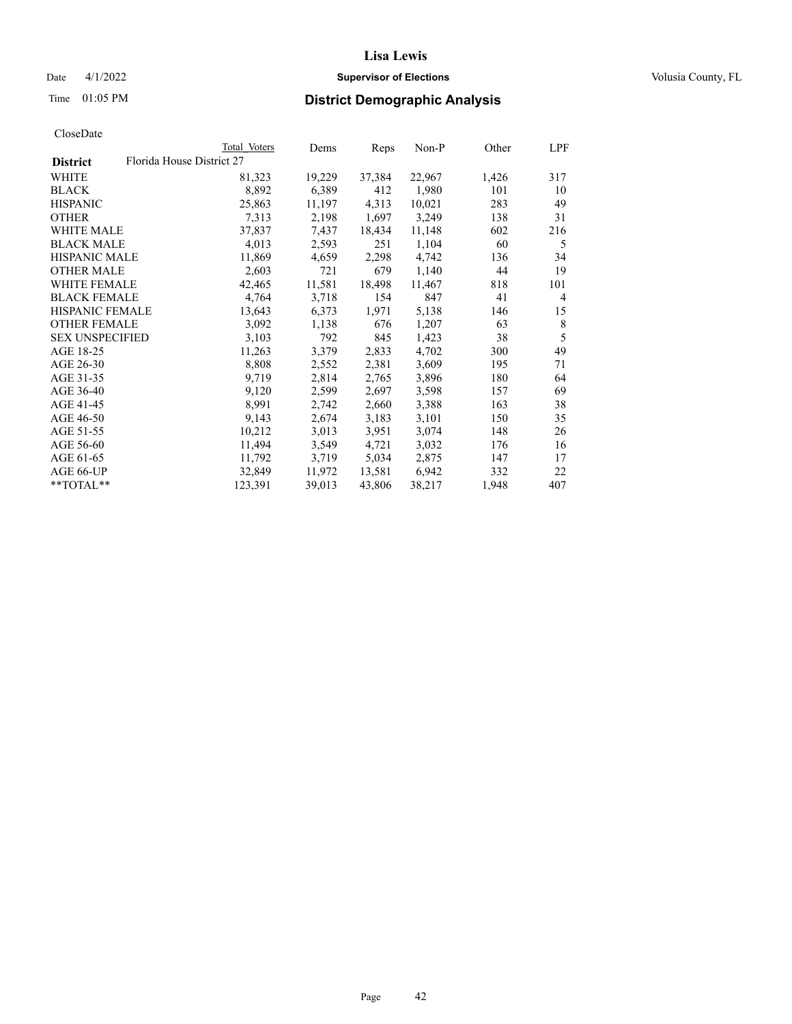## Date 4/1/2022 **Supervisor of Elections Supervisor of Elections** Volusia County, FL

| CloseDate |
|-----------|
|-----------|

|                        |                           | Total Voters | Dems   | Reps   | Non-P  | Other | LPF |
|------------------------|---------------------------|--------------|--------|--------|--------|-------|-----|
| <b>District</b>        | Florida House District 27 |              |        |        |        |       |     |
| WHITE                  |                           | 81,323       | 19,229 | 37,384 | 22,967 | 1,426 | 317 |
| <b>BLACK</b>           |                           | 8,892        | 6,389  | 412    | 1,980  | 101   | 10  |
| <b>HISPANIC</b>        |                           | 25,863       | 11,197 | 4,313  | 10,021 | 283   | 49  |
| <b>OTHER</b>           |                           | 7,313        | 2,198  | 1,697  | 3,249  | 138   | 31  |
| <b>WHITE MALE</b>      |                           | 37,837       | 7,437  | 18,434 | 11,148 | 602   | 216 |
| <b>BLACK MALE</b>      |                           | 4,013        | 2,593  | 251    | 1,104  | 60    | 5   |
| <b>HISPANIC MALE</b>   |                           | 11,869       | 4,659  | 2,298  | 4,742  | 136   | 34  |
| <b>OTHER MALE</b>      |                           | 2,603        | 721    | 679    | 1,140  | 44    | 19  |
| <b>WHITE FEMALE</b>    |                           | 42,465       | 11,581 | 18,498 | 11,467 | 818   | 101 |
| <b>BLACK FEMALE</b>    |                           | 4,764        | 3,718  | 154    | 847    | 41    | 4   |
| <b>HISPANIC FEMALE</b> |                           | 13,643       | 6,373  | 1,971  | 5,138  | 146   | 15  |
| <b>OTHER FEMALE</b>    |                           | 3,092        | 1,138  | 676    | 1,207  | 63    | 8   |
| <b>SEX UNSPECIFIED</b> |                           | 3.103        | 792    | 845    | 1,423  | 38    | 5   |
| AGE 18-25              |                           | 11,263       | 3,379  | 2,833  | 4,702  | 300   | 49  |
| AGE 26-30              |                           | 8,808        | 2,552  | 2,381  | 3,609  | 195   | 71  |
| AGE 31-35              |                           | 9,719        | 2,814  | 2,765  | 3,896  | 180   | 64  |
| AGE 36-40              |                           | 9,120        | 2,599  | 2,697  | 3,598  | 157   | 69  |
| AGE 41-45              |                           | 8,991        | 2,742  | 2,660  | 3,388  | 163   | 38  |
| AGE 46-50              |                           | 9,143        | 2,674  | 3,183  | 3,101  | 150   | 35  |
| AGE 51-55              |                           | 10,212       | 3,013  | 3,951  | 3,074  | 148   | 26  |
| AGE 56-60              |                           | 11,494       | 3,549  | 4,721  | 3,032  | 176   | 16  |
| AGE 61-65              |                           | 11,792       | 3,719  | 5,034  | 2,875  | 147   | 17  |
| AGE 66-UP              |                           | 32,849       | 11,972 | 13,581 | 6,942  | 332   | 22  |
| **TOTAL**              |                           | 123,391      | 39,013 | 43,806 | 38,217 | 1,948 | 407 |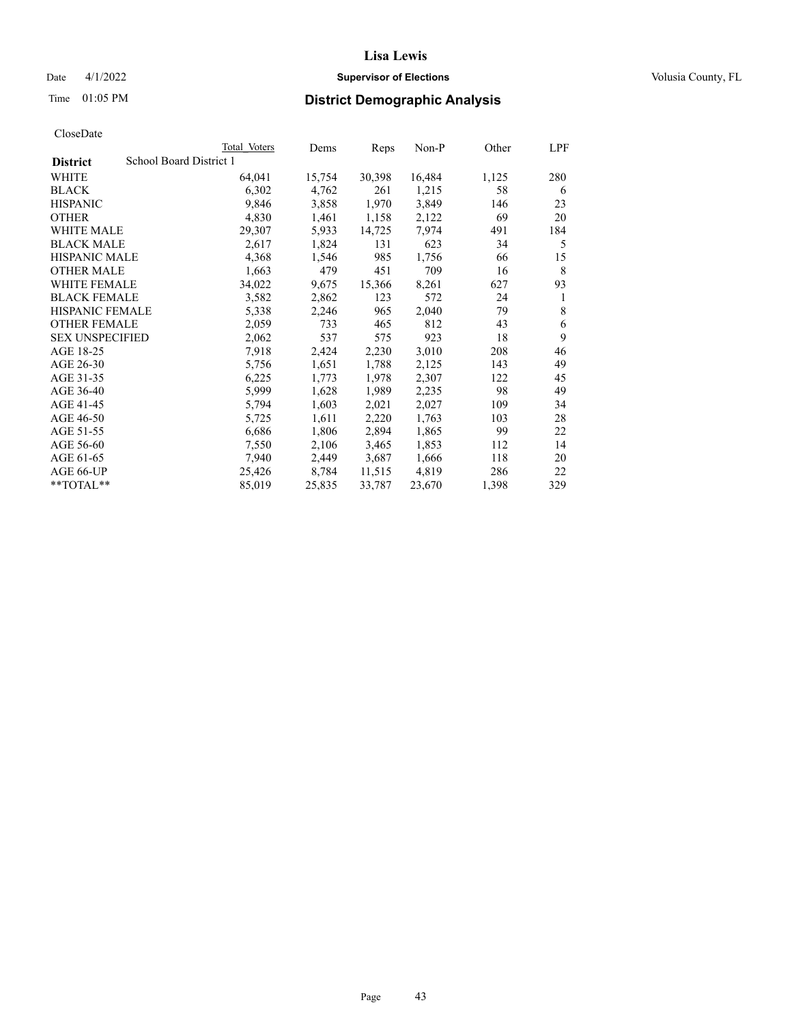#### Date 4/1/2022 **Supervisor of Elections Supervisor of Elections** Volusia County, FL

## Time 01:05 PM **District Demographic Analysis**

|                                            | Total Voters | Dems   | Reps   | $Non-P$ | Other | LPF |
|--------------------------------------------|--------------|--------|--------|---------|-------|-----|
| School Board District 1<br><b>District</b> |              |        |        |         |       |     |
| WHITE                                      | 64,041       | 15,754 | 30,398 | 16,484  | 1,125 | 280 |
| <b>BLACK</b>                               | 6,302        | 4,762  | 261    | 1,215   | 58    | 6   |
| <b>HISPANIC</b>                            | 9,846        | 3,858  | 1,970  | 3,849   | 146   | 23  |
| <b>OTHER</b>                               | 4,830        | 1,461  | 1,158  | 2,122   | 69    | 20  |
| WHITE MALE                                 | 29,307       | 5,933  | 14,725 | 7,974   | 491   | 184 |
| <b>BLACK MALE</b>                          | 2,617        | 1,824  | 131    | 623     | 34    | 5   |
| <b>HISPANIC MALE</b>                       | 4,368        | 1,546  | 985    | 1,756   | 66    | 15  |
| <b>OTHER MALE</b>                          | 1,663        | 479    | 451    | 709     | 16    | 8   |
| <b>WHITE FEMALE</b>                        | 34,022       | 9,675  | 15,366 | 8,261   | 627   | 93  |
| <b>BLACK FEMALE</b>                        | 3,582        | 2,862  | 123    | 572     | 24    | 1   |
| HISPANIC FEMALE                            | 5,338        | 2,246  | 965    | 2,040   | 79    | 8   |
| <b>OTHER FEMALE</b>                        | 2,059        | 733    | 465    | 812     | 43    | 6   |
| <b>SEX UNSPECIFIED</b>                     | 2,062        | 537    | 575    | 923     | 18    | 9   |
| AGE 18-25                                  | 7,918        | 2,424  | 2,230  | 3,010   | 208   | 46  |
| AGE 26-30                                  | 5,756        | 1,651  | 1,788  | 2,125   | 143   | 49  |
| AGE 31-35                                  | 6,225        | 1,773  | 1,978  | 2,307   | 122   | 45  |
| AGE 36-40                                  | 5,999        | 1,628  | 1,989  | 2,235   | 98    | 49  |
| AGE 41-45                                  | 5,794        | 1,603  | 2,021  | 2,027   | 109   | 34  |
| AGE 46-50                                  | 5,725        | 1,611  | 2,220  | 1,763   | 103   | 28  |
| AGE 51-55                                  | 6,686        | 1,806  | 2,894  | 1,865   | 99    | 22  |
| AGE 56-60                                  | 7,550        | 2,106  | 3,465  | 1,853   | 112   | 14  |
| AGE 61-65                                  | 7,940        | 2,449  | 3,687  | 1,666   | 118   | 20  |
| AGE 66-UP                                  | 25,426       | 8,784  | 11,515 | 4,819   | 286   | 22  |
| $*$ $TOTAL**$                              | 85,019       | 25,835 | 33,787 | 23,670  | 1,398 | 329 |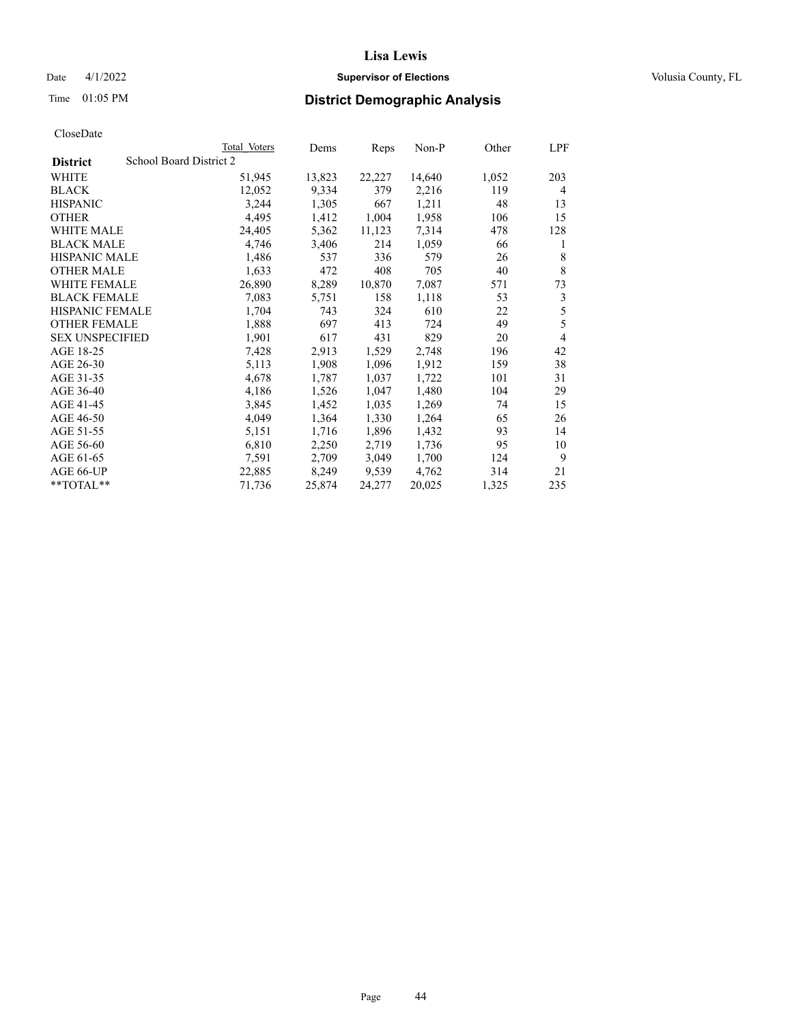## Date 4/1/2022 **Supervisor of Elections Supervisor of Elections** Volusia County, FL

## Time 01:05 PM **District Demographic Analysis**

|                        | Total Voters            | Dems   | Reps   | Non-P  | Other | LPF |
|------------------------|-------------------------|--------|--------|--------|-------|-----|
| <b>District</b>        | School Board District 2 |        |        |        |       |     |
| WHITE                  | 51,945                  | 13,823 | 22,227 | 14,640 | 1,052 | 203 |
| <b>BLACK</b>           | 12,052                  | 9,334  | 379    | 2,216  | 119   | 4   |
| <b>HISPANIC</b>        | 3,244                   | 1,305  | 667    | 1,211  | 48    | 13  |
| <b>OTHER</b>           | 4,495                   | 1,412  | 1,004  | 1,958  | 106   | 15  |
| WHITE MALE             | 24,405                  | 5,362  | 11,123 | 7,314  | 478   | 128 |
| <b>BLACK MALE</b>      | 4,746                   | 3,406  | 214    | 1,059  | 66    | 1   |
| <b>HISPANIC MALE</b>   | 1,486                   | 537    | 336    | 579    | 26    | 8   |
| <b>OTHER MALE</b>      | 1,633                   | 472    | 408    | 705    | 40    | 8   |
| WHITE FEMALE           | 26,890                  | 8,289  | 10,870 | 7,087  | 571   | 73  |
| <b>BLACK FEMALE</b>    | 7,083                   | 5,751  | 158    | 1,118  | 53    | 3   |
| <b>HISPANIC FEMALE</b> | 1,704                   | 743    | 324    | 610    | 22    | 5   |
| <b>OTHER FEMALE</b>    | 1,888                   | 697    | 413    | 724    | 49    | 5   |
| <b>SEX UNSPECIFIED</b> | 1,901                   | 617    | 431    | 829    | 20    | 4   |
| AGE 18-25              | 7,428                   | 2,913  | 1,529  | 2,748  | 196   | 42  |
| AGE 26-30              | 5,113                   | 1,908  | 1,096  | 1,912  | 159   | 38  |
| AGE 31-35              | 4,678                   | 1,787  | 1,037  | 1,722  | 101   | 31  |
| AGE 36-40              | 4,186                   | 1,526  | 1,047  | 1,480  | 104   | 29  |
| AGE 41-45              | 3,845                   | 1,452  | 1,035  | 1,269  | 74    | 15  |
| AGE 46-50              | 4,049                   | 1,364  | 1,330  | 1,264  | 65    | 26  |
| AGE 51-55              | 5,151                   | 1,716  | 1,896  | 1,432  | 93    | 14  |
| AGE 56-60              | 6,810                   | 2,250  | 2,719  | 1,736  | 95    | 10  |
| AGE 61-65              | 7,591                   | 2,709  | 3,049  | 1,700  | 124   | 9   |
| AGE 66-UP              | 22,885                  | 8,249  | 9,539  | 4,762  | 314   | 21  |
| **TOTAL**              | 71,736                  | 25,874 | 24,277 | 20,025 | 1,325 | 235 |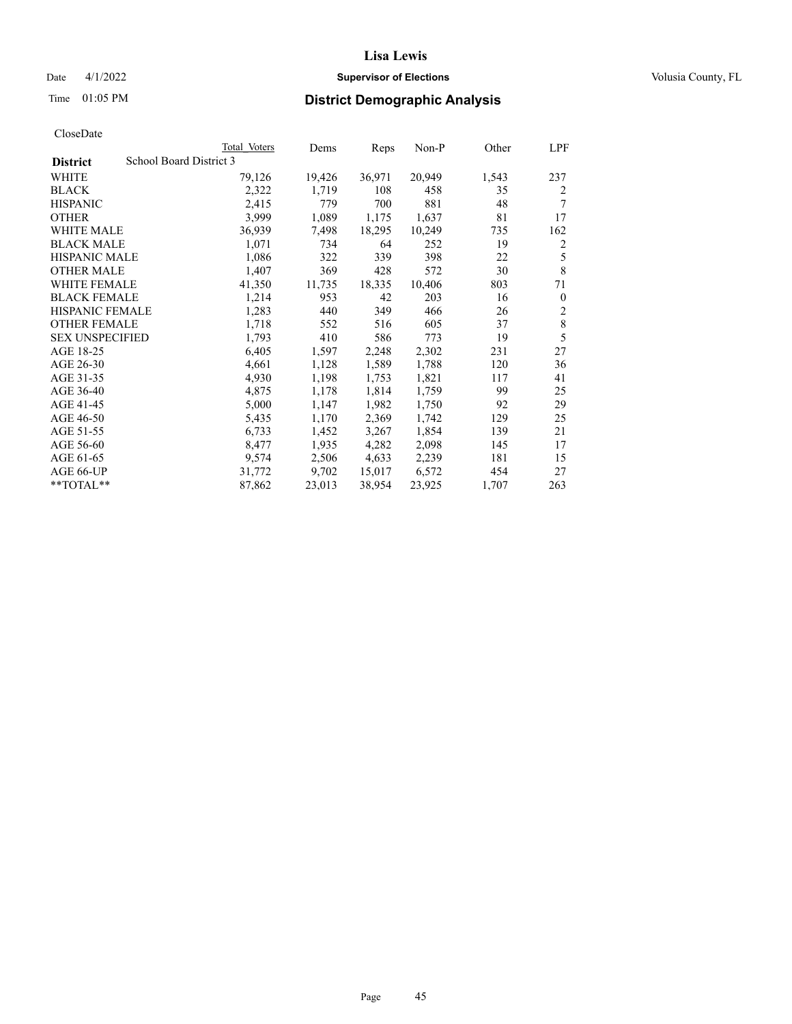## Date 4/1/2022 **Supervisor of Elections Supervisor of Elections** Volusia County, FL

## Time 01:05 PM **District Demographic Analysis**

|                        | Total Voters            | Dems   | Reps   | Non-P  | Other | LPF            |
|------------------------|-------------------------|--------|--------|--------|-------|----------------|
| <b>District</b>        | School Board District 3 |        |        |        |       |                |
| WHITE                  | 79,126                  | 19,426 | 36,971 | 20,949 | 1,543 | 237            |
| <b>BLACK</b>           | 2,322                   | 1,719  | 108    | 458    | 35    | 2              |
| <b>HISPANIC</b>        | 2,415                   | 779    | 700    | 881    | 48    | 7              |
| <b>OTHER</b>           | 3,999                   | 1,089  | 1,175  | 1,637  | 81    | 17             |
| WHITE MALE             | 36,939                  | 7,498  | 18,295 | 10,249 | 735   | 162            |
| <b>BLACK MALE</b>      | 1,071                   | 734    | 64     | 252    | 19    | 2              |
| <b>HISPANIC MALE</b>   | 1,086                   | 322    | 339    | 398    | 22    | 5              |
| <b>OTHER MALE</b>      | 1,407                   | 369    | 428    | 572    | 30    | $\,8\,$        |
| WHITE FEMALE           | 41,350                  | 11,735 | 18,335 | 10,406 | 803   | 71             |
| <b>BLACK FEMALE</b>    | 1,214                   | 953    | 42     | 203    | 16    | $\theta$       |
| <b>HISPANIC FEMALE</b> | 1,283                   | 440    | 349    | 466    | 26    | $\overline{2}$ |
| <b>OTHER FEMALE</b>    | 1,718                   | 552    | 516    | 605    | 37    | $\,8\,$        |
| <b>SEX UNSPECIFIED</b> | 1,793                   | 410    | 586    | 773    | 19    | 5              |
| AGE 18-25              | 6,405                   | 1,597  | 2,248  | 2,302  | 231   | 27             |
| AGE 26-30              | 4,661                   | 1,128  | 1,589  | 1,788  | 120   | 36             |
| AGE 31-35              | 4,930                   | 1,198  | 1,753  | 1,821  | 117   | 41             |
| AGE 36-40              | 4,875                   | 1,178  | 1,814  | 1,759  | 99    | 25             |
| AGE 41-45              | 5,000                   | 1,147  | 1,982  | 1,750  | 92    | 29             |
| AGE 46-50              | 5,435                   | 1,170  | 2,369  | 1,742  | 129   | 25             |
| AGE 51-55              | 6,733                   | 1,452  | 3,267  | 1,854  | 139   | 21             |
| AGE 56-60              | 8,477                   | 1,935  | 4,282  | 2,098  | 145   | 17             |
| AGE 61-65              | 9,574                   | 2,506  | 4,633  | 2,239  | 181   | 15             |
| AGE 66-UP              | 31,772                  | 9,702  | 15,017 | 6,572  | 454   | 27             |
| **TOTAL**              | 87,862                  | 23,013 | 38,954 | 23,925 | 1,707 | 263            |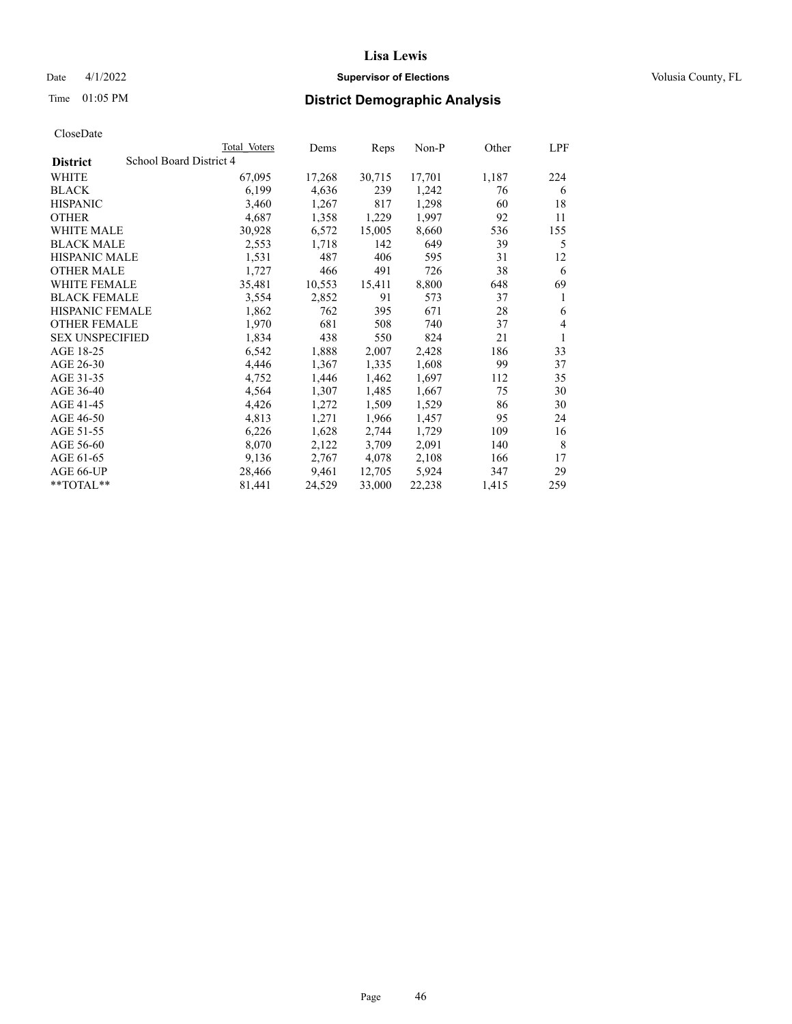## Date 4/1/2022 **Supervisor of Elections Supervisor of Elections** Volusia County, FL

# Time 01:05 PM **District Demographic Analysis**

|                        | Total Voters            | Dems   | Reps   | Non-P  | Other | LPF |
|------------------------|-------------------------|--------|--------|--------|-------|-----|
| <b>District</b>        | School Board District 4 |        |        |        |       |     |
| WHITE                  | 67,095                  | 17,268 | 30,715 | 17,701 | 1,187 | 224 |
| <b>BLACK</b>           | 6,199                   | 4,636  | 239    | 1,242  | 76    | 6   |
| <b>HISPANIC</b>        | 3,460                   | 1,267  | 817    | 1,298  | 60    | 18  |
| <b>OTHER</b>           | 4,687                   | 1,358  | 1,229  | 1,997  | 92    | 11  |
| WHITE MALE             | 30,928                  | 6,572  | 15,005 | 8,660  | 536   | 155 |
| <b>BLACK MALE</b>      | 2,553                   | 1,718  | 142    | 649    | 39    | 5   |
| <b>HISPANIC MALE</b>   | 1,531                   | 487    | 406    | 595    | 31    | 12  |
| <b>OTHER MALE</b>      | 1,727                   | 466    | 491    | 726    | 38    | 6   |
| WHITE FEMALE           | 35,481                  | 10,553 | 15,411 | 8,800  | 648   | 69  |
| <b>BLACK FEMALE</b>    | 3,554                   | 2,852  | 91     | 573    | 37    | 1   |
| <b>HISPANIC FEMALE</b> | 1,862                   | 762    | 395    | 671    | 28    | 6   |
| <b>OTHER FEMALE</b>    | 1,970                   | 681    | 508    | 740    | 37    | 4   |
| <b>SEX UNSPECIFIED</b> | 1,834                   | 438    | 550    | 824    | 21    | 1   |
| AGE 18-25              | 6,542                   | 1,888  | 2,007  | 2,428  | 186   | 33  |
| AGE 26-30              | 4,446                   | 1,367  | 1,335  | 1,608  | 99    | 37  |
| AGE 31-35              | 4,752                   | 1,446  | 1,462  | 1,697  | 112   | 35  |
| AGE 36-40              | 4,564                   | 1,307  | 1,485  | 1,667  | 75    | 30  |
| AGE 41-45              | 4,426                   | 1,272  | 1,509  | 1,529  | 86    | 30  |
| AGE 46-50              | 4,813                   | 1,271  | 1,966  | 1,457  | 95    | 24  |
| AGE 51-55              | 6,226                   | 1,628  | 2,744  | 1,729  | 109   | 16  |
| AGE 56-60              | 8,070                   | 2,122  | 3,709  | 2,091  | 140   | 8   |
| AGE 61-65              | 9,136                   | 2,767  | 4,078  | 2,108  | 166   | 17  |
| AGE 66-UP              | 28,466                  | 9,461  | 12,705 | 5,924  | 347   | 29  |
| $*$ $TOTAL**$          | 81,441                  | 24,529 | 33,000 | 22,238 | 1,415 | 259 |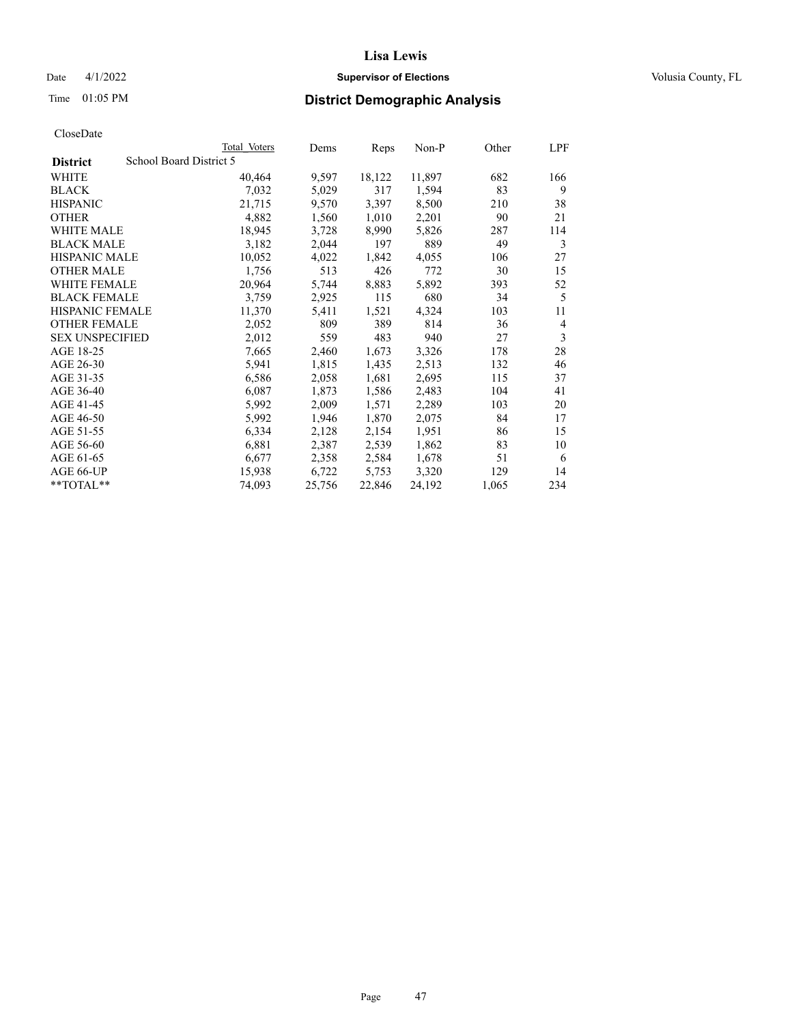## Date 4/1/2022 **Supervisor of Elections Supervisor of Elections** Volusia County, FL

## Time 01:05 PM **District Demographic Analysis**

|                        | Total Voters            | Dems   | Reps   | Non-P  | Other | LPF            |
|------------------------|-------------------------|--------|--------|--------|-------|----------------|
| <b>District</b>        | School Board District 5 |        |        |        |       |                |
| WHITE                  | 40,464                  | 9,597  | 18,122 | 11,897 | 682   | 166            |
| <b>BLACK</b>           | 7,032                   | 5,029  | 317    | 1,594  | 83    | 9              |
| <b>HISPANIC</b>        | 21,715                  | 9,570  | 3,397  | 8,500  | 210   | 38             |
| <b>OTHER</b>           | 4,882                   | 1,560  | 1,010  | 2,201  | 90    | 21             |
| WHITE MALE             | 18,945                  | 3,728  | 8,990  | 5,826  | 287   | 114            |
| <b>BLACK MALE</b>      | 3,182                   | 2,044  | 197    | 889    | 49    | 3              |
| <b>HISPANIC MALE</b>   | 10,052                  | 4,022  | 1,842  | 4,055  | 106   | 27             |
| <b>OTHER MALE</b>      | 1,756                   | 513    | 426    | 772    | 30    | 15             |
| WHITE FEMALE           | 20,964                  | 5,744  | 8,883  | 5,892  | 393   | 52             |
| <b>BLACK FEMALE</b>    | 3,759                   | 2,925  | 115    | 680    | 34    | 5              |
| <b>HISPANIC FEMALE</b> | 11,370                  | 5,411  | 1,521  | 4,324  | 103   | 11             |
| <b>OTHER FEMALE</b>    | 2,052                   | 809    | 389    | 814    | 36    | $\overline{4}$ |
| <b>SEX UNSPECIFIED</b> | 2,012                   | 559    | 483    | 940    | 27    | 3              |
| AGE 18-25              | 7,665                   | 2,460  | 1,673  | 3,326  | 178   | 28             |
| AGE 26-30              | 5,941                   | 1,815  | 1,435  | 2,513  | 132   | 46             |
| AGE 31-35              | 6,586                   | 2,058  | 1,681  | 2,695  | 115   | 37             |
| AGE 36-40              | 6,087                   | 1,873  | 1,586  | 2,483  | 104   | 41             |
| AGE 41-45              | 5,992                   | 2,009  | 1,571  | 2,289  | 103   | 20             |
| AGE 46-50              | 5,992                   | 1,946  | 1,870  | 2,075  | 84    | 17             |
| AGE 51-55              | 6,334                   | 2,128  | 2,154  | 1,951  | 86    | 15             |
| AGE 56-60              | 6,881                   | 2,387  | 2,539  | 1,862  | 83    | 10             |
| AGE 61-65              | 6,677                   | 2,358  | 2,584  | 1,678  | 51    | 6              |
| AGE 66-UP              | 15,938                  | 6,722  | 5,753  | 3,320  | 129   | 14             |
| $*$ $TOTAL**$          | 74,093                  | 25,756 | 22,846 | 24,192 | 1,065 | 234            |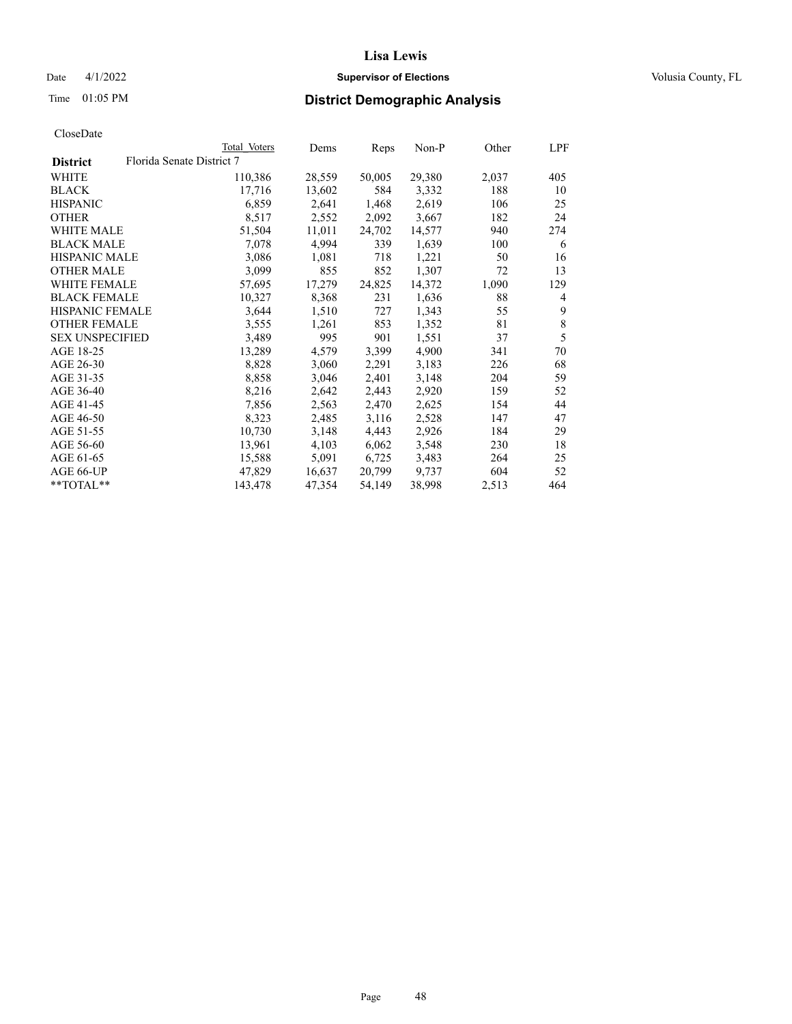## Date 4/1/2022 **Supervisor of Elections Supervisor of Elections** Volusia County, FL

| CloseDate |
|-----------|
|-----------|

|                        | Total Voters              | Dems   | Reps   | Non-P  | Other | LPF            |
|------------------------|---------------------------|--------|--------|--------|-------|----------------|
| <b>District</b>        | Florida Senate District 7 |        |        |        |       |                |
| WHITE                  | 110,386                   | 28,559 | 50,005 | 29,380 | 2,037 | 405            |
| <b>BLACK</b>           | 17,716                    | 13,602 | 584    | 3,332  | 188   | 10             |
| <b>HISPANIC</b>        | 6,859                     | 2,641  | 1,468  | 2,619  | 106   | 25             |
| <b>OTHER</b>           | 8,517                     | 2,552  | 2,092  | 3,667  | 182   | 24             |
| WHITE MALE             | 51,504                    | 11,011 | 24,702 | 14,577 | 940   | 274            |
| <b>BLACK MALE</b>      | 7,078                     | 4,994  | 339    | 1,639  | 100   | 6              |
| <b>HISPANIC MALE</b>   | 3,086                     | 1,081  | 718    | 1,221  | 50    | 16             |
| <b>OTHER MALE</b>      | 3,099                     | 855    | 852    | 1,307  | 72    | 13             |
| <b>WHITE FEMALE</b>    | 57,695                    | 17,279 | 24,825 | 14,372 | 1,090 | 129            |
| <b>BLACK FEMALE</b>    | 10,327                    | 8,368  | 231    | 1,636  | 88    | $\overline{4}$ |
| <b>HISPANIC FEMALE</b> | 3,644                     | 1,510  | 727    | 1,343  | 55    | 9              |
| <b>OTHER FEMALE</b>    | 3,555                     | 1,261  | 853    | 1,352  | 81    | 8              |
| <b>SEX UNSPECIFIED</b> | 3,489                     | 995    | 901    | 1,551  | 37    | 5              |
| AGE 18-25              | 13,289                    | 4,579  | 3,399  | 4,900  | 341   | 70             |
| AGE 26-30              | 8,828                     | 3,060  | 2,291  | 3,183  | 226   | 68             |
| AGE 31-35              | 8,858                     | 3,046  | 2,401  | 3,148  | 204   | 59             |
| AGE 36-40              | 8,216                     | 2,642  | 2,443  | 2,920  | 159   | 52             |
| AGE 41-45              | 7,856                     | 2,563  | 2,470  | 2,625  | 154   | 44             |
| AGE 46-50              | 8,323                     | 2,485  | 3,116  | 2,528  | 147   | 47             |
| AGE 51-55              | 10,730                    | 3,148  | 4,443  | 2,926  | 184   | 29             |
| AGE 56-60              | 13,961                    | 4,103  | 6,062  | 3,548  | 230   | 18             |
| AGE 61-65              | 15,588                    | 5,091  | 6,725  | 3,483  | 264   | 25             |
| AGE 66-UP              | 47,829                    | 16,637 | 20,799 | 9,737  | 604   | 52             |
| $*$ $TOTAL**$          | 143,478                   | 47,354 | 54,149 | 38,998 | 2,513 | 464            |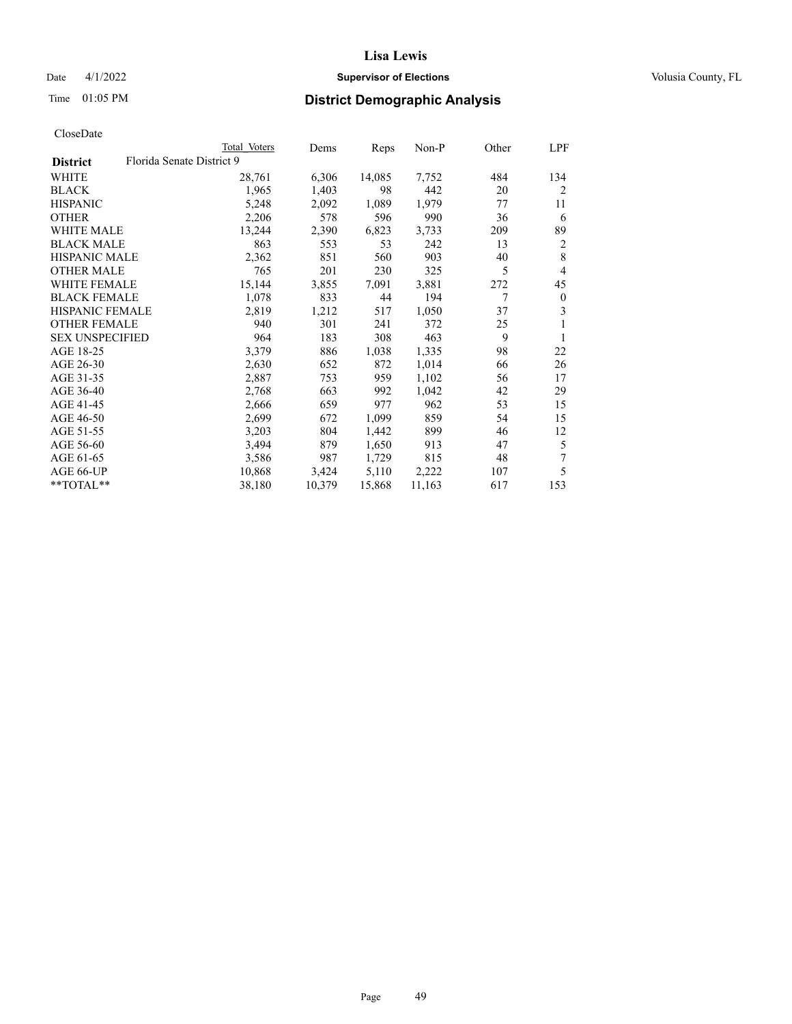## Date 4/1/2022 **Supervisor of Elections Supervisor of Elections** Volusia County, FL

# Time 01:05 PM **District Demographic Analysis**

|                        |                           | Total Voters | Dems   | Reps   | Non-P  | Other | LPF            |
|------------------------|---------------------------|--------------|--------|--------|--------|-------|----------------|
| <b>District</b>        | Florida Senate District 9 |              |        |        |        |       |                |
| WHITE                  |                           | 28,761       | 6,306  | 14,085 | 7,752  | 484   | 134            |
| <b>BLACK</b>           |                           | 1,965        | 1,403  | 98     | 442    | 20    | $\overline{2}$ |
| <b>HISPANIC</b>        |                           | 5,248        | 2,092  | 1,089  | 1,979  | 77    | 11             |
| <b>OTHER</b>           |                           | 2,206        | 578    | 596    | 990    | 36    | 6              |
| <b>WHITE MALE</b>      |                           | 13,244       | 2,390  | 6,823  | 3,733  | 209   | 89             |
| <b>BLACK MALE</b>      |                           | 863          | 553    | 53     | 242    | 13    | 2              |
| <b>HISPANIC MALE</b>   |                           | 2,362        | 851    | 560    | 903    | 40    | 8              |
| <b>OTHER MALE</b>      |                           | 765          | 201    | 230    | 325    | 5     | 4              |
| WHITE FEMALE           |                           | 15,144       | 3,855  | 7,091  | 3,881  | 272   | 45             |
| <b>BLACK FEMALE</b>    |                           | 1,078        | 833    | 44     | 194    | 7     | $\mathbf{0}$   |
| <b>HISPANIC FEMALE</b> |                           | 2,819        | 1,212  | 517    | 1,050  | 37    | 3              |
| <b>OTHER FEMALE</b>    |                           | 940          | 301    | 241    | 372    | 25    | 1              |
| <b>SEX UNSPECIFIED</b> |                           | 964          | 183    | 308    | 463    | 9     | 1              |
| AGE 18-25              |                           | 3,379        | 886    | 1,038  | 1,335  | 98    | 22             |
| AGE 26-30              |                           | 2,630        | 652    | 872    | 1,014  | 66    | 26             |
| AGE 31-35              |                           | 2,887        | 753    | 959    | 1,102  | 56    | 17             |
| AGE 36-40              |                           | 2,768        | 663    | 992    | 1,042  | 42    | 29             |
| AGE 41-45              |                           | 2,666        | 659    | 977    | 962    | 53    | 15             |
| AGE 46-50              |                           | 2,699        | 672    | 1,099  | 859    | 54    | 15             |
| AGE 51-55              |                           | 3,203        | 804    | 1,442  | 899    | 46    | 12             |
| AGE 56-60              |                           | 3,494        | 879    | 1,650  | 913    | 47    | 5              |
| AGE 61-65              |                           | 3,586        | 987    | 1,729  | 815    | 48    | 7              |
| AGE 66-UP              |                           | 10,868       | 3,424  | 5,110  | 2,222  | 107   | 5              |
| $*$ $TOTAL**$          |                           | 38,180       | 10,379 | 15,868 | 11,163 | 617   | 153            |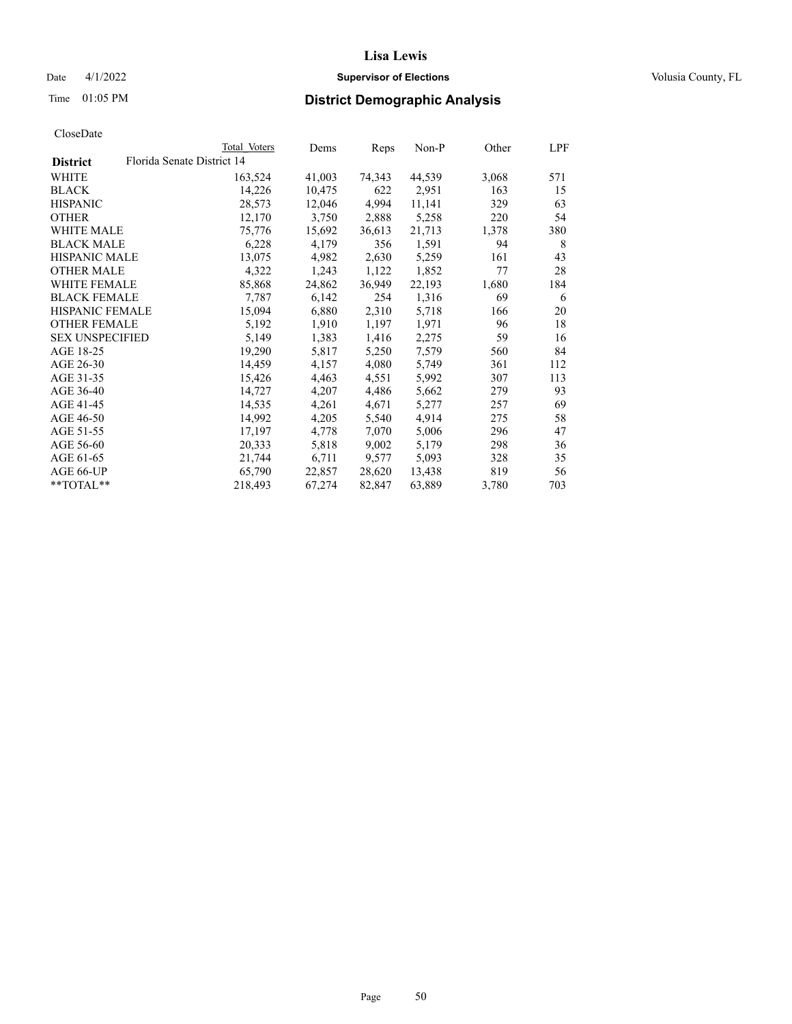## Date 4/1/2022 **Supervisor of Elections Supervisor of Elections** Volusia County, FL

| CloseDate |
|-----------|
|-----------|

|                                               | Total Voters | Dems   | Reps   | Non-P  | Other | LPF |
|-----------------------------------------------|--------------|--------|--------|--------|-------|-----|
| Florida Senate District 14<br><b>District</b> |              |        |        |        |       |     |
| WHITE                                         | 163,524      | 41,003 | 74,343 | 44,539 | 3,068 | 571 |
| <b>BLACK</b>                                  | 14,226       | 10,475 | 622    | 2,951  | 163   | 15  |
| <b>HISPANIC</b>                               | 28,573       | 12,046 | 4,994  | 11,141 | 329   | 63  |
| <b>OTHER</b>                                  | 12,170       | 3,750  | 2,888  | 5,258  | 220   | 54  |
| <b>WHITE MALE</b>                             | 75,776       | 15,692 | 36,613 | 21,713 | 1,378 | 380 |
| <b>BLACK MALE</b>                             | 6,228        | 4,179  | 356    | 1,591  | 94    | 8   |
| <b>HISPANIC MALE</b>                          | 13,075       | 4,982  | 2,630  | 5,259  | 161   | 43  |
| <b>OTHER MALE</b>                             | 4,322        | 1,243  | 1,122  | 1,852  | 77    | 28  |
| <b>WHITE FEMALE</b>                           | 85,868       | 24,862 | 36,949 | 22,193 | 1,680 | 184 |
| <b>BLACK FEMALE</b>                           | 7,787        | 6,142  | 254    | 1,316  | 69    | 6   |
| <b>HISPANIC FEMALE</b>                        | 15,094       | 6,880  | 2,310  | 5,718  | 166   | 20  |
| <b>OTHER FEMALE</b>                           | 5,192        | 1,910  | 1,197  | 1,971  | 96    | 18  |
| <b>SEX UNSPECIFIED</b>                        | 5,149        | 1,383  | 1,416  | 2,275  | 59    | 16  |
| AGE 18-25                                     | 19,290       | 5,817  | 5,250  | 7,579  | 560   | 84  |
| AGE 26-30                                     | 14,459       | 4,157  | 4,080  | 5,749  | 361   | 112 |
| AGE 31-35                                     | 15,426       | 4,463  | 4,551  | 5,992  | 307   | 113 |
| AGE 36-40                                     | 14,727       | 4,207  | 4,486  | 5,662  | 279   | 93  |
| AGE 41-45                                     | 14,535       | 4,261  | 4,671  | 5,277  | 257   | 69  |
| AGE 46-50                                     | 14,992       | 4,205  | 5,540  | 4,914  | 275   | 58  |
| AGE 51-55                                     | 17,197       | 4,778  | 7,070  | 5,006  | 296   | 47  |
| AGE 56-60                                     | 20,333       | 5,818  | 9,002  | 5,179  | 298   | 36  |
| AGE 61-65                                     | 21,744       | 6,711  | 9,577  | 5,093  | 328   | 35  |
| AGE 66-UP                                     | 65,790       | 22,857 | 28,620 | 13,438 | 819   | 56  |
| $*$ $TOTAL**$                                 | 218,493      | 67,274 | 82,847 | 63,889 | 3,780 | 703 |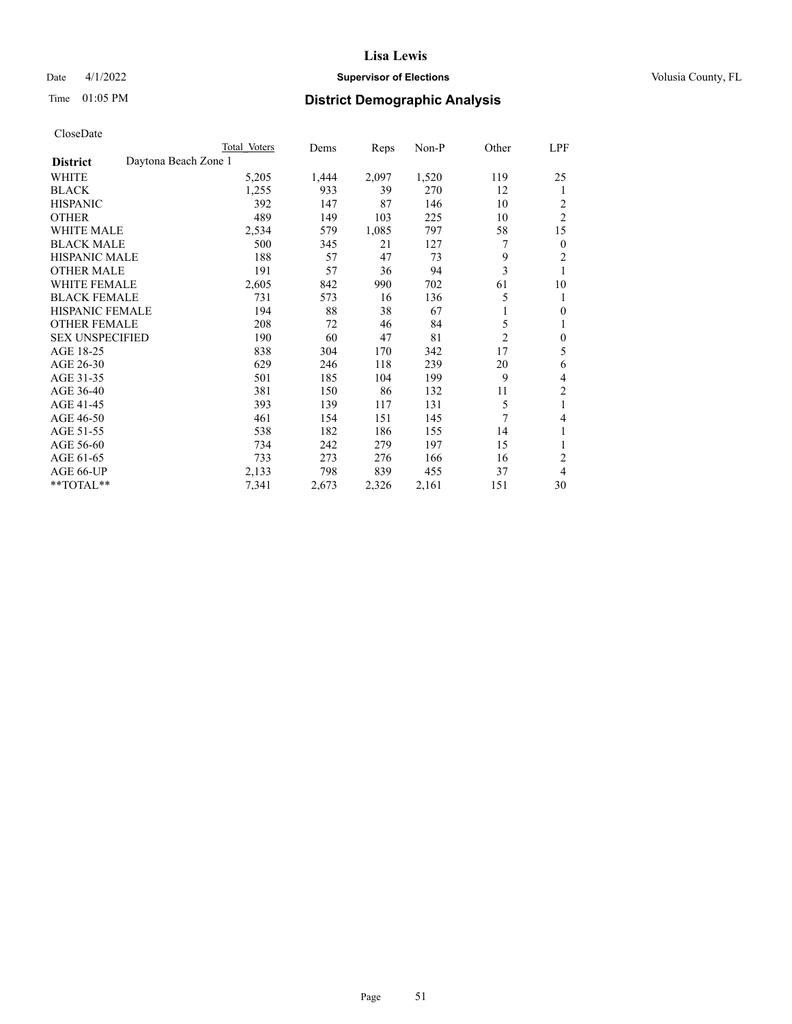## Date 4/1/2022 **Supervisor of Elections Supervisor of Elections** Volusia County, FL

# Time 01:05 PM **District Demographic Analysis**

|                        |                      | Total Voters | Dems  | Reps  | Non-P | Other          | LPF            |
|------------------------|----------------------|--------------|-------|-------|-------|----------------|----------------|
| <b>District</b>        | Daytona Beach Zone 1 |              |       |       |       |                |                |
| <b>WHITE</b>           |                      | 5,205        | 1,444 | 2,097 | 1,520 | 119            | 25             |
| <b>BLACK</b>           |                      | 1,255        | 933   | 39    | 270   | 12             | 1              |
| <b>HISPANIC</b>        |                      | 392          | 147   | 87    | 146   | 10             | 2              |
| <b>OTHER</b>           |                      | 489          | 149   | 103   | 225   | 10             | $\overline{2}$ |
| <b>WHITE MALE</b>      |                      | 2,534        | 579   | 1,085 | 797   | 58             | 15             |
| <b>BLACK MALE</b>      |                      | 500          | 345   | 21    | 127   | 7              | $\mathbf{0}$   |
| <b>HISPANIC MALE</b>   |                      | 188          | 57    | 47    | 73    | 9              | 2              |
| <b>OTHER MALE</b>      |                      | 191          | 57    | 36    | 94    | 3              | 1              |
| WHITE FEMALE           |                      | 2,605        | 842   | 990   | 702   | 61             | 10             |
| <b>BLACK FEMALE</b>    |                      | 731          | 573   | 16    | 136   | 5              | 1              |
| <b>HISPANIC FEMALE</b> |                      | 194          | 88    | 38    | 67    | 1              | $\theta$       |
| <b>OTHER FEMALE</b>    |                      | 208          | 72    | 46    | 84    | 5              | 1              |
| <b>SEX UNSPECIFIED</b> |                      | 190          | 60    | 47    | 81    | $\overline{2}$ | $\mathbf{0}$   |
| AGE 18-25              |                      | 838          | 304   | 170   | 342   | 17             | 5              |
| AGE 26-30              |                      | 629          | 246   | 118   | 239   | 20             | 6              |
| AGE 31-35              |                      | 501          | 185   | 104   | 199   | 9              | 4              |
| AGE 36-40              |                      | 381          | 150   | 86    | 132   | 11             | $\overline{c}$ |
| AGE 41-45              |                      | 393          | 139   | 117   | 131   | 5              | 1              |
| AGE 46-50              |                      | 461          | 154   | 151   | 145   | 7              | 4              |
| AGE 51-55              |                      | 538          | 182   | 186   | 155   | 14             | 1              |
| AGE 56-60              |                      | 734          | 242   | 279   | 197   | 15             | 1              |
| AGE 61-65              |                      | 733          | 273   | 276   | 166   | 16             | $\overline{2}$ |
| AGE 66-UP              |                      | 2,133        | 798   | 839   | 455   | 37             | 4              |
| **TOTAL**              |                      | 7,341        | 2,673 | 2,326 | 2,161 | 151            | 30             |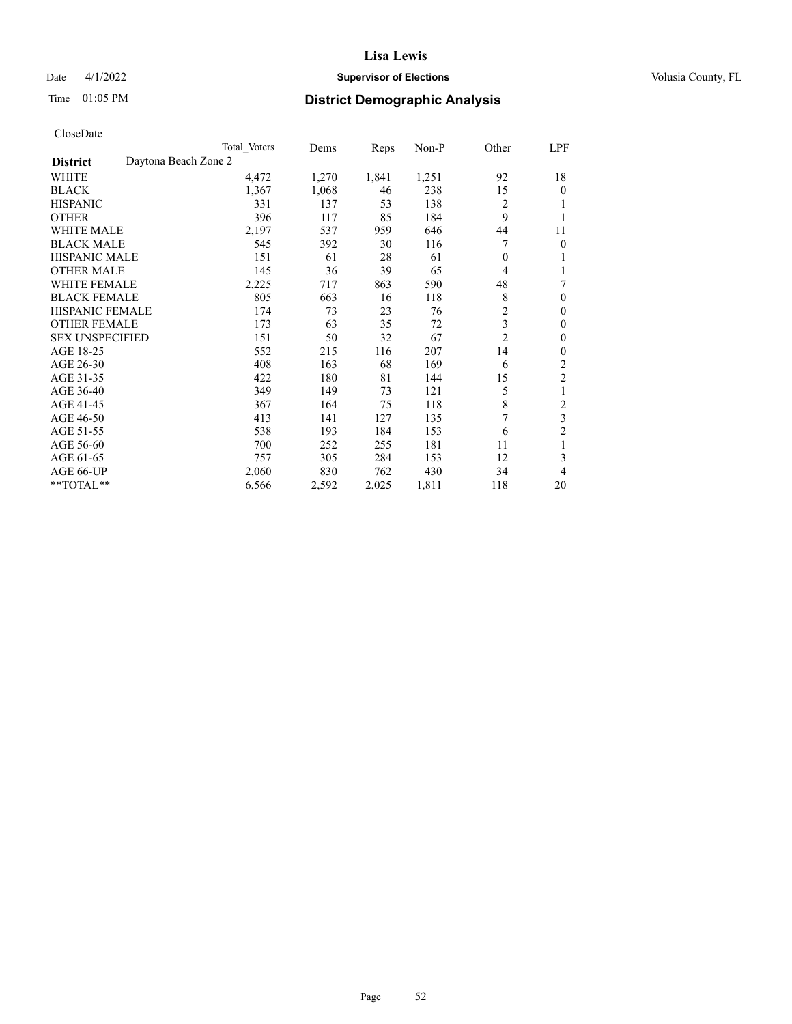#### Date 4/1/2022 **Supervisor of Elections Supervisor of Elections** Volusia County, FL

## Time 01:05 PM **District Demographic Analysis**

|                                         | Total Voters | Dems  | Reps  | $Non-P$ | Other          | LPF            |
|-----------------------------------------|--------------|-------|-------|---------|----------------|----------------|
| Daytona Beach Zone 2<br><b>District</b> |              |       |       |         |                |                |
| WHITE                                   | 4,472        | 1,270 | 1,841 | 1,251   | 92             | 18             |
| <b>BLACK</b>                            | 1,367        | 1,068 | 46    | 238     | 15             | 0              |
| <b>HISPANIC</b>                         | 331          | 137   | 53    | 138     | $\overline{c}$ |                |
| <b>OTHER</b>                            | 396          | 117   | 85    | 184     | 9              |                |
| <b>WHITE MALE</b>                       | 2,197        | 537   | 959   | 646     | 44             | 11             |
| <b>BLACK MALE</b>                       | 545          | 392   | 30    | 116     | 7              | 0              |
| <b>HISPANIC MALE</b>                    | 151          | 61    | 28    | 61      | $\overline{0}$ |                |
| <b>OTHER MALE</b>                       | 145          | 36    | 39    | 65      | 4              | 1              |
| WHITE FEMALE                            | 2,225        | 717   | 863   | 590     | 48             | 7              |
| <b>BLACK FEMALE</b>                     | 805          | 663   | 16    | 118     | 8              | 0              |
| <b>HISPANIC FEMALE</b>                  | 174          | 73    | 23    | 76      | $\overline{c}$ | 0              |
| <b>OTHER FEMALE</b>                     | 173          | 63    | 35    | 72      | 3              | 0              |
| <b>SEX UNSPECIFIED</b>                  | 151          | 50    | 32    | 67      | $\overline{2}$ | 0              |
| AGE 18-25                               | 552          | 215   | 116   | 207     | 14             | 0              |
| AGE 26-30                               | 408          | 163   | 68    | 169     | 6              | 2              |
| AGE 31-35                               | 422          | 180   | 81    | 144     | 15             | $\overline{2}$ |
| AGE 36-40                               | 349          | 149   | 73    | 121     | 5              | 1              |
| AGE 41-45                               | 367          | 164   | 75    | 118     | 8              | 2              |
| AGE 46-50                               | 413          | 141   | 127   | 135     | 7              | 3              |
| AGE 51-55                               | 538          | 193   | 184   | 153     | 6              | 2              |
| AGE 56-60                               | 700          | 252   | 255   | 181     | 11             | 1              |
| AGE 61-65                               | 757          | 305   | 284   | 153     | 12             | 3              |
| AGE 66-UP                               | 2,060        | 830   | 762   | 430     | 34             | 4              |
| **TOTAL**                               | 6,566        | 2,592 | 2,025 | 1,811   | 118            | 20             |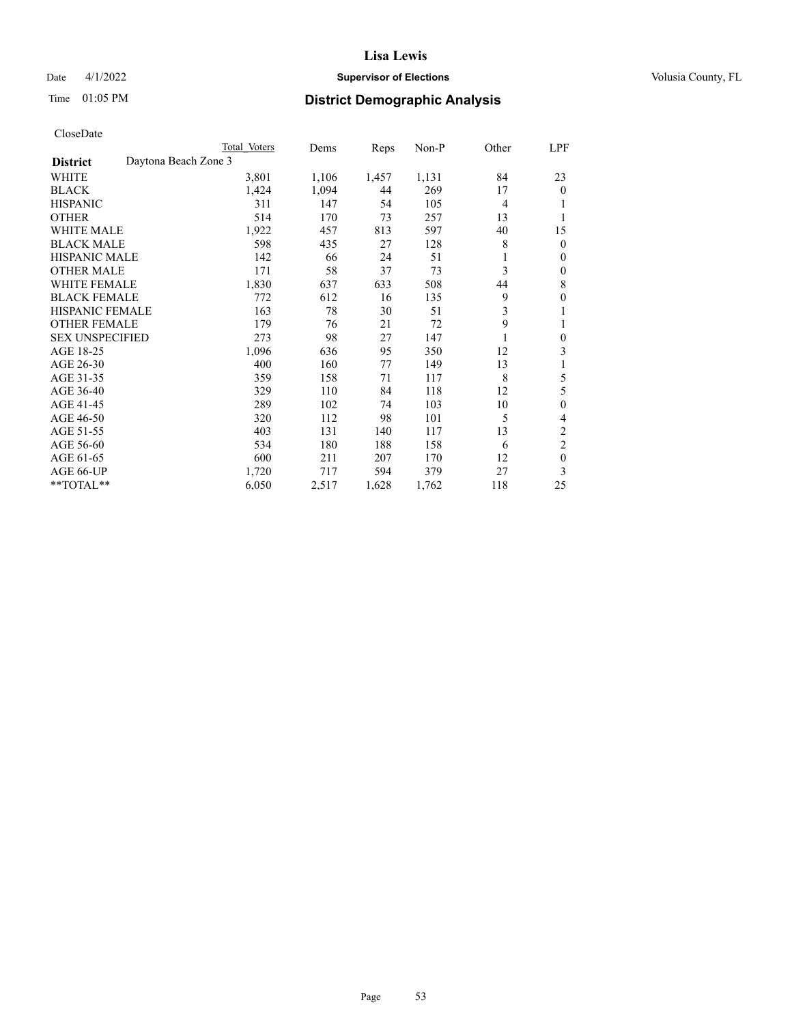## Date 4/1/2022 **Supervisor of Elections Supervisor of Elections** Volusia County, FL

## Time 01:05 PM **District Demographic Analysis**

|                                         | Total Voters | Dems  | Reps  | $Non-P$ | Other | LPF              |
|-----------------------------------------|--------------|-------|-------|---------|-------|------------------|
| Daytona Beach Zone 3<br><b>District</b> |              |       |       |         |       |                  |
| WHITE                                   | 3,801        | 1,106 | 1,457 | 1,131   | 84    | 23               |
| <b>BLACK</b>                            | 1,424        | 1,094 | 44    | 269     | 17    | $\theta$         |
| <b>HISPANIC</b>                         | 311          | 147   | 54    | 105     | 4     |                  |
| <b>OTHER</b>                            | 514          | 170   | 73    | 257     | 13    | 1                |
| <b>WHITE MALE</b>                       | 1,922        | 457   | 813   | 597     | 40    | 15               |
| <b>BLACK MALE</b>                       | 598          | 435   | 27    | 128     | 8     | $\mathbf{0}$     |
| <b>HISPANIC MALE</b>                    | 142          | 66    | 24    | 51      | 1     | $\mathbf{0}$     |
| <b>OTHER MALE</b>                       | 171          | 58    | 37    | 73      | 3     | $\theta$         |
| <b>WHITE FEMALE</b>                     | 1,830        | 637   | 633   | 508     | 44    | 8                |
| <b>BLACK FEMALE</b>                     | 772          | 612   | 16    | 135     | 9     | $\theta$         |
| <b>HISPANIC FEMALE</b>                  | 163          | 78    | 30    | 51      | 3     | 1                |
| <b>OTHER FEMALE</b>                     | 179          | 76    | 21    | 72      | 9     | 1                |
| <b>SEX UNSPECIFIED</b>                  | 273          | 98    | 27    | 147     |       | $\boldsymbol{0}$ |
| AGE 18-25                               | 1,096        | 636   | 95    | 350     | 12    | 3                |
| AGE 26-30                               | 400          | 160   | 77    | 149     | 13    | 1                |
| AGE 31-35                               | 359          | 158   | 71    | 117     | 8     | 5                |
| AGE 36-40                               | 329          | 110   | 84    | 118     | 12    | 5                |
| AGE 41-45                               | 289          | 102   | 74    | 103     | 10    | $\theta$         |
| AGE 46-50                               | 320          | 112   | 98    | 101     | 5     | 4                |
| AGE 51-55                               | 403          | 131   | 140   | 117     | 13    | $\overline{c}$   |
| AGE 56-60                               | 534          | 180   | 188   | 158     | 6     | $\overline{c}$   |
| AGE 61-65                               | 600          | 211   | 207   | 170     | 12    | $\theta$         |
| AGE 66-UP                               | 1,720        | 717   | 594   | 379     | 27    | 3                |
| **TOTAL**                               | 6,050        | 2,517 | 1,628 | 1,762   | 118   | 25               |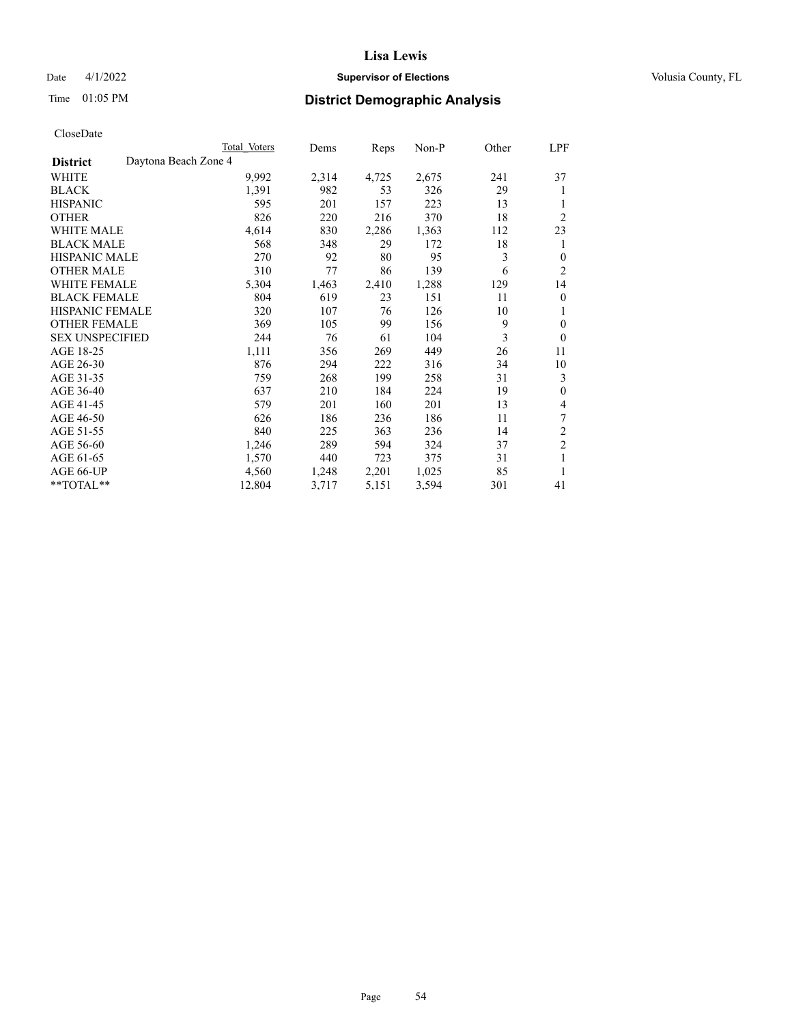## Date 4/1/2022 **Supervisor of Elections Supervisor of Elections** Volusia County, FL

# Time 01:05 PM **District Demographic Analysis**

|                        |                      | Total Voters | Dems  | Reps  | $Non-P$ | Other | <u>LPF</u>     |
|------------------------|----------------------|--------------|-------|-------|---------|-------|----------------|
| <b>District</b>        | Daytona Beach Zone 4 |              |       |       |         |       |                |
| WHITE                  |                      | 9,992        | 2,314 | 4,725 | 2,675   | 241   | 37             |
| <b>BLACK</b>           |                      | 1,391        | 982   | 53    | 326     | 29    | 1              |
| <b>HISPANIC</b>        |                      | 595          | 201   | 157   | 223     | 13    |                |
| <b>OTHER</b>           |                      | 826          | 220   | 216   | 370     | 18    | $\overline{2}$ |
| <b>WHITE MALE</b>      |                      | 4,614        | 830   | 2,286 | 1,363   | 112   | 23             |
| <b>BLACK MALE</b>      |                      | 568          | 348   | 29    | 172     | 18    | 1              |
| <b>HISPANIC MALE</b>   |                      | 270          | 92    | 80    | 95      | 3     | $\mathbf{0}$   |
| <b>OTHER MALE</b>      |                      | 310          | 77    | 86    | 139     | 6     | $\overline{2}$ |
| <b>WHITE FEMALE</b>    |                      | 5,304        | 1,463 | 2,410 | 1,288   | 129   | 14             |
| <b>BLACK FEMALE</b>    |                      | 804          | 619   | 23    | 151     | 11    | $\overline{0}$ |
| <b>HISPANIC FEMALE</b> |                      | 320          | 107   | 76    | 126     | 10    | 1              |
| <b>OTHER FEMALE</b>    |                      | 369          | 105   | 99    | 156     | 9     | $\theta$       |
| <b>SEX UNSPECIFIED</b> |                      | 244          | 76    | 61    | 104     | 3     | $\theta$       |
| AGE 18-25              |                      | 1,111        | 356   | 269   | 449     | 26    | 11             |
| AGE 26-30              |                      | 876          | 294   | 222   | 316     | 34    | 10             |
| AGE 31-35              |                      | 759          | 268   | 199   | 258     | 31    | 3              |
| AGE 36-40              |                      | 637          | 210   | 184   | 224     | 19    | $\mathbf{0}$   |
| AGE 41-45              |                      | 579          | 201   | 160   | 201     | 13    | $\overline{4}$ |
| AGE 46-50              |                      | 626          | 186   | 236   | 186     | 11    | 7              |
| AGE 51-55              |                      | 840          | 225   | 363   | 236     | 14    | 2              |
| AGE 56-60              |                      | 1,246        | 289   | 594   | 324     | 37    | $\sqrt{2}$     |
| AGE 61-65              |                      | 1,570        | 440   | 723   | 375     | 31    | 1              |
| AGE 66-UP              |                      | 4,560        | 1,248 | 2,201 | 1,025   | 85    | 1              |
| **TOTAL**              |                      | 12,804       | 3,717 | 5,151 | 3,594   | 301   | 41             |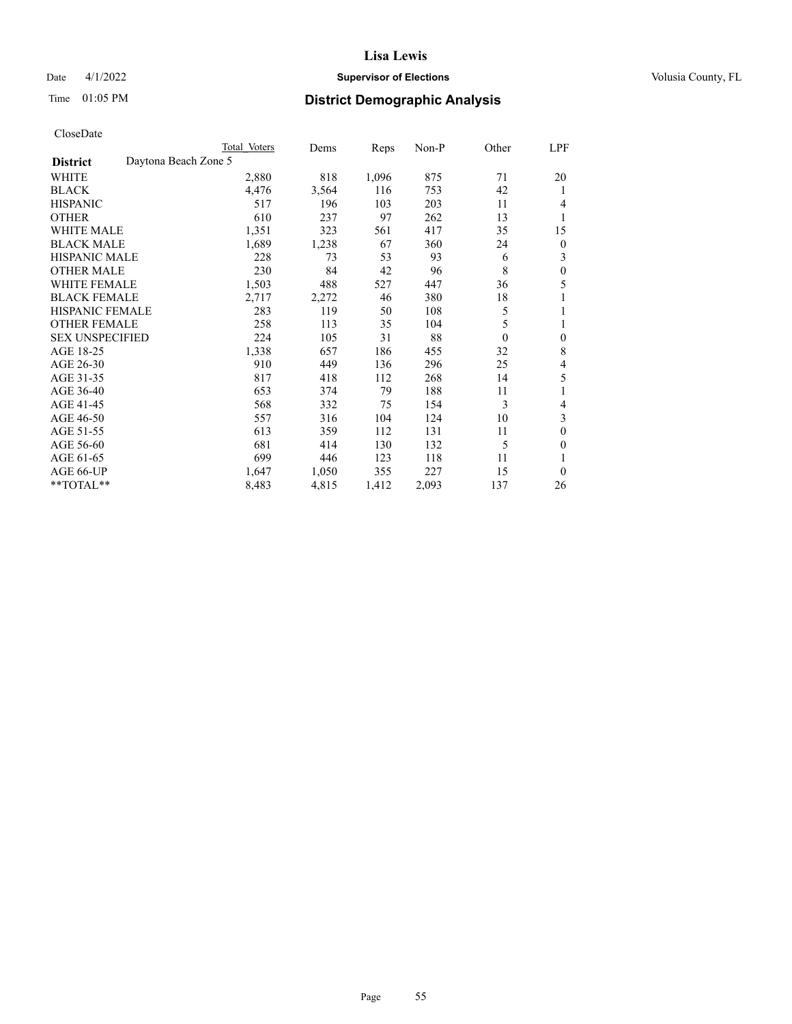## Date 4/1/2022 **Supervisor of Elections Supervisor of Elections** Volusia County, FL

## Time 01:05 PM **District Demographic Analysis**

| Total Voters | Dems                 | Reps  | $Non-P$ | Other    | LPF |
|--------------|----------------------|-------|---------|----------|-----|
|              |                      |       |         |          |     |
| 2,880        | 818                  | 1,096 | 875     | 71       | 20  |
| 4,476        | 3,564                | 116   | 753     | 42       | 1   |
| 517          | 196                  | 103   | 203     | 11       | 4   |
| 610          | 237                  | 97    | 262     | 13       | 1   |
| 1,351        | 323                  | 561   | 417     | 35       | 15  |
| 1,689        | 1,238                | 67    | 360     | 24       | 0   |
| 228          | 73                   | 53    | 93      | 6        | 3   |
| 230          | 84                   | 42    | 96      | 8        | 0   |
| 1,503        | 488                  | 527   | 447     | 36       | 5   |
| 2,717        | 2,272                | 46    | 380     | 18       |     |
| 283          | 119                  | 50    | 108     | 5        | 1   |
| 258          | 113                  | 35    | 104     | 5        | 1   |
| 224          | 105                  | 31    | 88      | $\theta$ | 0   |
| 1,338        | 657                  | 186   | 455     | 32       | 8   |
| 910          | 449                  | 136   | 296     | 25       | 4   |
| 817          | 418                  | 112   | 268     | 14       | 5   |
| 653          | 374                  | 79    | 188     | 11       |     |
| 568          | 332                  | 75    | 154     | 3        | 4   |
| 557          | 316                  | 104   | 124     | 10       | 3   |
| 613          | 359                  | 112   | 131     | 11       | 0   |
| 681          | 414                  | 130   | 132     | 5        | 0   |
| 699          | 446                  | 123   | 118     | 11       |     |
| 1,647        | 1,050                | 355   | 227     | 15       | 0   |
| 8,483        | 4,815                | 1,412 | 2,093   | 137      | 26  |
|              | Daytona Beach Zone 5 |       |         |          |     |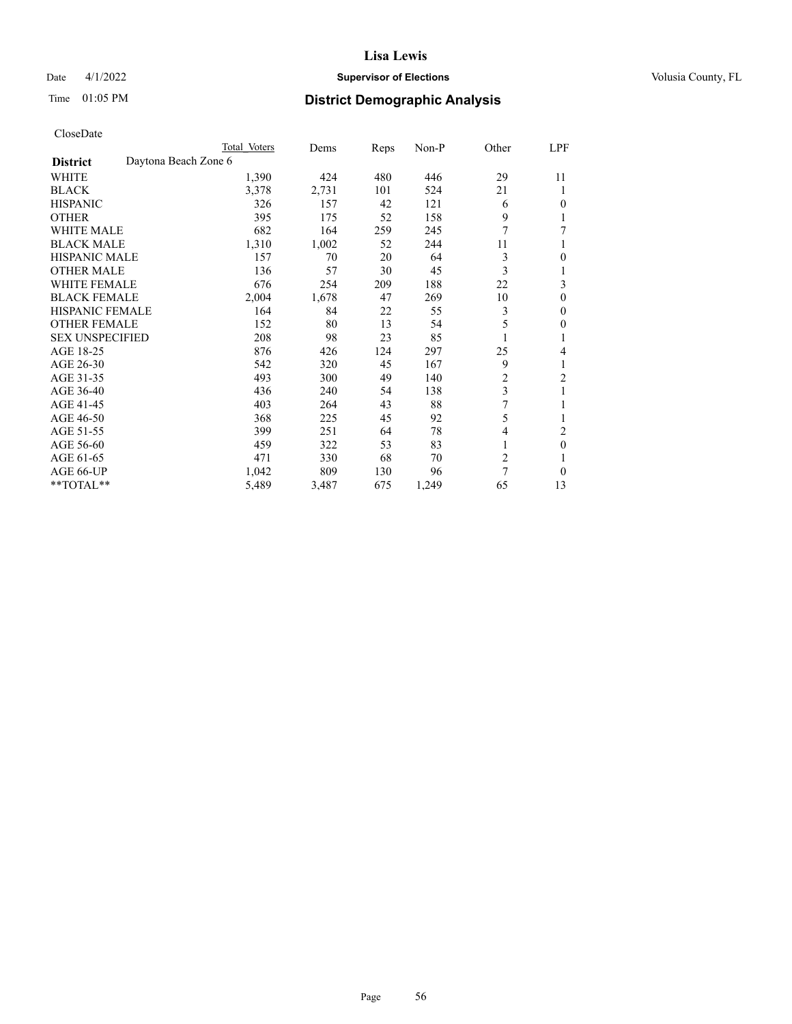## Date 4/1/2022 **Supervisor of Elections Supervisor of Elections** Volusia County, FL

# Time 01:05 PM **District Demographic Analysis**

|                                         | Total Voters | Dems  | Reps | $Non-P$ | Other          | LPF            |
|-----------------------------------------|--------------|-------|------|---------|----------------|----------------|
| Daytona Beach Zone 6<br><b>District</b> |              |       |      |         |                |                |
| WHITE                                   | 1,390        | 424   | 480  | 446     | 29             | 11             |
| <b>BLACK</b>                            | 3,378        | 2,731 | 101  | 524     | 21             | 1              |
| <b>HISPANIC</b>                         | 326          | 157   | 42   | 121     | 6              | $\theta$       |
| <b>OTHER</b>                            | 395          | 175   | 52   | 158     | 9              | 1              |
| <b>WHITE MALE</b>                       | 682          | 164   | 259  | 245     | 7              | 7              |
| <b>BLACK MALE</b>                       | 1,310        | 1,002 | 52   | 244     | 11             |                |
| HISPANIC MALE                           | 157          | 70    | 20   | 64      | 3              | $\theta$       |
| <b>OTHER MALE</b>                       | 136          | 57    | 30   | 45      | 3              | 1              |
| <b>WHITE FEMALE</b>                     | 676          | 254   | 209  | 188     | 22             | 3              |
| <b>BLACK FEMALE</b>                     | 2,004        | 1,678 | 47   | 269     | 10             | $\theta$       |
| <b>HISPANIC FEMALE</b>                  | 164          | 84    | 22   | 55      | 3              | $\mathbf{0}$   |
| <b>OTHER FEMALE</b>                     | 152          | 80    | 13   | 54      | 5              | $\theta$       |
| <b>SEX UNSPECIFIED</b>                  | 208          | 98    | 23   | 85      |                | 1              |
| AGE 18-25                               | 876          | 426   | 124  | 297     | 25             | 4              |
| AGE 26-30                               | 542          | 320   | 45   | 167     | 9              | 1              |
| AGE 31-35                               | 493          | 300   | 49   | 140     | $\overline{c}$ | $\overline{2}$ |
| AGE 36-40                               | 436          | 240   | 54   | 138     | 3              | 1              |
| AGE 41-45                               | 403          | 264   | 43   | 88      | 7              | 1              |
| AGE 46-50                               | 368          | 225   | 45   | 92      | 5              |                |
| AGE 51-55                               | 399          | 251   | 64   | 78      | 4              | 2              |
| AGE 56-60                               | 459          | 322   | 53   | 83      | 1              | $\theta$       |
| AGE 61-65                               | 471          | 330   | 68   | 70      | $\overline{2}$ |                |
| AGE 66-UP                               | 1,042        | 809   | 130  | 96      | 7              | $\theta$       |
| **TOTAL**                               | 5,489        | 3,487 | 675  | 1,249   | 65             | 13             |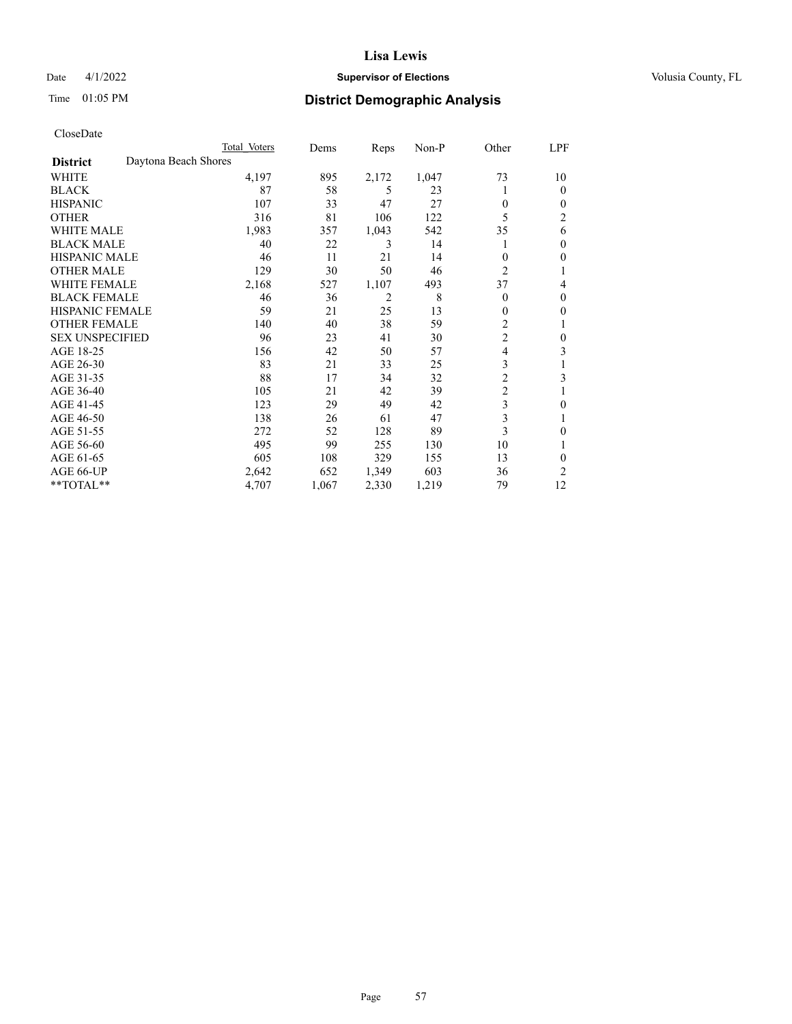## Date 4/1/2022 **Supervisor of Elections Supervisor of Elections** Volusia County, FL

# Time 01:05 PM **District Demographic Analysis**

|                        | Total Voters         |       | Dems  | Reps           | Non-P | Other          | LPF            |
|------------------------|----------------------|-------|-------|----------------|-------|----------------|----------------|
| <b>District</b>        | Daytona Beach Shores |       |       |                |       |                |                |
| WHITE                  |                      | 4,197 | 895   | 2,172          | 1,047 | 73             | 10             |
| <b>BLACK</b>           |                      | 87    | 58    | 5              | 23    |                | 0              |
| <b>HISPANIC</b>        |                      | 107   | 33    | 47             | 27    | $\theta$       | $_{0}$         |
| <b>OTHER</b>           |                      | 316   | 81    | 106            | 122   | 5              | $\overline{c}$ |
| <b>WHITE MALE</b>      |                      | 1,983 | 357   | 1,043          | 542   | 35             | 6              |
| <b>BLACK MALE</b>      |                      | 40    | 22    | 3              | 14    |                | 0              |
| <b>HISPANIC MALE</b>   |                      | 46    | 11    | 21             | 14    | $\theta$       | 0              |
| <b>OTHER MALE</b>      |                      | 129   | 30    | 50             | 46    | $\overline{2}$ | 1              |
| <b>WHITE FEMALE</b>    |                      | 2,168 | 527   | 1,107          | 493   | 37             | 4              |
| <b>BLACK FEMALE</b>    |                      | 46    | 36    | $\overline{2}$ | 8     | $\Omega$       | 0              |
| <b>HISPANIC FEMALE</b> |                      | 59    | 21    | 25             | 13    | $\theta$       | 0              |
| <b>OTHER FEMALE</b>    |                      | 140   | 40    | 38             | 59    | 2              |                |
| <b>SEX UNSPECIFIED</b> |                      | 96    | 23    | 41             | 30    | $\overline{c}$ | 0              |
| AGE 18-25              |                      | 156   | 42    | 50             | 57    | 4              | 3              |
| AGE 26-30              |                      | 83    | 21    | 33             | 25    | 3              |                |
| AGE 31-35              |                      | 88    | 17    | 34             | 32    | $\overline{c}$ | 3              |
| AGE 36-40              |                      | 105   | 21    | 42             | 39    | $\overline{c}$ |                |
| AGE 41-45              |                      | 123   | 29    | 49             | 42    | $\mathfrak{Z}$ | 0              |
| AGE 46-50              |                      | 138   | 26    | 61             | 47    | 3              |                |
| AGE 51-55              |                      | 272   | 52    | 128            | 89    | 3              | 0              |
| AGE 56-60              |                      | 495   | 99    | 255            | 130   | 10             |                |
| AGE 61-65              |                      | 605   | 108   | 329            | 155   | 13             | 0              |
| AGE 66-UP              |                      | 2,642 | 652   | 1,349          | 603   | 36             | 2              |
| **TOTAL**              |                      | 4,707 | 1,067 | 2,330          | 1,219 | 79             | 12             |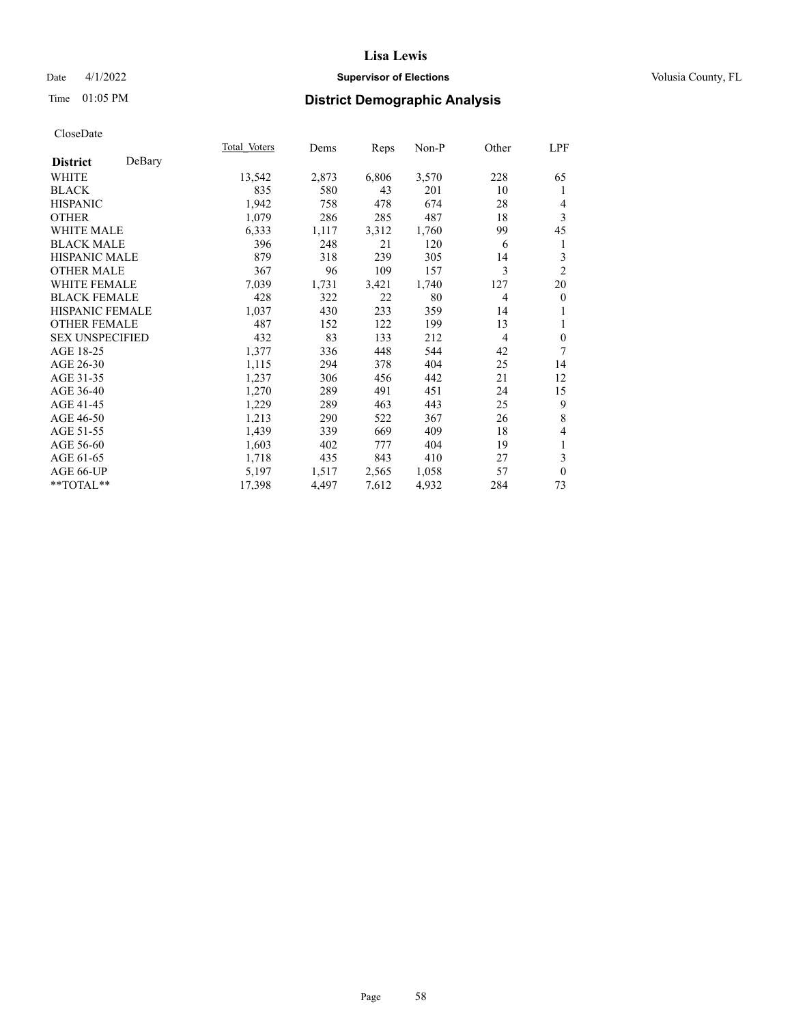## Date 4/1/2022 **Supervisor of Elections Supervisor of Elections** Volusia County, FL

## Time 01:05 PM **District Demographic Analysis**

|                        |        | Total Voters | Dems  | Reps  | Non-P | Other          | LPF            |
|------------------------|--------|--------------|-------|-------|-------|----------------|----------------|
| <b>District</b>        | DeBary |              |       |       |       |                |                |
| WHITE                  |        | 13,542       | 2,873 | 6,806 | 3,570 | 228            | 65             |
| <b>BLACK</b>           |        | 835          | 580   | 43    | 201   | 10             | 1              |
| <b>HISPANIC</b>        |        | 1,942        | 758   | 478   | 674   | 28             | 4              |
| <b>OTHER</b>           |        | 1,079        | 286   | 285   | 487   | 18             | 3              |
| <b>WHITE MALE</b>      |        | 6,333        | 1,117 | 3,312 | 1,760 | 99             | 45             |
| <b>BLACK MALE</b>      |        | 396          | 248   | 21    | 120   | 6              | 1              |
| <b>HISPANIC MALE</b>   |        | 879          | 318   | 239   | 305   | 14             | 3              |
| <b>OTHER MALE</b>      |        | 367          | 96    | 109   | 157   | 3              | $\overline{2}$ |
| <b>WHITE FEMALE</b>    |        | 7,039        | 1,731 | 3,421 | 1,740 | 127            | 20             |
| <b>BLACK FEMALE</b>    |        | 428          | 322   | 22    | 80    | $\overline{4}$ | $\mathbf{0}$   |
| <b>HISPANIC FEMALE</b> |        | 1,037        | 430   | 233   | 359   | 14             |                |
| <b>OTHER FEMALE</b>    |        | 487          | 152   | 122   | 199   | 13             | 1              |
| <b>SEX UNSPECIFIED</b> |        | 432          | 83    | 133   | 212   | 4              | $\mathbf{0}$   |
| AGE 18-25              |        | 1,377        | 336   | 448   | 544   | 42             | 7              |
| AGE 26-30              |        | 1,115        | 294   | 378   | 404   | 25             | 14             |
| AGE 31-35              |        | 1,237        | 306   | 456   | 442   | 21             | 12             |
| AGE 36-40              |        | 1,270        | 289   | 491   | 451   | 24             | 15             |
| AGE 41-45              |        | 1,229        | 289   | 463   | 443   | 25             | 9              |
| AGE 46-50              |        | 1,213        | 290   | 522   | 367   | 26             | 8              |
| AGE 51-55              |        | 1,439        | 339   | 669   | 409   | 18             | 4              |
| AGE 56-60              |        | 1,603        | 402   | 777   | 404   | 19             | 1              |
| AGE 61-65              |        | 1,718        | 435   | 843   | 410   | 27             | 3              |
| AGE 66-UP              |        | 5,197        | 1,517 | 2,565 | 1,058 | 57             | $\mathbf{0}$   |
| $**TOTAL**$            |        | 17,398       | 4,497 | 7,612 | 4,932 | 284            | 73             |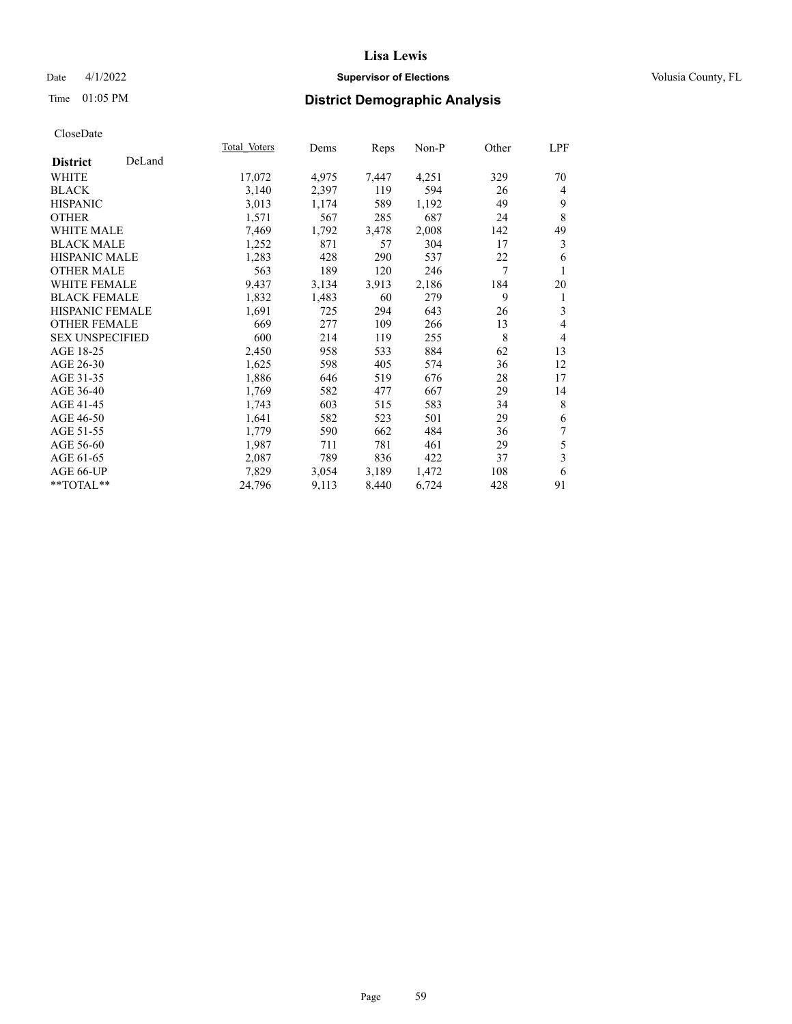## Date 4/1/2022 **Supervisor of Elections Supervisor of Elections** Volusia County, FL

## Time 01:05 PM **District Demographic Analysis**

|                        |        | Total Voters | Dems  | Reps  | Non-P | Other | LPF            |
|------------------------|--------|--------------|-------|-------|-------|-------|----------------|
| <b>District</b>        | DeLand |              |       |       |       |       |                |
| WHITE                  |        | 17,072       | 4,975 | 7,447 | 4,251 | 329   | 70             |
| <b>BLACK</b>           |        | 3,140        | 2,397 | 119   | 594   | 26    | 4              |
| <b>HISPANIC</b>        |        | 3,013        | 1,174 | 589   | 1,192 | 49    | 9              |
| <b>OTHER</b>           |        | 1,571        | 567   | 285   | 687   | 24    | 8              |
| <b>WHITE MALE</b>      |        | 7,469        | 1,792 | 3,478 | 2,008 | 142   | 49             |
| <b>BLACK MALE</b>      |        | 1,252        | 871   | 57    | 304   | 17    | 3              |
| <b>HISPANIC MALE</b>   |        | 1,283        | 428   | 290   | 537   | 22    | 6              |
| <b>OTHER MALE</b>      |        | 563          | 189   | 120   | 246   | 7     | 1              |
| <b>WHITE FEMALE</b>    |        | 9,437        | 3,134 | 3,913 | 2,186 | 184   | 20             |
| <b>BLACK FEMALE</b>    |        | 1,832        | 1,483 | 60    | 279   | 9     | 1              |
| <b>HISPANIC FEMALE</b> |        | 1,691        | 725   | 294   | 643   | 26    | 3              |
| <b>OTHER FEMALE</b>    |        | 669          | 277   | 109   | 266   | 13    | 4              |
| <b>SEX UNSPECIFIED</b> |        | 600          | 214   | 119   | 255   | 8     | $\overline{4}$ |
| AGE 18-25              |        | 2,450        | 958   | 533   | 884   | 62    | 13             |
| AGE 26-30              |        | 1,625        | 598   | 405   | 574   | 36    | 12             |
| AGE 31-35              |        | 1,886        | 646   | 519   | 676   | 28    | 17             |
| AGE 36-40              |        | 1,769        | 582   | 477   | 667   | 29    | 14             |
| AGE 41-45              |        | 1,743        | 603   | 515   | 583   | 34    | 8              |
| AGE 46-50              |        | 1,641        | 582   | 523   | 501   | 29    | 6              |
| AGE 51-55              |        | 1,779        | 590   | 662   | 484   | 36    | 7              |
| AGE 56-60              |        | 1,987        | 711   | 781   | 461   | 29    | 5              |
| AGE 61-65              |        | 2,087        | 789   | 836   | 422   | 37    | 3              |
| AGE 66-UP              |        | 7,829        | 3,054 | 3,189 | 1,472 | 108   | 6              |
| $**TOTAL**$            |        | 24,796       | 9,113 | 8,440 | 6,724 | 428   | 91             |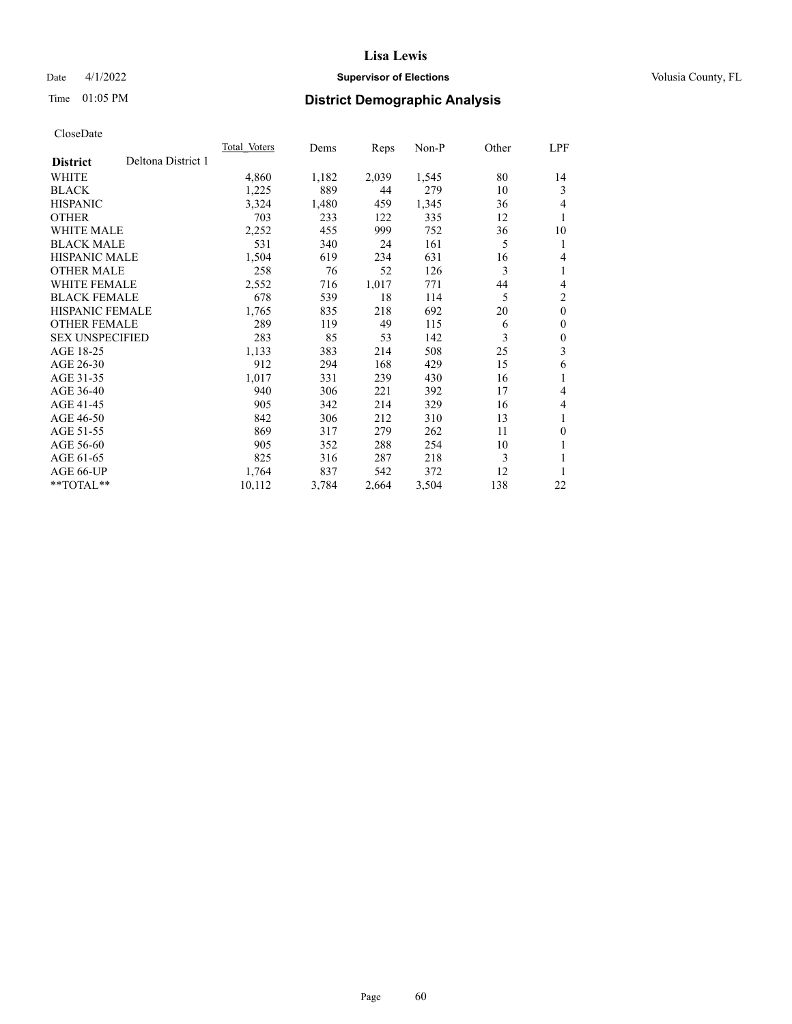## Date 4/1/2022 **Supervisor of Elections Supervisor of Elections** Volusia County, FL

## Time 01:05 PM **District Demographic Analysis**

|                        |                    | Total Voters | Dems  | Reps  | Non-P | Other | LPF          |
|------------------------|--------------------|--------------|-------|-------|-------|-------|--------------|
| <b>District</b>        | Deltona District 1 |              |       |       |       |       |              |
| WHITE                  |                    | 4,860        | 1,182 | 2,039 | 1,545 | 80    | 14           |
| <b>BLACK</b>           |                    | 1,225        | 889   | 44    | 279   | 10    | 3            |
| <b>HISPANIC</b>        |                    | 3,324        | 1,480 | 459   | 1,345 | 36    | 4            |
| <b>OTHER</b>           |                    | 703          | 233   | 122   | 335   | 12    | 1            |
| WHITE MALE             |                    | 2,252        | 455   | 999   | 752   | 36    | 10           |
| <b>BLACK MALE</b>      |                    | 531          | 340   | 24    | 161   | 5     | 1            |
| <b>HISPANIC MALE</b>   |                    | 1,504        | 619   | 234   | 631   | 16    | 4            |
| <b>OTHER MALE</b>      |                    | 258          | 76    | 52    | 126   | 3     | 1            |
| WHITE FEMALE           |                    | 2,552        | 716   | 1,017 | 771   | 44    | 4            |
| <b>BLACK FEMALE</b>    |                    | 678          | 539   | 18    | 114   | 5     | 2            |
| <b>HISPANIC FEMALE</b> |                    | 1,765        | 835   | 218   | 692   | 20    | $\mathbf{0}$ |
| <b>OTHER FEMALE</b>    |                    | 289          | 119   | 49    | 115   | 6     | $\theta$     |
| <b>SEX UNSPECIFIED</b> |                    | 283          | 85    | 53    | 142   | 3     | $\theta$     |
| AGE 18-25              |                    | 1,133        | 383   | 214   | 508   | 25    | 3            |
| AGE 26-30              |                    | 912          | 294   | 168   | 429   | 15    | 6            |
| AGE 31-35              |                    | 1,017        | 331   | 239   | 430   | 16    | 1            |
| AGE 36-40              |                    | 940          | 306   | 221   | 392   | 17    | 4            |
| AGE 41-45              |                    | 905          | 342   | 214   | 329   | 16    | 4            |
| AGE 46-50              |                    | 842          | 306   | 212   | 310   | 13    | 1            |
| AGE 51-55              |                    | 869          | 317   | 279   | 262   | 11    | $\theta$     |
| AGE 56-60              |                    | 905          | 352   | 288   | 254   | 10    | 1            |
| AGE 61-65              |                    | 825          | 316   | 287   | 218   | 3     | 1            |
| AGE 66-UP              |                    | 1,764        | 837   | 542   | 372   | 12    |              |
| **TOTAL**              |                    | 10,112       | 3,784 | 2,664 | 3,504 | 138   | 22           |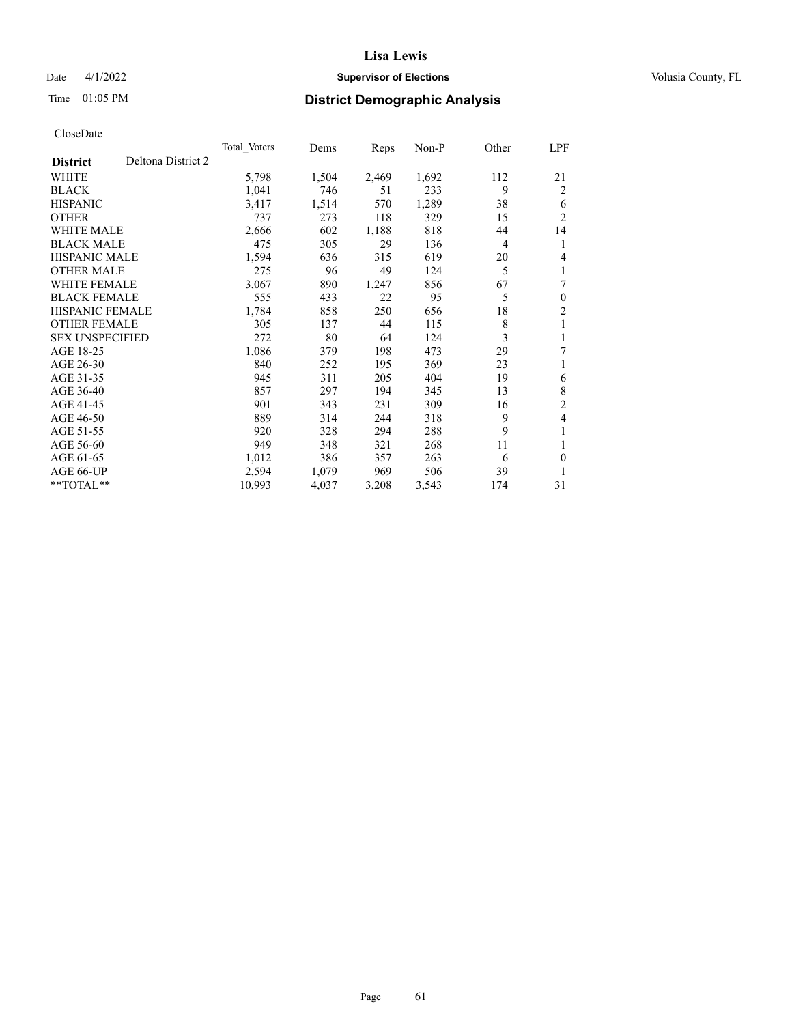## Date 4/1/2022 **Supervisor of Elections Supervisor of Elections** Volusia County, FL

# Time 01:05 PM **District Demographic Analysis**

|                        |                    | Total Voters | Dems  | Reps  | $Non-P$ | Other | <u>LPF</u>     |
|------------------------|--------------------|--------------|-------|-------|---------|-------|----------------|
| <b>District</b>        | Deltona District 2 |              |       |       |         |       |                |
| WHITE                  |                    | 5,798        | 1,504 | 2,469 | 1,692   | 112   | 21             |
| <b>BLACK</b>           |                    | 1,041        | 746   | 51    | 233     | 9     | 2              |
| <b>HISPANIC</b>        |                    | 3,417        | 1,514 | 570   | 1,289   | 38    | 6              |
| <b>OTHER</b>           |                    | 737          | 273   | 118   | 329     | 15    | $\overline{2}$ |
| <b>WHITE MALE</b>      |                    | 2,666        | 602   | 1,188 | 818     | 44    | 14             |
| <b>BLACK MALE</b>      |                    | 475          | 305   | 29    | 136     | 4     | 1              |
| <b>HISPANIC MALE</b>   |                    | 1,594        | 636   | 315   | 619     | 20    | 4              |
| <b>OTHER MALE</b>      |                    | 275          | 96    | 49    | 124     | 5     | 1              |
| <b>WHITE FEMALE</b>    |                    | 3,067        | 890   | 1,247 | 856     | 67    | 7              |
| <b>BLACK FEMALE</b>    |                    | 555          | 433   | 22    | 95      | 5     | $\mathbf{0}$   |
| <b>HISPANIC FEMALE</b> |                    | 1,784        | 858   | 250   | 656     | 18    | $\overline{2}$ |
| <b>OTHER FEMALE</b>    |                    | 305          | 137   | 44    | 115     | 8     | 1              |
| <b>SEX UNSPECIFIED</b> |                    | 272          | 80    | 64    | 124     | 3     | 1              |
| AGE 18-25              |                    | 1,086        | 379   | 198   | 473     | 29    | 7              |
| AGE 26-30              |                    | 840          | 252   | 195   | 369     | 23    | 1              |
| AGE 31-35              |                    | 945          | 311   | 205   | 404     | 19    | 6              |
| AGE 36-40              |                    | 857          | 297   | 194   | 345     | 13    | 8              |
| AGE 41-45              |                    | 901          | 343   | 231   | 309     | 16    | $\overline{2}$ |
| AGE 46-50              |                    | 889          | 314   | 244   | 318     | 9     | 4              |
| AGE 51-55              |                    | 920          | 328   | 294   | 288     | 9     | 1              |
| AGE 56-60              |                    | 949          | 348   | 321   | 268     | 11    | 1              |
| AGE 61-65              |                    | 1,012        | 386   | 357   | 263     | 6     | $\theta$       |
| AGE 66-UP              |                    | 2,594        | 1,079 | 969   | 506     | 39    | 1              |
| $*$ $TOTAL**$          |                    | 10,993       | 4,037 | 3,208 | 3,543   | 174   | 31             |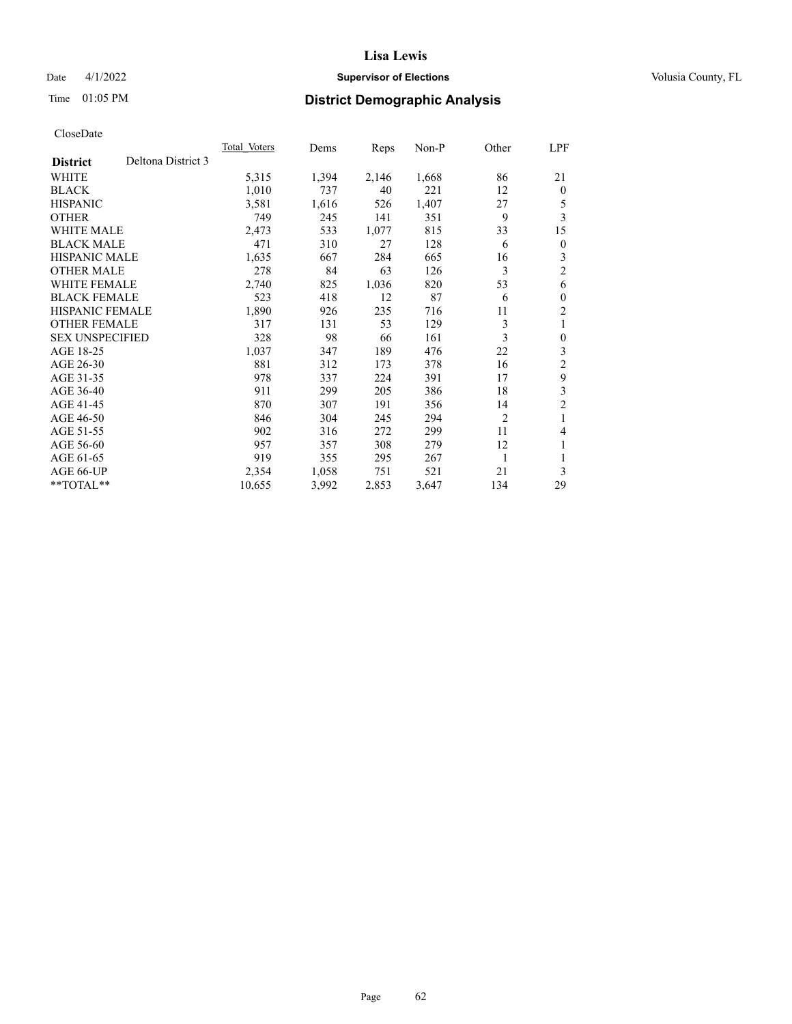## Date 4/1/2022 **Supervisor of Elections Supervisor of Elections** Volusia County, FL

# Time 01:05 PM **District Demographic Analysis**

|                                       | <b>Total Voters</b> | Dems  | Reps  | $Non-P$ | Other          | LPF            |
|---------------------------------------|---------------------|-------|-------|---------|----------------|----------------|
| Deltona District 3<br><b>District</b> |                     |       |       |         |                |                |
| WHITE                                 | 5,315               | 1,394 | 2,146 | 1,668   | 86             | 21             |
| <b>BLACK</b>                          | 1,010               | 737   | 40    | 221     | 12             | $\theta$       |
| <b>HISPANIC</b>                       | 3,581               | 1,616 | 526   | 1,407   | 27             | 5              |
| <b>OTHER</b>                          | 749                 | 245   | 141   | 351     | 9              | 3              |
| <b>WHITE MALE</b>                     | 2,473               | 533   | 1,077 | 815     | 33             | 15             |
| <b>BLACK MALE</b>                     | 471                 | 310   | 27    | 128     | 6              | $\mathbf{0}$   |
| <b>HISPANIC MALE</b>                  | 1,635               | 667   | 284   | 665     | 16             | 3              |
| <b>OTHER MALE</b>                     | 278                 | 84    | 63    | 126     | 3              | 2              |
| <b>WHITE FEMALE</b>                   | 2,740               | 825   | 1,036 | 820     | 53             | 6              |
| <b>BLACK FEMALE</b>                   | 523                 | 418   | 12    | 87      | 6              | $\theta$       |
| <b>HISPANIC FEMALE</b>                | 1,890               | 926   | 235   | 716     | 11             | 2              |
| <b>OTHER FEMALE</b>                   | 317                 | 131   | 53    | 129     | 3              | 1              |
| <b>SEX UNSPECIFIED</b>                | 328                 | 98    | 66    | 161     | 3              | $\theta$       |
| AGE 18-25                             | 1,037               | 347   | 189   | 476     | 22             | 3              |
| AGE 26-30                             | 881                 | 312   | 173   | 378     | 16             | $\overline{2}$ |
| AGE 31-35                             | 978                 | 337   | 224   | 391     | 17             | 9              |
| AGE 36-40                             | 911                 | 299   | 205   | 386     | 18             | 3              |
| AGE 41-45                             | 870                 | 307   | 191   | 356     | 14             | $\overline{c}$ |
| AGE 46-50                             | 846                 | 304   | 245   | 294     | $\overline{2}$ | 1              |
| AGE 51-55                             | 902                 | 316   | 272   | 299     | 11             | 4              |
| AGE 56-60                             | 957                 | 357   | 308   | 279     | 12             | 1              |
| AGE 61-65                             | 919                 | 355   | 295   | 267     | 1              |                |
| AGE 66-UP                             | 2,354               | 1,058 | 751   | 521     | 21             | 3              |
| **TOTAL**                             | 10,655              | 3,992 | 2,853 | 3,647   | 134            | 29             |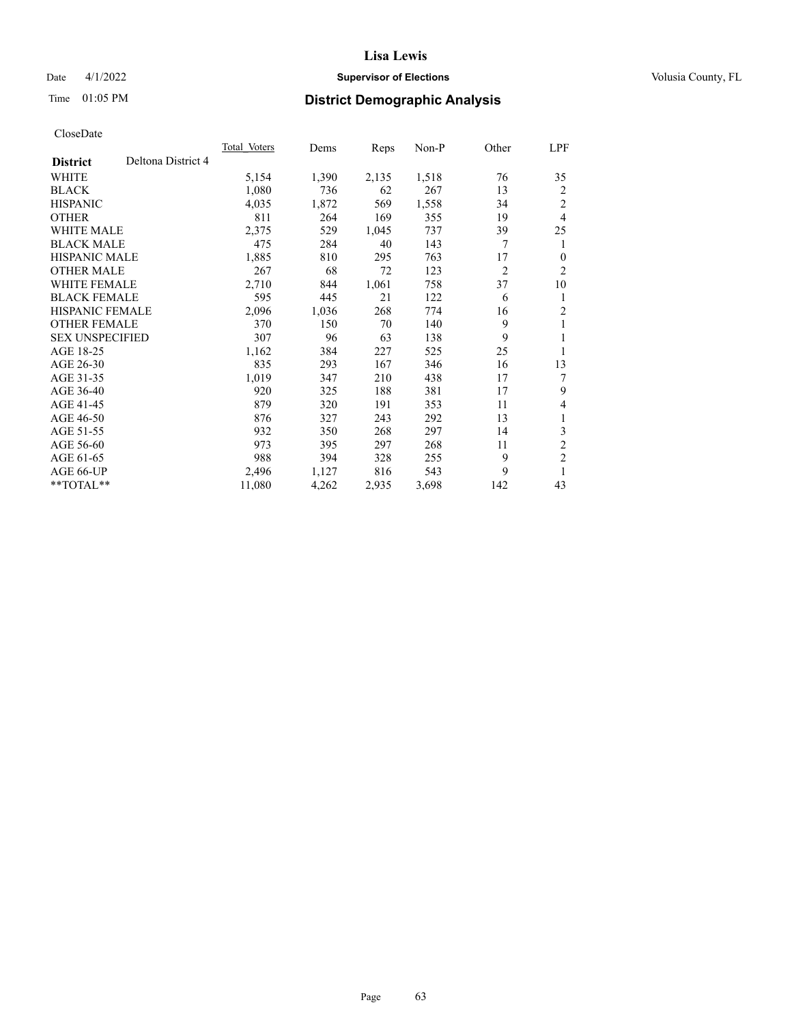## Date 4/1/2022 **Supervisor of Elections Supervisor of Elections** Volusia County, FL

# Time 01:05 PM **District Demographic Analysis**

|                        |                    | <b>Total Voters</b> | Dems  | Reps  | $Non-P$ | Other          | LPF            |
|------------------------|--------------------|---------------------|-------|-------|---------|----------------|----------------|
| <b>District</b>        | Deltona District 4 |                     |       |       |         |                |                |
| WHITE                  |                    | 5,154               | 1,390 | 2,135 | 1,518   | 76             | 35             |
| <b>BLACK</b>           |                    | 1,080               | 736   | 62    | 267     | 13             | 2              |
| <b>HISPANIC</b>        |                    | 4,035               | 1,872 | 569   | 1,558   | 34             | $\overline{2}$ |
| <b>OTHER</b>           |                    | 811                 | 264   | 169   | 355     | 19             | 4              |
| <b>WHITE MALE</b>      |                    | 2,375               | 529   | 1,045 | 737     | 39             | 25             |
| <b>BLACK MALE</b>      |                    | 475                 | 284   | 40    | 143     | 7              | 1              |
| <b>HISPANIC MALE</b>   |                    | 1,885               | 810   | 295   | 763     | 17             | $\theta$       |
| <b>OTHER MALE</b>      |                    | 267                 | 68    | 72    | 123     | $\overline{2}$ | $\overline{2}$ |
| WHITE FEMALE           |                    | 2,710               | 844   | 1,061 | 758     | 37             | 10             |
| <b>BLACK FEMALE</b>    |                    | 595                 | 445   | 21    | 122     | 6              | 1              |
| <b>HISPANIC FEMALE</b> |                    | 2,096               | 1,036 | 268   | 774     | 16             | 2              |
| <b>OTHER FEMALE</b>    |                    | 370                 | 150   | 70    | 140     | 9              | 1              |
| <b>SEX UNSPECIFIED</b> |                    | 307                 | 96    | 63    | 138     | 9              | 1              |
| AGE 18-25              |                    | 1,162               | 384   | 227   | 525     | 25             | 1              |
| AGE 26-30              |                    | 835                 | 293   | 167   | 346     | 16             | 13             |
| AGE 31-35              |                    | 1,019               | 347   | 210   | 438     | 17             | 7              |
| AGE 36-40              |                    | 920                 | 325   | 188   | 381     | 17             | 9              |
| AGE 41-45              |                    | 879                 | 320   | 191   | 353     | 11             | 4              |
| AGE 46-50              |                    | 876                 | 327   | 243   | 292     | 13             | 1              |
| AGE 51-55              |                    | 932                 | 350   | 268   | 297     | 14             | 3              |
| AGE 56-60              |                    | 973                 | 395   | 297   | 268     | 11             | $\overline{2}$ |
| AGE 61-65              |                    | 988                 | 394   | 328   | 255     | 9              | $\overline{c}$ |
| AGE 66-UP              |                    | 2,496               | 1,127 | 816   | 543     | 9              | 1              |
| $*$ $TOTAL**$          |                    | 11,080              | 4,262 | 2,935 | 3,698   | 142            | 43             |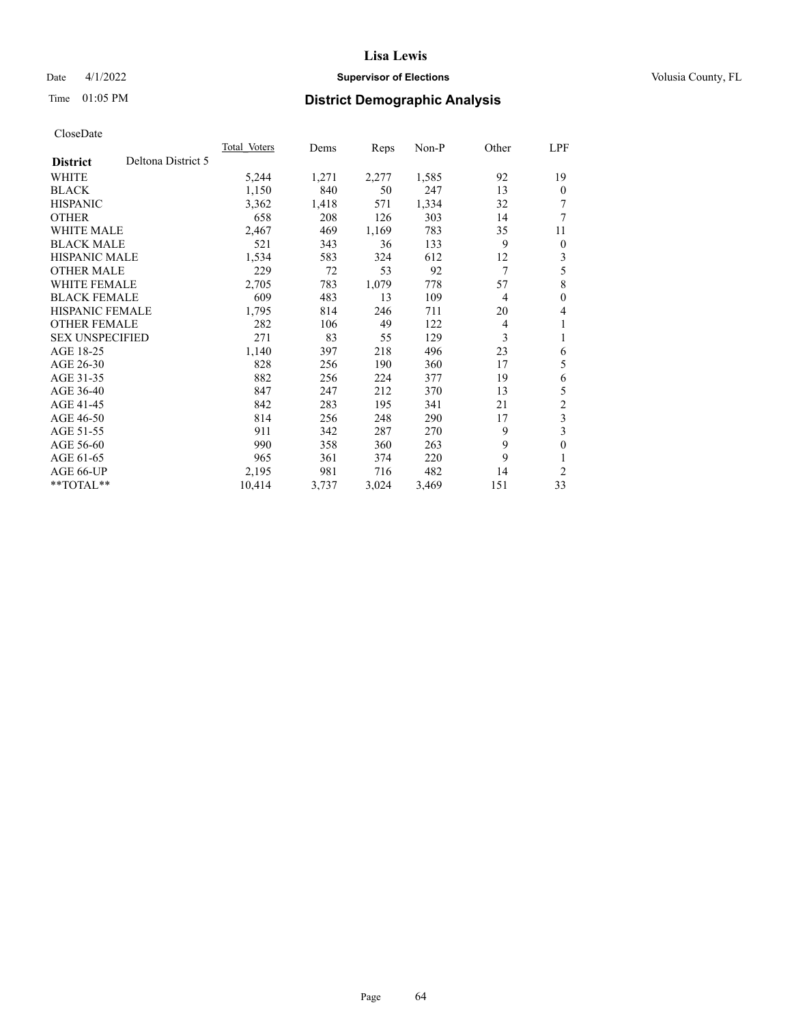## Date 4/1/2022 **Supervisor of Elections Supervisor of Elections** Volusia County, FL

# Time 01:05 PM **District Demographic Analysis**

|                                       | Total Voters | Dems  | Reps  | Non-P | Other          | LPF            |
|---------------------------------------|--------------|-------|-------|-------|----------------|----------------|
| Deltona District 5<br><b>District</b> |              |       |       |       |                |                |
| WHITE                                 | 5,244        | 1,271 | 2,277 | 1,585 | 92             | 19             |
| <b>BLACK</b>                          | 1,150        | 840   | 50    | 247   | 13             | $\Omega$       |
| <b>HISPANIC</b>                       | 3,362        | 1,418 | 571   | 1,334 | 32             | 7              |
| <b>OTHER</b>                          | 658          | 208   | 126   | 303   | 14             | 7              |
| <b>WHITE MALE</b>                     | 2,467        | 469   | 1,169 | 783   | 35             | 11             |
| <b>BLACK MALE</b>                     | 521          | 343   | 36    | 133   | 9              | $\overline{0}$ |
| <b>HISPANIC MALE</b>                  | 1,534        | 583   | 324   | 612   | 12             | 3              |
| <b>OTHER MALE</b>                     | 229          | 72    | 53    | 92    | 7              | 5              |
| WHITE FEMALE                          | 2,705        | 783   | 1,079 | 778   | 57             | 8              |
| <b>BLACK FEMALE</b>                   | 609          | 483   | 13    | 109   | $\overline{4}$ | 0              |
| <b>HISPANIC FEMALE</b>                | 1,795        | 814   | 246   | 711   | 20             | 4              |
| <b>OTHER FEMALE</b>                   | 282          | 106   | 49    | 122   | 4              | 1              |
| <b>SEX UNSPECIFIED</b>                | 271          | 83    | 55    | 129   | 3              | 1              |
| AGE 18-25                             | 1,140        | 397   | 218   | 496   | 23             | 6              |
| AGE 26-30                             | 828          | 256   | 190   | 360   | 17             | 5              |
| AGE 31-35                             | 882          | 256   | 224   | 377   | 19             | 6              |
| AGE 36-40                             | 847          | 247   | 212   | 370   | 13             | 5              |
| AGE 41-45                             | 842          | 283   | 195   | 341   | 21             | $\overline{c}$ |
| AGE 46-50                             | 814          | 256   | 248   | 290   | 17             | 3              |
| AGE 51-55                             | 911          | 342   | 287   | 270   | 9              | 3              |
| AGE 56-60                             | 990          | 358   | 360   | 263   | 9              | 0              |
| AGE 61-65                             | 965          | 361   | 374   | 220   | 9              |                |
| AGE 66-UP                             | 2,195        | 981   | 716   | 482   | 14             | 2              |
| $*$ $TOTAL**$                         | 10,414       | 3,737 | 3,024 | 3,469 | 151            | 33             |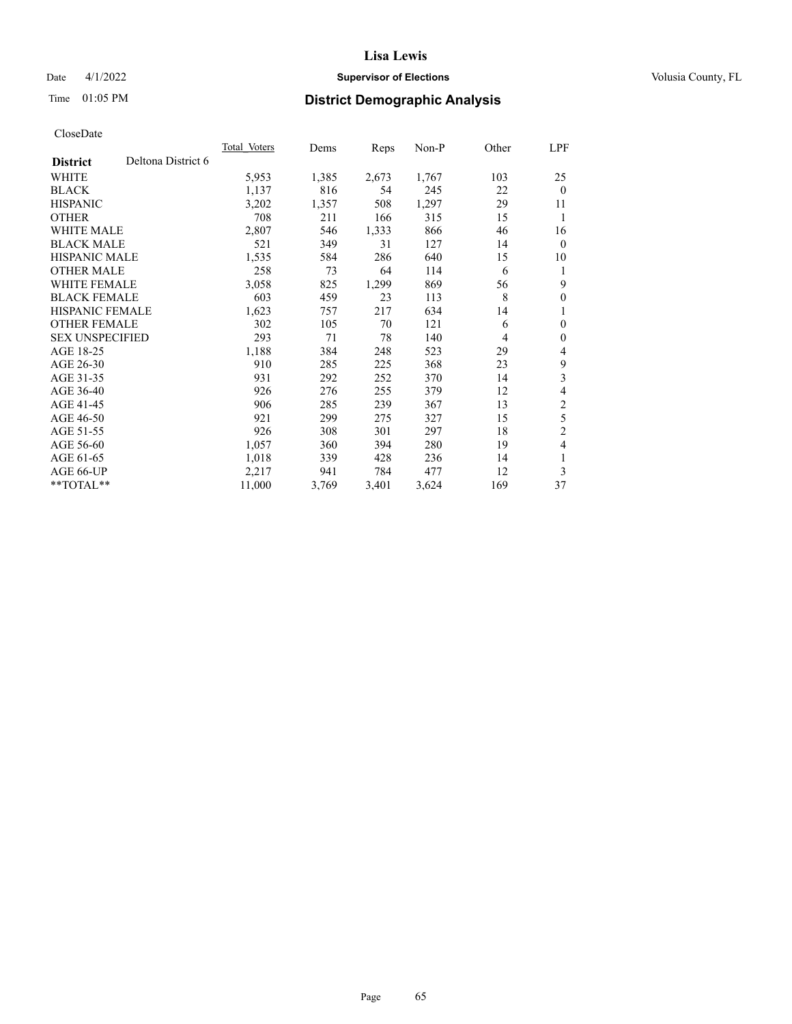## Date 4/1/2022 **Supervisor of Elections Supervisor of Elections** Volusia County, FL

# Time 01:05 PM **District Demographic Analysis**

|                        |                    | Total Voters | Dems  | Reps  | $Non-P$ | Other | <u>LPF</u>     |
|------------------------|--------------------|--------------|-------|-------|---------|-------|----------------|
| <b>District</b>        | Deltona District 6 |              |       |       |         |       |                |
| WHITE                  |                    | 5,953        | 1,385 | 2,673 | 1,767   | 103   | 25             |
| <b>BLACK</b>           |                    | 1,137        | 816   | 54    | 245     | 22    | $\theta$       |
| <b>HISPANIC</b>        |                    | 3,202        | 1,357 | 508   | 1,297   | 29    | 11             |
| <b>OTHER</b>           |                    | 708          | 211   | 166   | 315     | 15    | 1              |
| <b>WHITE MALE</b>      |                    | 2,807        | 546   | 1,333 | 866     | 46    | 16             |
| <b>BLACK MALE</b>      |                    | 521          | 349   | 31    | 127     | 14    | $\mathbf{0}$   |
| <b>HISPANIC MALE</b>   |                    | 1,535        | 584   | 286   | 640     | 15    | 10             |
| <b>OTHER MALE</b>      |                    | 258          | 73    | 64    | 114     | 6     | 1              |
| <b>WHITE FEMALE</b>    |                    | 3,058        | 825   | 1,299 | 869     | 56    | 9              |
| <b>BLACK FEMALE</b>    |                    | 603          | 459   | 23    | 113     | 8     | $\mathbf{0}$   |
| <b>HISPANIC FEMALE</b> |                    | 1,623        | 757   | 217   | 634     | 14    | 1              |
| <b>OTHER FEMALE</b>    |                    | 302          | 105   | 70    | 121     | 6     | $\mathbf{0}$   |
| <b>SEX UNSPECIFIED</b> |                    | 293          | 71    | 78    | 140     | 4     | $\mathbf{0}$   |
| AGE 18-25              |                    | 1,188        | 384   | 248   | 523     | 29    | 4              |
| AGE 26-30              |                    | 910          | 285   | 225   | 368     | 23    | 9              |
| AGE 31-35              |                    | 931          | 292   | 252   | 370     | 14    | 3              |
| AGE 36-40              |                    | 926          | 276   | 255   | 379     | 12    | 4              |
| AGE 41-45              |                    | 906          | 285   | 239   | 367     | 13    | $\mathfrak{2}$ |
| AGE 46-50              |                    | 921          | 299   | 275   | 327     | 15    | 5              |
| AGE 51-55              |                    | 926          | 308   | 301   | 297     | 18    | $\overline{c}$ |
| AGE 56-60              |                    | 1,057        | 360   | 394   | 280     | 19    | 4              |
| AGE 61-65              |                    | 1,018        | 339   | 428   | 236     | 14    | 1              |
| AGE 66-UP              |                    | 2,217        | 941   | 784   | 477     | 12    | 3              |
| $*$ $TOTAL**$          |                    | 11,000       | 3,769 | 3,401 | 3,624   | 169   | 37             |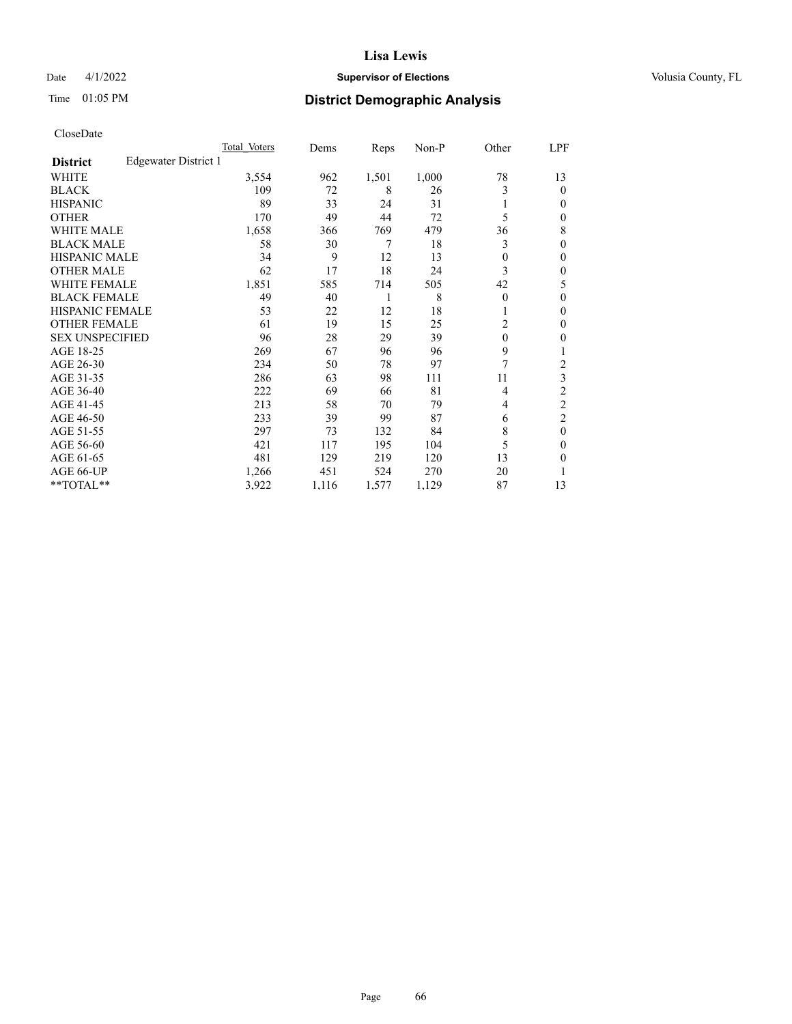## Date 4/1/2022 **Supervisor of Elections Supervisor of Elections** Volusia County, FL

## Time 01:05 PM **District Demographic Analysis**

|                        | Total Voters         | Dems  | Reps  | $Non-P$ | Other    | LPF            |
|------------------------|----------------------|-------|-------|---------|----------|----------------|
| <b>District</b>        | Edgewater District 1 |       |       |         |          |                |
| WHITE                  | 3,554                | 962   | 1,501 | 1,000   | 78       | 13             |
| <b>BLACK</b>           | 109                  | 72    | 8     | 26      | 3        | 0              |
| <b>HISPANIC</b>        | 89                   | 33    | 24    | 31      |          | 0              |
| <b>OTHER</b>           | 170                  | 49    | 44    | 72      | 5        | 0              |
| <b>WHITE MALE</b>      | 1,658                | 366   | 769   | 479     | 36       | 8              |
| <b>BLACK MALE</b>      | 58                   | 30    | 7     | 18      | 3        | 0              |
| <b>HISPANIC MALE</b>   | 34                   | 9     | 12    | 13      | $\theta$ | 0              |
| <b>OTHER MALE</b>      | 62                   | 17    | 18    | 24      | 3        | 0              |
| <b>WHITE FEMALE</b>    | 1,851                | 585   | 714   | 505     | 42       | 5              |
| <b>BLACK FEMALE</b>    | 49                   | 40    | 1     | 8       | $\theta$ | 0              |
| <b>HISPANIC FEMALE</b> | 53                   | 22    | 12    | 18      |          | 0              |
| <b>OTHER FEMALE</b>    | 61                   | 19    | 15    | 25      | 2        | 0              |
| <b>SEX UNSPECIFIED</b> | 96                   | 28    | 29    | 39      | $\theta$ | 0              |
| AGE 18-25              | 269                  | 67    | 96    | 96      | 9        |                |
| AGE 26-30              | 234                  | 50    | 78    | 97      | 7        | $\overline{c}$ |
| AGE 31-35              | 286                  | 63    | 98    | 111     | 11       | 3              |
| AGE 36-40              | 222                  | 69    | 66    | 81      | 4        | $\overline{2}$ |
| AGE 41-45              | 213                  | 58    | 70    | 79      | 4        | 2              |
| AGE 46-50              | 233                  | 39    | 99    | 87      | 6        | $\overline{2}$ |
| AGE 51-55              | 297                  | 73    | 132   | 84      | 8        | $\theta$       |
| AGE 56-60              | 421                  | 117   | 195   | 104     | 5        | 0              |
| AGE 61-65              | 481                  | 129   | 219   | 120     | 13       | 0              |
| AGE 66-UP              | 1,266                | 451   | 524   | 270     | 20       |                |
| **TOTAL**              | 3,922                | 1,116 | 1,577 | 1,129   | 87       | 13             |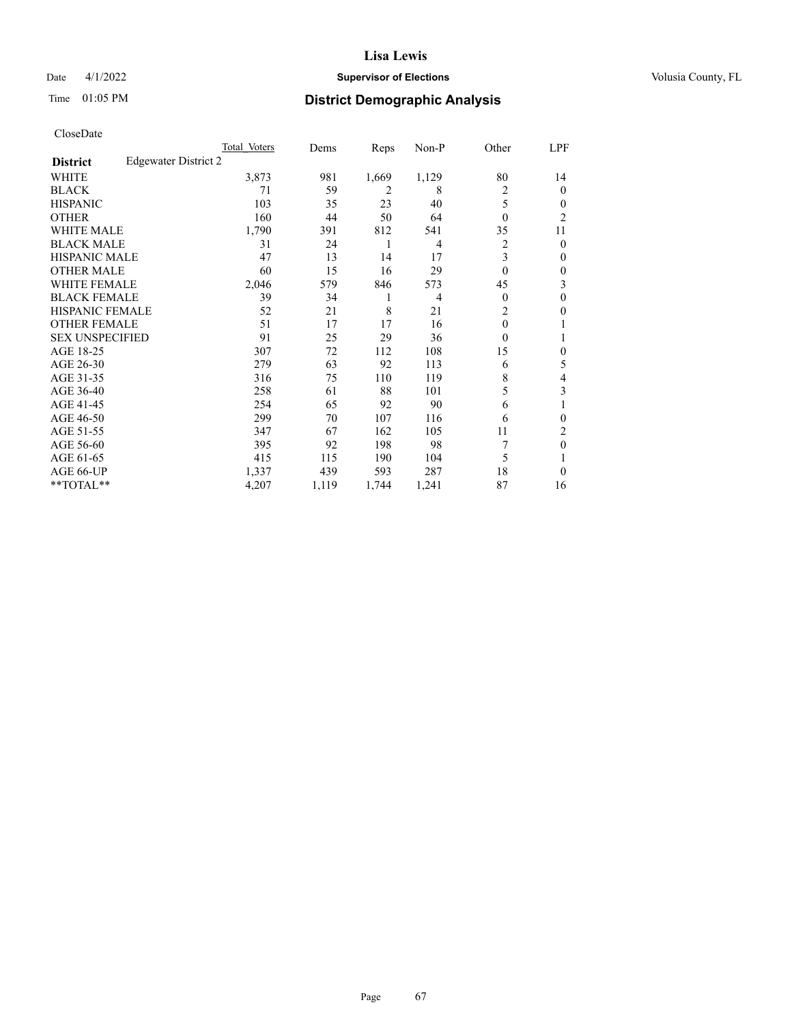## Date 4/1/2022 **Supervisor of Elections Supervisor of Elections** Volusia County, FL

## Time 01:05 PM **District Demographic Analysis**

|                        |                      | Total Voters | Dems  | Reps  | Non-P          | Other          | LPF            |
|------------------------|----------------------|--------------|-------|-------|----------------|----------------|----------------|
| <b>District</b>        | Edgewater District 2 |              |       |       |                |                |                |
| WHITE                  |                      | 3,873        | 981   | 1,669 | 1,129          | 80             | 14             |
| <b>BLACK</b>           |                      | 71           | 59    | 2     | 8              | 2              | 0              |
| <b>HISPANIC</b>        |                      | 103          | 35    | 23    | 40             | 5              | 0              |
| <b>OTHER</b>           |                      | 160          | 44    | 50    | 64             | $\theta$       | $\overline{c}$ |
| <b>WHITE MALE</b>      |                      | 1,790        | 391   | 812   | 541            | 35             | 11             |
| <b>BLACK MALE</b>      |                      | 31           | 24    | 1     | $\overline{4}$ | 2              | 0              |
| <b>HISPANIC MALE</b>   |                      | 47           | 13    | 14    | 17             | 3              | 0              |
| <b>OTHER MALE</b>      |                      | 60           | 15    | 16    | 29             | $\theta$       | 0              |
| <b>WHITE FEMALE</b>    |                      | 2,046        | 579   | 846   | 573            | 45             | 3              |
| <b>BLACK FEMALE</b>    |                      | 39           | 34    | 1     | $\overline{4}$ | $\Omega$       | 0              |
| <b>HISPANIC FEMALE</b> |                      | 52           | 21    | 8     | 21             | $\overline{2}$ | 0              |
| <b>OTHER FEMALE</b>    |                      | 51           | 17    | 17    | 16             | $\theta$       |                |
| <b>SEX UNSPECIFIED</b> |                      | 91           | 25    | 29    | 36             | $\Omega$       |                |
| AGE 18-25              |                      | 307          | 72    | 112   | 108            | 15             | 0              |
| AGE 26-30              |                      | 279          | 63    | 92    | 113            | 6              | 5              |
| AGE 31-35              |                      | 316          | 75    | 110   | 119            | 8              | 4              |
| AGE 36-40              |                      | 258          | 61    | 88    | 101            | 5              | 3              |
| AGE 41-45              |                      | 254          | 65    | 92    | 90             | 6              |                |
| AGE 46-50              |                      | 299          | 70    | 107   | 116            | 6              | 0              |
| AGE 51-55              |                      | 347          | 67    | 162   | 105            | 11             | 2              |
| AGE 56-60              |                      | 395          | 92    | 198   | 98             | 7              | $\theta$       |
| AGE 61-65              |                      | 415          | 115   | 190   | 104            | 5              |                |
| AGE 66-UP              |                      | 1,337        | 439   | 593   | 287            | 18             | 0              |
| **TOTAL**              |                      | 4,207        | 1,119 | 1,744 | 1,241          | 87             | 16             |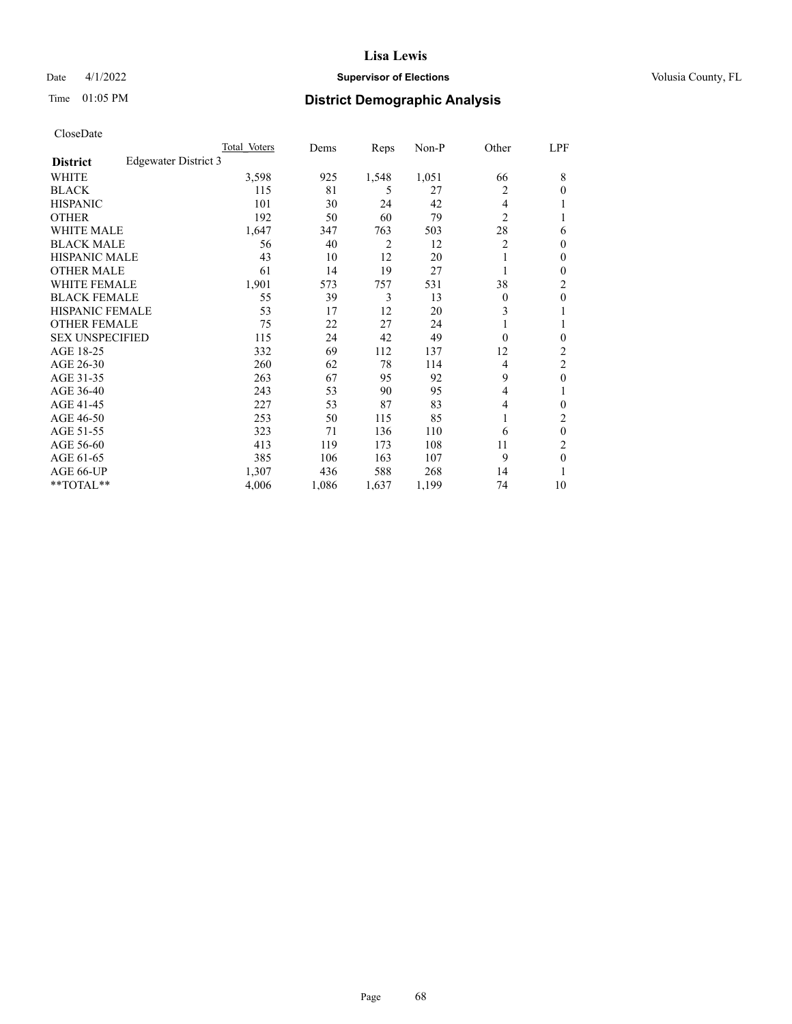#### Date 4/1/2022 **Supervisor of Elections Supervisor of Elections** Volusia County, FL

## Time 01:05 PM **District Demographic Analysis**

|                        | Total Voters         | Dems  | Reps  | $Non-P$ | Other          | <u>LPF</u>       |
|------------------------|----------------------|-------|-------|---------|----------------|------------------|
| <b>District</b>        | Edgewater District 3 |       |       |         |                |                  |
| WHITE                  | 3,598                | 925   | 1,548 | 1,051   | 66             | 8                |
| <b>BLACK</b>           | 115                  | 81    | 5     | 27      | 2              | $\Omega$         |
| <b>HISPANIC</b>        | 101                  | 30    | 24    | 42      | 4              |                  |
| <b>OTHER</b>           | 192                  | 50    | 60    | 79      | $\overline{2}$ |                  |
| <b>WHITE MALE</b>      | 1,647                | 347   | 763   | 503     | 28             | 6                |
| <b>BLACK MALE</b>      | 56                   | 40    | 2     | 12      | 2              | 0                |
| <b>HISPANIC MALE</b>   | 43                   | 10    | 12    | 20      | 1              | 0                |
| <b>OTHER MALE</b>      | 61                   | 14    | 19    | 27      |                | 0                |
| WHITE FEMALE           | 1,901                | 573   | 757   | 531     | 38             | $\overline{2}$   |
| <b>BLACK FEMALE</b>    | 55                   | 39    | 3     | 13      | $\theta$       | $\boldsymbol{0}$ |
| <b>HISPANIC FEMALE</b> | 53                   | 17    | 12    | 20      | 3              |                  |
| <b>OTHER FEMALE</b>    | 75                   | 22    | 27    | 24      | 1              |                  |
| <b>SEX UNSPECIFIED</b> | 115                  | 24    | 42    | 49      | $\theta$       | 0                |
| AGE 18-25              | 332                  | 69    | 112   | 137     | 12             | 2                |
| AGE 26-30              | 260                  | 62    | 78    | 114     | 4              | 2                |
| AGE 31-35              | 263                  | 67    | 95    | 92      | 9              | $\theta$         |
| AGE 36-40              | 243                  | 53    | 90    | 95      | 4              |                  |
| AGE 41-45              | 227                  | 53    | 87    | 83      | 4              | 0                |
| AGE 46-50              | 253                  | 50    | 115   | 85      | 1              | 2                |
| AGE 51-55              | 323                  | 71    | 136   | 110     | 6              | $\theta$         |
| AGE 56-60              | 413                  | 119   | 173   | 108     | 11             | $\overline{c}$   |
| AGE 61-65              | 385                  | 106   | 163   | 107     | 9              | $\theta$         |
| AGE 66-UP              | 1,307                | 436   | 588   | 268     | 14             |                  |
| **TOTAL**              | 4,006                | 1,086 | 1,637 | 1,199   | 74             | 10               |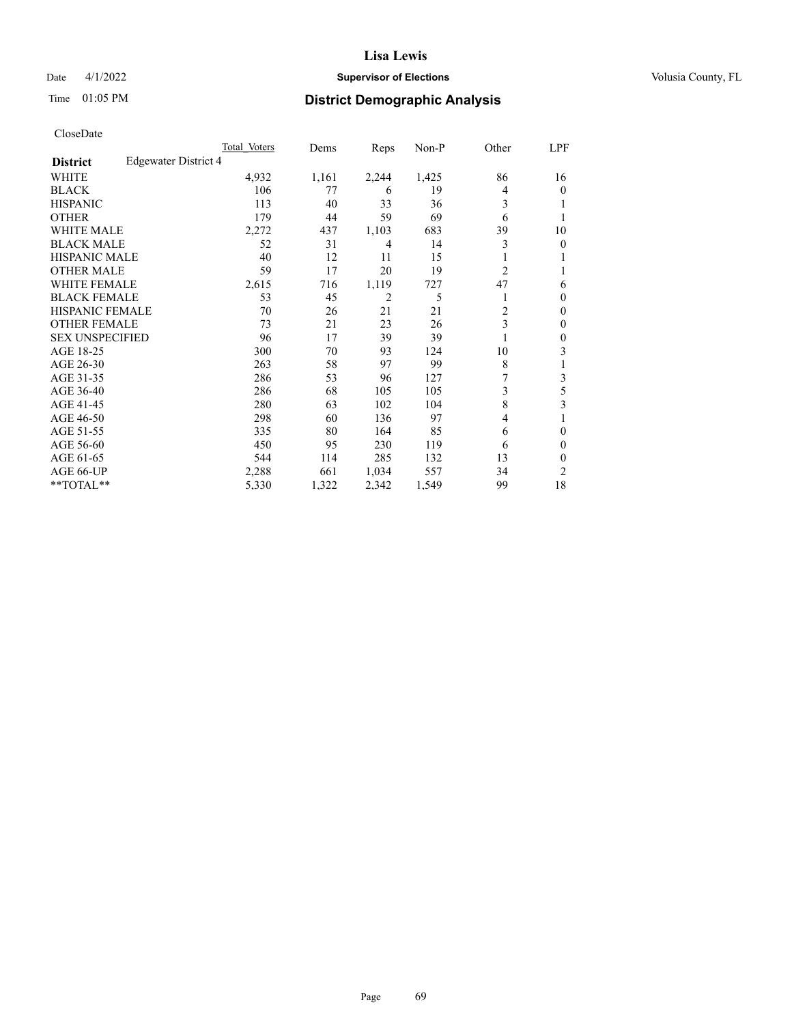## Date 4/1/2022 **Supervisor of Elections Supervisor of Elections** Volusia County, FL

## Time 01:05 PM **District Demographic Analysis**

|                        |                      | Total Voters | Dems  | Reps  | Non-P | Other          | LPF |
|------------------------|----------------------|--------------|-------|-------|-------|----------------|-----|
| <b>District</b>        | Edgewater District 4 |              |       |       |       |                |     |
| WHITE                  |                      | 4,932        | 1,161 | 2,244 | 1,425 | 86             | 16  |
| <b>BLACK</b>           |                      | 106          | 77    | 6     | 19    | 4              | 0   |
| <b>HISPANIC</b>        |                      | 113          | 40    | 33    | 36    | 3              |     |
| <b>OTHER</b>           |                      | 179          | 44    | 59    | 69    | 6              |     |
| <b>WHITE MALE</b>      |                      | 2,272        | 437   | 1,103 | 683   | 39             | 10  |
| <b>BLACK MALE</b>      |                      | 52           | 31    | 4     | 14    | 3              | 0   |
| <b>HISPANIC MALE</b>   |                      | 40           | 12    | 11    | 15    |                |     |
| <b>OTHER MALE</b>      |                      | 59           | 17    | 20    | 19    | $\overline{2}$ | 1   |
| <b>WHITE FEMALE</b>    |                      | 2,615        | 716   | 1,119 | 727   | 47             | 6   |
| <b>BLACK FEMALE</b>    |                      | 53           | 45    | 2     | 5     |                | 0   |
| <b>HISPANIC FEMALE</b> |                      | 70           | 26    | 21    | 21    | $\overline{c}$ | 0   |
| <b>OTHER FEMALE</b>    |                      | 73           | 21    | 23    | 26    | 3              | 0   |
| <b>SEX UNSPECIFIED</b> |                      | 96           | 17    | 39    | 39    |                | 0   |
| AGE 18-25              |                      | 300          | 70    | 93    | 124   | 10             | 3   |
| AGE 26-30              |                      | 263          | 58    | 97    | 99    | 8              | 1   |
| AGE 31-35              |                      | 286          | 53    | 96    | 127   | 7              | 3   |
| AGE 36-40              |                      | 286          | 68    | 105   | 105   | 3              | 5   |
| AGE 41-45              |                      | 280          | 63    | 102   | 104   | 8              | 3   |
| AGE 46-50              |                      | 298          | 60    | 136   | 97    | $\overline{4}$ |     |
| AGE 51-55              |                      | 335          | 80    | 164   | 85    | 6              | 0   |
| AGE 56-60              |                      | 450          | 95    | 230   | 119   | 6              | 0   |
| AGE 61-65              |                      | 544          | 114   | 285   | 132   | 13             | 0   |
| AGE 66-UP              |                      | 2,288        | 661   | 1,034 | 557   | 34             | 2   |
| **TOTAL**              |                      | 5,330        | 1,322 | 2,342 | 1,549 | 99             | 18  |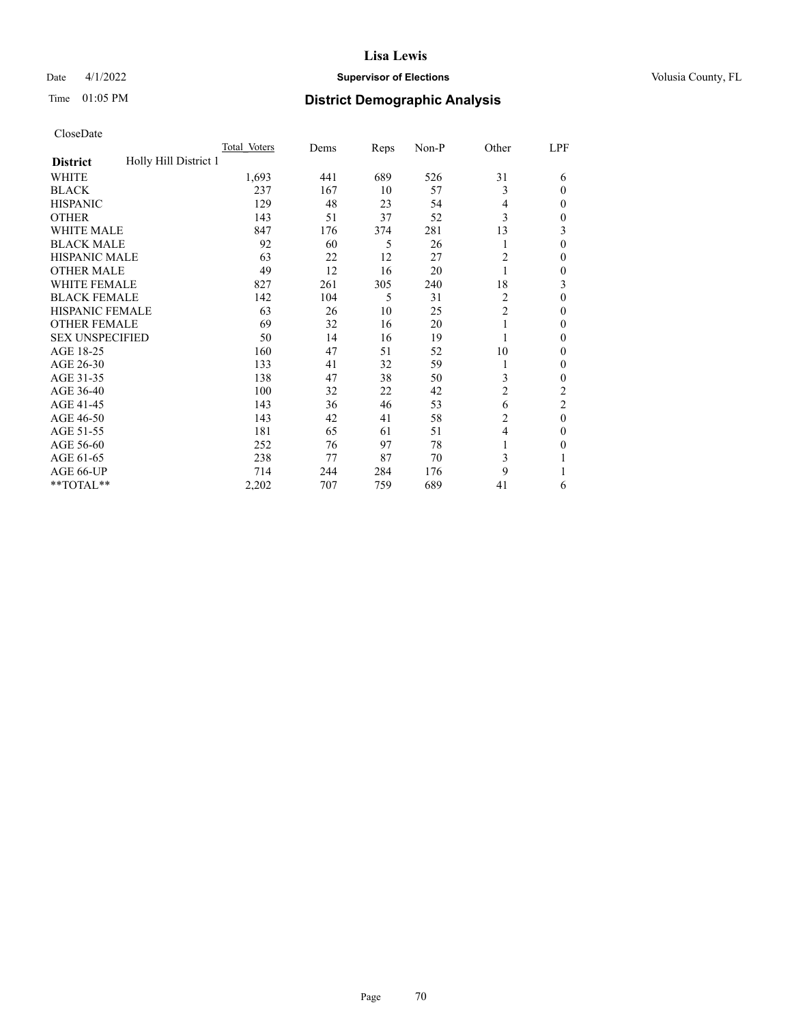## Date 4/1/2022 **Supervisor of Elections Supervisor of Elections** Volusia County, FL

# Time 01:05 PM **District Demographic Analysis**

|                                          | Total Voters | Dems | Reps | Non-P | Other          | LPF          |
|------------------------------------------|--------------|------|------|-------|----------------|--------------|
| Holly Hill District 1<br><b>District</b> |              |      |      |       |                |              |
| WHITE                                    | 1,693        | 441  | 689  | 526   | 31             | 6            |
| <b>BLACK</b>                             | 237          | 167  | 10   | 57    | 3              | $\Omega$     |
| <b>HISPANIC</b>                          | 129          | 48   | 23   | 54    | $\overline{4}$ | $\Omega$     |
| <b>OTHER</b>                             | 143          | 51   | 37   | 52    | 3              | 0            |
| <b>WHITE MALE</b>                        | 847          | 176  | 374  | 281   | 13             | 3            |
| <b>BLACK MALE</b>                        | 92           | 60   | 5    | 26    | 1              | $\theta$     |
| <b>HISPANIC MALE</b>                     | 63           | 22   | 12   | 27    | $\overline{2}$ | $\mathbf{0}$ |
| <b>OTHER MALE</b>                        | 49           | 12   | 16   | 20    | 1              | 0            |
| WHITE FEMALE                             | 827          | 261  | 305  | 240   | 18             | 3            |
| <b>BLACK FEMALE</b>                      | 142          | 104  | 5    | 31    | 2              | $\theta$     |
| <b>HISPANIC FEMALE</b>                   | 63           | 26   | 10   | 25    | $\overline{2}$ | 0            |
| <b>OTHER FEMALE</b>                      | 69           | 32   | 16   | 20    | 1              | 0            |
| <b>SEX UNSPECIFIED</b>                   | 50           | 14   | 16   | 19    |                | 0            |
| AGE 18-25                                | 160          | 47   | 51   | 52    | 10             | $\Omega$     |
| AGE 26-30                                | 133          | 41   | 32   | 59    | 1              | $\mathbf{0}$ |
| AGE 31-35                                | 138          | 47   | 38   | 50    | 3              | 0            |
| AGE 36-40                                | 100          | 32   | 22   | 42    | 2              | 2            |
| AGE 41-45                                | 143          | 36   | 46   | 53    | 6              | 2            |
| AGE 46-50                                | 143          | 42   | 41   | 58    | 2              | $\theta$     |
| AGE 51-55                                | 181          | 65   | 61   | 51    | $\overline{4}$ | $\Omega$     |
| AGE 56-60                                | 252          | 76   | 97   | 78    | 1              | 0            |
| AGE 61-65                                | 238          | 77   | 87   | 70    | 3              |              |
| AGE 66-UP                                | 714          | 244  | 284  | 176   | 9              |              |
| **TOTAL**                                | 2,202        | 707  | 759  | 689   | 41             | 6            |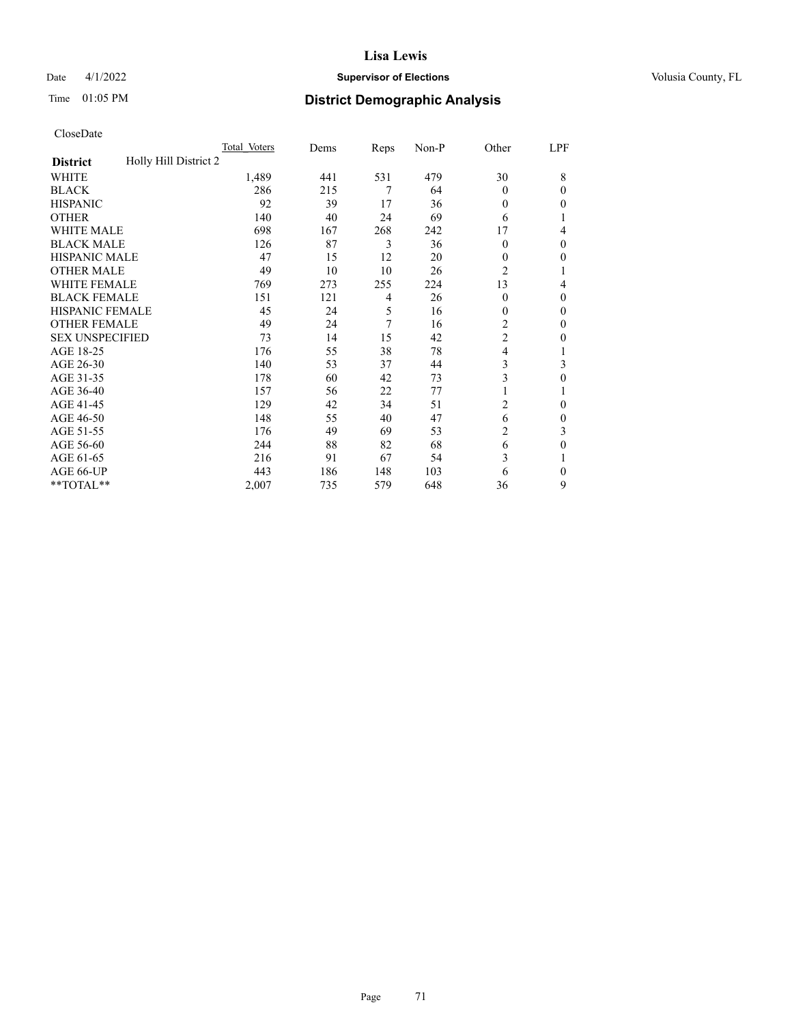## Date 4/1/2022 **Supervisor of Elections Supervisor of Elections** Volusia County, FL

# Time 01:05 PM **District Demographic Analysis**

|                                          | Total Voters | Dems | Reps | Non-P | Other          | LPF      |
|------------------------------------------|--------------|------|------|-------|----------------|----------|
| Holly Hill District 2<br><b>District</b> |              |      |      |       |                |          |
| WHITE                                    | 1,489        | 441  | 531  | 479   | 30             | 8        |
| <b>BLACK</b>                             | 286          | 215  | 7    | 64    | $\theta$       | $\Omega$ |
| <b>HISPANIC</b>                          | 92           | 39   | 17   | 36    | $\theta$       | 0        |
| <b>OTHER</b>                             | 140          | 40   | 24   | 69    | 6              |          |
| <b>WHITE MALE</b>                        | 698          | 167  | 268  | 242   | 17             | 4        |
| <b>BLACK MALE</b>                        | 126          | 87   | 3    | 36    | $\theta$       | $\Omega$ |
| <b>HISPANIC MALE</b>                     | 47           | 15   | 12   | 20    | $\mathbf{0}$   | 0        |
| <b>OTHER MALE</b>                        | 49           | 10   | 10   | 26    | $\overline{2}$ | 1        |
| <b>WHITE FEMALE</b>                      | 769          | 273  | 255  | 224   | 13             | 4        |
| <b>BLACK FEMALE</b>                      | 151          | 121  | 4    | 26    | $\theta$       | $\Omega$ |
| <b>HISPANIC FEMALE</b>                   | 45           | 24   | 5    | 16    | $\theta$       | 0        |
| <b>OTHER FEMALE</b>                      | 49           | 24   | 7    | 16    | 2              | $\Omega$ |
| <b>SEX UNSPECIFIED</b>                   | 73           | 14   | 15   | 42    | $\overline{c}$ | 0        |
| AGE 18-25                                | 176          | 55   | 38   | 78    | $\overline{4}$ |          |
| AGE 26-30                                | 140          | 53   | 37   | 44    | 3              | 3        |
| AGE 31-35                                | 178          | 60   | 42   | 73    | 3              | 0        |
| AGE 36-40                                | 157          | 56   | 22   | 77    | 1              |          |
| AGE 41-45                                | 129          | 42   | 34   | 51    | $\overline{2}$ | 0        |
| AGE 46-50                                | 148          | 55   | 40   | 47    | 6              | 0        |
| AGE 51-55                                | 176          | 49   | 69   | 53    | 2              | 3        |
| AGE 56-60                                | 244          | 88   | 82   | 68    | 6              | 0        |
| AGE 61-65                                | 216          | 91   | 67   | 54    | 3              |          |
| AGE 66-UP                                | 443          | 186  | 148  | 103   | 6              | $\Omega$ |
| **TOTAL**                                | 2,007        | 735  | 579  | 648   | 36             | 9        |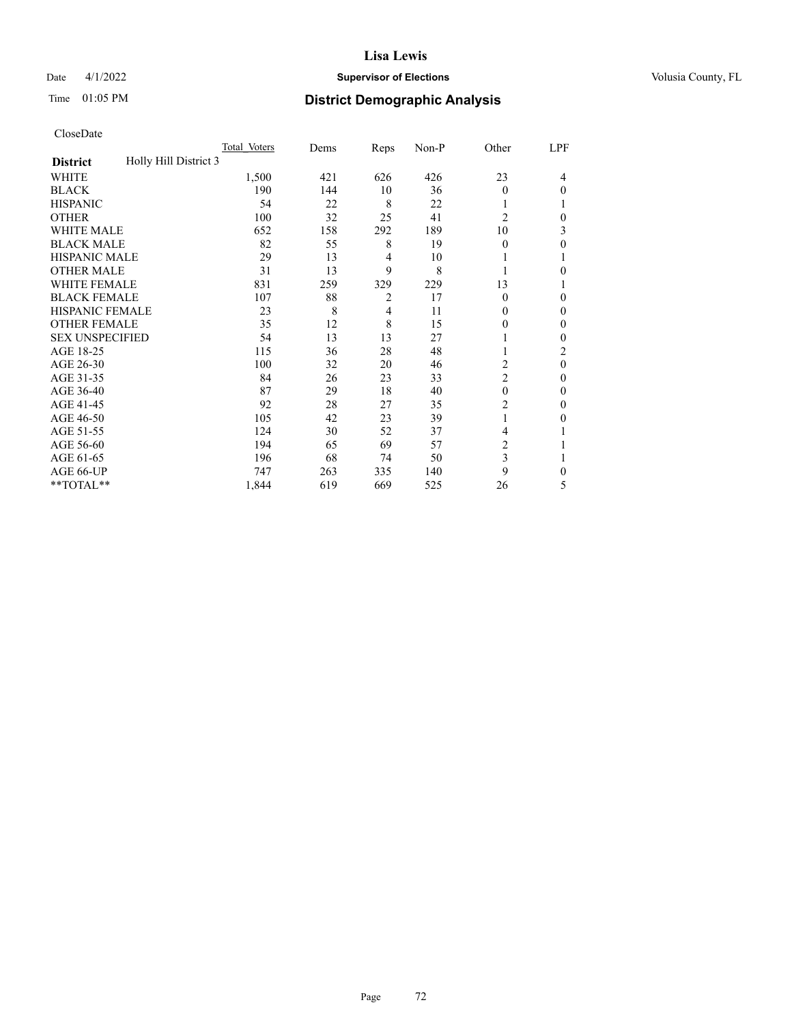## Date 4/1/2022 **Supervisor of Elections Supervisor of Elections** Volusia County, FL

# Time 01:05 PM **District Demographic Analysis**

|                                          | Total Voters | Dems | Reps           | Non-P | Other          | LPF      |
|------------------------------------------|--------------|------|----------------|-------|----------------|----------|
| Holly Hill District 3<br><b>District</b> |              |      |                |       |                |          |
| WHITE                                    | 1,500        | 421  | 626            | 426   | 23             | 4        |
| <b>BLACK</b>                             | 190          | 144  | 10             | 36    | $\Omega$       | 0        |
| <b>HISPANIC</b>                          | 54           | 22   | 8              | 22    |                |          |
| <b>OTHER</b>                             | 100          | 32   | 25             | 41    | $\overline{2}$ | 0        |
| <b>WHITE MALE</b>                        | 652          | 158  | 292            | 189   | 10             | 3        |
| <b>BLACK MALE</b>                        | 82           | 55   | 8              | 19    | $\Omega$       | 0        |
| <b>HISPANIC MALE</b>                     | 29           | 13   | 4              | 10    |                |          |
| <b>OTHER MALE</b>                        | 31           | 13   | 9              | 8     |                | 0        |
| <b>WHITE FEMALE</b>                      | 831          | 259  | 329            | 229   | 13             |          |
| <b>BLACK FEMALE</b>                      | 107          | 88   | $\overline{2}$ | 17    | $\Omega$       | 0        |
| <b>HISPANIC FEMALE</b>                   | 23           | 8    | 4              | 11    | 0              | 0        |
| <b>OTHER FEMALE</b>                      | 35           | 12   | 8              | 15    | 0              | 0        |
| <b>SEX UNSPECIFIED</b>                   | 54           | 13   | 13             | 27    |                | 0        |
| AGE 18-25                                | 115          | 36   | 28             | 48    |                | 2        |
| AGE 26-30                                | 100          | 32   | 20             | 46    | $\overline{c}$ | $\theta$ |
| AGE 31-35                                | 84           | 26   | 23             | 33    | $\overline{c}$ | 0        |
| AGE 36-40                                | 87           | 29   | 18             | 40    | $\theta$       | 0        |
| AGE 41-45                                | 92           | 28   | 27             | 35    | 2              | 0        |
| AGE 46-50                                | 105          | 42   | 23             | 39    | 1              | 0        |
| AGE 51-55                                | 124          | 30   | 52             | 37    | 4              |          |
| AGE 56-60                                | 194          | 65   | 69             | 57    | $\overline{c}$ |          |
| AGE 61-65                                | 196          | 68   | 74             | 50    | 3              |          |
| AGE 66-UP                                | 747          | 263  | 335            | 140   | 9              | 0        |
| **TOTAL**                                | 1,844        | 619  | 669            | 525   | 26             | 5        |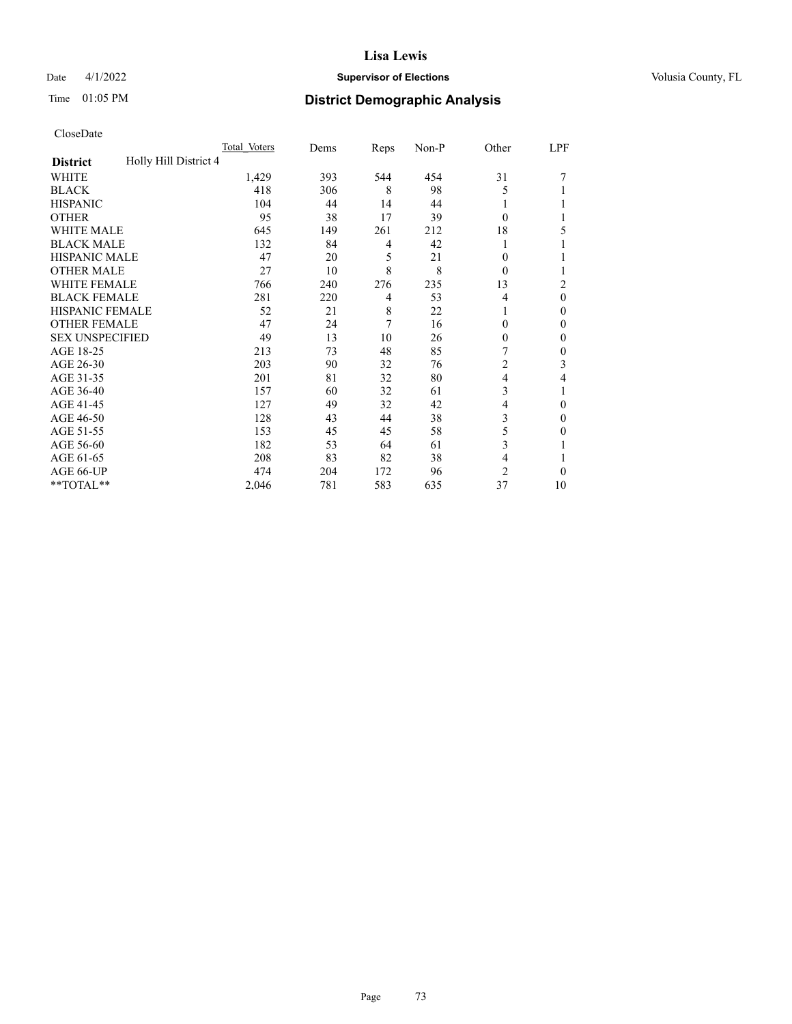# Date 4/1/2022 **Supervisor of Elections Supervisor of Elections** Volusia County, FL

# Time 01:05 PM **District Demographic Analysis**

|                                          | Total Voters | Dems | Reps           | Non-P | Other          | LPF            |
|------------------------------------------|--------------|------|----------------|-------|----------------|----------------|
| Holly Hill District 4<br><b>District</b> |              |      |                |       |                |                |
| WHITE                                    | 1,429        | 393  | 544            | 454   | 31             |                |
| <b>BLACK</b>                             | 418          | 306  | 8              | 98    | 5              |                |
| <b>HISPANIC</b>                          | 104          | 44   | 14             | 44    |                |                |
| <b>OTHER</b>                             | 95           | 38   | 17             | 39    | $\theta$       |                |
| <b>WHITE MALE</b>                        | 645          | 149  | 261            | 212   | 18             | 5              |
| <b>BLACK MALE</b>                        | 132          | 84   | 4              | 42    |                |                |
| <b>HISPANIC MALE</b>                     | 47           | 20   | 5              | 21    | 0              |                |
| <b>OTHER MALE</b>                        | 27           | 10   | 8              | 8     | $\theta$       | 1              |
| WHITE FEMALE                             | 766          | 240  | 276            | 235   | 13             | $\overline{c}$ |
| <b>BLACK FEMALE</b>                      | 281          | 220  | 4              | 53    | 4              | $\theta$       |
| <b>HISPANIC FEMALE</b>                   | 52           | 21   | 8              | 22    |                | $\Omega$       |
| <b>OTHER FEMALE</b>                      | 47           | 24   | $\overline{7}$ | 16    | $\Omega$       | $\theta$       |
| <b>SEX UNSPECIFIED</b>                   | 49           | 13   | 10             | 26    | $\mathbf{0}$   | $\theta$       |
| AGE 18-25                                | 213          | 73   | 48             | 85    | 7              | $\theta$       |
| AGE 26-30                                | 203          | 90   | 32             | 76    | $\overline{c}$ | 3              |
| AGE 31-35                                | 201          | 81   | 32             | 80    | 4              | 4              |
| AGE 36-40                                | 157          | 60   | 32             | 61    | 3              | 1              |
| AGE 41-45                                | 127          | 49   | 32             | 42    | 4              | $\theta$       |
| AGE 46-50                                | 128          | 43   | 44             | 38    | 3              | $\Omega$       |
| AGE 51-55                                | 153          | 45   | 45             | 58    | 5              | $\theta$       |
| AGE 56-60                                | 182          | 53   | 64             | 61    | 3              |                |
| AGE 61-65                                | 208          | 83   | 82             | 38    | 4              | 1              |
| AGE 66-UP                                | 474          | 204  | 172            | 96    | $\overline{c}$ | $\theta$       |
| **TOTAL**                                | 2,046        | 781  | 583            | 635   | 37             | 10             |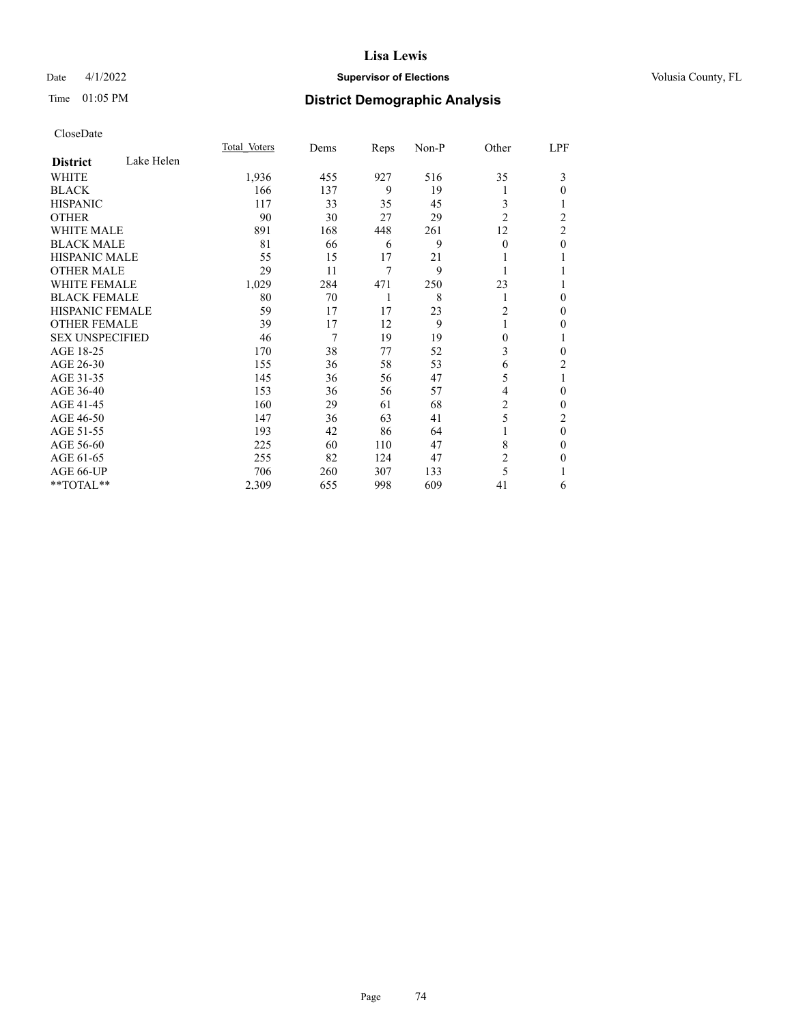# Date 4/1/2022 **Supervisor of Elections Supervisor of Elections** Volusia County, FL

# Time 01:05 PM **District Demographic Analysis**

|                        |            | Total Voters | Dems | Reps | Non-P | Other          | LPF            |
|------------------------|------------|--------------|------|------|-------|----------------|----------------|
| <b>District</b>        | Lake Helen |              |      |      |       |                |                |
| WHITE                  |            | 1,936        | 455  | 927  | 516   | 35             | 3              |
| <b>BLACK</b>           |            | 166          | 137  | 9    | 19    | l              | 0              |
| <b>HISPANIC</b>        |            | 117          | 33   | 35   | 45    | 3              |                |
| <b>OTHER</b>           |            | 90           | 30   | 27   | 29    | $\overline{2}$ | $\overline{c}$ |
| <b>WHITE MALE</b>      |            | 891          | 168  | 448  | 261   | 12             | 2              |
| <b>BLACK MALE</b>      |            | 81           | 66   | 6    | 9     | $\Omega$       | 0              |
| <b>HISPANIC MALE</b>   |            | 55           | 15   | 17   | 21    |                |                |
| <b>OTHER MALE</b>      |            | 29           | 11   | 7    | 9     | 1              |                |
| <b>WHITE FEMALE</b>    |            | 1,029        | 284  | 471  | 250   | 23             |                |
| <b>BLACK FEMALE</b>    |            | 80           | 70   | 1    | 8     | 1              | 0              |
| <b>HISPANIC FEMALE</b> |            | 59           | 17   | 17   | 23    | 2              | 0              |
| <b>OTHER FEMALE</b>    |            | 39           | 17   | 12   | 9     | 1              | 0              |
| <b>SEX UNSPECIFIED</b> |            | 46           | 7    | 19   | 19    | 0              |                |
| AGE 18-25              |            | 170          | 38   | 77   | 52    | 3              | 0              |
| AGE 26-30              |            | 155          | 36   | 58   | 53    | 6              | 2              |
| AGE 31-35              |            | 145          | 36   | 56   | 47    | 5              | 1              |
| AGE 36-40              |            | 153          | 36   | 56   | 57    | 4              | 0              |
| AGE 41-45              |            | 160          | 29   | 61   | 68    | 2              | 0              |
| AGE 46-50              |            | 147          | 36   | 63   | 41    | 5              | 2              |
| AGE 51-55              |            | 193          | 42   | 86   | 64    |                | 0              |
| AGE 56-60              |            | 225          | 60   | 110  | 47    | 8              | 0              |
| AGE 61-65              |            | 255          | 82   | 124  | 47    | 2              | 0              |
| AGE 66-UP              |            | 706          | 260  | 307  | 133   | 5              |                |
| **TOTAL**              |            | 2,309        | 655  | 998  | 609   | 41             | 6              |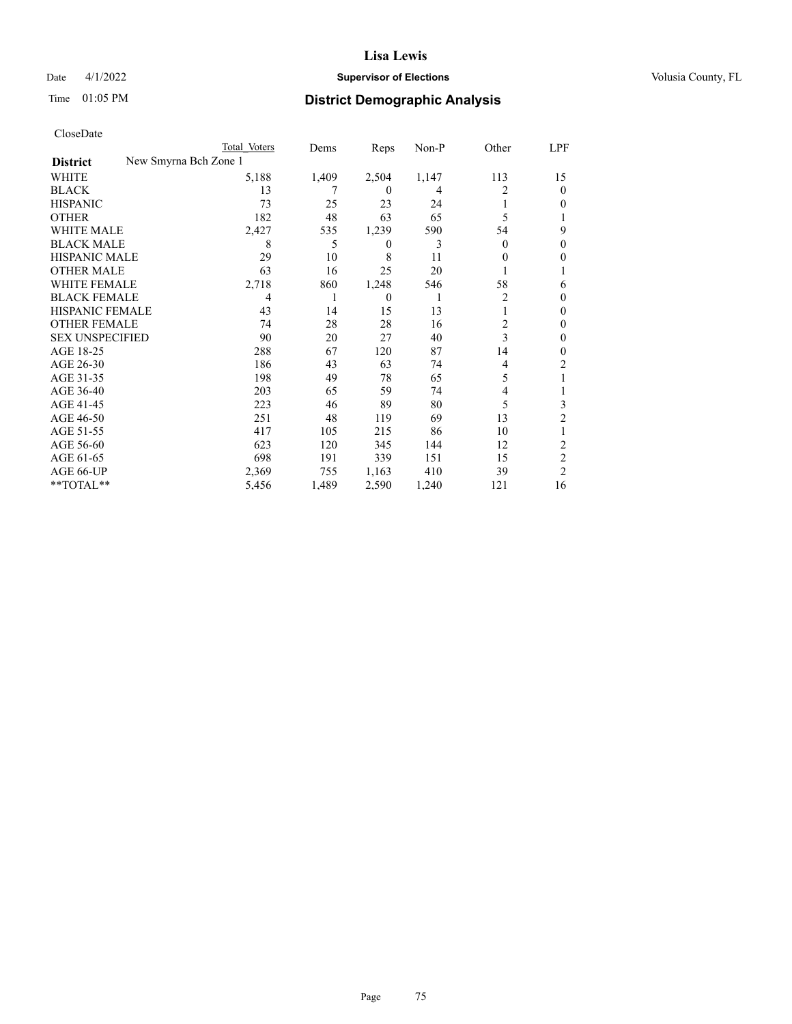# Date 4/1/2022 **Supervisor of Elections Supervisor of Elections** Volusia County, FL

| CloseDate |
|-----------|
|-----------|

| Total Voters | Dems                  | Reps         | $Non-P$ | Other          | LPF            |
|--------------|-----------------------|--------------|---------|----------------|----------------|
|              |                       |              |         |                |                |
| 5,188        | 1,409                 | 2,504        | 1,147   | 113            | 15             |
| 13           |                       | $\theta$     | 4       | 2              | $\theta$       |
| 73           | 25                    | 23           | 24      |                | $_{0}$         |
| 182          | 48                    | 63           | 65      | 5              |                |
| 2,427        | 535                   | 1,239        | 590     | 54             | 9              |
| 8            | 5                     | $\mathbf{0}$ | 3       | $\theta$       | 0              |
| 29           | 10                    | 8            | 11      | 0              | 0              |
| 63           | 16                    | 25           | 20      |                |                |
| 2,718        | 860                   | 1,248        | 546     | 58             | 6              |
| 4            | 1                     | $\mathbf{0}$ | 1       | 2              | 0              |
| 43           | 14                    | 15           | 13      | 1              | 0              |
| 74           | 28                    | 28           | 16      | $\overline{c}$ | 0              |
| 90           | 20                    | 27           | 40      | 3              | 0              |
| 288          | 67                    | 120          | 87      | 14             | $_{0}$         |
| 186          | 43                    | 63           | 74      | 4              | 2              |
| 198          | 49                    | 78           | 65      | 5              |                |
| 203          | 65                    | 59           | 74      | 4              |                |
| 223          | 46                    | 89           | 80      | 5              | 3              |
| 251          | 48                    | 119          | 69      | 13             | $\overline{c}$ |
| 417          | 105                   | 215          | 86      | 10             |                |
| 623          | 120                   | 345          | 144     | 12             | $\overline{c}$ |
| 698          | 191                   | 339          | 151     | 15             | $\overline{c}$ |
| 2,369        | 755                   | 1,163        | 410     | 39             | 2              |
| 5,456        | 1,489                 | 2,590        | 1,240   | 121            | 16             |
|              | New Smyrna Bch Zone 1 |              |         |                |                |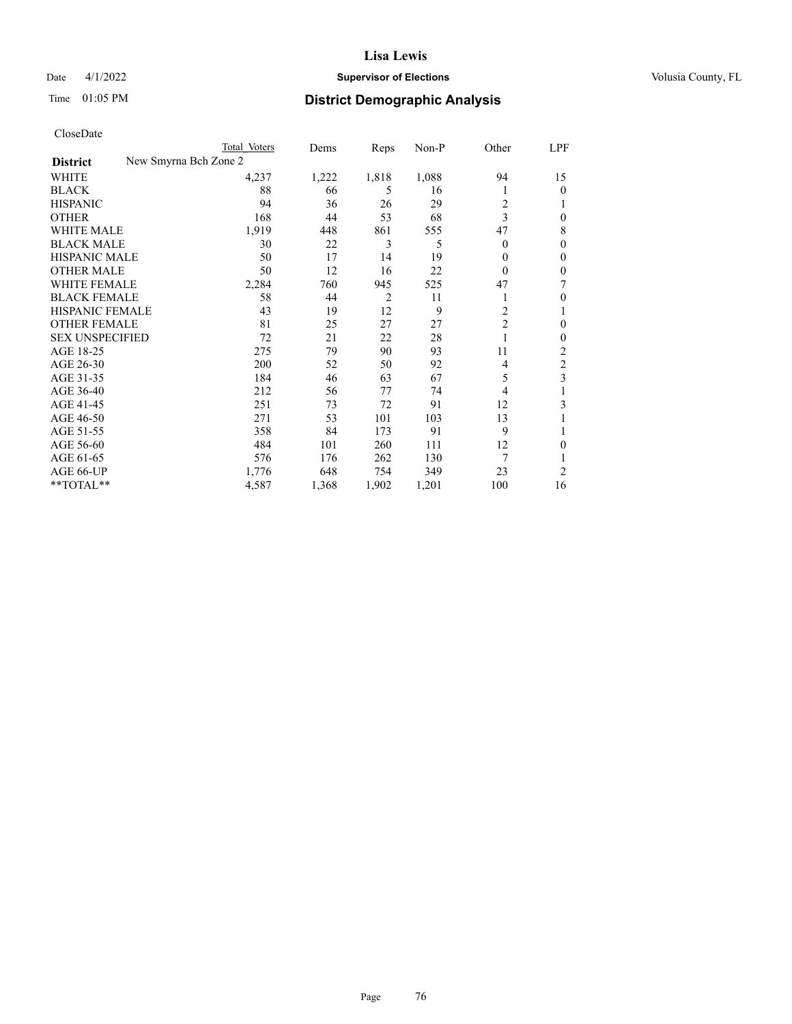# Date 4/1/2022 **Supervisor of Elections Supervisor of Elections** Volusia County, FL

| CloseDate |
|-----------|
|-----------|

|                                          | Total Voters | Dems  | Reps           | Non-P | Other          | LPF |
|------------------------------------------|--------------|-------|----------------|-------|----------------|-----|
| New Smyrna Bch Zone 2<br><b>District</b> |              |       |                |       |                |     |
| WHITE                                    | 4,237        | 1,222 | 1,818          | 1,088 | 94             | 15  |
| <b>BLACK</b>                             | 88           | 66    | 5              | 16    | 1              | 0   |
| <b>HISPANIC</b>                          | 94           | 36    | 26             | 29    | 2              |     |
| <b>OTHER</b>                             | 168          | 44    | 53             | 68    | 3              | 0   |
| <b>WHITE MALE</b>                        | 1,919        | 448   | 861            | 555   | 47             | 8   |
| <b>BLACK MALE</b>                        | 30           | 22    | 3              | 5     | $\overline{0}$ | 0   |
| HISPANIC MALE                            | 50           | 17    | 14             | 19    | 0              | 0   |
| <b>OTHER MALE</b>                        | 50           | 12    | 16             | 22    | $\theta$       | 0   |
| <b>WHITE FEMALE</b>                      | 2,284        | 760   | 945            | 525   | 47             | 7   |
| <b>BLACK FEMALE</b>                      | 58           | 44    | $\overline{2}$ | 11    | 1              | 0   |
| HISPANIC FEMALE                          | 43           | 19    | 12             | 9     | 2              |     |
| <b>OTHER FEMALE</b>                      | 81           | 25    | 27             | 27    | $\overline{2}$ | 0   |
| <b>SEX UNSPECIFIED</b>                   | 72           | 21    | 22             | 28    | 1              | 0   |
| AGE 18-25                                | 275          | 79    | 90             | 93    | 11             | 2   |
| AGE 26-30                                | 200          | 52    | 50             | 92    | 4              | 2   |
| AGE 31-35                                | 184          | 46    | 63             | 67    | 5              | 3   |
| AGE 36-40                                | 212          | 56    | 77             | 74    | 4              |     |
| AGE 41-45                                | 251          | 73    | 72             | 91    | 12             | 3   |
| AGE 46-50                                | 271          | 53    | 101            | 103   | 13             |     |
| AGE 51-55                                | 358          | 84    | 173            | 91    | 9              |     |
| AGE 56-60                                | 484          | 101   | 260            | 111   | 12             | 0   |
| AGE 61-65                                | 576          | 176   | 262            | 130   | 7              |     |
| AGE 66-UP                                | 1,776        | 648   | 754            | 349   | 23             | 2   |
| **TOTAL**                                | 4,587        | 1,368 | 1,902          | 1,201 | 100            | 16  |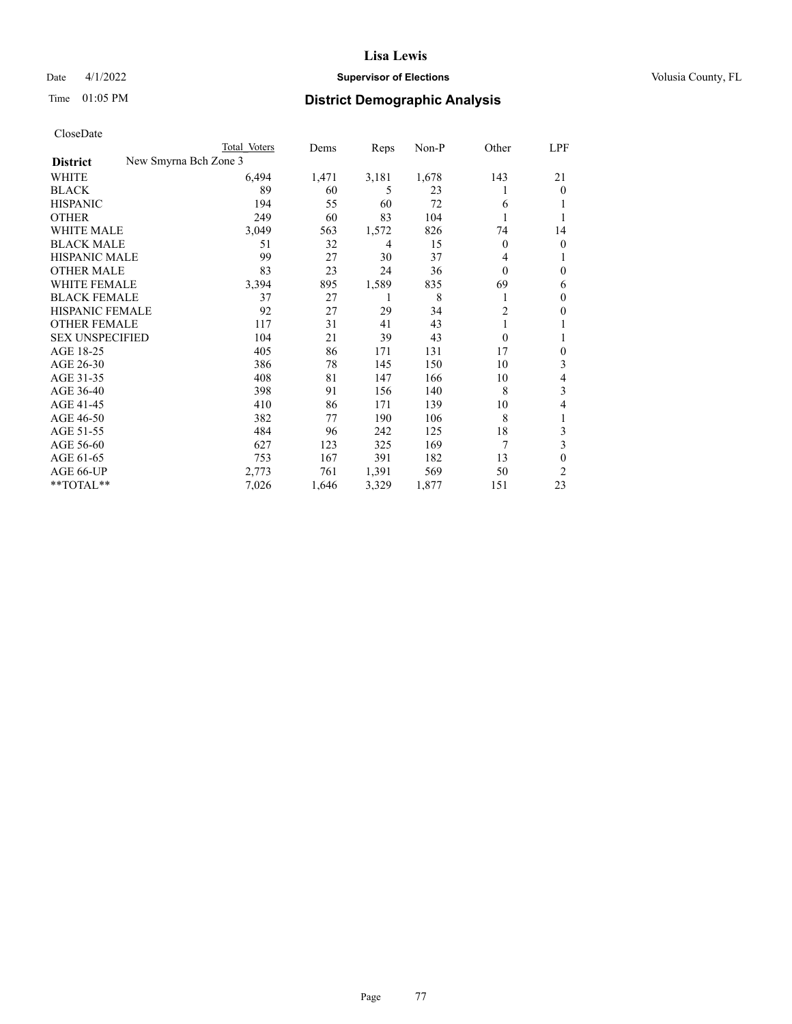# Date 4/1/2022 **Supervisor of Elections Supervisor of Elections** Volusia County, FL

| CloseDate |
|-----------|
|-----------|

| Total Voters | Dems                  | Reps  | $Non-P$ | Other          | LPF            |
|--------------|-----------------------|-------|---------|----------------|----------------|
|              |                       |       |         |                |                |
| 6,494        | 1,471                 | 3,181 | 1,678   | 143            | 21             |
| 89           | 60                    | 5     | 23      |                | $\theta$       |
| 194          | 55                    | 60    | 72      | 6              | 1              |
| 249          | 60                    | 83    | 104     | 1              | 1              |
| 3,049        | 563                   | 1,572 | 826     | 74             | 14             |
| 51           | 32                    | 4     | 15      | 0              | $\overline{0}$ |
| 99           | 27                    | 30    | 37      | 4              | 1              |
| 83           | 23                    | 24    | 36      | $\Omega$       | $\mathbf{0}$   |
| 3,394        | 895                   | 1,589 | 835     | 69             | 6              |
| 37           | 27                    | 1     | 8       |                | $\mathbf{0}$   |
| 92           | 27                    | 29    | 34      | $\overline{c}$ | $\mathbf{0}$   |
| 117          | 31                    | 41    | 43      |                | 1              |
| 104          | 21                    | 39    | 43      | $\mathbf{0}$   | 1              |
| 405          | 86                    | 171   | 131     | 17             | $\mathbf{0}$   |
| 386          | 78                    | 145   | 150     | 10             | 3              |
| 408          | 81                    | 147   | 166     | 10             | 4              |
| 398          | 91                    | 156   | 140     | 8              | 3              |
| 410          | 86                    | 171   | 139     | 10             | 4              |
| 382          | 77                    | 190   | 106     | 8              | 1              |
| 484          | 96                    | 242   | 125     | 18             | 3              |
| 627          | 123                   | 325   | 169     | 7              | 3              |
| 753          | 167                   | 391   | 182     | 13             | $\theta$       |
| 2,773        | 761                   | 1,391 | 569     | 50             | 2              |
| 7,026        | 1,646                 | 3,329 | 1,877   | 151            | 23             |
|              | New Smyrna Bch Zone 3 |       |         |                |                |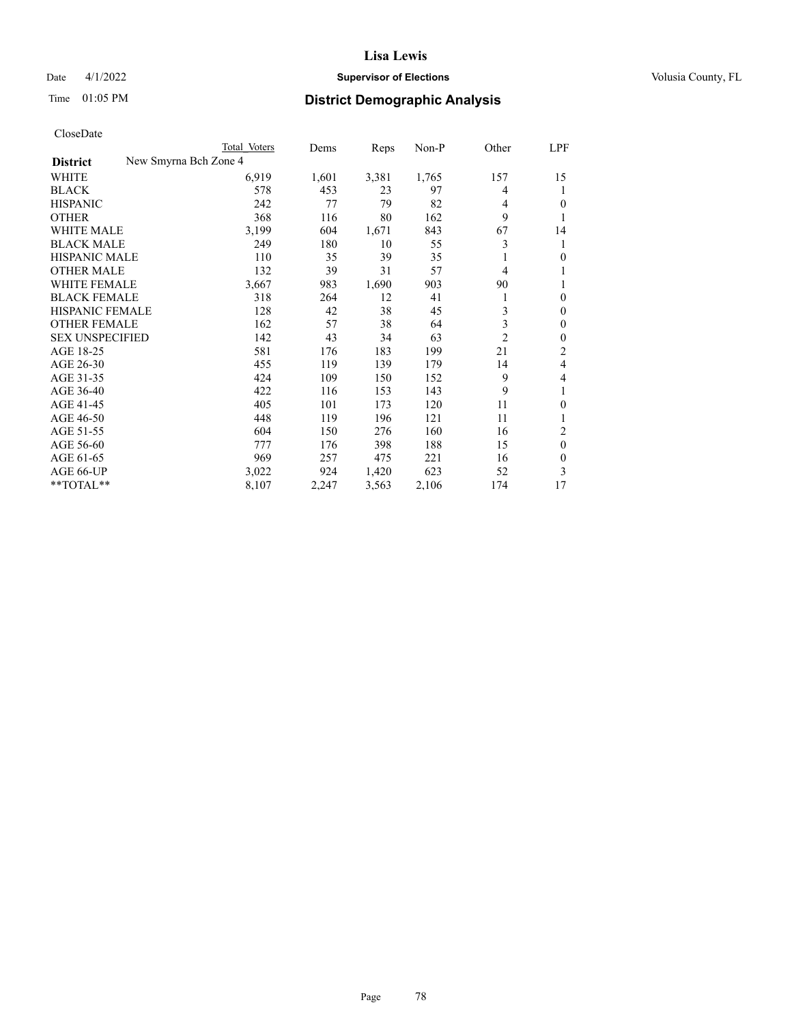# Date 4/1/2022 **Supervisor of Elections Supervisor of Elections** Volusia County, FL

| CloseDate |
|-----------|
|-----------|

| New Smyrna Bch Zone 4<br><b>District</b><br>6,919<br>3,381<br>1,765<br>WHITE<br>1,601<br>157<br><b>BLACK</b><br>578<br>453<br>23<br>97<br>4<br>242<br>77<br>79<br>82<br><b>HISPANIC</b><br>4<br>368<br>9<br><b>OTHER</b><br>116<br>80<br>162<br><b>WHITE MALE</b><br>3,199<br>604<br>1,671<br>843<br>67<br>3<br><b>BLACK MALE</b><br>249<br>180<br>10<br>55<br><b>HISPANIC MALE</b><br>110<br>39<br>35<br>35<br><b>OTHER MALE</b><br>132<br>39<br>31<br>57<br>4<br>WHITE FEMALE<br>3,667<br>1,690<br>983<br>903<br>90<br><b>BLACK FEMALE</b><br>318<br>264<br>12<br>41<br>1<br>3<br>HISPANIC FEMALE<br>128<br>42<br>38<br>45<br>3<br><b>OTHER FEMALE</b><br>38<br>162<br>57<br>64<br>$\overline{c}$<br><b>SEX UNSPECIFIED</b><br>142<br>43<br>34<br>63<br>21<br>AGE 18-25<br>581<br>183<br>176<br>199<br>AGE 26-30<br>455<br>119<br>139<br>179<br>14<br>424<br>9<br>AGE 31-35<br>109<br>150<br>152<br>422<br>9<br>AGE 36-40<br>116<br>153<br>143<br>AGE 41-45<br>405<br>101<br>11<br>173<br>120<br>AGE 46-50<br>448<br>119<br>196<br>121<br>11 |           | Total Voters | Dems | Reps | $Non-P$ | Other | LPF          |
|------------------------------------------------------------------------------------------------------------------------------------------------------------------------------------------------------------------------------------------------------------------------------------------------------------------------------------------------------------------------------------------------------------------------------------------------------------------------------------------------------------------------------------------------------------------------------------------------------------------------------------------------------------------------------------------------------------------------------------------------------------------------------------------------------------------------------------------------------------------------------------------------------------------------------------------------------------------------------------------------------------------------------------------------|-----------|--------------|------|------|---------|-------|--------------|
|                                                                                                                                                                                                                                                                                                                                                                                                                                                                                                                                                                                                                                                                                                                                                                                                                                                                                                                                                                                                                                                |           |              |      |      |         |       |              |
|                                                                                                                                                                                                                                                                                                                                                                                                                                                                                                                                                                                                                                                                                                                                                                                                                                                                                                                                                                                                                                                |           |              |      |      |         |       | 15           |
|                                                                                                                                                                                                                                                                                                                                                                                                                                                                                                                                                                                                                                                                                                                                                                                                                                                                                                                                                                                                                                                |           |              |      |      |         |       | 1            |
|                                                                                                                                                                                                                                                                                                                                                                                                                                                                                                                                                                                                                                                                                                                                                                                                                                                                                                                                                                                                                                                |           |              |      |      |         |       | 0            |
|                                                                                                                                                                                                                                                                                                                                                                                                                                                                                                                                                                                                                                                                                                                                                                                                                                                                                                                                                                                                                                                |           |              |      |      |         |       | 1            |
|                                                                                                                                                                                                                                                                                                                                                                                                                                                                                                                                                                                                                                                                                                                                                                                                                                                                                                                                                                                                                                                |           |              |      |      |         |       | 14           |
|                                                                                                                                                                                                                                                                                                                                                                                                                                                                                                                                                                                                                                                                                                                                                                                                                                                                                                                                                                                                                                                |           |              |      |      |         |       | 1            |
|                                                                                                                                                                                                                                                                                                                                                                                                                                                                                                                                                                                                                                                                                                                                                                                                                                                                                                                                                                                                                                                |           |              |      |      |         |       | $\theta$     |
|                                                                                                                                                                                                                                                                                                                                                                                                                                                                                                                                                                                                                                                                                                                                                                                                                                                                                                                                                                                                                                                |           |              |      |      |         |       | 1            |
|                                                                                                                                                                                                                                                                                                                                                                                                                                                                                                                                                                                                                                                                                                                                                                                                                                                                                                                                                                                                                                                |           |              |      |      |         |       | 1            |
|                                                                                                                                                                                                                                                                                                                                                                                                                                                                                                                                                                                                                                                                                                                                                                                                                                                                                                                                                                                                                                                |           |              |      |      |         |       | $\theta$     |
|                                                                                                                                                                                                                                                                                                                                                                                                                                                                                                                                                                                                                                                                                                                                                                                                                                                                                                                                                                                                                                                |           |              |      |      |         |       | $\mathbf{0}$ |
|                                                                                                                                                                                                                                                                                                                                                                                                                                                                                                                                                                                                                                                                                                                                                                                                                                                                                                                                                                                                                                                |           |              |      |      |         |       | $\mathbf{0}$ |
|                                                                                                                                                                                                                                                                                                                                                                                                                                                                                                                                                                                                                                                                                                                                                                                                                                                                                                                                                                                                                                                |           |              |      |      |         |       | $\mathbf{0}$ |
|                                                                                                                                                                                                                                                                                                                                                                                                                                                                                                                                                                                                                                                                                                                                                                                                                                                                                                                                                                                                                                                |           |              |      |      |         |       | 2            |
|                                                                                                                                                                                                                                                                                                                                                                                                                                                                                                                                                                                                                                                                                                                                                                                                                                                                                                                                                                                                                                                |           |              |      |      |         |       | 4            |
|                                                                                                                                                                                                                                                                                                                                                                                                                                                                                                                                                                                                                                                                                                                                                                                                                                                                                                                                                                                                                                                |           |              |      |      |         |       | 4            |
|                                                                                                                                                                                                                                                                                                                                                                                                                                                                                                                                                                                                                                                                                                                                                                                                                                                                                                                                                                                                                                                |           |              |      |      |         |       | 1            |
|                                                                                                                                                                                                                                                                                                                                                                                                                                                                                                                                                                                                                                                                                                                                                                                                                                                                                                                                                                                                                                                |           |              |      |      |         |       | $\theta$     |
|                                                                                                                                                                                                                                                                                                                                                                                                                                                                                                                                                                                                                                                                                                                                                                                                                                                                                                                                                                                                                                                |           |              |      |      |         |       |              |
|                                                                                                                                                                                                                                                                                                                                                                                                                                                                                                                                                                                                                                                                                                                                                                                                                                                                                                                                                                                                                                                | AGE 51-55 | 604          | 150  | 276  | 160     | 16    | 2            |
| AGE 56-60<br>777<br>176<br>398<br>188<br>15                                                                                                                                                                                                                                                                                                                                                                                                                                                                                                                                                                                                                                                                                                                                                                                                                                                                                                                                                                                                    |           |              |      |      |         |       | $\theta$     |
| 969<br>AGE 61-65<br>257<br>475<br>221<br>16                                                                                                                                                                                                                                                                                                                                                                                                                                                                                                                                                                                                                                                                                                                                                                                                                                                                                                                                                                                                    |           |              |      |      |         |       | $\theta$     |
| 1,420<br>623<br>AGE 66-UP<br>3,022<br>924<br>52                                                                                                                                                                                                                                                                                                                                                                                                                                                                                                                                                                                                                                                                                                                                                                                                                                                                                                                                                                                                |           |              |      |      |         |       | 3            |
| **TOTAL**<br>8,107<br>2,247<br>3,563<br>2,106<br>174                                                                                                                                                                                                                                                                                                                                                                                                                                                                                                                                                                                                                                                                                                                                                                                                                                                                                                                                                                                           |           |              |      |      |         |       | 17           |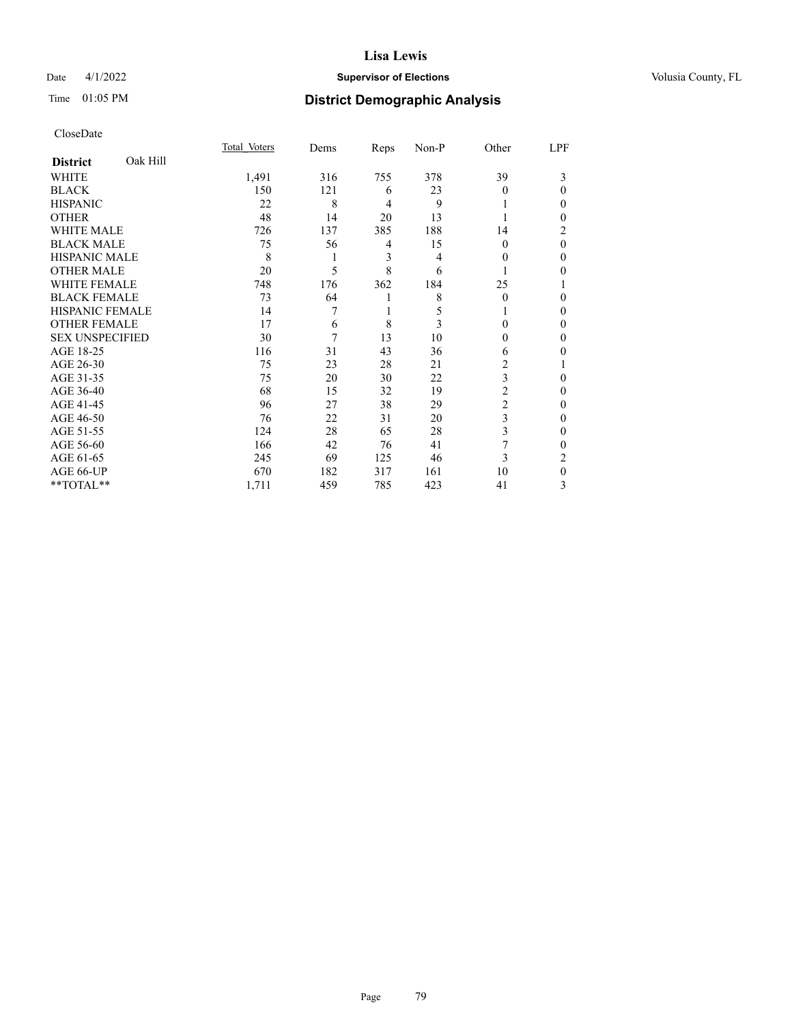# Date 4/1/2022 **Supervisor of Elections Supervisor of Elections** Volusia County, FL

# Time 01:05 PM **District Demographic Analysis**

|                        |          | Total Voters | Dems | Reps           | Non-P | Other          | LPF      |
|------------------------|----------|--------------|------|----------------|-------|----------------|----------|
| <b>District</b>        | Oak Hill |              |      |                |       |                |          |
| WHITE                  |          | 1,491        | 316  | 755            | 378   | 39             | 3        |
| <b>BLACK</b>           |          | 150          | 121  | 6              | 23    | $\Omega$       | 0        |
| <b>HISPANIC</b>        |          | 22           | 8    | $\overline{4}$ | 9     |                | 0        |
| <b>OTHER</b>           |          | 48           | 14   | 20             | 13    |                | 0        |
| <b>WHITE MALE</b>      |          | 726          | 137  | 385            | 188   | 14             | 2        |
| <b>BLACK MALE</b>      |          | 75           | 56   | $\overline{4}$ | 15    | $\theta$       | $\theta$ |
| <b>HISPANIC MALE</b>   |          | 8            | 1    | 3              | 4     | $\Omega$       | 0        |
| <b>OTHER MALE</b>      |          | 20           | 5    | 8              | 6     |                | 0        |
| <b>WHITE FEMALE</b>    |          | 748          | 176  | 362            | 184   | 25             |          |
| <b>BLACK FEMALE</b>    |          | 73           | 64   | 1              | 8     | $\Omega$       | 0        |
| <b>HISPANIC FEMALE</b> |          | 14           | 7    |                | 5     |                | 0        |
| <b>OTHER FEMALE</b>    |          | 17           | 6    | 8              | 3     | $\Omega$       | 0        |
| <b>SEX UNSPECIFIED</b> |          | 30           | 7    | 13             | 10    | 0              | 0        |
| AGE 18-25              |          | 116          | 31   | 43             | 36    | 6              | 0        |
| AGE 26-30              |          | 75           | 23   | 28             | 21    | 2              |          |
| AGE 31-35              |          | 75           | 20   | 30             | 22    | 3              | 0        |
| AGE 36-40              |          | 68           | 15   | 32             | 19    | $\overline{c}$ | 0        |
| AGE 41-45              |          | 96           | 27   | 38             | 29    | $\overline{c}$ | 0        |
| AGE 46-50              |          | 76           | 22   | 31             | 20    | 3              | 0        |
| AGE 51-55              |          | 124          | 28   | 65             | 28    | 3              | 0        |
| AGE 56-60              |          | 166          | 42   | 76             | 41    |                | 0        |
| AGE 61-65              |          | 245          | 69   | 125            | 46    | 3              | 2        |
| AGE 66-UP              |          | 670          | 182  | 317            | 161   | 10             | $\Omega$ |
| **TOTAL**              |          | 1,711        | 459  | 785            | 423   | 41             | 3        |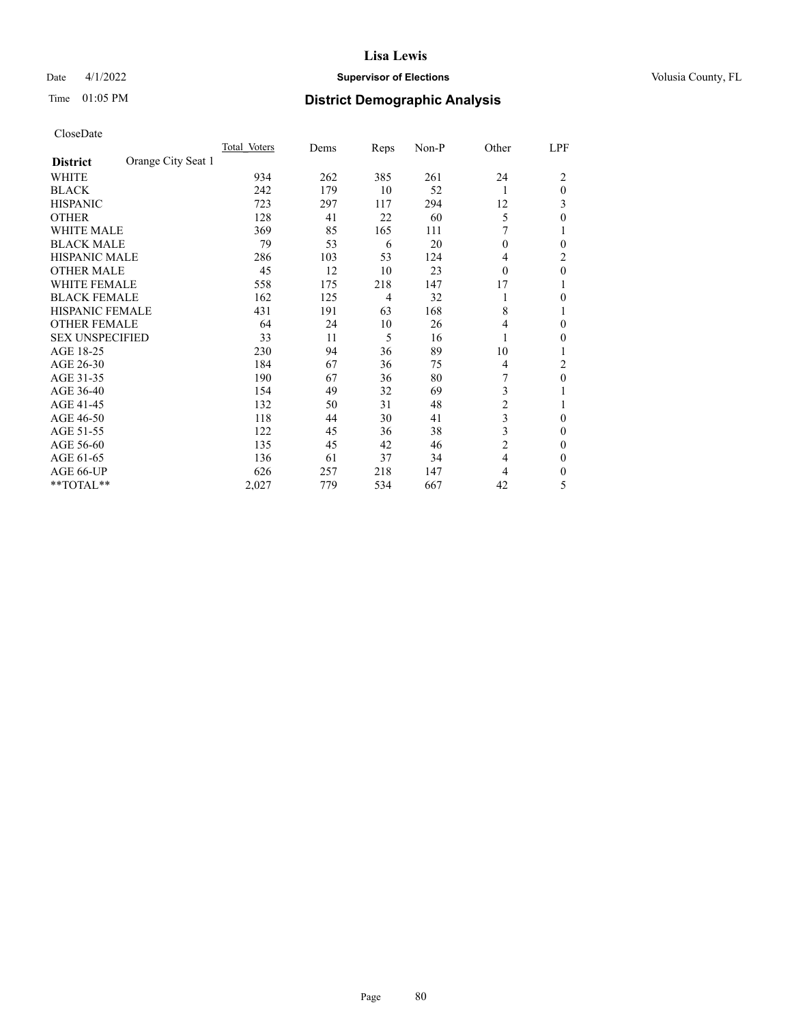# Date 4/1/2022 **Supervisor of Elections Supervisor of Elections** Volusia County, FL

# Time 01:05 PM **District Demographic Analysis**

|                        |                    | Total Voters | Dems | Reps | Non-P | Other          | LPF          |
|------------------------|--------------------|--------------|------|------|-------|----------------|--------------|
| <b>District</b>        | Orange City Seat 1 |              |      |      |       |                |              |
| WHITE                  |                    | 934          | 262  | 385  | 261   | 24             | 2            |
| <b>BLACK</b>           |                    | 242          | 179  | 10   | 52    | 1              | $\theta$     |
| <b>HISPANIC</b>        |                    | 723          | 297  | 117  | 294   | 12             | 3            |
| <b>OTHER</b>           |                    | 128          | 41   | 22   | 60    | 5              | 0            |
| <b>WHITE MALE</b>      |                    | 369          | 85   | 165  | 111   |                |              |
| <b>BLACK MALE</b>      |                    | 79           | 53   | 6    | 20    | $\theta$       | 0            |
| <b>HISPANIC MALE</b>   |                    | 286          | 103  | 53   | 124   | 4              | 2            |
| <b>OTHER MALE</b>      |                    | 45           | 12   | 10   | 23    | $\theta$       | $\mathbf{0}$ |
| <b>WHITE FEMALE</b>    |                    | 558          | 175  | 218  | 147   | 17             |              |
| <b>BLACK FEMALE</b>    |                    | 162          | 125  | 4    | 32    | 1              | 0            |
| <b>HISPANIC FEMALE</b> |                    | 431          | 191  | 63   | 168   | 8              |              |
| <b>OTHER FEMALE</b>    |                    | 64           | 24   | 10   | 26    | 4              | 0            |
| <b>SEX UNSPECIFIED</b> |                    | 33           | 11   | 5    | 16    | 1              | 0            |
| AGE 18-25              |                    | 230          | 94   | 36   | 89    | 10             |              |
| AGE 26-30              |                    | 184          | 67   | 36   | 75    | $\overline{4}$ | 2            |
| AGE 31-35              |                    | 190          | 67   | 36   | 80    | 7              | 0            |
| AGE 36-40              |                    | 154          | 49   | 32   | 69    | 3              |              |
| AGE 41-45              |                    | 132          | 50   | 31   | 48    | $\overline{c}$ |              |
| AGE 46-50              |                    | 118          | 44   | 30   | 41    | 3              | $\Omega$     |
| AGE 51-55              |                    | 122          | 45   | 36   | 38    | 3              | 0            |
| AGE 56-60              |                    | 135          | 45   | 42   | 46    | $\overline{c}$ | 0            |
| AGE 61-65              |                    | 136          | 61   | 37   | 34    | $\overline{4}$ | $\theta$     |
| AGE 66-UP              |                    | 626          | 257  | 218  | 147   | 4              | 0            |
| **TOTAL**              |                    | 2,027        | 779  | 534  | 667   | 42             | 5            |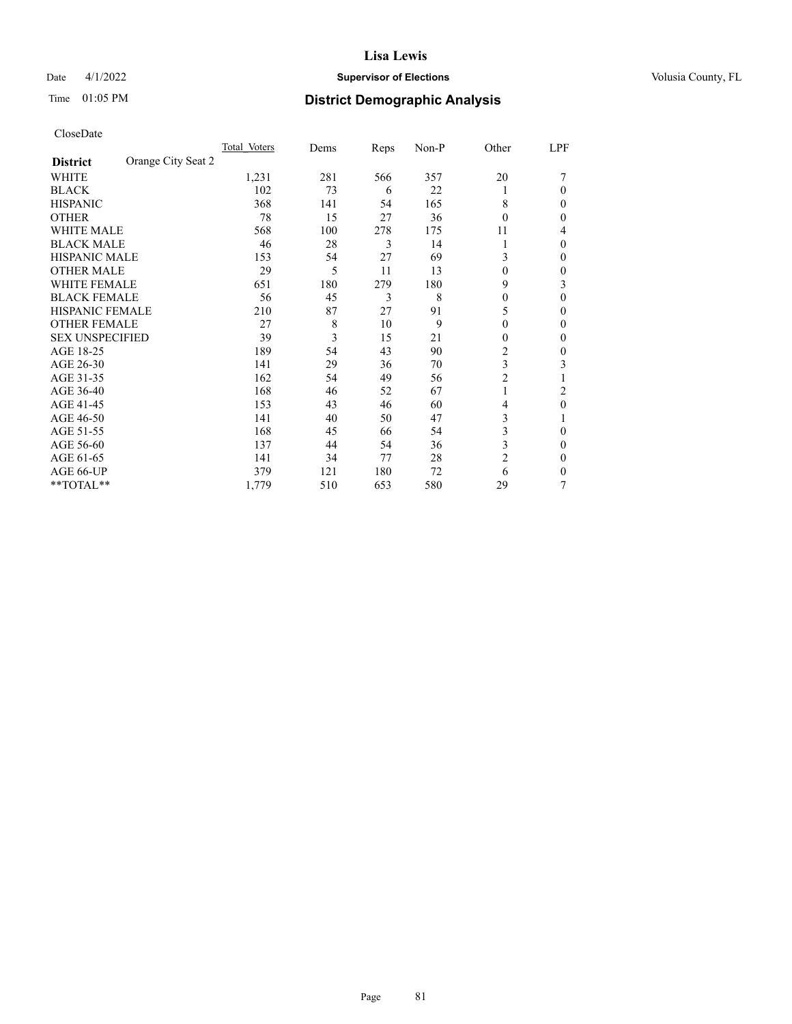# Date 4/1/2022 **Supervisor of Elections Supervisor of Elections** Volusia County, FL

# Time 01:05 PM **District Demographic Analysis**

|                        |                    | Total Voters | Dems | Reps | Non-P | Other          | LPF    |
|------------------------|--------------------|--------------|------|------|-------|----------------|--------|
| <b>District</b>        | Orange City Seat 2 |              |      |      |       |                |        |
| WHITE                  |                    | 1,231        | 281  | 566  | 357   | 20             |        |
| <b>BLACK</b>           |                    | 102          | 73   | 6    | 22    |                | 0      |
| <b>HISPANIC</b>        |                    | 368          | 141  | 54   | 165   | 8              | $_{0}$ |
| <b>OTHER</b>           |                    | 78           | 15   | 27   | 36    | $\Omega$       | 0      |
| <b>WHITE MALE</b>      |                    | 568          | 100  | 278  | 175   | 11             | 4      |
| <b>BLACK MALE</b>      |                    | 46           | 28   | 3    | 14    |                | 0      |
| <b>HISPANIC MALE</b>   |                    | 153          | 54   | 27   | 69    | 3              | 0      |
| <b>OTHER MALE</b>      |                    | 29           | 5    | 11   | 13    | $\theta$       | 0      |
| WHITE FEMALE           |                    | 651          | 180  | 279  | 180   | 9              | 3      |
| <b>BLACK FEMALE</b>    |                    | 56           | 45   | 3    | 8     | $\theta$       | 0      |
| <b>HISPANIC FEMALE</b> |                    | 210          | 87   | 27   | 91    | 5              | 0      |
| <b>OTHER FEMALE</b>    |                    | 27           | 8    | 10   | 9     | $\theta$       | 0      |
| <b>SEX UNSPECIFIED</b> |                    | 39           | 3    | 15   | 21    | 0              | 0      |
| AGE 18-25              |                    | 189          | 54   | 43   | 90    | $\overline{2}$ | 0      |
| AGE 26-30              |                    | 141          | 29   | 36   | 70    | 3              | 3      |
| AGE 31-35              |                    | 162          | 54   | 49   | 56    | $\overline{c}$ |        |
| AGE 36-40              |                    | 168          | 46   | 52   | 67    | 1              | 2      |
| AGE 41-45              |                    | 153          | 43   | 46   | 60    | 4              | 0      |
| AGE 46-50              |                    | 141          | 40   | 50   | 47    | 3              |        |
| AGE 51-55              |                    | 168          | 45   | 66   | 54    | 3              | 0      |
| AGE 56-60              |                    | 137          | 44   | 54   | 36    | 3              | 0      |
| AGE 61-65              |                    | 141          | 34   | 77   | 28    | $\overline{2}$ | 0      |
| AGE 66-UP              |                    | 379          | 121  | 180  | 72    | 6              | 0      |
| **TOTAL**              |                    | 1,779        | 510  | 653  | 580   | 29             | 7      |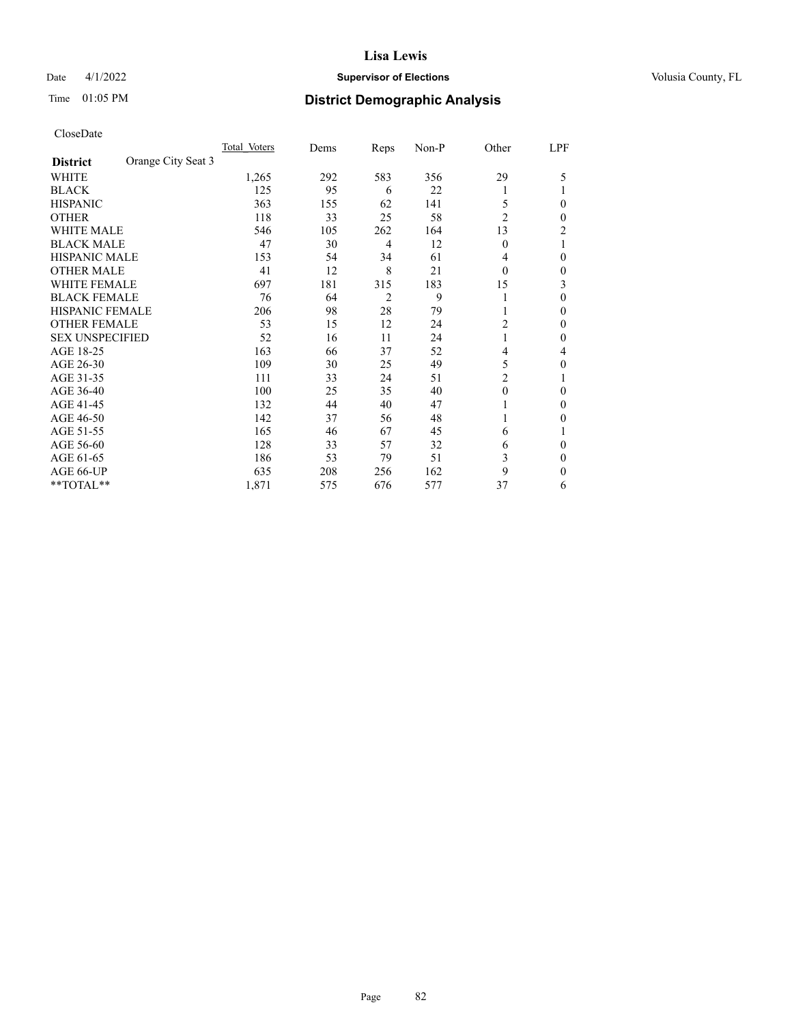# Date 4/1/2022 **Supervisor of Elections Supervisor of Elections** Volusia County, FL

| CloseDate |
|-----------|
|-----------|

|                        |                    | Total Voters | Dems | Reps           | Non-P | Other          | LPF |
|------------------------|--------------------|--------------|------|----------------|-------|----------------|-----|
| <b>District</b>        | Orange City Seat 3 |              |      |                |       |                |     |
| WHITE                  |                    | 1,265        | 292  | 583            | 356   | 29             | 5   |
| <b>BLACK</b>           |                    | 125          | 95   | 6              | 22    |                |     |
| <b>HISPANIC</b>        |                    | 363          | 155  | 62             | 141   | 5              | 0   |
| <b>OTHER</b>           |                    | 118          | 33   | 25             | 58    | $\overline{2}$ | 0   |
| <b>WHITE MALE</b>      |                    | 546          | 105  | 262            | 164   | 13             | 2   |
| <b>BLACK MALE</b>      |                    | 47           | 30   | $\overline{4}$ | 12    | $\theta$       |     |
| <b>HISPANIC MALE</b>   |                    | 153          | 54   | 34             | 61    | 4              | 0   |
| <b>OTHER MALE</b>      |                    | 41           | 12   | 8              | 21    | $\theta$       | 0   |
| <b>WHITE FEMALE</b>    |                    | 697          | 181  | 315            | 183   | 15             | 3   |
| <b>BLACK FEMALE</b>    |                    | 76           | 64   | 2              | 9     |                | 0   |
| <b>HISPANIC FEMALE</b> |                    | 206          | 98   | 28             | 79    |                | 0   |
| <b>OTHER FEMALE</b>    |                    | 53           | 15   | 12             | 24    | 2              | 0   |
| <b>SEX UNSPECIFIED</b> |                    | 52           | 16   | 11             | 24    | 1              | 0   |
| AGE 18-25              |                    | 163          | 66   | 37             | 52    | 4              | 4   |
| AGE 26-30              |                    | 109          | 30   | 25             | 49    | 5              | 0   |
| AGE 31-35              |                    | 111          | 33   | 24             | 51    | $\overline{c}$ |     |
| AGE 36-40              |                    | 100          | 25   | 35             | 40    | $\theta$       | 0   |
| AGE 41-45              |                    | 132          | 44   | 40             | 47    |                | 0   |
| AGE 46-50              |                    | 142          | 37   | 56             | 48    |                | 0   |
| AGE 51-55              |                    | 165          | 46   | 67             | 45    | 6              |     |
| AGE 56-60              |                    | 128          | 33   | 57             | 32    | 6              | 0   |
| AGE 61-65              |                    | 186          | 53   | 79             | 51    | 3              | 0   |
| AGE 66-UP              |                    | 635          | 208  | 256            | 162   | 9              | 0   |
| **TOTAL**              |                    | 1,871        | 575  | 676            | 577   | 37             | 6   |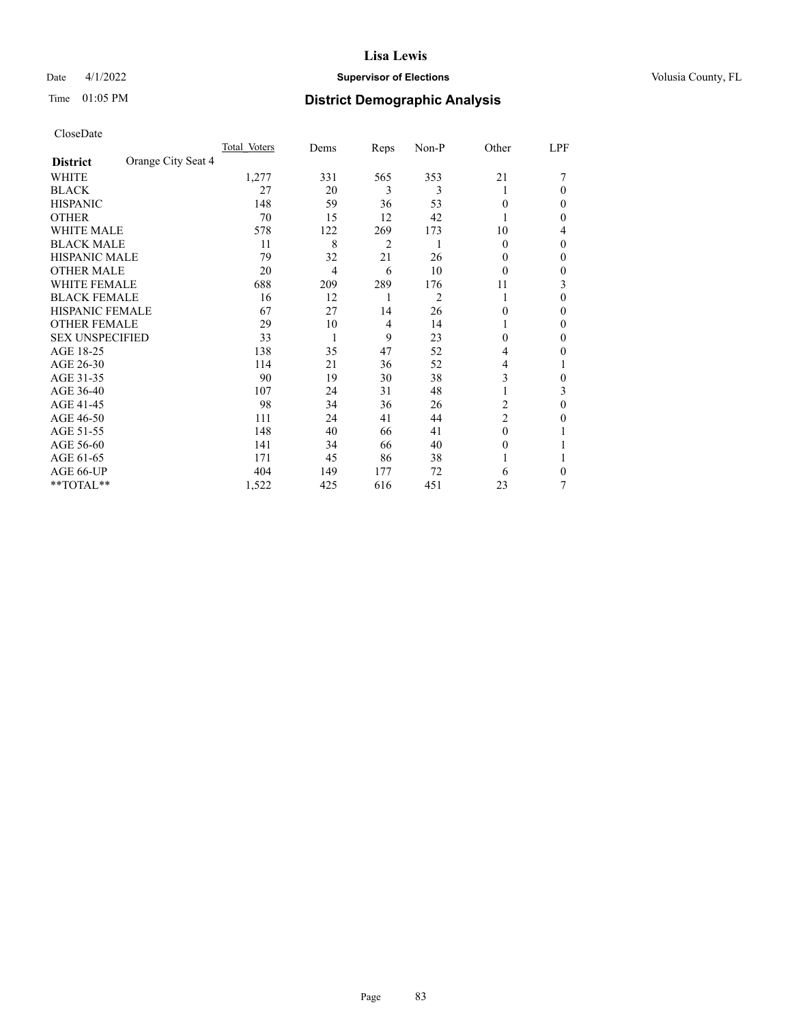# Date 4/1/2022 **Supervisor of Elections Supervisor of Elections** Volusia County, FL

# Time 01:05 PM **District Demographic Analysis**

|                        |                    | Total Voters | Dems           | Reps | Non-P | Other          | LPF      |
|------------------------|--------------------|--------------|----------------|------|-------|----------------|----------|
| <b>District</b>        | Orange City Seat 4 |              |                |      |       |                |          |
| WHITE                  |                    | 1,277        | 331            | 565  | 353   | 21             |          |
| <b>BLACK</b>           |                    | 27           | 20             | 3    | 3     |                | $\Omega$ |
| <b>HISPANIC</b>        |                    | 148          | 59             | 36   | 53    | $\theta$       | $\Omega$ |
| <b>OTHER</b>           |                    | 70           | 15             | 12   | 42    |                | 0        |
| <b>WHITE MALE</b>      |                    | 578          | 122            | 269  | 173   | 10             | 4        |
| <b>BLACK MALE</b>      |                    | 11           | 8              | 2    | 1     | $\theta$       | $\Omega$ |
| <b>HISPANIC MALE</b>   |                    | 79           | 32             | 21   | 26    | 0              | 0        |
| <b>OTHER MALE</b>      |                    | 20           | $\overline{4}$ | 6    | 10    | $\theta$       | 0        |
| <b>WHITE FEMALE</b>    |                    | 688          | 209            | 289  | 176   | 11             | 3        |
| <b>BLACK FEMALE</b>    |                    | 16           | 12             | 1    | 2     |                | $\Omega$ |
| <b>HISPANIC FEMALE</b> |                    | 67           | 27             | 14   | 26    | 0              | 0        |
| <b>OTHER FEMALE</b>    |                    | 29           | 10             | 4    | 14    |                | 0        |
| <b>SEX UNSPECIFIED</b> |                    | 33           | 1              | 9    | 23    | $\theta$       | $\theta$ |
| AGE 18-25              |                    | 138          | 35             | 47   | 52    | 4              | 0        |
| AGE 26-30              |                    | 114          | 21             | 36   | 52    | 4              | 1        |
| AGE 31-35              |                    | 90           | 19             | 30   | 38    | 3              | 0        |
| AGE 36-40              |                    | 107          | 24             | 31   | 48    |                | 3        |
| AGE 41-45              |                    | 98           | 34             | 36   | 26    | 2              | $\Omega$ |
| AGE 46-50              |                    | 111          | 24             | 41   | 44    | $\overline{c}$ | 0        |
| AGE 51-55              |                    | 148          | 40             | 66   | 41    | $\theta$       |          |
| AGE 56-60              |                    | 141          | 34             | 66   | 40    | 0              |          |
| AGE 61-65              |                    | 171          | 45             | 86   | 38    |                |          |
| AGE 66-UP              |                    | 404          | 149            | 177  | 72    | 6              | 0        |
| **TOTAL**              |                    | 1,522        | 425            | 616  | 451   | 23             | 7        |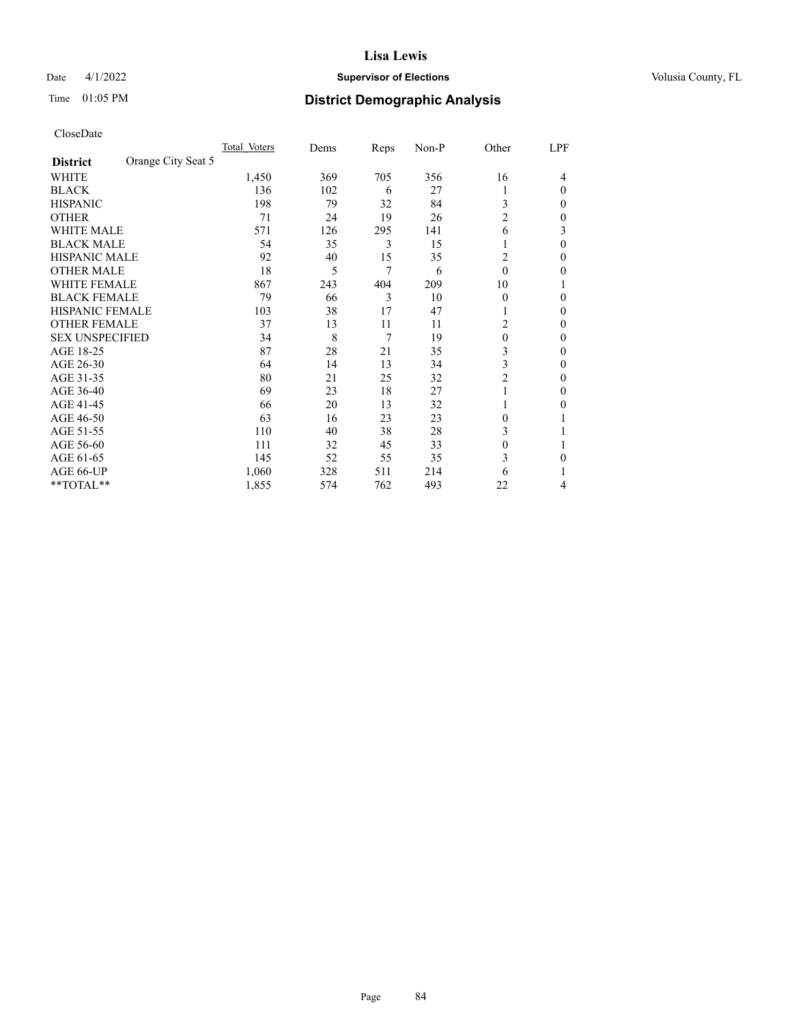# Date 4/1/2022 **Supervisor of Elections Supervisor of Elections** Volusia County, FL

# Time 01:05 PM **District Demographic Analysis**

|                        |                    | Total Voters | Dems | Reps | Non-P | Other          | LPF    |
|------------------------|--------------------|--------------|------|------|-------|----------------|--------|
| <b>District</b>        | Orange City Seat 5 |              |      |      |       |                |        |
| WHITE                  |                    | 1,450        | 369  | 705  | 356   | 16             | 4      |
| <b>BLACK</b>           |                    | 136          | 102  | 6    | 27    |                | 0      |
| <b>HISPANIC</b>        |                    | 198          | 79   | 32   | 84    | 3              | $_{0}$ |
| <b>OTHER</b>           |                    | 71           | 24   | 19   | 26    | $\overline{2}$ | 0      |
| WHITE MALE             |                    | 571          | 126  | 295  | 141   | 6              | 3      |
| <b>BLACK MALE</b>      |                    | 54           | 35   | 3    | 15    |                | 0      |
| <b>HISPANIC MALE</b>   |                    | 92           | 40   | 15   | 35    | 2              | 0      |
| <b>OTHER MALE</b>      |                    | 18           | 5    | 7    | 6     | $\theta$       | 0      |
| <b>WHITE FEMALE</b>    |                    | 867          | 243  | 404  | 209   | 10             |        |
| <b>BLACK FEMALE</b>    |                    | 79           | 66   | 3    | 10    | $\theta$       | 0      |
| <b>HISPANIC FEMALE</b> |                    | 103          | 38   | 17   | 47    |                | 0      |
| <b>OTHER FEMALE</b>    |                    | 37           | 13   | 11   | 11    | 2              | 0      |
| <b>SEX UNSPECIFIED</b> |                    | 34           | 8    | 7    | 19    | $\theta$       | 0      |
| AGE 18-25              |                    | 87           | 28   | 21   | 35    | 3              | 0      |
| AGE 26-30              |                    | 64           | 14   | 13   | 34    | 3              | 0      |
| AGE 31-35              |                    | 80           | 21   | 25   | 32    | $\overline{2}$ | 0      |
| AGE 36-40              |                    | 69           | 23   | 18   | 27    |                | 0      |
| AGE 41-45              |                    | 66           | 20   | 13   | 32    |                | 0      |
| AGE 46-50              |                    | 63           | 16   | 23   | 23    | $\Omega$       |        |
| AGE 51-55              |                    | 110          | 40   | 38   | 28    | 3              |        |
| AGE 56-60              |                    | 111          | 32   | 45   | 33    | $\theta$       |        |
| AGE 61-65              |                    | 145          | 52   | 55   | 35    | 3              | 0      |
| AGE 66-UP              |                    | 1,060        | 328  | 511  | 214   | 6              |        |
| **TOTAL**              |                    | 1,855        | 574  | 762  | 493   | 22             | 4      |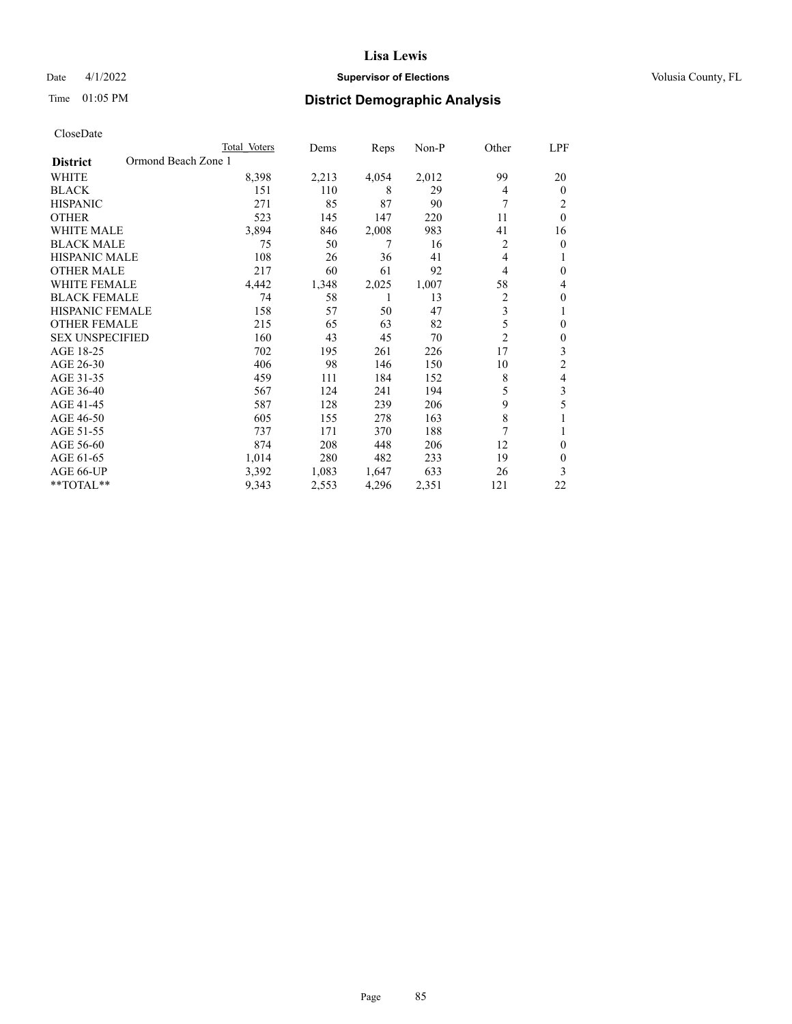# Date 4/1/2022 **Supervisor of Elections Supervisor of Elections** Volusia County, FL

# Time 01:05 PM **District Demographic Analysis**

|                                        | Total Voters | Dems  | Reps  | Non-P | Other          | LPF      |
|----------------------------------------|--------------|-------|-------|-------|----------------|----------|
| Ormond Beach Zone 1<br><b>District</b> |              |       |       |       |                |          |
| WHITE                                  | 8,398        | 2,213 | 4,054 | 2,012 | 99             | 20       |
| <b>BLACK</b>                           | 151          | 110   | 8     | 29    | 4              | $\Omega$ |
| <b>HISPANIC</b>                        | 271          | 85    | 87    | 90    | 7              | 2        |
| <b>OTHER</b>                           | 523          | 145   | 147   | 220   | 11             | $\theta$ |
| WHITE MALE                             | 3,894        | 846   | 2,008 | 983   | 41             | 16       |
| <b>BLACK MALE</b>                      | 75           | 50    | 7     | 16    | 2              | 0        |
| <b>HISPANIC MALE</b>                   | 108          | 26    | 36    | 41    | 4              |          |
| <b>OTHER MALE</b>                      | 217          | 60    | 61    | 92    | 4              | 0        |
| <b>WHITE FEMALE</b>                    | 4,442        | 1,348 | 2,025 | 1,007 | 58             | 4        |
| <b>BLACK FEMALE</b>                    | 74           | 58    |       | 13    | 2              | 0        |
| <b>HISPANIC FEMALE</b>                 | 158          | 57    | 50    | 47    | 3              |          |
| <b>OTHER FEMALE</b>                    | 215          | 65    | 63    | 82    | 5              | 0        |
| <b>SEX UNSPECIFIED</b>                 | 160          | 43    | 45    | 70    | $\overline{2}$ | 0        |
| AGE 18-25                              | 702          | 195   | 261   | 226   | 17             | 3        |
| AGE 26-30                              | 406          | 98    | 146   | 150   | 10             | 2        |
| AGE 31-35                              | 459          | 111   | 184   | 152   | 8              | 4        |
| AGE 36-40                              | 567          | 124   | 241   | 194   | 5              | 3        |
| AGE 41-45                              | 587          | 128   | 239   | 206   | 9              | 5        |
| AGE 46-50                              | 605          | 155   | 278   | 163   | 8              |          |
| AGE 51-55                              | 737          | 171   | 370   | 188   | 7              |          |
| AGE 56-60                              | 874          | 208   | 448   | 206   | 12             | 0        |
| AGE 61-65                              | 1,014        | 280   | 482   | 233   | 19             | 0        |
| AGE 66-UP                              | 3,392        | 1,083 | 1,647 | 633   | 26             | 3        |
| **TOTAL**                              | 9,343        | 2,553 | 4,296 | 2,351 | 121            | 22       |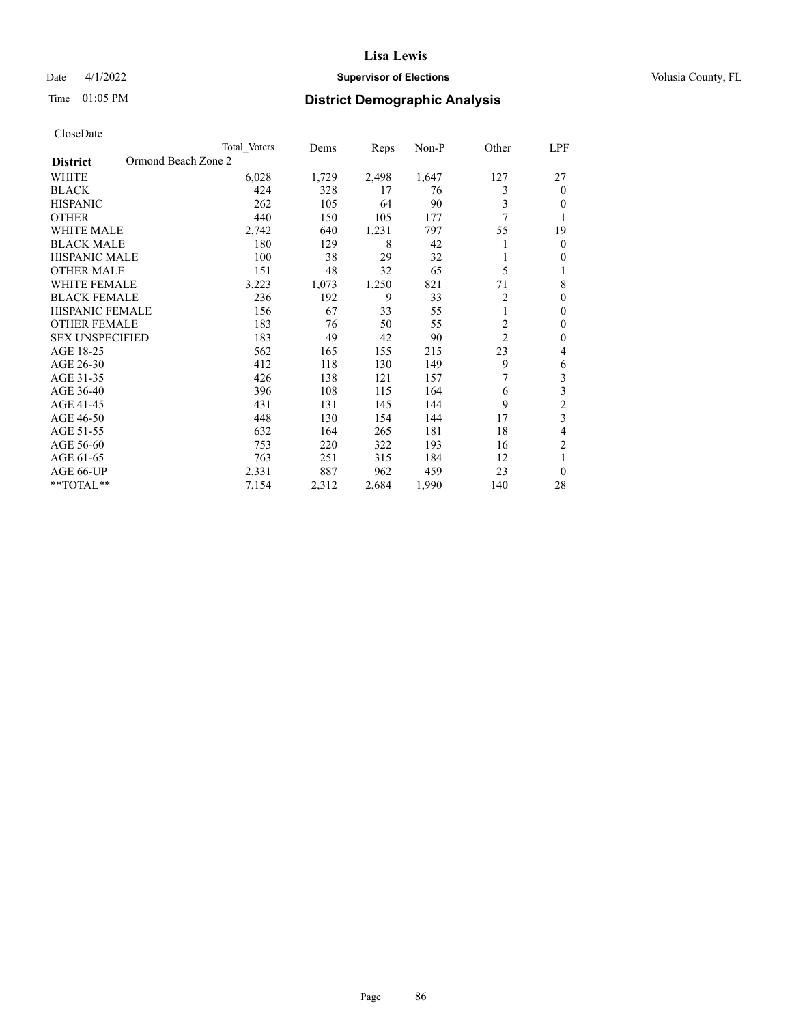# Date 4/1/2022 **Supervisor of Elections Supervisor of Elections** Volusia County, FL

# Time 01:05 PM **District Demographic Analysis**

|                                        | Total Voters | Dems  | Reps  | Non-P | Other          | LPF                     |
|----------------------------------------|--------------|-------|-------|-------|----------------|-------------------------|
| Ormond Beach Zone 2<br><b>District</b> |              |       |       |       |                |                         |
| WHITE                                  | 6,028        | 1,729 | 2,498 | 1,647 | 127            | 27                      |
| <b>BLACK</b>                           | 424          | 328   | 17    | 76    | 3              | $\theta$                |
| <b>HISPANIC</b>                        | 262          | 105   | 64    | 90    | 3              | $\Omega$                |
| <b>OTHER</b>                           | 440          | 150   | 105   | 177   | 7              | 1                       |
| <b>WHITE MALE</b>                      | 2,742        | 640   | 1,231 | 797   | 55             | 19                      |
| <b>BLACK MALE</b>                      | 180          | 129   | 8     | 42    |                | $\mathbf{0}$            |
| <b>HISPANIC MALE</b>                   | 100          | 38    | 29    | 32    |                | $\mathbf{0}$            |
| <b>OTHER MALE</b>                      | 151          | 48    | 32    | 65    | 5              | 1                       |
| WHITE FEMALE                           | 3,223        | 1,073 | 1,250 | 821   | 71             | 8                       |
| <b>BLACK FEMALE</b>                    | 236          | 192   | 9     | 33    | 2              | $\theta$                |
| <b>HISPANIC FEMALE</b>                 | 156          | 67    | 33    | 55    | 1              | $\theta$                |
| <b>OTHER FEMALE</b>                    | 183          | 76    | 50    | 55    | $\overline{c}$ | $\theta$                |
| <b>SEX UNSPECIFIED</b>                 | 183          | 49    | 42    | 90    | $\overline{2}$ | $\theta$                |
| AGE 18-25                              | 562          | 165   | 155   | 215   | 23             | 4                       |
| AGE 26-30                              | 412          | 118   | 130   | 149   | 9              | 6                       |
| AGE 31-35                              | 426          | 138   | 121   | 157   | 7              | $\overline{\mathbf{3}}$ |
| AGE 36-40                              | 396          | 108   | 115   | 164   | 6              | 3                       |
| AGE 41-45                              | 431          | 131   | 145   | 144   | 9              | $\overline{c}$          |
| AGE 46-50                              | 448          | 130   | 154   | 144   | 17             | 3                       |
| AGE 51-55                              | 632          | 164   | 265   | 181   | 18             | 4                       |
| AGE 56-60                              | 753          | 220   | 322   | 193   | 16             | $\overline{2}$          |
| AGE 61-65                              | 763          | 251   | 315   | 184   | 12             | 1                       |
| AGE 66-UP                              | 2,331        | 887   | 962   | 459   | 23             | $\theta$                |
| **TOTAL**                              | 7,154        | 2,312 | 2,684 | 1,990 | 140            | 28                      |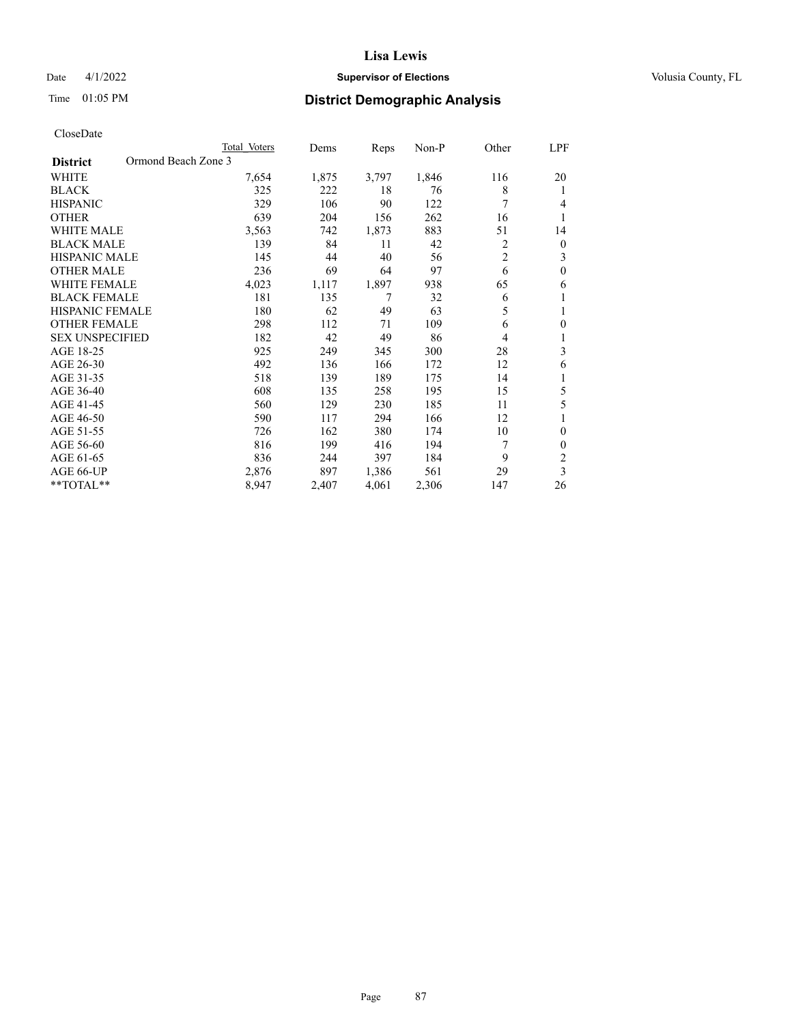# Date 4/1/2022 **Supervisor of Elections Supervisor of Elections** Volusia County, FL

# Time 01:05 PM **District Demographic Analysis**

|                                        | Total Voters | Dems  | Reps  | $Non-P$ | Other          | LPF            |
|----------------------------------------|--------------|-------|-------|---------|----------------|----------------|
| Ormond Beach Zone 3<br><b>District</b> |              |       |       |         |                |                |
| WHITE                                  | 7,654        | 1,875 | 3,797 | 1,846   | 116            | 20             |
| <b>BLACK</b>                           | 325          | 222   | 18    | 76      | 8              | 1              |
| <b>HISPANIC</b>                        | 329          | 106   | 90    | 122     | 7              | 4              |
| <b>OTHER</b>                           | 639          | 204   | 156   | 262     | 16             | 1              |
| <b>WHITE MALE</b>                      | 3,563        | 742   | 1,873 | 883     | 51             | 14             |
| <b>BLACK MALE</b>                      | 139          | 84    | 11    | 42      | 2              | $\mathbf{0}$   |
| <b>HISPANIC MALE</b>                   | 145          | 44    | 40    | 56      | $\overline{c}$ | 3              |
| <b>OTHER MALE</b>                      | 236          | 69    | 64    | 97      | 6              | $\theta$       |
| <b>WHITE FEMALE</b>                    | 4,023        | 1,117 | 1,897 | 938     | 65             | 6              |
| <b>BLACK FEMALE</b>                    | 181          | 135   | 7     | 32      | 6              | 1              |
| <b>HISPANIC FEMALE</b>                 | 180          | 62    | 49    | 63      | 5              | 1              |
| <b>OTHER FEMALE</b>                    | 298          | 112   | 71    | 109     | 6              | $\theta$       |
| <b>SEX UNSPECIFIED</b>                 | 182          | 42    | 49    | 86      | 4              | 1              |
| AGE 18-25                              | 925          | 249   | 345   | 300     | 28             | 3              |
| AGE 26-30                              | 492          | 136   | 166   | 172     | 12             | 6              |
| AGE 31-35                              | 518          | 139   | 189   | 175     | 14             | 1              |
| AGE 36-40                              | 608          | 135   | 258   | 195     | 15             | 5              |
| AGE 41-45                              | 560          | 129   | 230   | 185     | 11             | 5              |
| AGE 46-50                              | 590          | 117   | 294   | 166     | 12             |                |
| AGE 51-55                              | 726          | 162   | 380   | 174     | 10             | $\theta$       |
| AGE 56-60                              | 816          | 199   | 416   | 194     | 7              | $\theta$       |
| AGE 61-65                              | 836          | 244   | 397   | 184     | 9              | $\overline{2}$ |
| AGE 66-UP                              | 2,876        | 897   | 1,386 | 561     | 29             | 3              |
| **TOTAL**                              | 8,947        | 2,407 | 4,061 | 2,306   | 147            | 26             |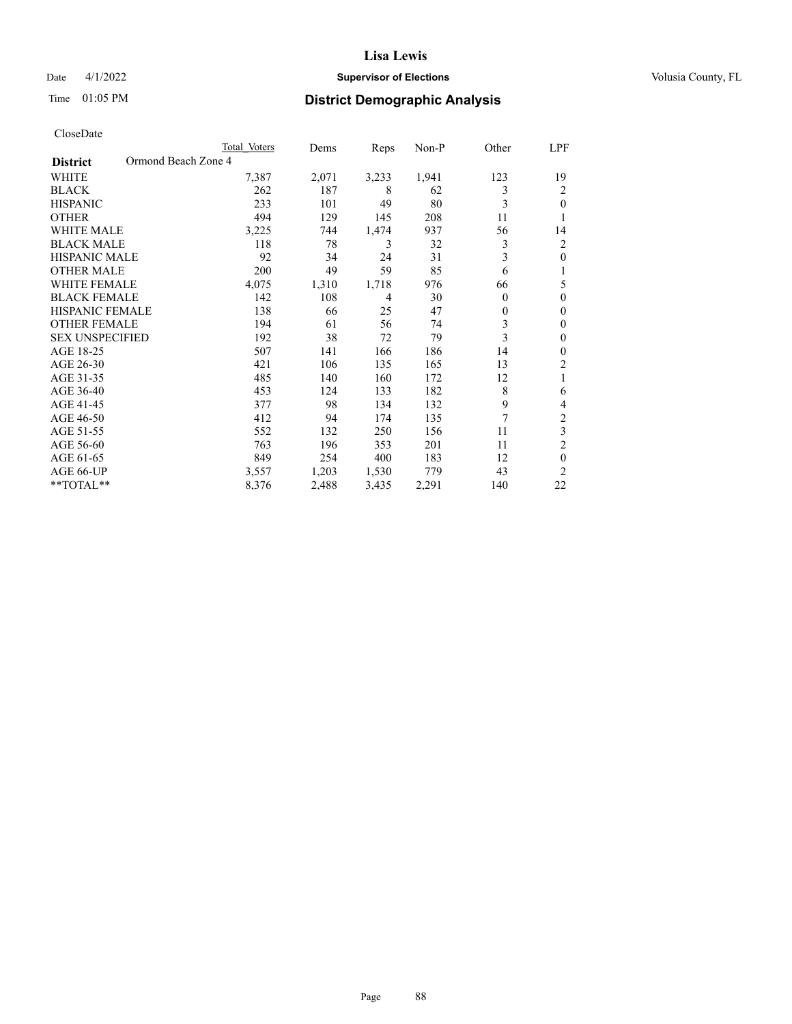# Date 4/1/2022 **Supervisor of Elections Supervisor of Elections** Volusia County, FL

# Time 01:05 PM **District Demographic Analysis**

|                                        | Total Voters | Dems  | Reps  | Non-P | Other    | LPF            |
|----------------------------------------|--------------|-------|-------|-------|----------|----------------|
| Ormond Beach Zone 4<br><b>District</b> |              |       |       |       |          |                |
| WHITE                                  | 7,387        | 2,071 | 3,233 | 1,941 | 123      | 19             |
| <b>BLACK</b>                           | 262          | 187   | 8     | 62    | 3        | 2              |
| <b>HISPANIC</b>                        | 233          | 101   | 49    | 80    | 3        | 0              |
| <b>OTHER</b>                           | 494          | 129   | 145   | 208   | 11       |                |
| WHITE MALE                             | 3,225        | 744   | 1,474 | 937   | 56       | 14             |
| <b>BLACK MALE</b>                      | 118          | 78    | 3     | 32    | 3        | 2              |
| <b>HISPANIC MALE</b>                   | 92           | 34    | 24    | 31    | 3        | 0              |
| <b>OTHER MALE</b>                      | 200          | 49    | 59    | 85    | 6        | 1              |
| <b>WHITE FEMALE</b>                    | 4,075        | 1,310 | 1,718 | 976   | 66       | 5              |
| <b>BLACK FEMALE</b>                    | 142          | 108   | 4     | 30    | $\theta$ | 0              |
| <b>HISPANIC FEMALE</b>                 | 138          | 66    | 25    | 47    | $\theta$ | 0              |
| <b>OTHER FEMALE</b>                    | 194          | 61    | 56    | 74    | 3        | 0              |
| <b>SEX UNSPECIFIED</b>                 | 192          | 38    | 72    | 79    | 3        | $\mathbf{0}$   |
| AGE 18-25                              | 507          | 141   | 166   | 186   | 14       | 0              |
| AGE 26-30                              | 421          | 106   | 135   | 165   | 13       | 2              |
| AGE 31-35                              | 485          | 140   | 160   | 172   | 12       | 1              |
| AGE 36-40                              | 453          | 124   | 133   | 182   | 8        | 6              |
| AGE 41-45                              | 377          | 98    | 134   | 132   | 9        | 4              |
| AGE 46-50                              | 412          | 94    | 174   | 135   | 7        | 2              |
| AGE 51-55                              | 552          | 132   | 250   | 156   | 11       | 3              |
| AGE 56-60                              | 763          | 196   | 353   | 201   | 11       | $\overline{2}$ |
| AGE 61-65                              | 849          | 254   | 400   | 183   | 12       | $\theta$       |
| AGE 66-UP                              | 3,557        | 1,203 | 1,530 | 779   | 43       | $\overline{c}$ |
| **TOTAL**                              | 8,376        | 2,488 | 3,435 | 2,291 | 140      | 22             |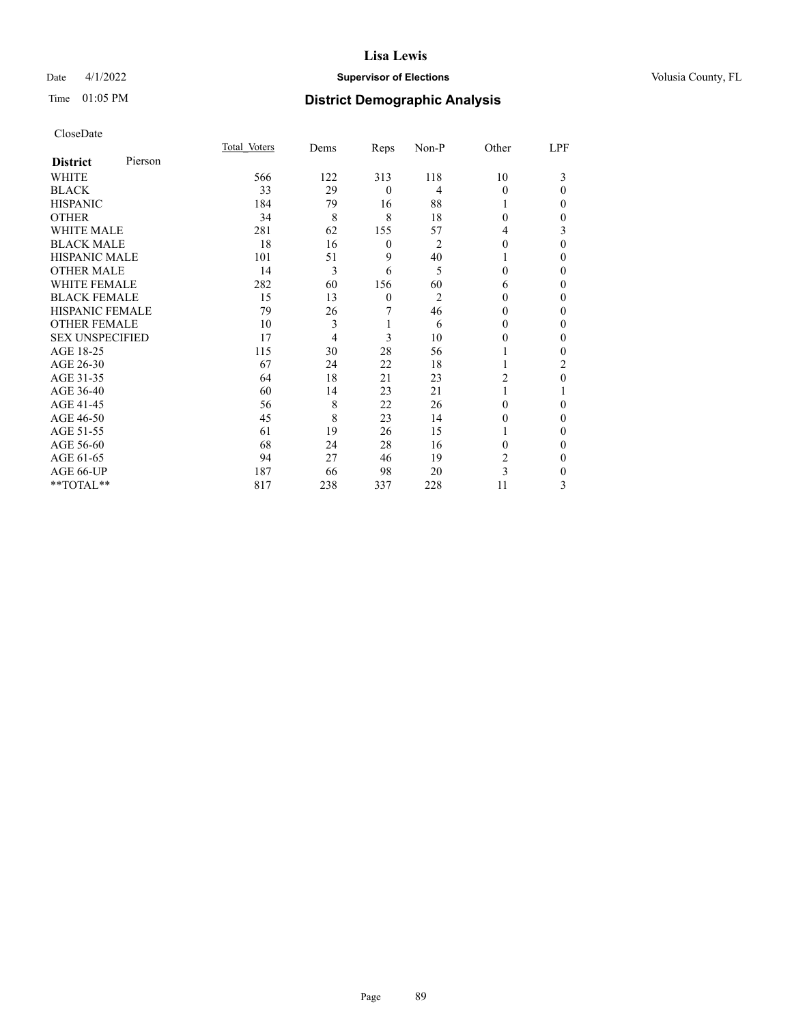# Date 4/1/2022 **Supervisor of Elections Supervisor of Elections** Volusia County, FL

| CloseDate |
|-----------|
|-----------|

|                        |         | Total Voters | Dems | Reps         | Non-P          | Other    | LPF      |
|------------------------|---------|--------------|------|--------------|----------------|----------|----------|
| <b>District</b>        | Pierson |              |      |              |                |          |          |
| WHITE                  |         | 566          | 122  | 313          | 118            | 10       | 3        |
| <b>BLACK</b>           |         | 33           | 29   | $\mathbf{0}$ | 4              | $\Omega$ | $\Omega$ |
| <b>HISPANIC</b>        |         | 184          | 79   | 16           | 88             |          | 0        |
| <b>OTHER</b>           |         | 34           | 8    | 8            | 18             | $\Omega$ | 0        |
| <b>WHITE MALE</b>      |         | 281          | 62   | 155          | 57             | 4        | 3        |
| <b>BLACK MALE</b>      |         | 18           | 16   | 0            | $\overline{2}$ | 0        | $\Omega$ |
| <b>HISPANIC MALE</b>   |         | 101          | 51   | 9            | 40             |          | 0        |
| <b>OTHER MALE</b>      |         | 14           | 3    | 6            | 5              | 0        | 0        |
| <b>WHITE FEMALE</b>    |         | 282          | 60   | 156          | 60             | 6        | 0        |
| <b>BLACK FEMALE</b>    |         | 15           | 13   | $\mathbf{0}$ | $\overline{2}$ | 0        | 0        |
| <b>HISPANIC FEMALE</b> |         | 79           | 26   | 7            | 46             | 0        | 0        |
| <b>OTHER FEMALE</b>    |         | 10           | 3    | 1            | 6              | 0        | 0        |
| <b>SEX UNSPECIFIED</b> |         | 17           | 4    | 3            | 10             | 0        | 0        |
| AGE 18-25              |         | 115          | 30   | 28           | 56             |          | 0        |
| AGE 26-30              |         | 67           | 24   | 22           | 18             |          | 2        |
| AGE 31-35              |         | 64           | 18   | 21           | 23             | 2        | 0        |
| AGE 36-40              |         | 60           | 14   | 23           | 21             |          |          |
| AGE 41-45              |         | 56           | 8    | 22           | 26             | 0        | 0        |
| AGE 46-50              |         | 45           | 8    | 23           | 14             | 0        | $\Omega$ |
| AGE 51-55              |         | 61           | 19   | 26           | 15             |          | 0        |
| AGE 56-60              |         | 68           | 24   | 28           | 16             | 0        | 0        |
| AGE 61-65              |         | 94           | 27   | 46           | 19             | 2        | 0        |
| AGE 66-UP              |         | 187          | 66   | 98           | 20             | 3        | 0        |
| **TOTAL**              |         | 817          | 238  | 337          | 228            | 11       | 3        |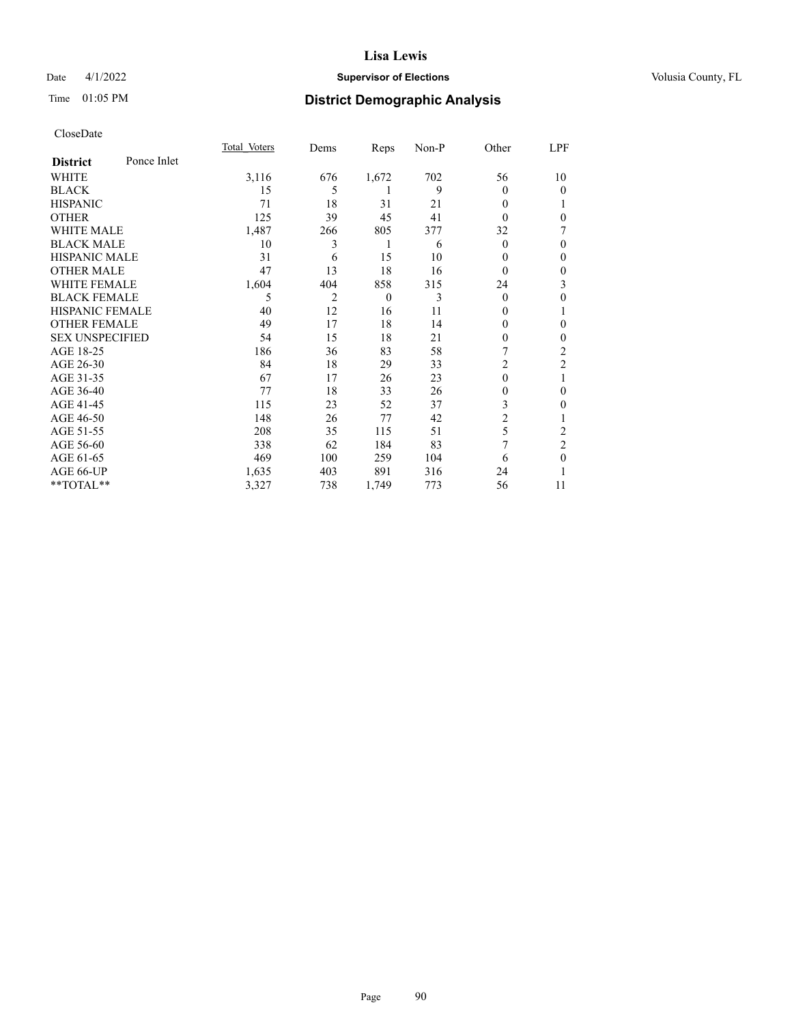# Date 4/1/2022 **Supervisor of Elections Supervisor of Elections** Volusia County, FL

# Time 01:05 PM **District Demographic Analysis**

|                        |             | Total Voters | Dems | Reps     | Non-P | Other    | LPF            |
|------------------------|-------------|--------------|------|----------|-------|----------|----------------|
| <b>District</b>        | Ponce Inlet |              |      |          |       |          |                |
| WHITE                  |             | 3,116        | 676  | 1,672    | 702   | 56       | 10             |
| <b>BLACK</b>           |             | 15           | 5    | 1        | 9     | 0        | 0              |
| <b>HISPANIC</b>        |             | 71           | 18   | 31       | 21    | 0        |                |
| <b>OTHER</b>           |             | 125          | 39   | 45       | 41    | 0        | 0              |
| <b>WHITE MALE</b>      |             | 1,487        | 266  | 805      | 377   | 32       | 7              |
| <b>BLACK MALE</b>      |             | 10           | 3    | 1        | 6     | 0        | 0              |
| <b>HISPANIC MALE</b>   |             | 31           | 6    | 15       | 10    | 0        | $\theta$       |
| <b>OTHER MALE</b>      |             | 47           | 13   | 18       | 16    | $\theta$ | $\mathbf{0}$   |
| <b>WHITE FEMALE</b>    |             | 1,604        | 404  | 858      | 315   | 24       | 3              |
| <b>BLACK FEMALE</b>    |             | 5            | 2    | $\theta$ | 3     | $\Omega$ | 0              |
| <b>HISPANIC FEMALE</b> |             | 40           | 12   | 16       | 11    | 0        |                |
| <b>OTHER FEMALE</b>    |             | 49           | 17   | 18       | 14    | 0        | $\Omega$       |
| <b>SEX UNSPECIFIED</b> |             | 54           | 15   | 18       | 21    | 0        | 0              |
| AGE 18-25              |             | 186          | 36   | 83       | 58    |          | $\overline{2}$ |
| AGE 26-30              |             | 84           | 18   | 29       | 33    | 2        | $\mathfrak{2}$ |
| AGE 31-35              |             | 67           | 17   | 26       | 23    | $\theta$ | 1              |
| AGE 36-40              |             | 77           | 18   | 33       | 26    | 0        | $\mathbf{0}$   |
| AGE 41-45              |             | 115          | 23   | 52       | 37    | 3        | 0              |
| AGE 46-50              |             | 148          | 26   | 77       | 42    | 2        |                |
| AGE 51-55              |             | 208          | 35   | 115      | 51    | 5        | 2              |
| AGE 56-60              |             | 338          | 62   | 184      | 83    | 7        | $\overline{2}$ |
| AGE 61-65              |             | 469          | 100  | 259      | 104   | 6        | $\theta$       |
| AGE 66-UP              |             | 1,635        | 403  | 891      | 316   | 24       |                |
| $**TOTAL**$            |             | 3,327        | 738  | 1,749    | 773   | 56       | 11             |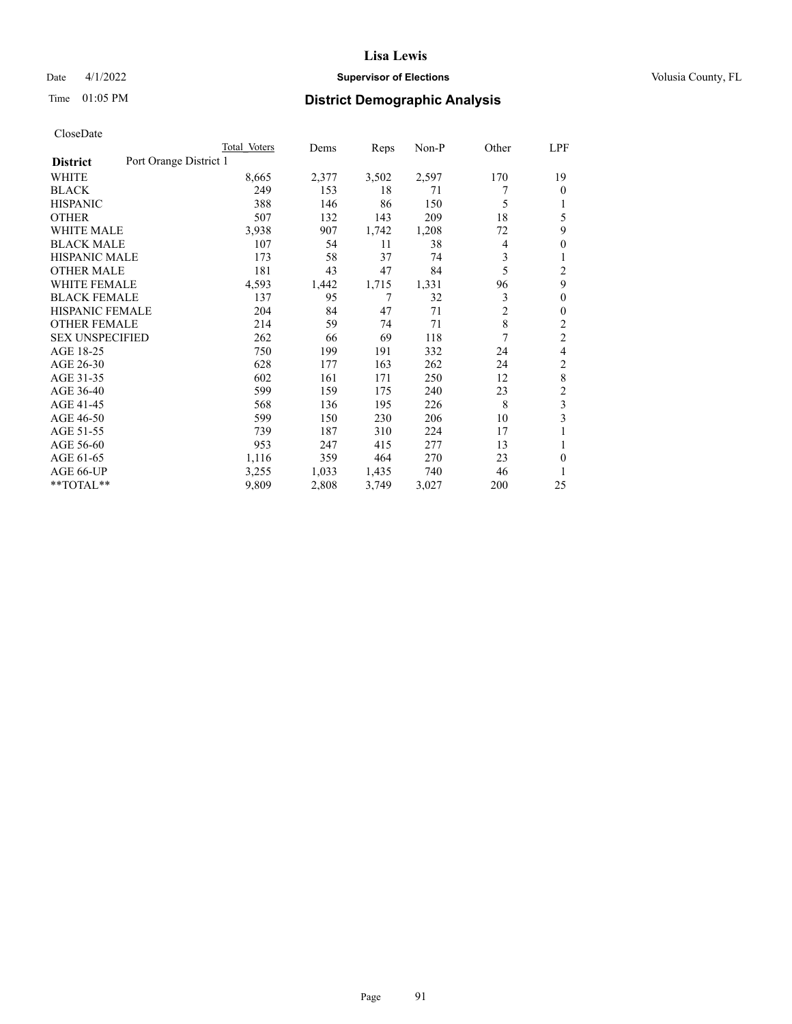# Date 4/1/2022 **Supervisor of Elections Supervisor of Elections** Volusia County, FL

# Time 01:05 PM **District Demographic Analysis**

|                                           | Total Voters | Dems  | Reps  | $Non-P$ | Other          | LPF            |
|-------------------------------------------|--------------|-------|-------|---------|----------------|----------------|
| Port Orange District 1<br><b>District</b> |              |       |       |         |                |                |
| WHITE                                     | 8,665        | 2,377 | 3,502 | 2,597   | 170            | 19             |
| <b>BLACK</b>                              | 249          | 153   | 18    | 71      |                | 0              |
| <b>HISPANIC</b>                           | 388          | 146   | 86    | 150     | 5              |                |
| <b>OTHER</b>                              | 507          | 132   | 143   | 209     | 18             | 5              |
| <b>WHITE MALE</b>                         | 3,938        | 907   | 1,742 | 1,208   | 72             | 9              |
| <b>BLACK MALE</b>                         | 107          | 54    | 11    | 38      | 4              | $\mathbf{0}$   |
| <b>HISPANIC MALE</b>                      | 173          | 58    | 37    | 74      | 3              |                |
| <b>OTHER MALE</b>                         | 181          | 43    | 47    | 84      | 5              | 2              |
| WHITE FEMALE                              | 4,593        | 1,442 | 1,715 | 1,331   | 96             | 9              |
| <b>BLACK FEMALE</b>                       | 137          | 95    | 7     | 32      | 3              | 0              |
| <b>HISPANIC FEMALE</b>                    | 204          | 84    | 47    | 71      | $\overline{c}$ | 0              |
| <b>OTHER FEMALE</b>                       | 214          | 59    | 74    | 71      | 8              | $\overline{c}$ |
| <b>SEX UNSPECIFIED</b>                    | 262          | 66    | 69    | 118     | 7              | $\overline{c}$ |
| AGE 18-25                                 | 750          | 199   | 191   | 332     | 24             | 4              |
| AGE 26-30                                 | 628          | 177   | 163   | 262     | 24             | 2              |
| AGE 31-35                                 | 602          | 161   | 171   | 250     | 12             | 8              |
| AGE 36-40                                 | 599          | 159   | 175   | 240     | 23             | 2              |
| AGE 41-45                                 | 568          | 136   | 195   | 226     | 8              | 3              |
| AGE 46-50                                 | 599          | 150   | 230   | 206     | 10             | 3              |
| AGE 51-55                                 | 739          | 187   | 310   | 224     | 17             |                |
| AGE 56-60                                 | 953          | 247   | 415   | 277     | 13             | 1              |
| AGE 61-65                                 | 1,116        | 359   | 464   | 270     | 23             | 0              |
| AGE 66-UP                                 | 3,255        | 1,033 | 1,435 | 740     | 46             | 1              |
| **TOTAL**                                 | 9,809        | 2,808 | 3,749 | 3,027   | 200            | 25             |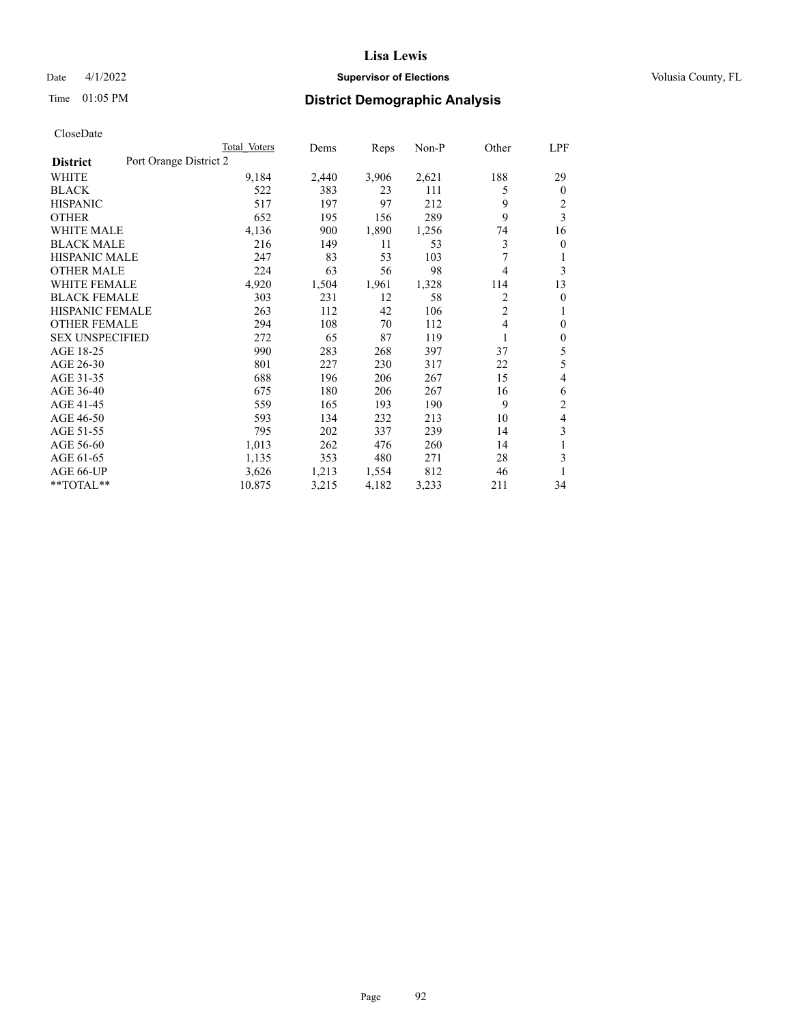# Date 4/1/2022 **Supervisor of Elections Supervisor of Elections** Volusia County, FL

# Time 01:05 PM **District Demographic Analysis**

|                                           | Total Voters | Dems  | Reps  | Non-P | Other          | LPF          |
|-------------------------------------------|--------------|-------|-------|-------|----------------|--------------|
| Port Orange District 2<br><b>District</b> |              |       |       |       |                |              |
| WHITE                                     | 9,184        | 2,440 | 3,906 | 2,621 | 188            | 29           |
| <b>BLACK</b>                              | 522          | 383   | 23    | 111   | 5              | $\mathbf{0}$ |
| <b>HISPANIC</b>                           | 517          | 197   | 97    | 212   | 9              | 2            |
| <b>OTHER</b>                              | 652          | 195   | 156   | 289   | 9              | 3            |
| <b>WHITE MALE</b>                         | 4,136        | 900   | 1,890 | 1,256 | 74             | 16           |
| <b>BLACK MALE</b>                         | 216          | 149   | 11    | 53    | 3              | $\mathbf{0}$ |
| <b>HISPANIC MALE</b>                      | 247          | 83    | 53    | 103   | 7              | 1            |
| <b>OTHER MALE</b>                         | 224          | 63    | 56    | 98    | 4              | 3            |
| <b>WHITE FEMALE</b>                       | 4,920        | 1,504 | 1,961 | 1,328 | 114            | 13           |
| <b>BLACK FEMALE</b>                       | 303          | 231   | 12    | 58    | 2              | $\theta$     |
| <b>HISPANIC FEMALE</b>                    | 263          | 112   | 42    | 106   | $\overline{2}$ | 1            |
| <b>OTHER FEMALE</b>                       | 294          | 108   | 70    | 112   | 4              | $\theta$     |
| <b>SEX UNSPECIFIED</b>                    | 272          | 65    | 87    | 119   | 1              | $\theta$     |
| AGE 18-25                                 | 990          | 283   | 268   | 397   | 37             | 5            |
| AGE 26-30                                 | 801          | 227   | 230   | 317   | 22             | 5            |
| AGE 31-35                                 | 688          | 196   | 206   | 267   | 15             | 4            |
| AGE 36-40                                 | 675          | 180   | 206   | 267   | 16             | 6            |
| AGE 41-45                                 | 559          | 165   | 193   | 190   | 9              | 2            |
| AGE 46-50                                 | 593          | 134   | 232   | 213   | 10             | 4            |
| AGE 51-55                                 | 795          | 202   | 337   | 239   | 14             | 3            |
| AGE 56-60                                 | 1,013        | 262   | 476   | 260   | 14             |              |
| AGE 61-65                                 | 1,135        | 353   | 480   | 271   | 28             | 3            |
| AGE 66-UP                                 | 3,626        | 1,213 | 1,554 | 812   | 46             |              |
| $*$ $TOTAL**$                             | 10,875       | 3,215 | 4,182 | 3,233 | 211            | 34           |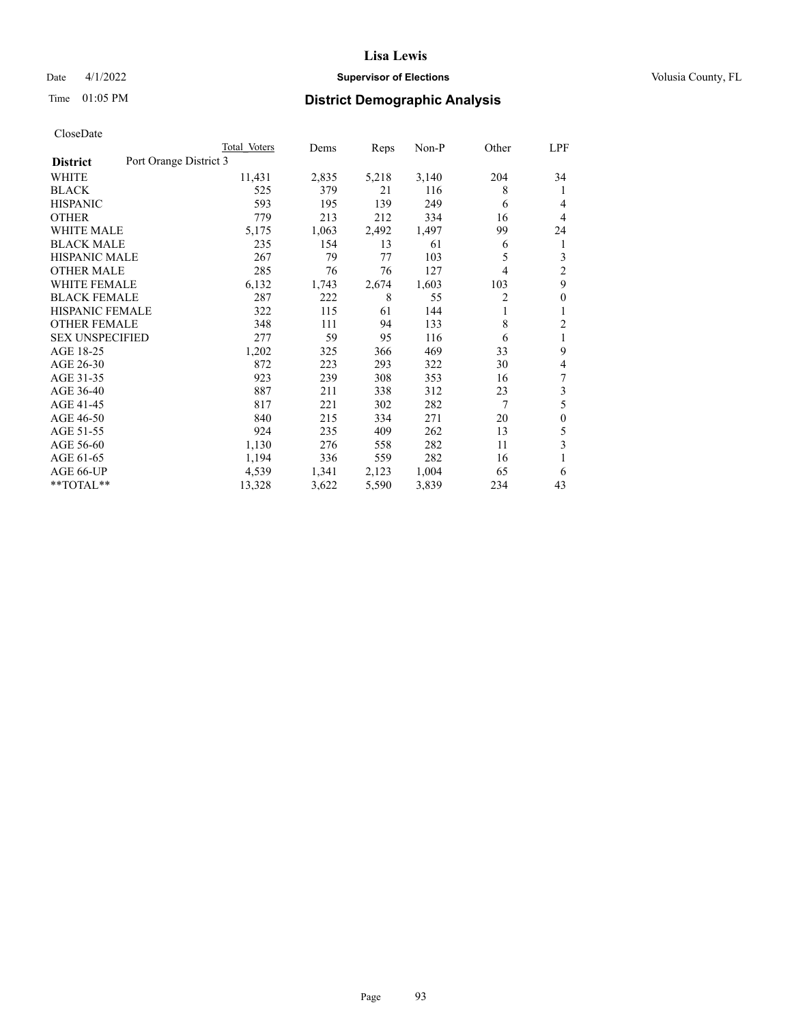# Date 4/1/2022 **Supervisor of Elections Supervisor of Elections** Volusia County, FL

# Time 01:05 PM **District Demographic Analysis**

|                        | Total Voters           | Dems  | Reps  | $Non-P$ | Other | LPF            |
|------------------------|------------------------|-------|-------|---------|-------|----------------|
| <b>District</b>        | Port Orange District 3 |       |       |         |       |                |
| WHITE                  | 11,431                 | 2,835 | 5,218 | 3,140   | 204   | 34             |
| <b>BLACK</b>           | 525                    | 379   | 21    | 116     | 8     | 1              |
| <b>HISPANIC</b>        | 593                    | 195   | 139   | 249     | 6     | 4              |
| <b>OTHER</b>           | 779                    | 213   | 212   | 334     | 16    | 4              |
| <b>WHITE MALE</b>      | 5,175                  | 1,063 | 2,492 | 1,497   | 99    | 24             |
| <b>BLACK MALE</b>      | 235                    | 154   | 13    | 61      | 6     | 1              |
| <b>HISPANIC MALE</b>   | 267                    | 79    | 77    | 103     | 5     | 3              |
| <b>OTHER MALE</b>      | 285                    | 76    | 76    | 127     | 4     | $\overline{2}$ |
| <b>WHITE FEMALE</b>    | 6,132                  | 1,743 | 2,674 | 1,603   | 103   | 9              |
| <b>BLACK FEMALE</b>    | 287                    | 222   | 8     | 55      | 2     | $\theta$       |
| <b>HISPANIC FEMALE</b> | 322                    | 115   | 61    | 144     | 1     | 1              |
| <b>OTHER FEMALE</b>    | 348                    | 111   | 94    | 133     | 8     | $\overline{2}$ |
| <b>SEX UNSPECIFIED</b> | 277                    | 59    | 95    | 116     | 6     | 1              |
| AGE 18-25              | 1,202                  | 325   | 366   | 469     | 33    | 9              |
| AGE 26-30              | 872                    | 223   | 293   | 322     | 30    | 4              |
| AGE 31-35              | 923                    | 239   | 308   | 353     | 16    | 7              |
| AGE 36-40              | 887                    | 211   | 338   | 312     | 23    | 3              |
| AGE 41-45              | 817                    | 221   | 302   | 282     | 7     | 5              |
| AGE 46-50              | 840                    | 215   | 334   | 271     | 20    | $\mathbf{0}$   |
| AGE 51-55              | 924                    | 235   | 409   | 262     | 13    | 5              |
| AGE 56-60              | 1,130                  | 276   | 558   | 282     | 11    | 3              |
| AGE 61-65              | 1,194                  | 336   | 559   | 282     | 16    | 1              |
| AGE 66-UP              | 4,539                  | 1,341 | 2,123 | 1,004   | 65    | 6              |
| **TOTAL**              | 13,328                 | 3,622 | 5,590 | 3,839   | 234   | 43             |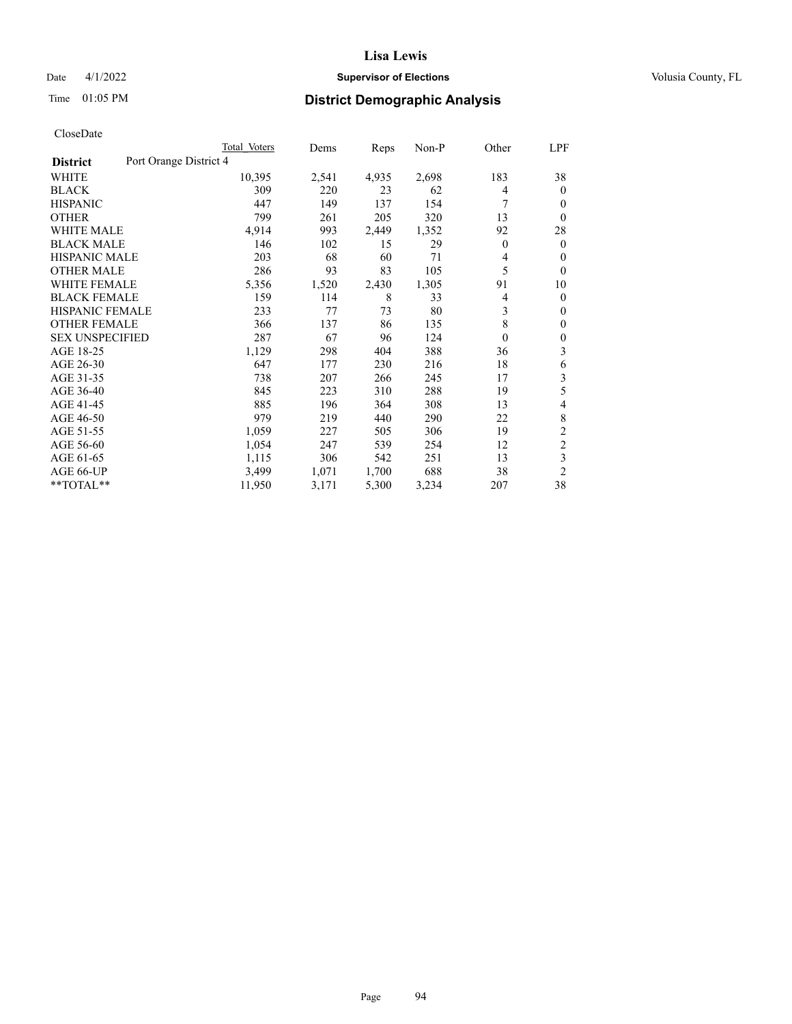# Date 4/1/2022 **Supervisor of Elections Supervisor of Elections** Volusia County, FL

# Time 01:05 PM **District Demographic Analysis**

|                                           | Total Voters | Dems  | Reps  | $Non-P$ | Other            | <u>LPF</u>     |
|-------------------------------------------|--------------|-------|-------|---------|------------------|----------------|
| Port Orange District 4<br><b>District</b> |              |       |       |         |                  |                |
| WHITE                                     | 10,395       | 2,541 | 4,935 | 2,698   | 183              | 38             |
| <b>BLACK</b>                              | 309          | 220   | 23    | 62      | 4                | $\mathbf{0}$   |
| <b>HISPANIC</b>                           | 447          | 149   | 137   | 154     | 7                | $\theta$       |
| <b>OTHER</b>                              | 799          | 261   | 205   | 320     | 13               | $\theta$       |
| <b>WHITE MALE</b>                         | 4,914        | 993   | 2,449 | 1,352   | 92               | 28             |
| <b>BLACK MALE</b>                         | 146          | 102   | 15    | 29      | $\mathbf{0}$     | $\overline{0}$ |
| <b>HISPANIC MALE</b>                      | 203          | 68    | 60    | 71      | 4                | $\theta$       |
| <b>OTHER MALE</b>                         | 286          | 93    | 83    | 105     | 5                | $\theta$       |
| <b>WHITE FEMALE</b>                       | 5,356        | 1,520 | 2,430 | 1,305   | 91               | 10             |
| <b>BLACK FEMALE</b>                       | 159          | 114   | 8     | 33      | 4                | $\mathbf{0}$   |
| <b>HISPANIC FEMALE</b>                    | 233          | 77    | 73    | 80      | 3                | $\mathbf{0}$   |
| <b>OTHER FEMALE</b>                       | 366          | 137   | 86    | 135     | 8                | $\mathbf{0}$   |
| <b>SEX UNSPECIFIED</b>                    | 287          | 67    | 96    | 124     | $\boldsymbol{0}$ | $\mathbf{0}$   |
| AGE 18-25                                 | 1,129        | 298   | 404   | 388     | 36               | 3              |
| AGE 26-30                                 | 647          | 177   | 230   | 216     | 18               | 6              |
| AGE 31-35                                 | 738          | 207   | 266   | 245     | 17               | 3              |
| AGE 36-40                                 | 845          | 223   | 310   | 288     | 19               | 5              |
| AGE 41-45                                 | 885          | 196   | 364   | 308     | 13               | 4              |
| AGE 46-50                                 | 979          | 219   | 440   | 290     | 22               | 8              |
| AGE 51-55                                 | 1,059        | 227   | 505   | 306     | 19               | $\overline{2}$ |
| AGE 56-60                                 | 1,054        | 247   | 539   | 254     | 12               | $\overline{c}$ |
| AGE 61-65                                 | 1,115        | 306   | 542   | 251     | 13               | 3              |
| AGE 66-UP                                 | 3,499        | 1,071 | 1,700 | 688     | 38               | $\overline{2}$ |
| **TOTAL**                                 | 11,950       | 3,171 | 5,300 | 3,234   | 207              | 38             |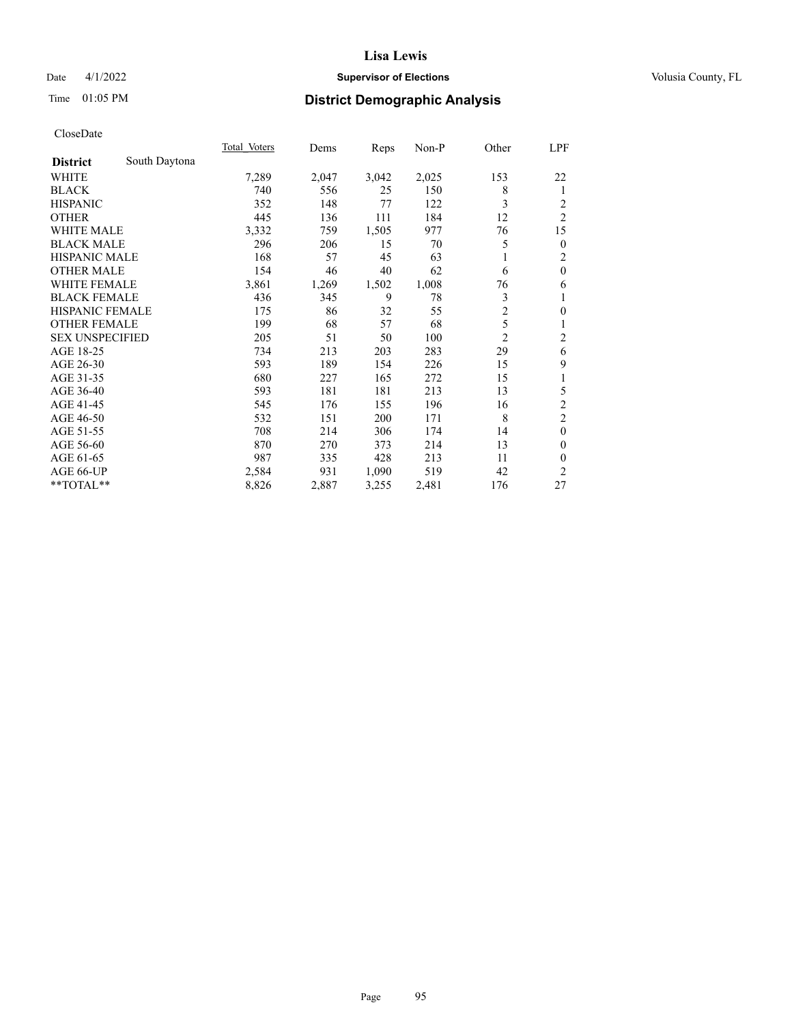# Date 4/1/2022 **Supervisor of Elections Supervisor of Elections** Volusia County, FL

# Time 01:05 PM **District Demographic Analysis**

|                        |               | Total Voters | Dems  | Reps  | $Non-P$ | Other          | LPF              |
|------------------------|---------------|--------------|-------|-------|---------|----------------|------------------|
| <b>District</b>        | South Daytona |              |       |       |         |                |                  |
| WHITE                  |               | 7,289        | 2,047 | 3,042 | 2,025   | 153            | 22               |
| <b>BLACK</b>           |               | 740          | 556   | 25    | 150     | 8              | 1                |
| <b>HISPANIC</b>        |               | 352          | 148   | 77    | 122     | 3              | 2                |
| <b>OTHER</b>           |               | 445          | 136   | 111   | 184     | 12             | $\overline{c}$   |
| <b>WHITE MALE</b>      |               | 3,332        | 759   | 1,505 | 977     | 76             | 15               |
| <b>BLACK MALE</b>      |               | 296          | 206   | 15    | 70      | 5              | $\boldsymbol{0}$ |
| <b>HISPANIC MALE</b>   |               | 168          | 57    | 45    | 63      | 1              | $\mathfrak{2}$   |
| <b>OTHER MALE</b>      |               | 154          | 46    | 40    | 62      | 6              | $\mathbf{0}$     |
| <b>WHITE FEMALE</b>    |               | 3,861        | 1,269 | 1,502 | 1,008   | 76             | 6                |
| <b>BLACK FEMALE</b>    |               | 436          | 345   | 9     | 78      | 3              | 1                |
| HISPANIC FEMALE        |               | 175          | 86    | 32    | 55      | $\overline{c}$ | $\boldsymbol{0}$ |
| <b>OTHER FEMALE</b>    |               | 199          | 68    | 57    | 68      | 5              | 1                |
| <b>SEX UNSPECIFIED</b> |               | 205          | 51    | 50    | 100     | $\overline{2}$ | $\overline{c}$   |
| AGE 18-25              |               | 734          | 213   | 203   | 283     | 29             | 6                |
| AGE 26-30              |               | 593          | 189   | 154   | 226     | 15             | 9                |
| AGE 31-35              |               | 680          | 227   | 165   | 272     | 15             | 1                |
| AGE 36-40              |               | 593          | 181   | 181   | 213     | 13             | 5                |
| AGE 41-45              |               | 545          | 176   | 155   | 196     | 16             | $\boldsymbol{2}$ |
| AGE 46-50              |               | 532          | 151   | 200   | 171     | 8              | $\overline{2}$   |
| AGE 51-55              |               | 708          | 214   | 306   | 174     | 14             | $\mathbf{0}$     |
| AGE 56-60              |               | 870          | 270   | 373   | 214     | 13             | $\boldsymbol{0}$ |
| AGE 61-65              |               | 987          | 335   | 428   | 213     | 11             | $\mathbf{0}$     |
| AGE 66-UP              |               | 2,584        | 931   | 1,090 | 519     | 42             | $\overline{2}$   |
| **TOTAL**              |               | 8,826        | 2,887 | 3,255 | 2,481   | 176            | 27               |